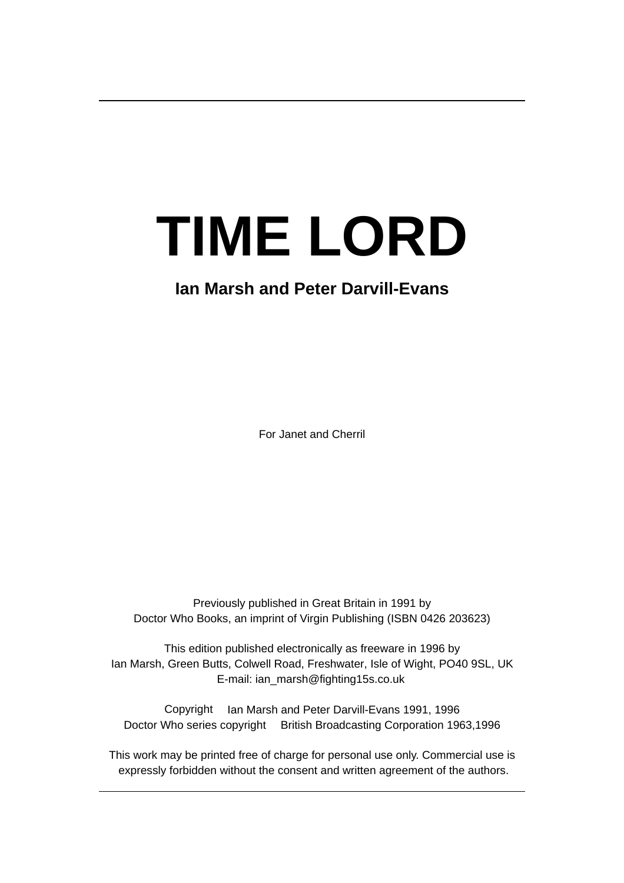# **TIME LORD**

# **Ian Marsh and Peter Darvill-Evans**

For Janet and Cherril

Previously published in Great Britain in 1991 by Doctor Who Books, an imprint of Virgin Publishing (ISBN 0426 203623)

This edition published electronically as freeware in 1996 by Ian Marsh, Green Butts, Colwell Road, Freshwater, Isle of Wight, PO40 9SL, UK E-mail: ian\_marsh@fighting15s.co.uk

Copyright © Ian Marsh and Peter Darvill-Evans 1991, 1996 Doctor Who series copyright © British Broadcasting Corporation 1963,1996

This work may be printed free of charge for personal use only. Commercial use is expressly forbidden without the consent and written agreement of the authors.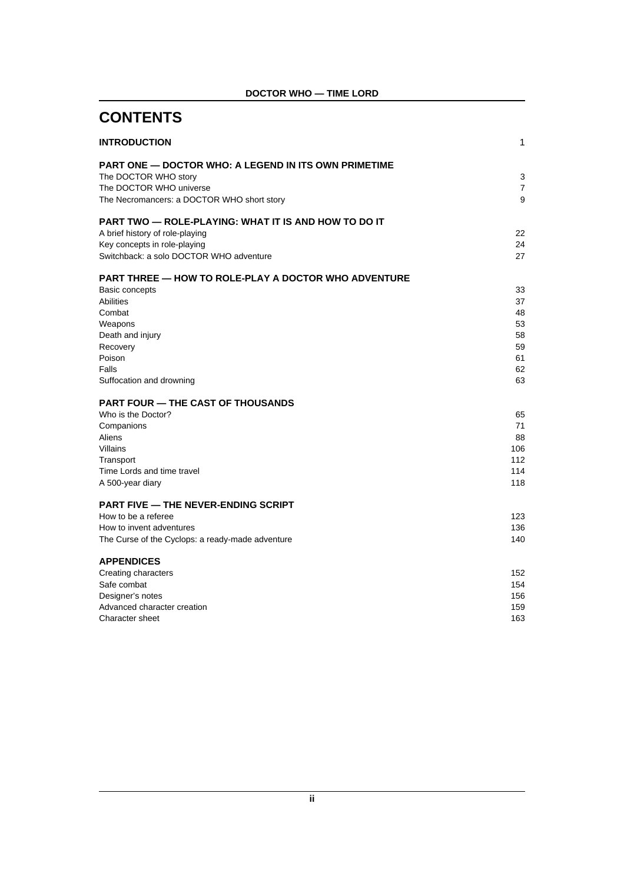| <b>CONTENTS</b>                                                                                                                                                                                       |                                                    |
|-------------------------------------------------------------------------------------------------------------------------------------------------------------------------------------------------------|----------------------------------------------------|
| <b>INTRODUCTION</b>                                                                                                                                                                                   | 1                                                  |
| <b>PART ONE — DOCTOR WHO: A LEGEND IN ITS OWN PRIMETIME</b><br>The DOCTOR WHO story<br>The DOCTOR WHO universe<br>The Necromancers: a DOCTOR WHO short story                                          | 3<br>7<br>9                                        |
| <b>PART TWO — ROLE-PLAYING: WHAT IT IS AND HOW TO DO IT</b><br>A brief history of role-playing<br>Key concepts in role-playing<br>Switchback: a solo DOCTOR WHO adventure                             | 22<br>24<br>27                                     |
| <b>PART THREE — HOW TO ROLE-PLAY A DOCTOR WHO ADVENTURE</b><br>Basic concepts<br><b>Abilities</b><br>Combat<br>Weapons<br>Death and injury<br>Recovery<br>Poison<br>Falls<br>Suffocation and drowning | 33<br>37<br>48<br>53<br>58<br>59<br>61<br>62<br>63 |
| <b>PART FOUR — THE CAST OF THOUSANDS</b><br>Who is the Doctor?<br>Companions<br>Aliens<br>Villains<br>Transport<br>Time Lords and time travel<br>A 500-year diary                                     | 65<br>71<br>88<br>106<br>112<br>114<br>118         |
| <b>PART FIVE — THE NEVER-ENDING SCRIPT</b><br>How to be a referee<br>How to invent adventures<br>The Curse of the Cyclops: a ready-made adventure                                                     | 123<br>136<br>140                                  |
| <b>APPENDICES</b><br>Creating characters<br>Safe combat<br>Designer's notes<br>Advanced character creation<br>Character sheet                                                                         | 152<br>154<br>156<br>159<br>163                    |

### **DOCTOR WHO — TIME LORD**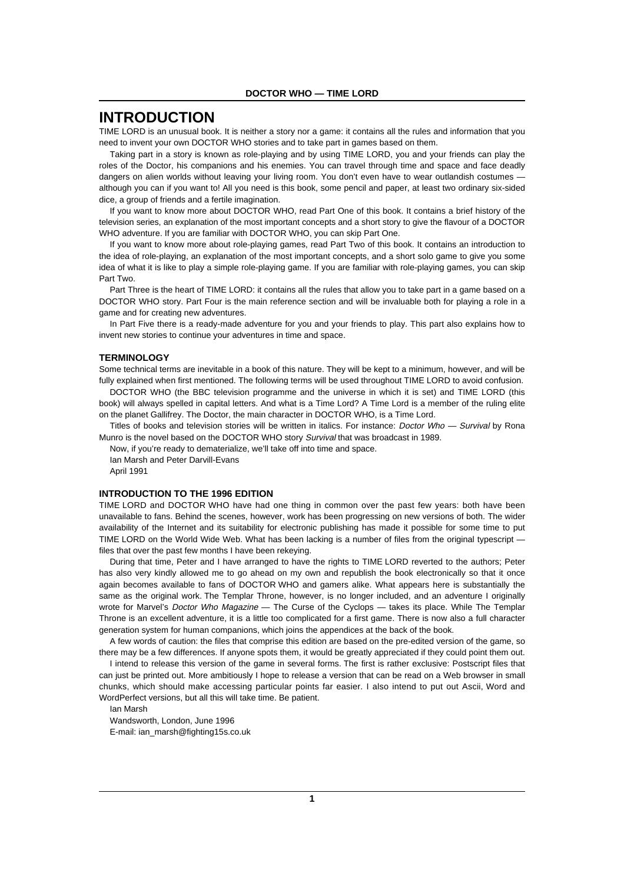### **INTRODUCTION**

TIME LORD is an unusual book. It is neither a story nor a game: it contains all the rules and information that you need to invent your own DOCTOR WHO stories and to take part in games based on them.

Taking part in a story is known as role-playing and by using TIME LORD, you and your friends can play the roles of the Doctor, his companions and his enemies. You can travel through time and space and face deadly dangers on alien worlds without leaving your living room. You don't even have to wear outlandish costumes although you can if you want to! All you need is this book, some pencil and paper, at least two ordinary six-sided dice, a group of friends and a fertile imagination.

If you want to know more about DOCTOR WHO, read Part One of this book. It contains a brief history of the television series, an explanation of the most important concepts and a short story to give the flavour of a DOCTOR WHO adventure. If you are familiar with DOCTOR WHO, you can skip Part One.

If you want to know more about role-playing games, read Part Two of this book. It contains an introduction to the idea of role-playing, an explanation of the most important concepts, and a short solo game to give you some idea of what it is like to play a simple role-playing game. If you are familiar with role-playing games, you can skip Part Two.

Part Three is the heart of TIME LORD: it contains all the rules that allow you to take part in a game based on a DOCTOR WHO story. Part Four is the main reference section and will be invaluable both for playing a role in a game and for creating new adventures.

In Part Five there is a ready-made adventure for you and your friends to play. This part also explains how to invent new stories to continue your adventures in time and space.

#### **TERMINOLOGY**

Some technical terms are inevitable in a book of this nature. They will be kept to a minimum, however, and will be fully explained when first mentioned. The following terms will be used throughout TIME LORD to avoid confusion.

DOCTOR WHO (the BBC television programme and the universe in which it is set) and TIME LORD (this book) will always spelled in capital letters. And what is a Time Lord? A Time Lord is a member of the ruling elite on the planet Gallifrey. The Doctor, the main character in DOCTOR WHO, is a Time Lord.

Titles of books and television stories will be written in italics. For instance: Doctor Who - Survival by Rona Munro is the novel based on the DOCTOR WHO story Survival that was broadcast in 1989.

Now, if you're ready to dematerialize, we'll take off into time and space.

Ian Marsh and Peter Darvill-Evans April 1991

#### **INTRODUCTION TO THE 1996 EDITION**

TIME LORD and DOCTOR WHO have had one thing in common over the past few years: both have been unavailable to fans. Behind the scenes, however, work has been progressing on new versions of both. The wider availability of the Internet and its suitability for electronic publishing has made it possible for some time to put TIME LORD on the World Wide Web. What has been lacking is a number of files from the original typescript files that over the past few months I have been rekeying.

During that time, Peter and I have arranged to have the rights to TIME LORD reverted to the authors; Peter has also very kindly allowed me to go ahead on my own and republish the book electronically so that it once again becomes available to fans of DOCTOR WHO and gamers alike. What appears here is substantially the same as the original work. The Templar Throne, however, is no longer included, and an adventure I originally wrote for Marvel's *Doctor Who Magazine* — The Curse of the Cyclops — takes its place. While The Templar Throne is an excellent adventure, it is a little too complicated for a first game. There is now also a full character generation system for human companions, which joins the appendices at the back of the book.

A few words of caution: the files that comprise this edition are based on the pre-edited version of the game, so there may be a few differences. If anyone spots them, it would be greatly appreciated if they could point them out.

I intend to release this version of the game in several forms. The first is rather exclusive: Postscript files that can just be printed out. More ambitiously I hope to release a version that can be read on a Web browser in small chunks, which should make accessing particular points far easier. I also intend to put out Ascii, Word and WordPerfect versions, but all this will take time. Be patient.

Ian Marsh Wandsworth, London, June 1996 E-mail: ian\_marsh@fighting15s.co.uk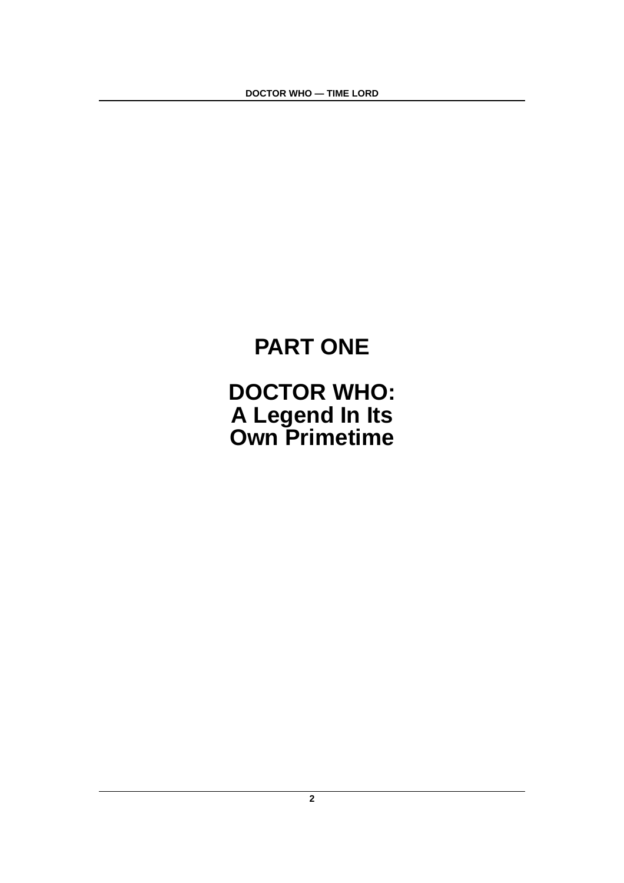# **PART ONE**

# **DOCTOR WHO: A Legend In Its Own Primetime**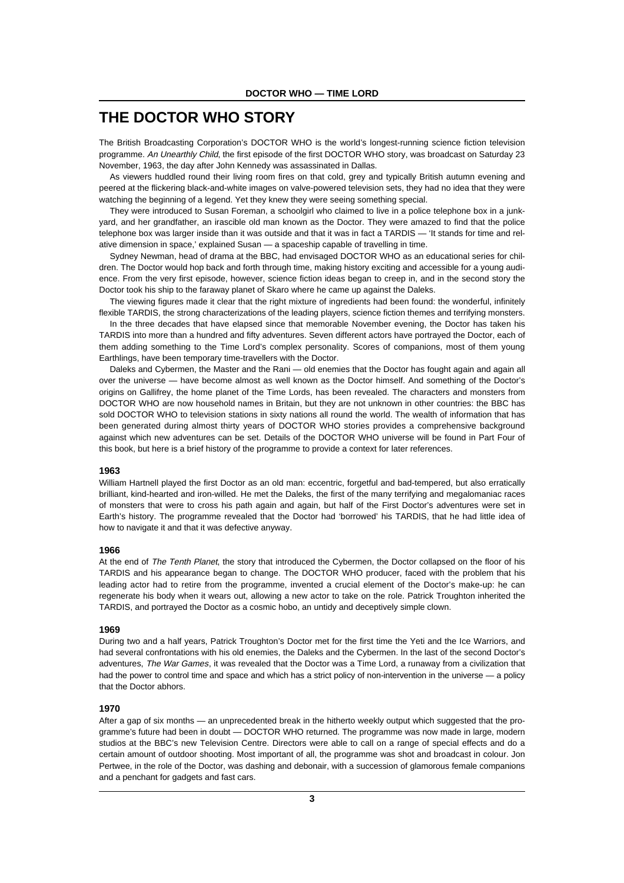# **THE DOCTOR WHO STORY**

The British Broadcasting Corporation's DOCTOR WHO is the world's longest-running science fiction television programme. An Unearthly Child, the first episode of the first DOCTOR WHO story, was broadcast on Saturday 23 November, 1963, the day after John Kennedy was assassinated in Dallas.

As viewers huddled round their living room fires on that cold, grey and typically British autumn evening and peered at the flickering black-and-white images on valve-powered television sets, they had no idea that they were watching the beginning of a legend. Yet they knew they were seeing something special.

They were introduced to Susan Foreman, a schoolgirl who claimed to live in a police telephone box in a junkyard, and her grandfather, an irascible old man known as the Doctor. They were amazed to find that the police telephone box was larger inside than it was outside and that it was in fact a TARDIS — 'It stands for time and relative dimension in space,' explained Susan — a spaceship capable of travelling in time.

Sydney Newman, head of drama at the BBC, had envisaged DOCTOR WHO as an educational series for children. The Doctor would hop back and forth through time, making history exciting and accessible for a young audience. From the very first episode, however, science fiction ideas began to creep in, and in the second story the Doctor took his ship to the faraway planet of Skaro where he came up against the Daleks.

The viewing figures made it clear that the right mixture of ingredients had been found: the wonderful, infinitely flexible TARDIS, the strong characterizations of the leading players, science fiction themes and terrifying monsters.

In the three decades that have elapsed since that memorable November evening, the Doctor has taken his TARDIS into more than a hundred and fifty adventures. Seven different actors have portrayed the Doctor, each of them adding something to the Time Lord's complex personality. Scores of companions, most of them young Earthlings, have been temporary time-travellers with the Doctor.

Daleks and Cybermen, the Master and the Rani — old enemies that the Doctor has fought again and again all over the universe — have become almost as well known as the Doctor himself. And something of the Doctor's origins on Gallifrey, the home planet of the Time Lords, has been revealed. The characters and monsters from DOCTOR WHO are now household names in Britain, but they are not unknown in other countries: the BBC has sold DOCTOR WHO to television stations in sixty nations all round the world. The wealth of information that has been generated during almost thirty years of DOCTOR WHO stories provides a comprehensive background against which new adventures can be set. Details of the DOCTOR WHO universe will be found in Part Four of this book, but here is a brief history of the programme to provide a context for later references.

#### **1963**

William Hartnell played the first Doctor as an old man: eccentric, forgetful and bad-tempered, but also erratically brilliant, kind-hearted and iron-willed. He met the Daleks, the first of the many terrifying and megalomaniac races of monsters that were to cross his path again and again, but half of the First Doctor's adventures were set in Earth's history. The programme revealed that the Doctor had 'borrowed' his TARDIS, that he had little idea of how to navigate it and that it was defective anyway.

#### **1966**

At the end of The Tenth Planet, the story that introduced the Cybermen, the Doctor collapsed on the floor of his TARDIS and his appearance began to change. The DOCTOR WHO producer, faced with the problem that his leading actor had to retire from the programme, invented a crucial element of the Doctor's make-up: he can regenerate his body when it wears out, allowing a new actor to take on the role. Patrick Troughton inherited the TARDIS, and portrayed the Doctor as a cosmic hobo, an untidy and deceptively simple clown.

#### **1969**

During two and a half years, Patrick Troughton's Doctor met for the first time the Yeti and the Ice Warriors, and had several confrontations with his old enemies, the Daleks and the Cybermen. In the last of the second Doctor's adventures, The War Games, it was revealed that the Doctor was a Time Lord, a runaway from a civilization that had the power to control time and space and which has a strict policy of non-intervention in the universe — a policy that the Doctor abhors.

#### **1970**

After a gap of six months — an unprecedented break in the hitherto weekly output which suggested that the programme's future had been in doubt — DOCTOR WHO returned. The programme was now made in large, modern studios at the BBC's new Television Centre. Directors were able to call on a range of special effects and do a certain amount of outdoor shooting. Most important of all, the programme was shot and broadcast in colour. Jon Pertwee, in the role of the Doctor, was dashing and debonair, with a succession of glamorous female companions and a penchant for gadgets and fast cars.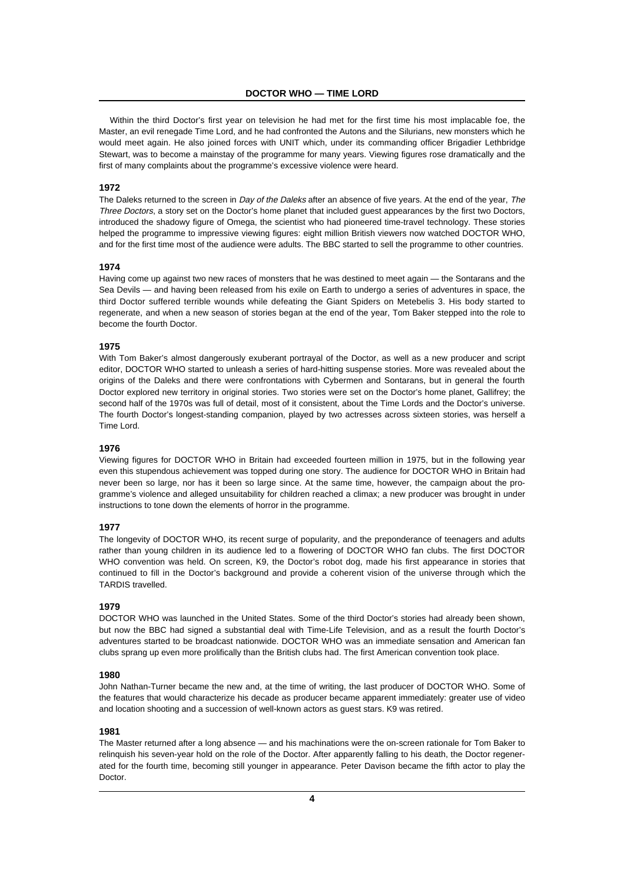Within the third Doctor's first year on television he had met for the first time his most implacable foe, the Master, an evil renegade Time Lord, and he had confronted the Autons and the Silurians, new monsters which he would meet again. He also joined forces with UNIT which, under its commanding officer Brigadier Lethbridge Stewart, was to become a mainstay of the programme for many years. Viewing figures rose dramatically and the first of many complaints about the programme's excessive violence were heard.

#### **1972**

The Daleks returned to the screen in Day of the Daleks after an absence of five years. At the end of the year, The Three Doctors, a story set on the Doctor's home planet that included guest appearances by the first two Doctors, introduced the shadowy figure of Omega, the scientist who had pioneered time-travel technology. These stories helped the programme to impressive viewing figures: eight million British viewers now watched DOCTOR WHO, and for the first time most of the audience were adults. The BBC started to sell the programme to other countries.

#### **1974**

Having come up against two new races of monsters that he was destined to meet again — the Sontarans and the Sea Devils — and having been released from his exile on Earth to undergo a series of adventures in space, the third Doctor suffered terrible wounds while defeating the Giant Spiders on Metebelis 3. His body started to regenerate, and when a new season of stories began at the end of the year, Tom Baker stepped into the role to become the fourth Doctor.

#### **1975**

With Tom Baker's almost dangerously exuberant portrayal of the Doctor, as well as a new producer and script editor, DOCTOR WHO started to unleash a series of hard-hitting suspense stories. More was revealed about the origins of the Daleks and there were confrontations with Cybermen and Sontarans, but in general the fourth Doctor explored new territory in original stories. Two stories were set on the Doctor's home planet. Gallifrey: the second half of the 1970s was full of detail, most of it consistent, about the Time Lords and the Doctor's universe. The fourth Doctor's longest-standing companion, played by two actresses across sixteen stories, was herself a Time Lord.

#### **1976**

Viewing figures for DOCTOR WHO in Britain had exceeded fourteen million in 1975, but in the following year even this stupendous achievement was topped during one story. The audience for DOCTOR WHO in Britain had never been so large, nor has it been so large since. At the same time, however, the campaign about the programme's violence and alleged unsuitability for children reached a climax; a new producer was brought in under instructions to tone down the elements of horror in the programme.

#### **1977**

The longevity of DOCTOR WHO, its recent surge of popularity, and the preponderance of teenagers and adults rather than young children in its audience led to a flowering of DOCTOR WHO fan clubs. The first DOCTOR WHO convention was held. On screen, K9, the Doctor's robot dog, made his first appearance in stories that continued to fill in the Doctor's background and provide a coherent vision of the universe through which the TARDIS travelled.

#### **1979**

DOCTOR WHO was launched in the United States. Some of the third Doctor's stories had already been shown, but now the BBC had signed a substantial deal with Time-Life Television, and as a result the fourth Doctor's adventures started to be broadcast nationwide. DOCTOR WHO was an immediate sensation and American fan clubs sprang up even more prolifically than the British clubs had. The first American convention took place.

#### **1980**

John Nathan-Turner became the new and, at the time of writing, the last producer of DOCTOR WHO. Some of the features that would characterize his decade as producer became apparent immediately: greater use of video and location shooting and a succession of well-known actors as guest stars. K9 was retired.

#### **1981**

The Master returned after a long absence — and his machinations were the on-screen rationale for Tom Baker to relinquish his seven-year hold on the role of the Doctor. After apparently falling to his death, the Doctor regenerated for the fourth time, becoming still younger in appearance. Peter Davison became the fifth actor to play the **Doctor**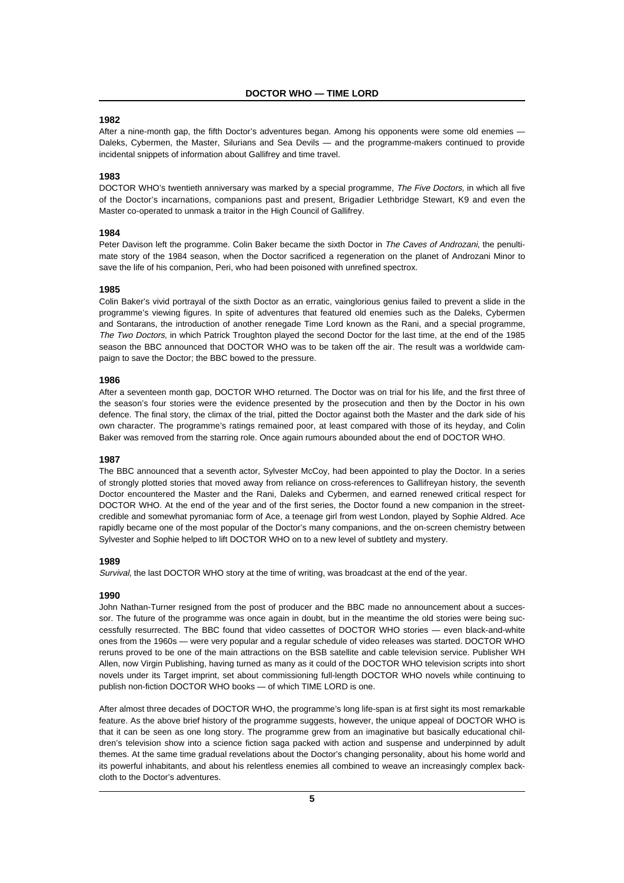#### **1982**

After a nine-month gap, the fifth Doctor's adventures began. Among his opponents were some old enemies -Daleks, Cybermen, the Master, Silurians and Sea Devils — and the programme-makers continued to provide incidental snippets of information about Gallifrey and time travel.

#### **1983**

DOCTOR WHO's twentieth anniversary was marked by a special programme, The Five Doctors, in which all five of the Doctor's incarnations, companions past and present, Brigadier Lethbridge Stewart, K9 and even the Master co-operated to unmask a traitor in the High Council of Gallifrey.

#### **1984**

Peter Davison left the programme. Colin Baker became the sixth Doctor in The Caves of Androzani, the penultimate story of the 1984 season, when the Doctor sacrificed a regeneration on the planet of Androzani Minor to save the life of his companion, Peri, who had been poisoned with unrefined spectrox.

#### **1985**

Colin Baker's vivid portrayal of the sixth Doctor as an erratic, vainglorious genius failed to prevent a slide in the programme's viewing figures. In spite of adventures that featured old enemies such as the Daleks, Cybermen and Sontarans, the introduction of another renegade Time Lord known as the Rani, and a special programme, The Two Doctors, in which Patrick Troughton played the second Doctor for the last time, at the end of the 1985 season the BBC announced that DOCTOR WHO was to be taken off the air. The result was a worldwide campaign to save the Doctor; the BBC bowed to the pressure.

#### **1986**

After a seventeen month gap, DOCTOR WHO returned. The Doctor was on trial for his life, and the first three of the season's four stories were the evidence presented by the prosecution and then by the Doctor in his own defence. The final story, the climax of the trial, pitted the Doctor against both the Master and the dark side of his own character. The programme's ratings remained poor, at least compared with those of its heyday, and Colin Baker was removed from the starring role. Once again rumours abounded about the end of DOCTOR WHO.

#### **1987**

The BBC announced that a seventh actor, Sylvester McCoy, had been appointed to play the Doctor. In a series of strongly plotted stories that moved away from reliance on cross-references to Gallifreyan history, the seventh Doctor encountered the Master and the Rani, Daleks and Cybermen, and earned renewed critical respect for DOCTOR WHO. At the end of the year and of the first series, the Doctor found a new companion in the streetcredible and somewhat pyromaniac form of Ace, a teenage girl from west London, played by Sophie Aldred. Ace rapidly became one of the most popular of the Doctor's many companions, and the on-screen chemistry between Sylvester and Sophie helped to lift DOCTOR WHO on to a new level of subtlety and mystery.

#### **1989**

Survival, the last DOCTOR WHO story at the time of writing, was broadcast at the end of the year.

#### **1990**

John Nathan-Turner resigned from the post of producer and the BBC made no announcement about a successor. The future of the programme was once again in doubt, but in the meantime the old stories were being successfully resurrected. The BBC found that video cassettes of DOCTOR WHO stories — even black-and-white ones from the 1960s — were very popular and a regular schedule of video releases was started. DOCTOR WHO reruns proved to be one of the main attractions on the BSB satellite and cable television service. Publisher WH Allen, now Virgin Publishing, having turned as many as it could of the DOCTOR WHO television scripts into short novels under its Target imprint, set about commissioning full-length DOCTOR WHO novels while continuing to publish non-fiction DOCTOR WHO books — of which TIME LORD is one.

After almost three decades of DOCTOR WHO, the programme's long life-span is at first sight its most remarkable feature. As the above brief history of the programme suggests, however, the unique appeal of DOCTOR WHO is that it can be seen as one long story. The programme grew from an imaginative but basically educational children's television show into a science fiction saga packed with action and suspense and underpinned by adult themes. At the same time gradual revelations about the Doctor's changing personality, about his home world and its powerful inhabitants, and about his relentless enemies all combined to weave an increasingly complex backcloth to the Doctor's adventures.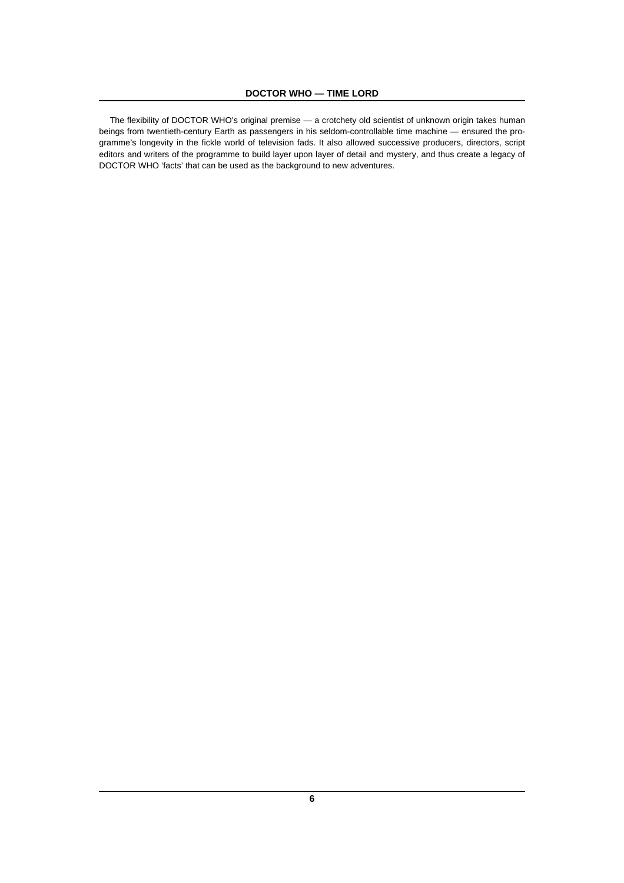The flexibility of DOCTOR WHO's original premise — a crotchety old scientist of unknown origin takes human beings from twentieth-century Earth as passengers in his seldom-controllable time machine — ensured the programme's longevity in the fickle world of television fads. It also allowed successive producers, directors, script editors and writers of the programme to build layer upon layer of detail and mystery, and thus create a legacy of DOCTOR WHO 'facts' that can be used as the background to new adventures.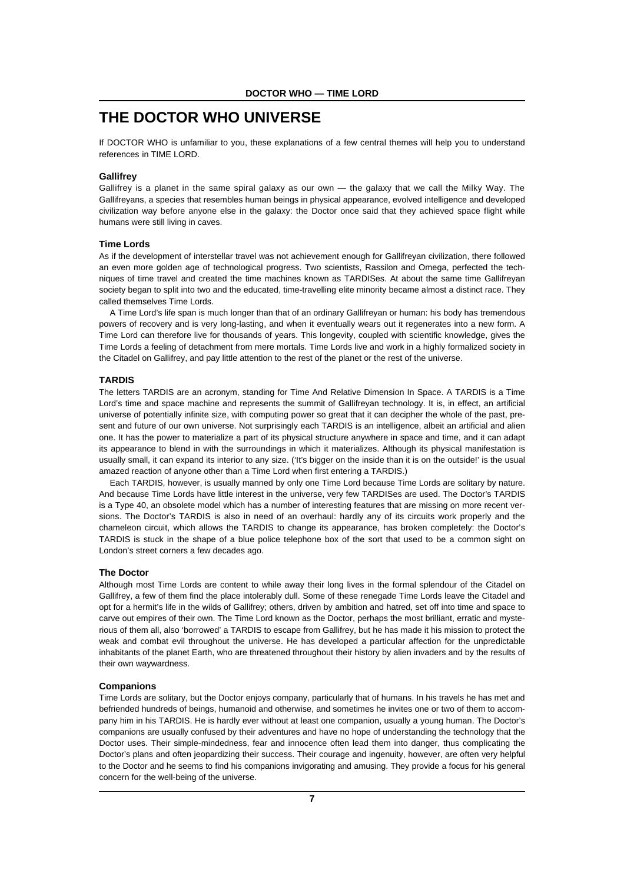# **THE DOCTOR WHO UNIVERSE**

If DOCTOR WHO is unfamiliar to you, these explanations of a few central themes will help you to understand references in TIME LORD.

#### **Gallifrey**

Gallifrey is a planet in the same spiral galaxy as our own — the galaxy that we call the Milky Way. The Gallifreyans, a species that resembles human beings in physical appearance, evolved intelligence and developed civilization way before anyone else in the galaxy: the Doctor once said that they achieved space flight while humans were still living in caves.

#### **Time Lords**

As if the development of interstellar travel was not achievement enough for Gallifreyan civilization, there followed an even more golden age of technological progress. Two scientists, Rassilon and Omega, perfected the techniques of time travel and created the time machines known as TARDISes. At about the same time Gallifreyan society began to split into two and the educated, time-travelling elite minority became almost a distinct race. They called themselves Time Lords.

A Time Lord's life span is much longer than that of an ordinary Gallifreyan or human: his body has tremendous powers of recovery and is very long-lasting, and when it eventually wears out it regenerates into a new form. A Time Lord can therefore live for thousands of years. This longevity, coupled with scientific knowledge, gives the Time Lords a feeling of detachment from mere mortals. Time Lords live and work in a highly formalized society in the Citadel on Gallifrey, and pay little attention to the rest of the planet or the rest of the universe.

#### **TARDIS**

The letters TARDIS are an acronym, standing for Time And Relative Dimension In Space. A TARDIS is a Time Lord's time and space machine and represents the summit of Gallifreyan technology. It is, in effect, an artificial universe of potentially infinite size, with computing power so great that it can decipher the whole of the past, present and future of our own universe. Not surprisingly each TARDIS is an intelligence, albeit an artificial and alien one. It has the power to materialize a part of its physical structure anywhere in space and time, and it can adapt its appearance to blend in with the surroundings in which it materializes. Although its physical manifestation is usually small, it can expand its interior to any size. ('It's bigger on the inside than it is on the outside!' is the usual amazed reaction of anyone other than a Time Lord when first entering a TARDIS.)

Each TARDIS, however, is usually manned by only one Time Lord because Time Lords are solitary by nature. And because Time Lords have little interest in the universe, very few TARDISes are used. The Doctor's TARDIS is a Type 40, an obsolete model which has a number of interesting features that are missing on more recent versions. The Doctor's TARDIS is also in need of an overhaul: hardly any of its circuits work properly and the chameleon circuit, which allows the TARDIS to change its appearance, has broken completely: the Doctor's TARDIS is stuck in the shape of a blue police telephone box of the sort that used to be a common sight on London's street corners a few decades ago.

#### **The Doctor**

Although most Time Lords are content to while away their long lives in the formal splendour of the Citadel on Gallifrey, a few of them find the place intolerably dull. Some of these renegade Time Lords leave the Citadel and opt for a hermit's life in the wilds of Gallifrey; others, driven by ambition and hatred, set off into time and space to carve out empires of their own. The Time Lord known as the Doctor, perhaps the most brilliant, erratic and mysterious of them all, also 'borrowed' a TARDIS to escape from Gallifrey, but he has made it his mission to protect the weak and combat evil throughout the universe. He has developed a particular affection for the unpredictable inhabitants of the planet Earth, who are threatened throughout their history by alien invaders and by the results of their own waywardness.

#### **Companions**

Time Lords are solitary, but the Doctor enjoys company, particularly that of humans. In his travels he has met and befriended hundreds of beings, humanoid and otherwise, and sometimes he invites one or two of them to accompany him in his TARDIS. He is hardly ever without at least one companion, usually a young human. The Doctor's companions are usually confused by their adventures and have no hope of understanding the technology that the Doctor uses. Their simple-mindedness, fear and innocence often lead them into danger, thus complicating the Doctor's plans and often jeopardizing their success. Their courage and ingenuity, however, are often very helpful to the Doctor and he seems to find his companions invigorating and amusing. They provide a focus for his general concern for the well-being of the universe.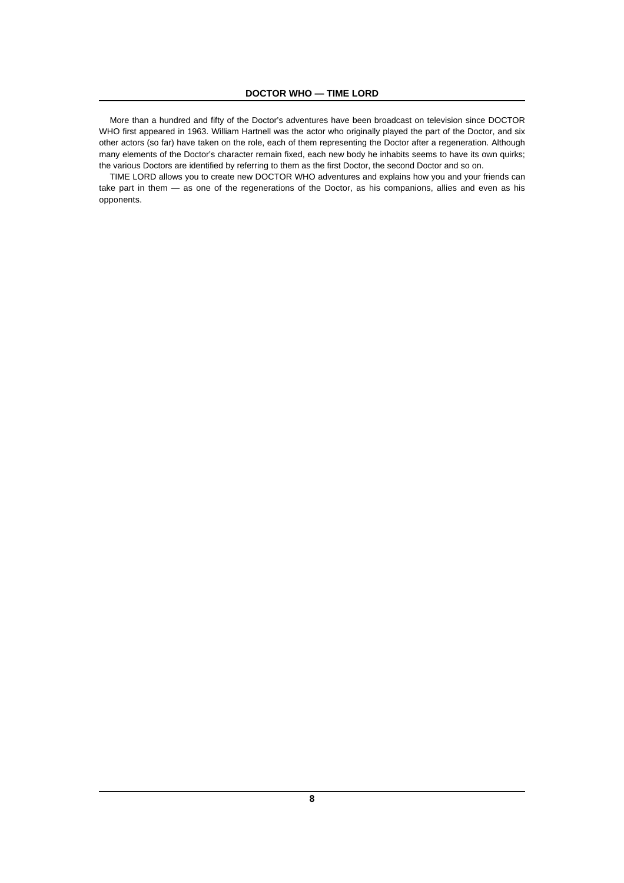More than a hundred and fifty of the Doctor's adventures have been broadcast on television since DOCTOR WHO first appeared in 1963. William Hartnell was the actor who originally played the part of the Doctor, and six other actors (so far) have taken on the role, each of them representing the Doctor after a regeneration. Although many elements of the Doctor's character remain fixed, each new body he inhabits seems to have its own quirks; the various Doctors are identified by referring to them as the first Doctor, the second Doctor and so on.

TIME LORD allows you to create new DOCTOR WHO adventures and explains how you and your friends can take part in them — as one of the regenerations of the Doctor, as his companions, allies and even as his opponents.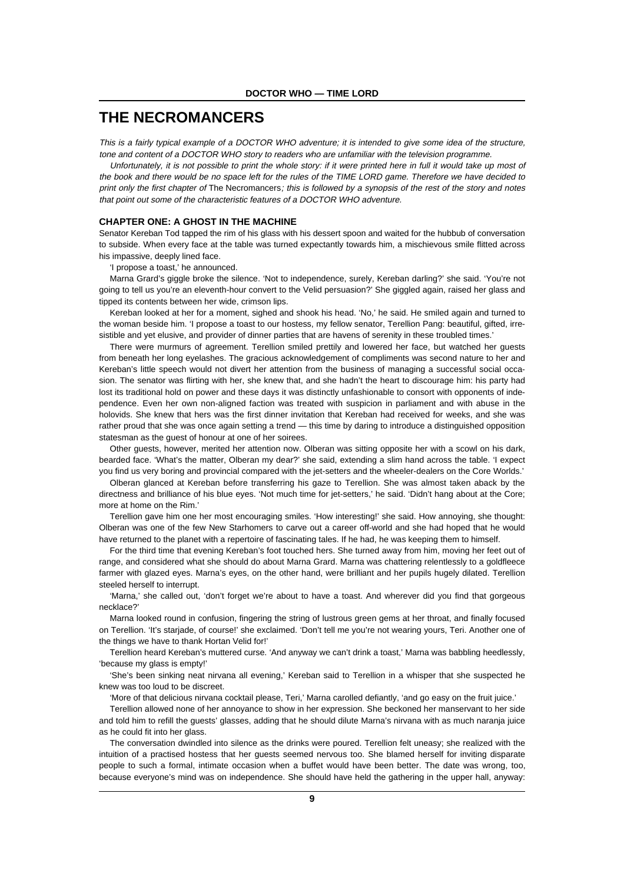### **THE NECROMANCERS**

This is a fairly typical example of a DOCTOR WHO adventure; it is intended to give some idea of the structure, tone and content of a DOCTOR WHO story to readers who are unfamiliar with the television programme.

Unfortunately, it is not possible to print the whole story: if it were printed here in full it would take up most of the book and there would be no space left for the rules of the TIME LORD game. Therefore we have decided to print only the first chapter of The Necromancers; this is followed by a synopsis of the rest of the story and notes that point out some of the characteristic features of a DOCTOR WHO adventure.

#### **CHAPTER ONE: A GHOST IN THE MACHINE**

Senator Kereban Tod tapped the rim of his glass with his dessert spoon and waited for the hubbub of conversation to subside. When every face at the table was turned expectantly towards him, a mischievous smile flitted across his impassive, deeply lined face.

'I propose a toast,' he announced.

Marna Grard's giggle broke the silence. 'Not to independence, surely, Kereban darling?' she said. 'You're not going to tell us you're an eleventh-hour convert to the Velid persuasion?' She giggled again, raised her glass and tipped its contents between her wide, crimson lips.

Kereban looked at her for a moment, sighed and shook his head. 'No,' he said. He smiled again and turned to the woman beside him. 'I propose a toast to our hostess, my fellow senator, Terellion Pang: beautiful, gifted, irresistible and yet elusive, and provider of dinner parties that are havens of serenity in these troubled times.'

There were murmurs of agreement. Terellion smiled prettily and lowered her face, but watched her guests from beneath her long eyelashes. The gracious acknowledgement of compliments was second nature to her and Kereban's little speech would not divert her attention from the business of managing a successful social occasion. The senator was flirting with her, she knew that, and she hadn't the heart to discourage him: his party had lost its traditional hold on power and these days it was distinctly unfashionable to consort with opponents of independence. Even her own non-aligned faction was treated with suspicion in parliament and with abuse in the holovids. She knew that hers was the first dinner invitation that Kereban had received for weeks, and she was rather proud that she was once again setting a trend — this time by daring to introduce a distinguished opposition statesman as the guest of honour at one of her soirees.

Other guests, however, merited her attention now. Olberan was sitting opposite her with a scowl on his dark, bearded face. 'What's the matter, Olberan my dear?' she said, extending a slim hand across the table. 'I expect you find us very boring and provincial compared with the jet-setters and the wheeler-dealers on the Core Worlds.'

Olberan glanced at Kereban before transferring his gaze to Terellion. She was almost taken aback by the directness and brilliance of his blue eyes. 'Not much time for jet-setters,' he said. 'Didn't hang about at the Core; more at home on the Rim.'

Terellion gave him one her most encouraging smiles. 'How interesting!' she said. How annoying, she thought: Olberan was one of the few New Starhomers to carve out a career off-world and she had hoped that he would have returned to the planet with a repertoire of fascinating tales. If he had, he was keeping them to himself.

For the third time that evening Kereban's foot touched hers. She turned away from him, moving her feet out of range, and considered what she should do about Marna Grard. Marna was chattering relentlessly to a goldfleece farmer with glazed eyes. Marna's eyes, on the other hand, were brilliant and her pupils hugely dilated. Terellion steeled herself to interrupt.

'Marna,' she called out, 'don't forget we're about to have a toast. And wherever did you find that gorgeous necklace?'

Marna looked round in confusion, fingering the string of lustrous green gems at her throat, and finally focused on Terellion. 'It's starjade, of course!' she exclaimed. 'Don't tell me you're not wearing yours, Teri. Another one of the things we have to thank Hortan Velid for!'

Terellion heard Kereban's muttered curse. 'And anyway we can't drink a toast,' Marna was babbling heedlessly, 'because my glass is empty!'

'She's been sinking neat nirvana all evening,' Kereban said to Terellion in a whisper that she suspected he knew was too loud to be discreet.

'More of that delicious nirvana cocktail please, Teri,' Marna carolled defiantly, 'and go easy on the fruit juice.'

Terellion allowed none of her annoyance to show in her expression. She beckoned her manservant to her side and told him to refill the guests' glasses, adding that he should dilute Marna's nirvana with as much naranja juice as he could fit into her glass.

The conversation dwindled into silence as the drinks were poured. Terellion felt uneasy; she realized with the intuition of a practised hostess that her guests seemed nervous too. She blamed herself for inviting disparate people to such a formal, intimate occasion when a buffet would have been better. The date was wrong, too, because everyone's mind was on independence. She should have held the gathering in the upper hall, anyway: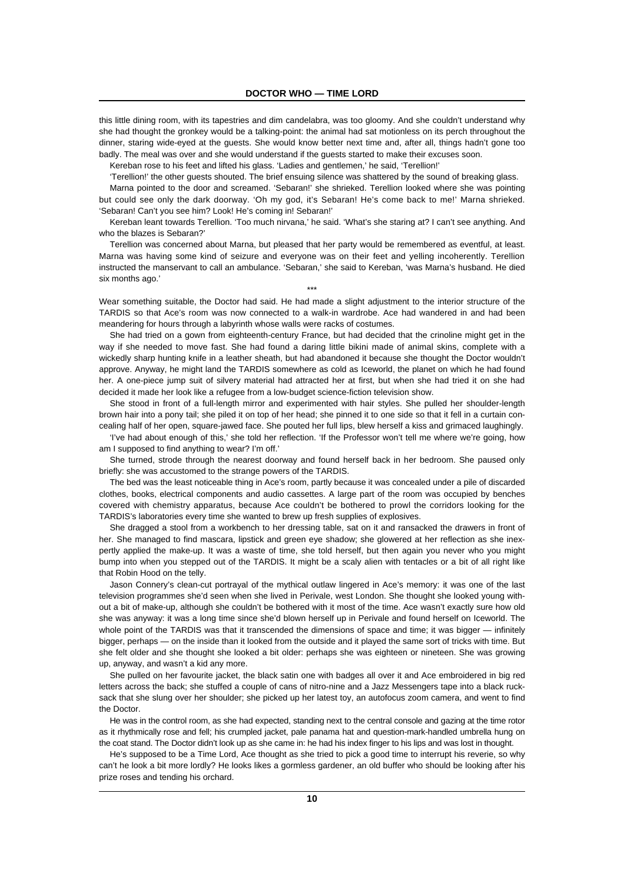this little dining room, with its tapestries and dim candelabra, was too gloomy. And she couldn't understand why she had thought the gronkey would be a talking-point: the animal had sat motionless on its perch throughout the dinner, staring wide-eyed at the guests. She would know better next time and, after all, things hadn't gone too badly. The meal was over and she would understand if the guests started to make their excuses soon.

Kereban rose to his feet and lifted his glass. 'Ladies and gentlemen,' he said, 'Terellion!'

'Terellion!' the other guests shouted. The brief ensuing silence was shattered by the sound of breaking glass.

Marna pointed to the door and screamed. 'Sebaran!' she shrieked. Terellion looked where she was pointing but could see only the dark doorway. 'Oh my god, it's Sebaran! He's come back to me!' Marna shrieked. 'Sebaran! Can't you see him? Look! He's coming in! Sebaran!'

Kereban leant towards Terellion. 'Too much nirvana,' he said. 'What's she staring at? I can't see anything. And who the blazes is Sebaran?'

Terellion was concerned about Marna, but pleased that her party would be remembered as eventful, at least. Marna was having some kind of seizure and everyone was on their feet and yelling incoherently. Terellion instructed the manservant to call an ambulance. 'Sebaran,' she said to Kereban, 'was Marna's husband. He died six months ago.'

Wear something suitable, the Doctor had said. He had made a slight adjustment to the interior structure of the TARDIS so that Ace's room was now connected to a walk-in wardrobe. Ace had wandered in and had been meandering for hours through a labyrinth whose walls were racks of costumes.

\*\*\*

She had tried on a gown from eighteenth-century France, but had decided that the crinoline might get in the way if she needed to move fast. She had found a daring little bikini made of animal skins, complete with a wickedly sharp hunting knife in a leather sheath, but had abandoned it because she thought the Doctor wouldn't approve. Anyway, he might land the TARDIS somewhere as cold as Iceworld, the planet on which he had found her. A one-piece jump suit of silvery material had attracted her at first, but when she had tried it on she had decided it made her look like a refugee from a low-budget science-fiction television show.

She stood in front of a full-length mirror and experimented with hair styles. She pulled her shoulder-length brown hair into a pony tail; she piled it on top of her head; she pinned it to one side so that it fell in a curtain concealing half of her open, square-jawed face. She pouted her full lips, blew herself a kiss and grimaced laughingly.

'I've had about enough of this,' she told her reflection. 'If the Professor won't tell me where we're going, how am I supposed to find anything to wear? I'm off.'

She turned, strode through the nearest doorway and found herself back in her bedroom. She paused only briefly: she was accustomed to the strange powers of the TARDIS.

The bed was the least noticeable thing in Ace's room, partly because it was concealed under a pile of discarded clothes, books, electrical components and audio cassettes. A large part of the room was occupied by benches covered with chemistry apparatus, because Ace couldn't be bothered to prowl the corridors looking for the TARDIS's laboratories every time she wanted to brew up fresh supplies of explosives.

She dragged a stool from a workbench to her dressing table, sat on it and ransacked the drawers in front of her. She managed to find mascara, lipstick and green eye shadow; she glowered at her reflection as she inexpertly applied the make-up. It was a waste of time, she told herself, but then again you never who you might bump into when you stepped out of the TARDIS. It might be a scaly alien with tentacles or a bit of all right like that Robin Hood on the telly.

Jason Connery's clean-cut portrayal of the mythical outlaw lingered in Ace's memory: it was one of the last television programmes she'd seen when she lived in Perivale, west London. She thought she looked young without a bit of make-up, although she couldn't be bothered with it most of the time. Ace wasn't exactly sure how old she was anyway: it was a long time since she'd blown herself up in Perivale and found herself on Iceworld. The whole point of the TARDIS was that it transcended the dimensions of space and time; it was bigger — infinitely bigger, perhaps — on the inside than it looked from the outside and it played the same sort of tricks with time. But she felt older and she thought she looked a bit older: perhaps she was eighteen or nineteen. She was growing up, anyway, and wasn't a kid any more.

She pulled on her favourite jacket, the black satin one with badges all over it and Ace embroidered in big red letters across the back; she stuffed a couple of cans of nitro-nine and a Jazz Messengers tape into a black rucksack that she slung over her shoulder; she picked up her latest toy, an autofocus zoom camera, and went to find the Doctor.

He was in the control room, as she had expected, standing next to the central console and gazing at the time rotor as it rhythmically rose and fell; his crumpled jacket, pale panama hat and question-mark-handled umbrella hung on the coat stand. The Doctor didn't look up as she came in: he had his index finger to his lips and was lost in thought.

He's supposed to be a Time Lord, Ace thought as she tried to pick a good time to interrupt his reverie, so why can't he look a bit more lordly? He looks likes a gormless gardener, an old buffer who should be looking after his prize roses and tending his orchard.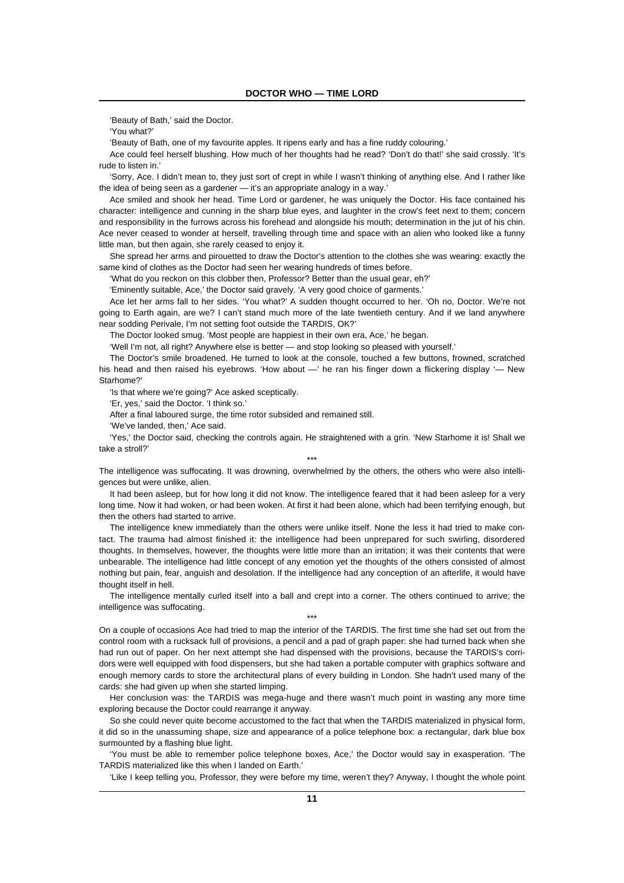'Beauty of Bath,' said the Doctor.

'You what?'

'Beauty of Bath, one of my favourite apples. It ripens early and has a fine ruddy colouring.'

Ace could feel herself blushing. How much of her thoughts had he read? 'Don't do that!' she said crossly. 'It's rude to listen in.'

'Sorry, Ace. I didn't mean to, they just sort of crept in while I wasn't thinking of anything else. And I rather like the idea of being seen as a gardener — it's an appropriate analogy in a way.'

Ace smiled and shook her head. Time Lord or gardener, he was uniquely the Doctor. His face contained his character: intelligence and cunning in the sharp blue eyes, and laughter in the crow's feet next to them; concern and responsibility in the furrows across his forehead and alongside his mouth; determination in the jut of his chin. Ace never ceased to wonder at herself, travelling through time and space with an alien who looked like a funny little man, but then again, she rarely ceased to enjoy it.

She spread her arms and pirouetted to draw the Doctor's attention to the clothes she was wearing: exactly the same kind of clothes as the Doctor had seen her wearing hundreds of times before.

'What do you reckon on this clobber then, Professor? Better than the usual gear, eh?'

'Eminently suitable, Ace,' the Doctor said gravely. 'A very good choice of garments.'

Ace let her arms fall to her sides. 'You what?' A sudden thought occurred to her. 'Oh no, Doctor. We're not going to Earth again, are we? I can't stand much more of the late twentieth century. And if we land anywhere near sodding Perivale, I'm not setting foot outside the TARDIS, OK?'

The Doctor looked smug. 'Most people are happiest in their own era, Ace,' he began.

'Well I'm not, all right? Anywhere else is better — and stop looking so pleased with yourself.'

The Doctor's smile broadened. He turned to look at the console, touched a few buttons, frowned, scratched his head and then raised his eyebrows. 'How about —' he ran his finger down a flickering display '— New Starhome?'

'Is that where we're going?' Ace asked sceptically.

'Er, yes,' said the Doctor. 'I think so.'

After a final laboured surge, the time rotor subsided and remained still.

'We've landed, then,' Ace said.

'Yes,' the Doctor said, checking the controls again. He straightened with a grin. 'New Starhome it is! Shall we take a stroll?'

\*\*\*

The intelligence was suffocating. It was drowning, overwhelmed by the others, the others who were also intelligences but were unlike, alien.

It had been asleep, but for how long it did not know. The intelligence feared that it had been asleep for a very long time. Now it had woken, or had been woken. At first it had been alone, which had been terrifying enough, but then the others had started to arrive.

The intelligence knew immediately than the others were unlike itself. None the less it had tried to make contact. The trauma had almost finished it: the intelligence had been unprepared for such swirling, disordered thoughts. In themselves, however, the thoughts were little more than an irritation; it was their contents that were unbearable. The intelligence had little concept of any emotion yet the thoughts of the others consisted of almost nothing but pain, fear, anguish and desolation. If the intelligence had any conception of an afterlife, it would have thought itself in hell.

The intelligence mentally curled itself into a ball and crept into a corner. The others continued to arrive; the intelligence was suffocating.

\*\*\*

On a couple of occasions Ace had tried to map the interior of the TARDIS. The first time she had set out from the control room with a rucksack full of provisions, a pencil and a pad of graph paper: she had turned back when she had run out of paper. On her next attempt she had dispensed with the provisions, because the TARDIS's corridors were well equipped with food dispensers, but she had taken a portable computer with graphics software and enough memory cards to store the architectural plans of every building in London. She hadn't used many of the cards: she had given up when she started limping.

Her conclusion was: the TARDIS was mega-huge and there wasn't much point in wasting any more time exploring because the Doctor could rearrange it anyway.

So she could never quite become accustomed to the fact that when the TARDIS materialized in physical form, it did so in the unassuming shape, size and appearance of a police telephone box: a rectangular, dark blue box surmounted by a flashing blue light.

'You must be able to remember police telephone boxes, Ace,' the Doctor would say in exasperation. 'The TARDIS materialized like this when I landed on Earth.'

'Like I keep telling you, Professor, they were before my time, weren't they? Anyway, I thought the whole point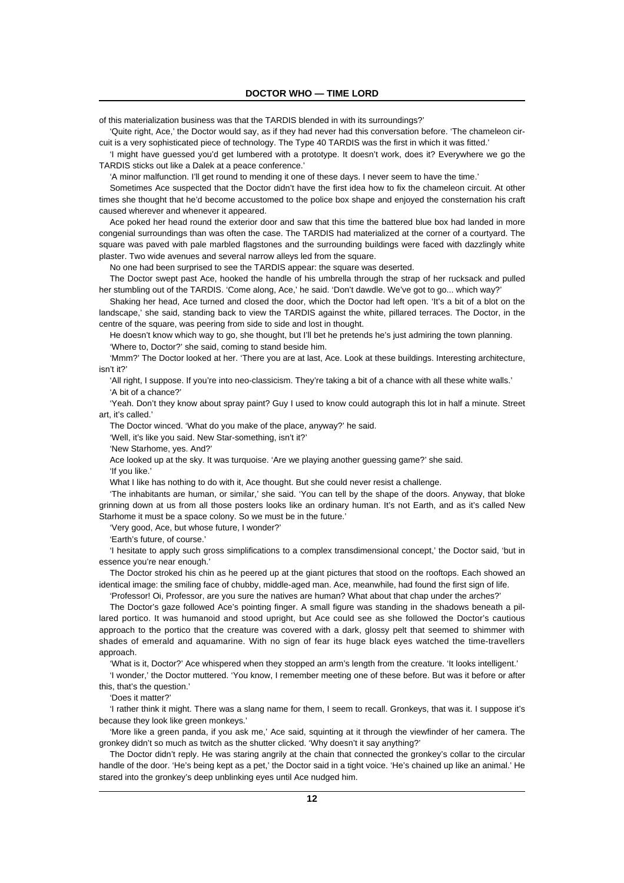of this materialization business was that the TARDIS blended in with its surroundings?'

'Quite right, Ace,' the Doctor would say, as if they had never had this conversation before. 'The chameleon circuit is a very sophisticated piece of technology. The Type 40 TARDIS was the first in which it was fitted.'

'I might have guessed you'd get lumbered with a prototype. It doesn't work, does it? Everywhere we go the TARDIS sticks out like a Dalek at a peace conference.'

'A minor malfunction. I'll get round to mending it one of these days. I never seem to have the time.'

Sometimes Ace suspected that the Doctor didn't have the first idea how to fix the chameleon circuit. At other times she thought that he'd become accustomed to the police box shape and enjoyed the consternation his craft caused wherever and whenever it appeared.

Ace poked her head round the exterior door and saw that this time the battered blue box had landed in more congenial surroundings than was often the case. The TARDIS had materialized at the corner of a courtyard. The square was paved with pale marbled flagstones and the surrounding buildings were faced with dazzlingly white plaster. Two wide avenues and several narrow alleys led from the square.

No one had been surprised to see the TARDIS appear: the square was deserted.

The Doctor swept past Ace, hooked the handle of his umbrella through the strap of her rucksack and pulled her stumbling out of the TARDIS. 'Come along, Ace,' he said. 'Don't dawdle. We've got to go... which way?'

Shaking her head, Ace turned and closed the door, which the Doctor had left open. 'It's a bit of a blot on the landscape,' she said, standing back to view the TARDIS against the white, pillared terraces. The Doctor, in the centre of the square, was peering from side to side and lost in thought.

He doesn't know which way to go, she thought, but I'll bet he pretends he's just admiring the town planning. 'Where to, Doctor?' she said, coming to stand beside him.

'Mmm?' The Doctor looked at her. 'There you are at last, Ace. Look at these buildings. Interesting architecture, isn't it?'

'All right, I suppose. If you're into neo-classicism. They're taking a bit of a chance with all these white walls.' 'A bit of a chance?'

'Yeah. Don't they know about spray paint? Guy I used to know could autograph this lot in half a minute. Street art, it's called.'

The Doctor winced. 'What do you make of the place, anyway?' he said.

'Well, it's like you said. New Star-something, isn't it?'

'New Starhome, yes. And?'

Ace looked up at the sky. It was turquoise. 'Are we playing another guessing game?' she said.

'If you like.'

What I like has nothing to do with it, Ace thought. But she could never resist a challenge.

'The inhabitants are human, or similar,' she said. 'You can tell by the shape of the doors. Anyway, that bloke grinning down at us from all those posters looks like an ordinary human. It's not Earth, and as it's called New Starhome it must be a space colony. So we must be in the future.'

'Very good, Ace, but whose future, I wonder?'

'Earth's future, of course.'

'I hesitate to apply such gross simplifications to a complex transdimensional concept,' the Doctor said, 'but in essence you're near enough.'

The Doctor stroked his chin as he peered up at the giant pictures that stood on the rooftops. Each showed an identical image: the smiling face of chubby, middle-aged man. Ace, meanwhile, had found the first sign of life.

'Professor! Oi, Professor, are you sure the natives are human? What about that chap under the arches?'

The Doctor's gaze followed Ace's pointing finger. A small figure was standing in the shadows beneath a pillared portico. It was humanoid and stood upright, but Ace could see as she followed the Doctor's cautious approach to the portico that the creature was covered with a dark, glossy pelt that seemed to shimmer with shades of emerald and aquamarine. With no sign of fear its huge black eyes watched the time-travellers approach.

'What is it, Doctor?' Ace whispered when they stopped an arm's length from the creature. 'It looks intelligent.'

'I wonder,' the Doctor muttered. 'You know, I remember meeting one of these before. But was it before or after this, that's the question.'

'Does it matter?'

'I rather think it might. There was a slang name for them, I seem to recall. Gronkeys, that was it. I suppose it's because they look like green monkeys.'

'More like a green panda, if you ask me,' Ace said, squinting at it through the viewfinder of her camera. The gronkey didn't so much as twitch as the shutter clicked. 'Why doesn't it say anything?'

The Doctor didn't reply. He was staring angrily at the chain that connected the gronkey's collar to the circular handle of the door. 'He's being kept as a pet,' the Doctor said in a tight voice. 'He's chained up like an animal.' He stared into the gronkey's deep unblinking eyes until Ace nudged him.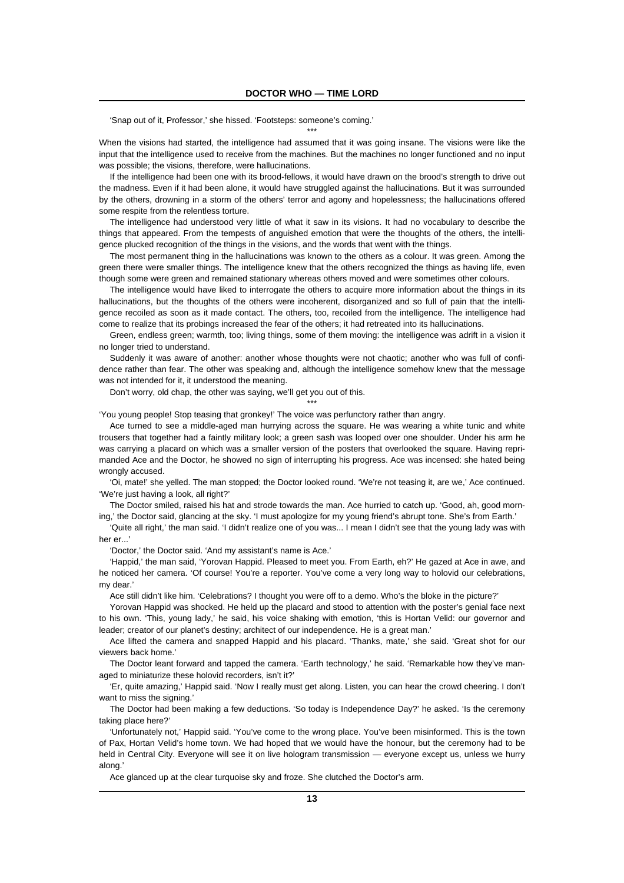'Snap out of it, Professor,' she hissed. 'Footsteps: someone's coming.'

When the visions had started, the intelligence had assumed that it was going insane. The visions were like the input that the intelligence used to receive from the machines. But the machines no longer functioned and no input was possible; the visions, therefore, were hallucinations.

\*\*\*

If the intelligence had been one with its brood-fellows, it would have drawn on the brood's strength to drive out the madness. Even if it had been alone, it would have struggled against the hallucinations. But it was surrounded by the others, drowning in a storm of the others' terror and agony and hopelessness; the hallucinations offered some respite from the relentless torture.

The intelligence had understood very little of what it saw in its visions. It had no vocabulary to describe the things that appeared. From the tempests of anguished emotion that were the thoughts of the others, the intelligence plucked recognition of the things in the visions, and the words that went with the things.

The most permanent thing in the hallucinations was known to the others as a colour. It was green. Among the green there were smaller things. The intelligence knew that the others recognized the things as having life, even though some were green and remained stationary whereas others moved and were sometimes other colours.

The intelligence would have liked to interrogate the others to acquire more information about the things in its hallucinations, but the thoughts of the others were incoherent, disorganized and so full of pain that the intelligence recoiled as soon as it made contact. The others, too, recoiled from the intelligence. The intelligence had come to realize that its probings increased the fear of the others; it had retreated into its hallucinations.

Green, endless green; warmth, too; living things, some of them moving: the intelligence was adrift in a vision it no longer tried to understand.

Suddenly it was aware of another: another whose thoughts were not chaotic; another who was full of confidence rather than fear. The other was speaking and, although the intelligence somehow knew that the message was not intended for it, it understood the meaning.

Don't worry, old chap, the other was saying, we'll get you out of this.

\*\*\*

'You young people! Stop teasing that gronkey!' The voice was perfunctory rather than angry.

Ace turned to see a middle-aged man hurrying across the square. He was wearing a white tunic and white trousers that together had a faintly military look; a green sash was looped over one shoulder. Under his arm he was carrying a placard on which was a smaller version of the posters that overlooked the square. Having reprimanded Ace and the Doctor, he showed no sign of interrupting his progress. Ace was incensed: she hated being wrongly accused.

'Oi, mate!' she yelled. The man stopped; the Doctor looked round. 'We're not teasing it, are we,' Ace continued. 'We're just having a look, all right?'

The Doctor smiled, raised his hat and strode towards the man. Ace hurried to catch up. 'Good, ah, good morning,' the Doctor said, glancing at the sky. 'I must apologize for my young friend's abrupt tone. She's from Earth.'

'Quite all right,' the man said. 'I didn't realize one of you was... I mean I didn't see that the young lady was with her er...'

'Doctor,' the Doctor said. 'And my assistant's name is Ace.'

'Happid,' the man said, 'Yorovan Happid. Pleased to meet you. From Earth, eh?' He gazed at Ace in awe, and he noticed her camera. 'Of course! You're a reporter. You've come a very long way to holovid our celebrations, my dear.'

Ace still didn't like him. 'Celebrations? I thought you were off to a demo. Who's the bloke in the picture?'

Yorovan Happid was shocked. He held up the placard and stood to attention with the poster's genial face next to his own. 'This, young lady,' he said, his voice shaking with emotion, 'this is Hortan Velid: our governor and leader; creator of our planet's destiny; architect of our independence. He is a great man.'

Ace lifted the camera and snapped Happid and his placard. 'Thanks, mate,' she said. 'Great shot for our viewers back home.'

The Doctor leant forward and tapped the camera. 'Earth technology,' he said. 'Remarkable how they've managed to miniaturize these holovid recorders, isn't it?'

'Er, quite amazing,' Happid said. 'Now I really must get along. Listen, you can hear the crowd cheering. I don't want to miss the signing.'

The Doctor had been making a few deductions. 'So today is Independence Day?' he asked. 'Is the ceremony taking place here?'

'Unfortunately not,' Happid said. 'You've come to the wrong place. You've been misinformed. This is the town of Pax, Hortan Velid's home town. We had hoped that we would have the honour, but the ceremony had to be held in Central City. Everyone will see it on live hologram transmission — everyone except us, unless we hurry along.'

Ace glanced up at the clear turquoise sky and froze. She clutched the Doctor's arm.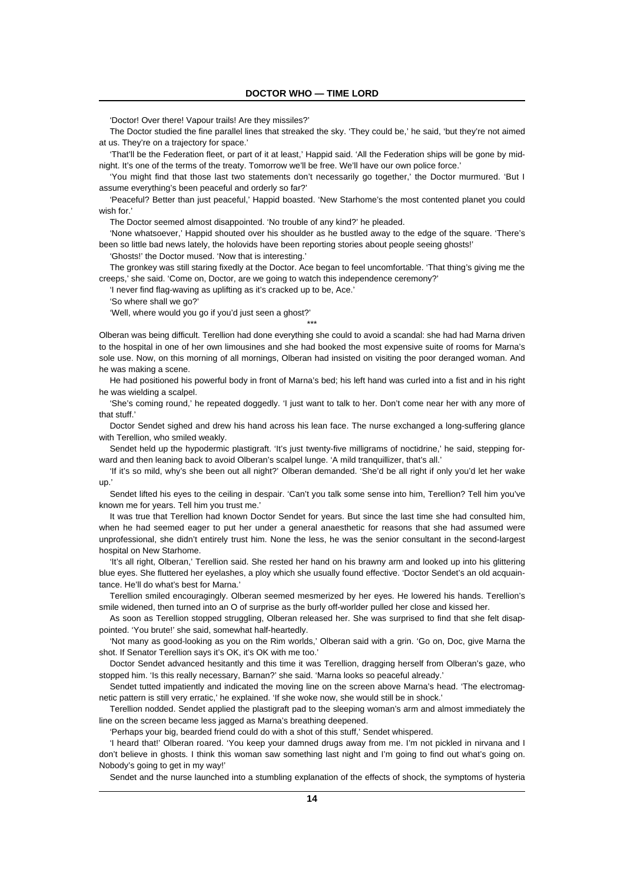'Doctor! Over there! Vapour trails! Are they missiles?'

The Doctor studied the fine parallel lines that streaked the sky. 'They could be,' he said, 'but they're not aimed at us. They're on a trajectory for space.'

'That'll be the Federation fleet, or part of it at least,' Happid said. 'All the Federation ships will be gone by midnight. It's one of the terms of the treaty. Tomorrow we'll be free. We'll have our own police force.'

'You might find that those last two statements don't necessarily go together,' the Doctor murmured. 'But I assume everything's been peaceful and orderly so far?'

'Peaceful? Better than just peaceful,' Happid boasted. 'New Starhome's the most contented planet you could wish for.'

The Doctor seemed almost disappointed. 'No trouble of any kind?' he pleaded.

'None whatsoever,' Happid shouted over his shoulder as he bustled away to the edge of the square. 'There's been so little bad news lately, the holovids have been reporting stories about people seeing ghosts!'

'Ghosts!' the Doctor mused. 'Now that is interesting.'

The gronkey was still staring fixedly at the Doctor. Ace began to feel uncomfortable. 'That thing's giving me the creeps,' she said. 'Come on, Doctor, are we going to watch this independence ceremony?'

'I never find flag-waving as uplifting as it's cracked up to be, Ace.'

'So where shall we go?'

'Well, where would you go if you'd just seen a ghost?'

Olberan was being difficult. Terellion had done everything she could to avoid a scandal: she had had Marna driven to the hospital in one of her own limousines and she had booked the most expensive suite of rooms for Marna's sole use. Now, on this morning of all mornings, Olberan had insisted on visiting the poor deranged woman. And he was making a scene.

\*\*\*

He had positioned his powerful body in front of Marna's bed; his left hand was curled into a fist and in his right he was wielding a scalpel.

'She's coming round,' he repeated doggedly. 'I just want to talk to her. Don't come near her with any more of that stuff.'

Doctor Sendet sighed and drew his hand across his lean face. The nurse exchanged a long-suffering glance with Terellion, who smiled weakly.

Sendet held up the hypodermic plastigraft. 'It's just twenty-five milligrams of noctidrine,' he said, stepping forward and then leaning back to avoid Olberan's scalpel lunge. 'A mild tranquillizer, that's all.'

'If it's so mild, why's she been out all night?' Olberan demanded. 'She'd be all right if only you'd let her wake up.'

Sendet lifted his eyes to the ceiling in despair. 'Can't you talk some sense into him, Terellion? Tell him you've known me for years. Tell him you trust me.'

It was true that Terellion had known Doctor Sendet for years. But since the last time she had consulted him, when he had seemed eager to put her under a general anaesthetic for reasons that she had assumed were unprofessional, she didn't entirely trust him. None the less, he was the senior consultant in the second-largest hospital on New Starhome.

'It's all right, Olberan,' Terellion said. She rested her hand on his brawny arm and looked up into his glittering blue eyes. She fluttered her eyelashes, a ploy which she usually found effective. 'Doctor Sendet's an old acquaintance. He'll do what's best for Marna.'

Terellion smiled encouragingly. Olberan seemed mesmerized by her eyes. He lowered his hands. Terellion's smile widened, then turned into an O of surprise as the burly off-worlder pulled her close and kissed her.

As soon as Terellion stopped struggling, Olberan released her. She was surprised to find that she felt disappointed. 'You brute!' she said, somewhat half-heartedly.

'Not many as good-looking as you on the Rim worlds,' Olberan said with a grin. 'Go on, Doc, give Marna the shot. If Senator Terellion says it's OK, it's OK with me too.'

Doctor Sendet advanced hesitantly and this time it was Terellion, dragging herself from Olberan's gaze, who stopped him. 'Is this really necessary, Barnan?' she said. 'Marna looks so peaceful already.'

Sendet tutted impatiently and indicated the moving line on the screen above Marna's head. 'The electromagnetic pattern is still very erratic,' he explained. 'If she woke now, she would still be in shock.'

Terellion nodded. Sendet applied the plastigraft pad to the sleeping woman's arm and almost immediately the line on the screen became less jagged as Marna's breathing deepened.

'Perhaps your big, bearded friend could do with a shot of this stuff,' Sendet whispered.

'I heard that!' Olberan roared. 'You keep your damned drugs away from me. I'm not pickled in nirvana and I don't believe in ghosts. I think this woman saw something last night and I'm going to find out what's going on. Nobody's going to get in my way!'

Sendet and the nurse launched into a stumbling explanation of the effects of shock, the symptoms of hysteria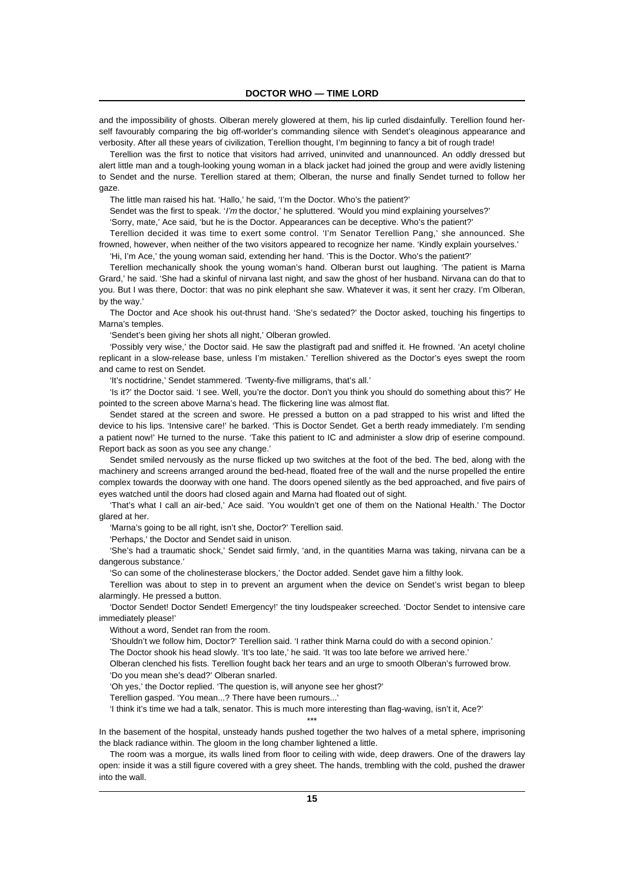and the impossibility of ghosts. Olberan merely glowered at them, his lip curled disdainfully. Terellion found herself favourably comparing the big off-worlder's commanding silence with Sendet's oleaginous appearance and verbosity. After all these years of civilization, Terellion thought, I'm beginning to fancy a bit of rough trade!

Terellion was the first to notice that visitors had arrived, uninvited and unannounced. An oddly dressed but alert little man and a tough-looking young woman in a black jacket had joined the group and were avidly listening to Sendet and the nurse. Terellion stared at them; Olberan, the nurse and finally Sendet turned to follow her gaze.

The little man raised his hat. 'Hallo,' he said, 'I'm the Doctor. Who's the patient?'

Sendet was the first to speak. 'I'm the doctor,' he spluttered. 'Would you mind explaining yourselves?'

'Sorry, mate,' Ace said, 'but he is the Doctor. Appearances can be deceptive. Who's the patient?'

Terellion decided it was time to exert some control. 'I'm Senator Terellion Pang,' she announced. She frowned, however, when neither of the two visitors appeared to recognize her name. 'Kindly explain yourselves.'

'Hi, I'm Ace,' the young woman said, extending her hand. 'This is the Doctor. Who's the patient?'

Terellion mechanically shook the young woman's hand. Olberan burst out laughing. 'The patient is Marna Grard,' he said. 'She had a skinful of nirvana last night, and saw the ghost of her husband. Nirvana can do that to you. But I was there, Doctor: that was no pink elephant she saw. Whatever it was, it sent her crazy. I'm Olberan, by the way.'

The Doctor and Ace shook his out-thrust hand. 'She's sedated?' the Doctor asked, touching his fingertips to Marna's temples.

'Sendet's been giving her shots all night,' Olberan growled.

'Possibly very wise,' the Doctor said. He saw the plastigraft pad and sniffed it. He frowned. 'An acetyl choline replicant in a slow-release base, unless I'm mistaken.' Terellion shivered as the Doctor's eyes swept the room and came to rest on Sendet.

'It's noctidrine,' Sendet stammered. 'Twenty-five milligrams, that's all.'

'Is it?' the Doctor said. 'I see. Well, you're the doctor. Don't you think you should do something about this?' He pointed to the screen above Marna's head. The flickering line was almost flat.

Sendet stared at the screen and swore. He pressed a button on a pad strapped to his wrist and lifted the device to his lips. 'Intensive care!' he barked. 'This is Doctor Sendet. Get a berth ready immediately. I'm sending a patient now!' He turned to the nurse. 'Take this patient to IC and administer a slow drip of eserine compound. Report back as soon as you see any change.'

Sendet smiled nervously as the nurse flicked up two switches at the foot of the bed. The bed, along with the machinery and screens arranged around the bed-head, floated free of the wall and the nurse propelled the entire complex towards the doorway with one hand. The doors opened silently as the bed approached, and five pairs of eyes watched until the doors had closed again and Marna had floated out of sight.

'That's what I call an air-bed,' Ace said. 'You wouldn't get one of them on the National Health.' The Doctor glared at her.

'Marna's going to be all right, isn't she, Doctor?' Terellion said.

'Perhaps,' the Doctor and Sendet said in unison.

'She's had a traumatic shock,' Sendet said firmly, 'and, in the quantities Marna was taking, nirvana can be a dangerous substance.'

'So can some of the cholinesterase blockers,' the Doctor added. Sendet gave him a filthy look.

Terellion was about to step in to prevent an argument when the device on Sendet's wrist began to bleep alarmingly. He pressed a button.

'Doctor Sendet! Doctor Sendet! Emergency!' the tiny loudspeaker screeched. 'Doctor Sendet to intensive care immediately please!'

Without a word, Sendet ran from the room.

'Shouldn't we follow him, Doctor?' Terellion said. 'I rather think Marna could do with a second opinion.'

The Doctor shook his head slowly. 'It's too late,' he said. 'It was too late before we arrived here.'

Olberan clenched his fists. Terellion fought back her tears and an urge to smooth Olberan's furrowed brow. 'Do you mean she's dead?' Olberan snarled.

'Oh yes,' the Doctor replied. 'The question is, will anyone see her ghost?'

Terellion gasped. 'You mean...? There have been rumours...'

'I think it's time we had a talk, senator. This is much more interesting than flag-waving, isn't it, Ace?'

\*\*\* In the basement of the hospital, unsteady hands pushed together the two halves of a metal sphere, imprisoning the black radiance within. The gloom in the long chamber lightened a little.

The room was a morgue, its walls lined from floor to ceiling with wide, deep drawers. One of the drawers lay open: inside it was a still figure covered with a grey sheet. The hands, trembling with the cold, pushed the drawer into the wall.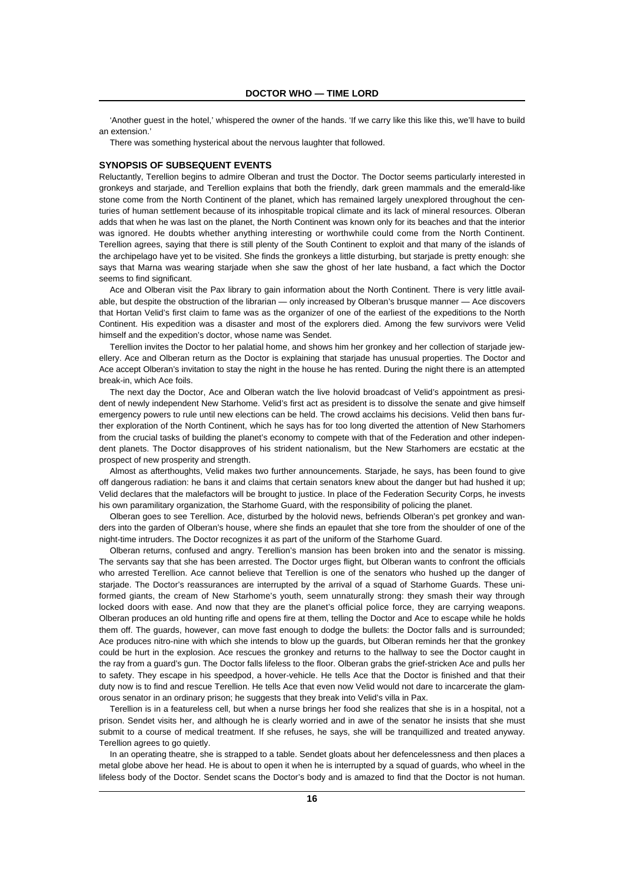'Another guest in the hotel,' whispered the owner of the hands. 'If we carry like this like this, we'll have to build an extension.'

There was something hysterical about the nervous laughter that followed.

#### **SYNOPSIS OF SUBSEQUENT EVENTS**

Reluctantly, Terellion begins to admire Olberan and trust the Doctor. The Doctor seems particularly interested in gronkeys and starjade, and Terellion explains that both the friendly, dark green mammals and the emerald-like stone come from the North Continent of the planet, which has remained largely unexplored throughout the centuries of human settlement because of its inhospitable tropical climate and its lack of mineral resources. Olberan adds that when he was last on the planet, the North Continent was known only for its beaches and that the interior was ignored. He doubts whether anything interesting or worthwhile could come from the North Continent. Terellion agrees, saying that there is still plenty of the South Continent to exploit and that many of the islands of the archipelago have yet to be visited. She finds the gronkeys a little disturbing, but starjade is pretty enough: she says that Marna was wearing starjade when she saw the ghost of her late husband, a fact which the Doctor seems to find significant.

Ace and Olberan visit the Pax library to gain information about the North Continent. There is very little available, but despite the obstruction of the librarian — only increased by Olberan's brusque manner — Ace discovers that Hortan Velid's first claim to fame was as the organizer of one of the earliest of the expeditions to the North Continent. His expedition was a disaster and most of the explorers died. Among the few survivors were Velid himself and the expedition's doctor, whose name was Sendet.

Terellion invites the Doctor to her palatial home, and shows him her gronkey and her collection of starjade jewellery. Ace and Olberan return as the Doctor is explaining that starjade has unusual properties. The Doctor and Ace accept Olberan's invitation to stay the night in the house he has rented. During the night there is an attempted break-in, which Ace foils.

The next day the Doctor, Ace and Olberan watch the live holovid broadcast of Velid's appointment as president of newly independent New Starhome. Velid's first act as president is to dissolve the senate and give himself emergency powers to rule until new elections can be held. The crowd acclaims his decisions. Velid then bans further exploration of the North Continent, which he says has for too long diverted the attention of New Starhomers from the crucial tasks of building the planet's economy to compete with that of the Federation and other independent planets. The Doctor disapproves of his strident nationalism, but the New Starhomers are ecstatic at the prospect of new prosperity and strength.

Almost as afterthoughts, Velid makes two further announcements. Starjade, he says, has been found to give off dangerous radiation: he bans it and claims that certain senators knew about the danger but had hushed it up; Velid declares that the malefactors will be brought to justice. In place of the Federation Security Corps, he invests his own paramilitary organization, the Starhome Guard, with the responsibility of policing the planet.

Olberan goes to see Terellion. Ace, disturbed by the holovid news, befriends Olberan's pet gronkey and wanders into the garden of Olberan's house, where she finds an epaulet that she tore from the shoulder of one of the night-time intruders. The Doctor recognizes it as part of the uniform of the Starhome Guard.

Olberan returns, confused and angry. Terellion's mansion has been broken into and the senator is missing. The servants say that she has been arrested. The Doctor urges flight, but Olberan wants to confront the officials who arrested Terellion. Ace cannot believe that Terellion is one of the senators who hushed up the danger of starjade. The Doctor's reassurances are interrupted by the arrival of a squad of Starhome Guards. These uniformed giants, the cream of New Starhome's youth, seem unnaturally strong: they smash their way through locked doors with ease. And now that they are the planet's official police force, they are carrying weapons. Olberan produces an old hunting rifle and opens fire at them, telling the Doctor and Ace to escape while he holds them off. The guards, however, can move fast enough to dodge the bullets: the Doctor falls and is surrounded; Ace produces nitro-nine with which she intends to blow up the guards, but Olberan reminds her that the gronkey could be hurt in the explosion. Ace rescues the gronkey and returns to the hallway to see the Doctor caught in the ray from a guard's gun. The Doctor falls lifeless to the floor. Olberan grabs the grief-stricken Ace and pulls her to safety. They escape in his speedpod, a hover-vehicle. He tells Ace that the Doctor is finished and that their duty now is to find and rescue Terellion. He tells Ace that even now Velid would not dare to incarcerate the glamorous senator in an ordinary prison; he suggests that they break into Velid's villa in Pax.

Terellion is in a featureless cell, but when a nurse brings her food she realizes that she is in a hospital, not a prison. Sendet visits her, and although he is clearly worried and in awe of the senator he insists that she must submit to a course of medical treatment. If she refuses, he says, she will be tranquillized and treated anyway. Terellion agrees to go quietly.

In an operating theatre, she is strapped to a table. Sendet gloats about her defencelessness and then places a metal globe above her head. He is about to open it when he is interrupted by a squad of guards, who wheel in the lifeless body of the Doctor. Sendet scans the Doctor's body and is amazed to find that the Doctor is not human.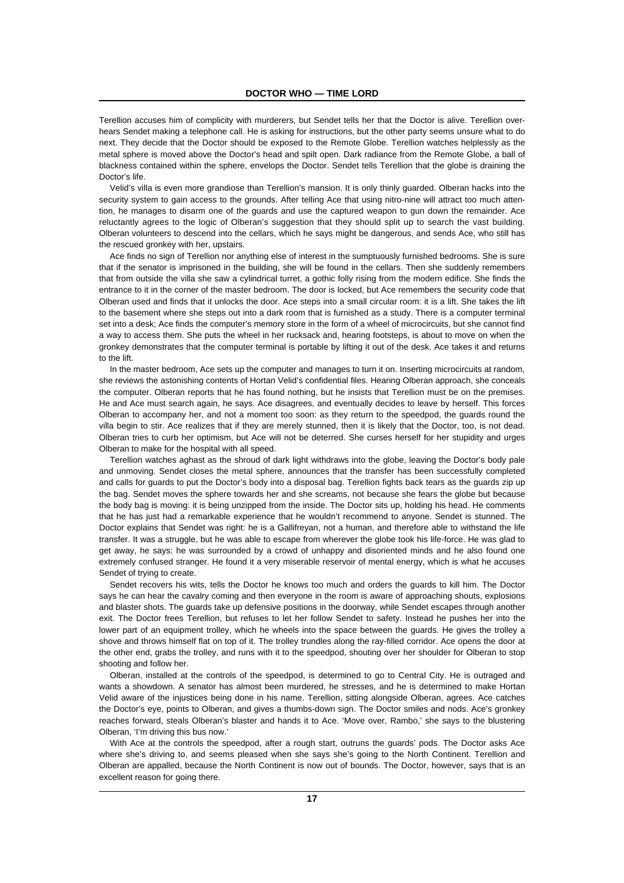Terellion accuses him of complicity with murderers, but Sendet tells her that the Doctor is alive. Terellion overhears Sendet making a telephone call. He is asking for instructions, but the other party seems unsure what to do next. They decide that the Doctor should be exposed to the Remote Globe. Terellion watches helplessly as the metal sphere is moved above the Doctor's head and spilt open. Dark radiance from the Remote Globe, a ball of blackness contained within the sphere, envelops the Doctor. Sendet tells Terellion that the globe is draining the Doctor's life.

Velid's villa is even more grandiose than Terellion's mansion. It is only thinly guarded. Olberan hacks into the security system to gain access to the grounds. After telling Ace that using nitro-nine will attract too much attention, he manages to disarm one of the guards and use the captured weapon to gun down the remainder. Ace reluctantly agrees to the logic of Olberan's suggestion that they should split up to search the vast building. Olberan volunteers to descend into the cellars, which he says might be dangerous, and sends Ace, who still has the rescued gronkey with her, upstairs.

Ace finds no sign of Terellion nor anything else of interest in the sumptuously furnished bedrooms. She is sure that if the senator is imprisoned in the building, she will be found in the cellars. Then she suddenly remembers that from outside the villa she saw a cylindrical turret, a gothic folly rising from the modern edifice. She finds the entrance to it in the corner of the master bedroom. The door is locked, but Ace remembers the security code that Olberan used and finds that it unlocks the door. Ace steps into a small circular room: it is a lift. She takes the lift to the basement where she steps out into a dark room that is furnished as a study. There is a computer terminal set into a desk; Ace finds the computer's memory store in the form of a wheel of microcircuits, but she cannot find a way to access them. She puts the wheel in her rucksack and, hearing footsteps, is about to move on when the gronkey demonstrates that the computer terminal is portable by lifting it out of the desk. Ace takes it and returns to the lift.

In the master bedroom, Ace sets up the computer and manages to turn it on. Inserting microcircuits at random, she reviews the astonishing contents of Hortan Velid's confidential files. Hearing Olberan approach, she conceals the computer. Olberan reports that he has found nothing, but he insists that Terellion must be on the premises. He and Ace must search again, he says. Ace disagrees, and eventually decides to leave by herself. This forces Olberan to accompany her, and not a moment too soon: as they return to the speedpod, the guards round the villa begin to stir. Ace realizes that if they are merely stunned, then it is likely that the Doctor, too, is not dead. Olberan tries to curb her optimism, but Ace will not be deterred. She curses herself for her stupidity and urges Olberan to make for the hospital with all speed.

Terellion watches aghast as the shroud of dark light withdraws into the globe, leaving the Doctor's body pale and unmoving. Sendet closes the metal sphere, announces that the transfer has been successfully completed and calls for guards to put the Doctor's body into a disposal bag. Terellion fights back tears as the guards zip up the bag. Sendet moves the sphere towards her and she screams, not because she fears the globe but because the body bag is moving: it is being unzipped from the inside. The Doctor sits up, holding his head. He comments that he has just had a remarkable experience that he wouldn't recommend to anyone. Sendet is stunned. The Doctor explains that Sendet was right: he is a Gallifreyan, not a human, and therefore able to withstand the life transfer. It was a struggle, but he was able to escape from wherever the globe took his life-force. He was glad to get away, he says: he was surrounded by a crowd of unhappy and disoriented minds and he also found one extremely confused stranger. He found it a very miserable reservoir of mental energy, which is what he accuses Sendet of trying to create.

Sendet recovers his wits, tells the Doctor he knows too much and orders the guards to kill him. The Doctor says he can hear the cavalry coming and then everyone in the room is aware of approaching shouts, explosions and blaster shots. The guards take up defensive positions in the doorway, while Sendet escapes through another exit. The Doctor frees Terellion, but refuses to let her follow Sendet to safety. Instead he pushes her into the lower part of an equipment trolley, which he wheels into the space between the guards. He gives the trolley a shove and throws himself flat on top of it. The trolley trundles along the ray-filled corridor. Ace opens the door at the other end, grabs the trolley, and runs with it to the speedpod, shouting over her shoulder for Olberan to stop shooting and follow her.

Olberan, installed at the controls of the speedpod, is determined to go to Central City. He is outraged and wants a showdown. A senator has almost been murdered, he stresses, and he is determined to make Hortan Velid aware of the injustices being done in his name. Terellion, sitting alongside Olberan, agrees. Ace catches the Doctor's eye, points to Olberan, and gives a thumbs-down sign. The Doctor smiles and nods. Ace's gronkey reaches forward, steals Olberan's blaster and hands it to Ace. 'Move over, Rambo,' she says to the blustering Olberan, 'I'm driving this bus now.'

With Ace at the controls the speedpod, after a rough start, outruns the guards' pods. The Doctor asks Ace where she's driving to, and seems pleased when she says she's going to the North Continent. Terellion and Olberan are appalled, because the North Continent is now out of bounds. The Doctor, however, says that is an excellent reason for going there.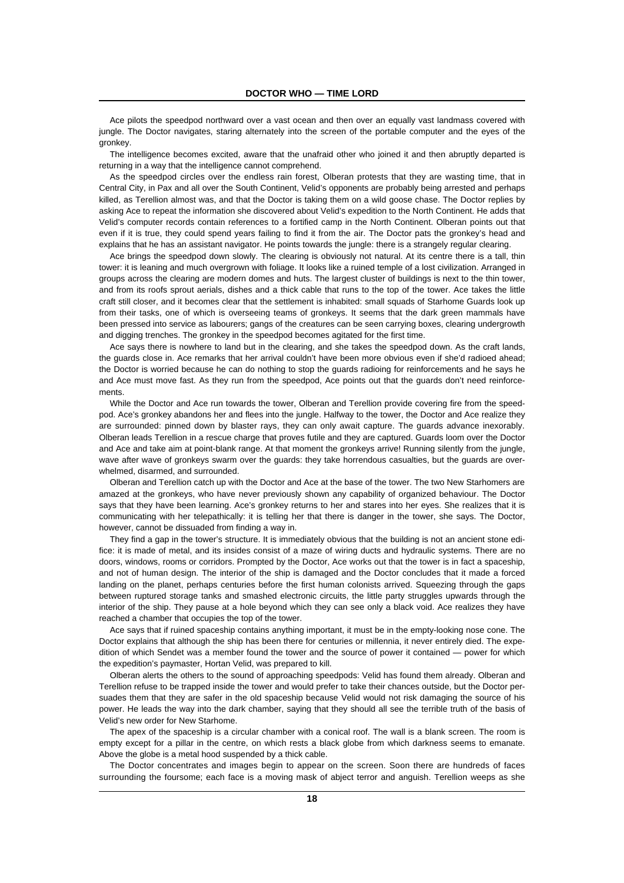Ace pilots the speedpod northward over a vast ocean and then over an equally vast landmass covered with jungle. The Doctor navigates, staring alternately into the screen of the portable computer and the eyes of the gronkey.

The intelligence becomes excited, aware that the unafraid other who joined it and then abruptly departed is returning in a way that the intelligence cannot comprehend.

As the speedpod circles over the endless rain forest, Olberan protests that they are wasting time, that in Central City, in Pax and all over the South Continent, Velid's opponents are probably being arrested and perhaps killed, as Terellion almost was, and that the Doctor is taking them on a wild goose chase. The Doctor replies by asking Ace to repeat the information she discovered about Velid's expedition to the North Continent. He adds that Velid's computer records contain references to a fortified camp in the North Continent. Olberan points out that even if it is true, they could spend years failing to find it from the air. The Doctor pats the gronkey's head and explains that he has an assistant navigator. He points towards the jungle: there is a strangely regular clearing.

Ace brings the speedpod down slowly. The clearing is obviously not natural. At its centre there is a tall, thin tower: it is leaning and much overgrown with foliage. It looks like a ruined temple of a lost civilization. Arranged in groups across the clearing are modern domes and huts. The largest cluster of buildings is next to the thin tower, and from its roofs sprout aerials, dishes and a thick cable that runs to the top of the tower. Ace takes the little craft still closer, and it becomes clear that the settlement is inhabited: small squads of Starhome Guards look up from their tasks, one of which is overseeing teams of gronkeys. It seems that the dark green mammals have been pressed into service as labourers; gangs of the creatures can be seen carrying boxes, clearing undergrowth and digging trenches. The gronkey in the speedpod becomes agitated for the first time.

Ace says there is nowhere to land but in the clearing, and she takes the speedpod down. As the craft lands, the guards close in. Ace remarks that her arrival couldn't have been more obvious even if she'd radioed ahead; the Doctor is worried because he can do nothing to stop the guards radioing for reinforcements and he says he and Ace must move fast. As they run from the speedpod, Ace points out that the guards don't need reinforcements.

While the Doctor and Ace run towards the tower, Olberan and Terellion provide covering fire from the speedpod. Ace's gronkey abandons her and flees into the jungle. Halfway to the tower, the Doctor and Ace realize they are surrounded: pinned down by blaster rays, they can only await capture. The guards advance inexorably. Olberan leads Terellion in a rescue charge that proves futile and they are captured. Guards loom over the Doctor and Ace and take aim at point-blank range. At that moment the gronkeys arrive! Running silently from the jungle, wave after wave of gronkeys swarm over the guards: they take horrendous casualties, but the guards are overwhelmed, disarmed, and surrounded.

Olberan and Terellion catch up with the Doctor and Ace at the base of the tower. The two New Starhomers are amazed at the gronkeys, who have never previously shown any capability of organized behaviour. The Doctor says that they have been learning. Ace's gronkey returns to her and stares into her eyes. She realizes that it is communicating with her telepathically: it is telling her that there is danger in the tower, she says. The Doctor, however, cannot be dissuaded from finding a way in.

They find a gap in the tower's structure. It is immediately obvious that the building is not an ancient stone edifice: it is made of metal, and its insides consist of a maze of wiring ducts and hydraulic systems. There are no doors, windows, rooms or corridors. Prompted by the Doctor, Ace works out that the tower is in fact a spaceship, and not of human design. The interior of the ship is damaged and the Doctor concludes that it made a forced landing on the planet, perhaps centuries before the first human colonists arrived. Squeezing through the gaps between ruptured storage tanks and smashed electronic circuits, the little party struggles upwards through the interior of the ship. They pause at a hole beyond which they can see only a black void. Ace realizes they have reached a chamber that occupies the top of the tower.

Ace says that if ruined spaceship contains anything important, it must be in the empty-looking nose cone. The Doctor explains that although the ship has been there for centuries or millennia, it never entirely died. The expedition of which Sendet was a member found the tower and the source of power it contained — power for which the expedition's paymaster, Hortan Velid, was prepared to kill.

Olberan alerts the others to the sound of approaching speedpods: Velid has found them already. Olberan and Terellion refuse to be trapped inside the tower and would prefer to take their chances outside, but the Doctor persuades them that they are safer in the old spaceship because Velid would not risk damaging the source of his power. He leads the way into the dark chamber, saying that they should all see the terrible truth of the basis of Velid's new order for New Starhome.

The apex of the spaceship is a circular chamber with a conical roof. The wall is a blank screen. The room is empty except for a pillar in the centre, on which rests a black globe from which darkness seems to emanate. Above the globe is a metal hood suspended by a thick cable.

The Doctor concentrates and images begin to appear on the screen. Soon there are hundreds of faces surrounding the foursome; each face is a moving mask of abject terror and anguish. Terellion weeps as she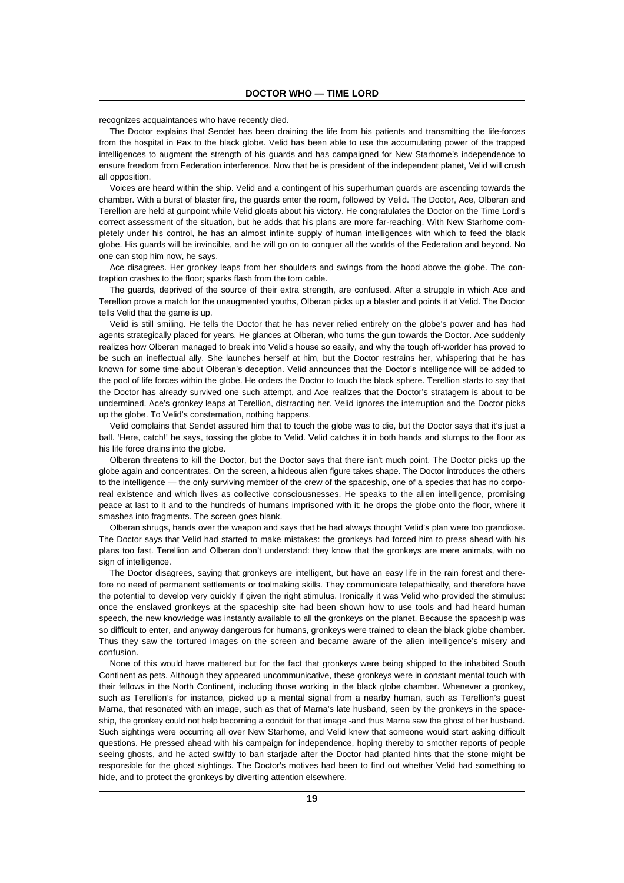recognizes acquaintances who have recently died.

The Doctor explains that Sendet has been draining the life from his patients and transmitting the life-forces from the hospital in Pax to the black globe. Velid has been able to use the accumulating power of the trapped intelligences to augment the strength of his guards and has campaigned for New Starhome's independence to ensure freedom from Federation interference. Now that he is president of the independent planet, Velid will crush all opposition.

Voices are heard within the ship. Velid and a contingent of his superhuman guards are ascending towards the chamber. With a burst of blaster fire, the guards enter the room, followed by Velid. The Doctor, Ace, Olberan and Terellion are held at gunpoint while Velid gloats about his victory. He congratulates the Doctor on the Time Lord's correct assessment of the situation, but he adds that his plans are more far-reaching. With New Starhome completely under his control, he has an almost infinite supply of human intelligences with which to feed the black globe. His guards will be invincible, and he will go on to conquer all the worlds of the Federation and beyond. No one can stop him now, he says.

Ace disagrees. Her gronkey leaps from her shoulders and swings from the hood above the globe. The contraption crashes to the floor; sparks flash from the torn cable.

The guards, deprived of the source of their extra strength, are confused. After a struggle in which Ace and Terellion prove a match for the unaugmented youths, Olberan picks up a blaster and points it at Velid. The Doctor tells Velid that the game is up.

Velid is still smiling. He tells the Doctor that he has never relied entirely on the globe's power and has had agents strategically placed for years. He glances at Olberan, who turns the gun towards the Doctor. Ace suddenly realizes how Olberan managed to break into Velid's house so easily, and why the tough off-worlder has proved to be such an ineffectual ally. She launches herself at him, but the Doctor restrains her, whispering that he has known for some time about Olberan's deception. Velid announces that the Doctor's intelligence will be added to the pool of life forces within the globe. He orders the Doctor to touch the black sphere. Terellion starts to say that the Doctor has already survived one such attempt, and Ace realizes that the Doctor's stratagem is about to be undermined. Ace's gronkey leaps at Terellion, distracting her. Velid ignores the interruption and the Doctor picks up the globe. To Velid's consternation, nothing happens.

Velid complains that Sendet assured him that to touch the globe was to die, but the Doctor says that it's just a ball. 'Here, catch!' he says, tossing the globe to Velid. Velid catches it in both hands and slumps to the floor as his life force drains into the globe.

Olberan threatens to kill the Doctor, but the Doctor says that there isn't much point. The Doctor picks up the globe again and concentrates. On the screen, a hideous alien figure takes shape. The Doctor introduces the others to the intelligence — the only surviving member of the crew of the spaceship, one of a species that has no corporeal existence and which lives as collective consciousnesses. He speaks to the alien intelligence, promising peace at last to it and to the hundreds of humans imprisoned with it: he drops the globe onto the floor, where it smashes into fragments. The screen goes blank.

Olberan shrugs, hands over the weapon and says that he had always thought Velid's plan were too grandiose. The Doctor says that Velid had started to make mistakes: the gronkeys had forced him to press ahead with his plans too fast. Terellion and Olberan don't understand: they know that the gronkeys are mere animals, with no sign of intelligence.

The Doctor disagrees, saying that gronkeys are intelligent, but have an easy life in the rain forest and therefore no need of permanent settlements or toolmaking skills. They communicate telepathically, and therefore have the potential to develop very quickly if given the right stimulus. Ironically it was Velid who provided the stimulus: once the enslaved gronkeys at the spaceship site had been shown how to use tools and had heard human speech, the new knowledge was instantly available to all the gronkeys on the planet. Because the spaceship was so difficult to enter, and anyway dangerous for humans, gronkeys were trained to clean the black globe chamber. Thus they saw the tortured images on the screen and became aware of the alien intelligence's misery and confusion.

None of this would have mattered but for the fact that gronkeys were being shipped to the inhabited South Continent as pets. Although they appeared uncommunicative, these gronkeys were in constant mental touch with their fellows in the North Continent, including those working in the black globe chamber. Whenever a gronkey, such as Terellion's for instance, picked up a mental signal from a nearby human, such as Terellion's quest Marna, that resonated with an image, such as that of Marna's late husband, seen by the gronkeys in the spaceship, the gronkey could not help becoming a conduit for that image -and thus Marna saw the ghost of her husband. Such sightings were occurring all over New Starhome, and Velid knew that someone would start asking difficult questions. He pressed ahead with his campaign for independence, hoping thereby to smother reports of people seeing ghosts, and he acted swiftly to ban starjade after the Doctor had planted hints that the stone might be responsible for the ghost sightings. The Doctor's motives had been to find out whether Velid had something to hide, and to protect the gronkeys by diverting attention elsewhere.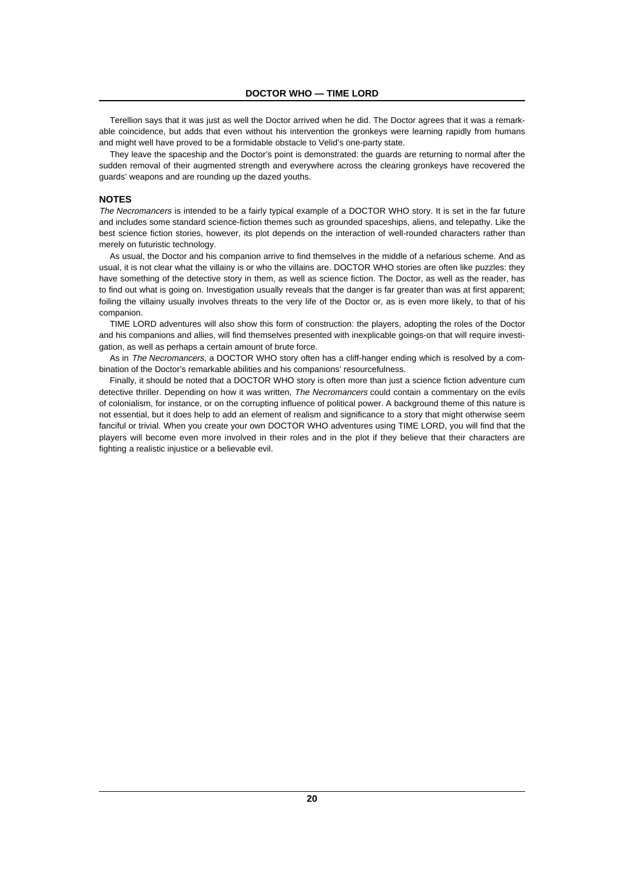Terellion says that it was just as well the Doctor arrived when he did. The Doctor agrees that it was a remarkable coincidence, but adds that even without his intervention the gronkeys were learning rapidly from humans and might well have proved to be a formidable obstacle to Velid's one-party state.

They leave the spaceship and the Doctor's point is demonstrated: the guards are returning to normal after the sudden removal of their augmented strength and everywhere across the clearing gronkeys have recovered the guards' weapons and are rounding up the dazed youths.

#### **NOTES**

The Necromancers is intended to be a fairly typical example of a DOCTOR WHO story. It is set in the far future and includes some standard science-fiction themes such as grounded spaceships, aliens, and telepathy. Like the best science fiction stories, however, its plot depends on the interaction of well-rounded characters rather than merely on futuristic technology.

As usual, the Doctor and his companion arrive to find themselves in the middle of a nefarious scheme. And as usual, it is not clear what the villainy is or who the villains are. DOCTOR WHO stories are often like puzzles: they have something of the detective story in them, as well as science fiction. The Doctor, as well as the reader, has to find out what is going on. Investigation usually reveals that the danger is far greater than was at first apparent; foiling the villainy usually involves threats to the very life of the Doctor or, as is even more likely, to that of his companion.

TIME LORD adventures will also show this form of construction: the players, adopting the roles of the Doctor and his companions and allies, will find themselves presented with inexplicable goings-on that will require investigation, as well as perhaps a certain amount of brute force.

As in The Necromancers, a DOCTOR WHO story often has a cliff-hanger ending which is resolved by a combination of the Doctor's remarkable abilities and his companions' resourcefulness.

Finally, it should be noted that a DOCTOR WHO story is often more than just a science fiction adventure cum detective thriller. Depending on how it was written. The Necromancers could contain a commentary on the evils of colonialism, for instance, or on the corrupting influence of political power. A background theme of this nature is not essential, but it does help to add an element of realism and significance to a story that might otherwise seem fanciful or trivial. When you create your own DOCTOR WHO adventures using TIME LORD, you will find that the players will become even more involved in their roles and in the plot if they believe that their characters are fighting a realistic injustice or a believable evil.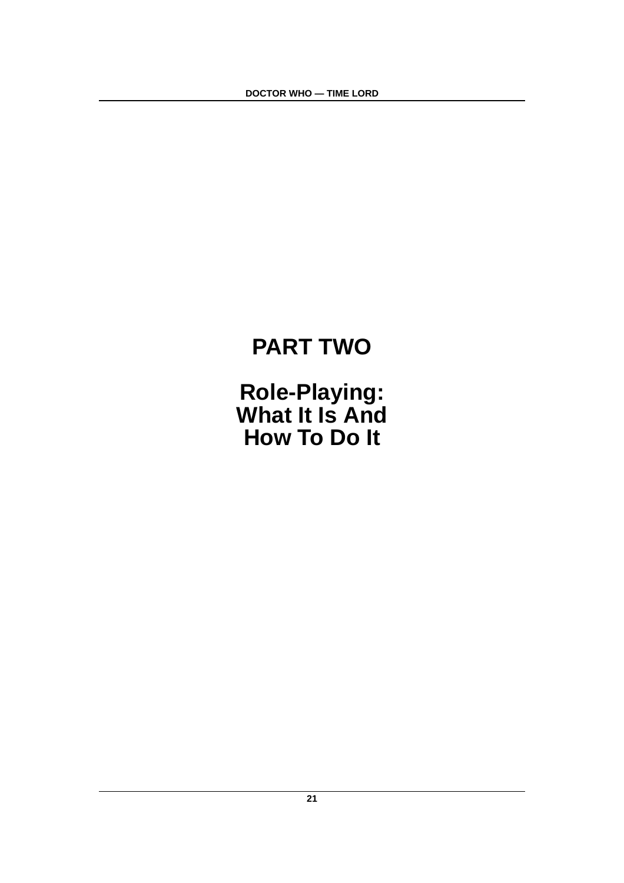# **PART TWO**

**Role-Playing: What It Is And How To Do It**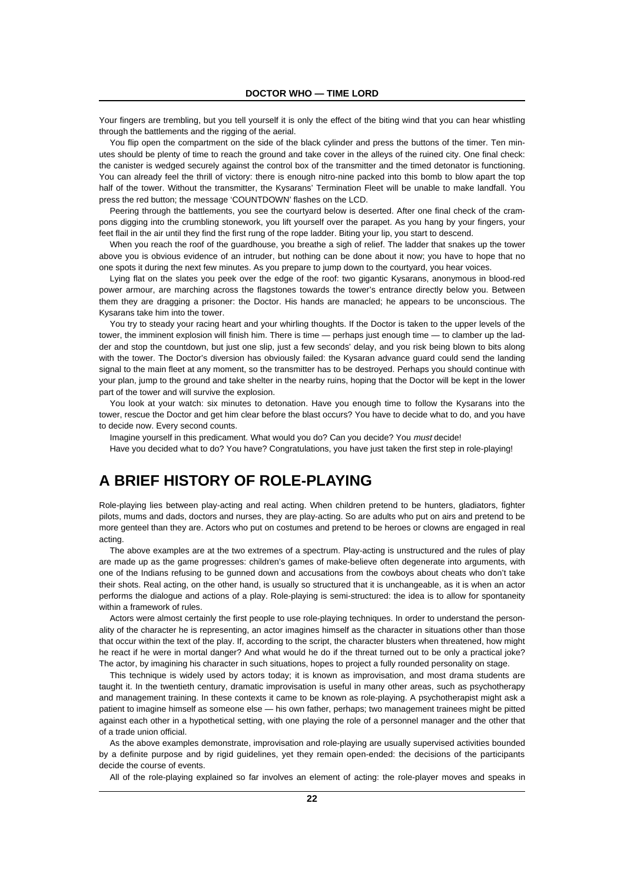Your fingers are trembling, but you tell yourself it is only the effect of the biting wind that you can hear whistling through the battlements and the rigging of the aerial.

You flip open the compartment on the side of the black cylinder and press the buttons of the timer. Ten minutes should be plenty of time to reach the ground and take cover in the alleys of the ruined city. One final check: the canister is wedged securely against the control box of the transmitter and the timed detonator is functioning. You can already feel the thrill of victory: there is enough nitro-nine packed into this bomb to blow apart the top half of the tower. Without the transmitter, the Kysarans' Termination Fleet will be unable to make landfall. You press the red button; the message 'COUNTDOWN' flashes on the LCD.

Peering through the battlements, you see the courtyard below is deserted. After one final check of the crampons digging into the crumbling stonework, you lift yourself over the parapet. As you hang by your fingers, your feet flail in the air until they find the first rung of the rope ladder. Biting your lip, you start to descend.

When you reach the roof of the guardhouse, you breathe a sigh of relief. The ladder that snakes up the tower above you is obvious evidence of an intruder, but nothing can be done about it now; you have to hope that no one spots it during the next few minutes. As you prepare to jump down to the courtyard, you hear voices.

Lying flat on the slates you peek over the edge of the roof: two gigantic Kysarans, anonymous in blood-red power armour, are marching across the flagstones towards the tower's entrance directly below you. Between them they are dragging a prisoner: the Doctor. His hands are manacled; he appears to be unconscious. The Kysarans take him into the tower.

You try to steady your racing heart and your whirling thoughts. If the Doctor is taken to the upper levels of the tower, the imminent explosion will finish him. There is time — perhaps just enough time — to clamber up the ladder and stop the countdown, but just one slip, just a few seconds' delay, and you risk being blown to bits along with the tower. The Doctor's diversion has obviously failed: the Kysaran advance guard could send the landing signal to the main fleet at any moment, so the transmitter has to be destroyed. Perhaps you should continue with your plan, jump to the ground and take shelter in the nearby ruins, hoping that the Doctor will be kept in the lower part of the tower and will survive the explosion.

You look at your watch: six minutes to detonation. Have you enough time to follow the Kysarans into the tower, rescue the Doctor and get him clear before the blast occurs? You have to decide what to do, and you have to decide now. Every second counts.

Imagine yourself in this predicament. What would you do? Can you decide? You must decide!

Have you decided what to do? You have? Congratulations, you have just taken the first step in role-playing!

# **A BRIEF HISTORY OF ROLE-PLAYING**

Role-playing lies between play-acting and real acting. When children pretend to be hunters, gladiators, fighter pilots, mums and dads, doctors and nurses, they are play-acting. So are adults who put on airs and pretend to be more genteel than they are. Actors who put on costumes and pretend to be heroes or clowns are engaged in real acting.

The above examples are at the two extremes of a spectrum. Play-acting is unstructured and the rules of play are made up as the game progresses: children's games of make-believe often degenerate into arguments, with one of the Indians refusing to be gunned down and accusations from the cowboys about cheats who don't take their shots. Real acting, on the other hand, is usually so structured that it is unchangeable, as it is when an actor performs the dialogue and actions of a play. Role-playing is semi-structured: the idea is to allow for spontaneity within a framework of rules.

Actors were almost certainly the first people to use role-playing techniques. In order to understand the personality of the character he is representing, an actor imagines himself as the character in situations other than those that occur within the text of the play. If, according to the script, the character blusters when threatened, how might he react if he were in mortal danger? And what would he do if the threat turned out to be only a practical joke? The actor, by imagining his character in such situations, hopes to project a fully rounded personality on stage.

This technique is widely used by actors today; it is known as improvisation, and most drama students are taught it. In the twentieth century, dramatic improvisation is useful in many other areas, such as psychotherapy and management training. In these contexts it came to be known as role-playing. A psychotherapist might ask a patient to imagine himself as someone else — his own father, perhaps; two management trainees might be pitted against each other in a hypothetical setting, with one playing the role of a personnel manager and the other that of a trade union official.

As the above examples demonstrate, improvisation and role-playing are usually supervised activities bounded by a definite purpose and by rigid guidelines, yet they remain open-ended: the decisions of the participants decide the course of events.

All of the role-playing explained so far involves an element of acting: the role-player moves and speaks in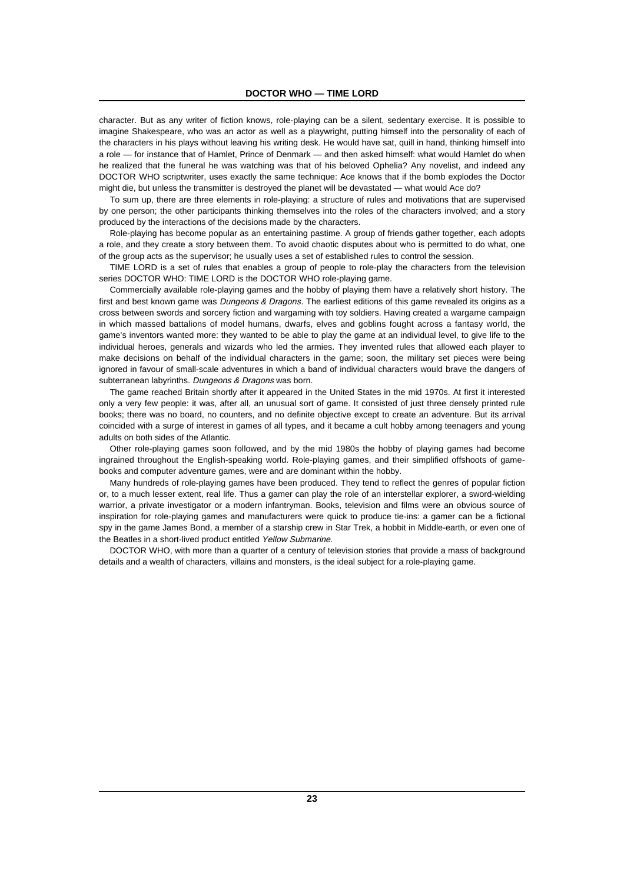character. But as any writer of fiction knows, role-playing can be a silent, sedentary exercise. It is possible to imagine Shakespeare, who was an actor as well as a playwright, putting himself into the personality of each of the characters in his plays without leaving his writing desk. He would have sat, quill in hand, thinking himself into a role — for instance that of Hamlet, Prince of Denmark — and then asked himself: what would Hamlet do when he realized that the funeral he was watching was that of his beloved Ophelia? Any novelist, and indeed any DOCTOR WHO scriptwriter, uses exactly the same technique: Ace knows that if the bomb explodes the Doctor might die, but unless the transmitter is destroyed the planet will be devastated — what would Ace do?

To sum up, there are three elements in role-playing: a structure of rules and motivations that are supervised by one person; the other participants thinking themselves into the roles of the characters involved; and a story produced by the interactions of the decisions made by the characters.

Role-playing has become popular as an entertaining pastime. A group of friends gather together, each adopts a role, and they create a story between them. To avoid chaotic disputes about who is permitted to do what, one of the group acts as the supervisor; he usually uses a set of established rules to control the session.

TIME LORD is a set of rules that enables a group of people to role-play the characters from the television series DOCTOR WHO: TIME LORD is the DOCTOR WHO role-playing game.

Commercially available role-playing games and the hobby of playing them have a relatively short history. The first and best known game was Dungeons & Dragons. The earliest editions of this game revealed its origins as a cross between swords and sorcery fiction and wargaming with toy soldiers. Having created a wargame campaign in which massed battalions of model humans, dwarfs, elves and goblins fought across a fantasy world, the game's inventors wanted more: they wanted to be able to play the game at an individual level, to give life to the individual heroes, generals and wizards who led the armies. They invented rules that allowed each player to make decisions on behalf of the individual characters in the game; soon, the military set pieces were being ignored in favour of small-scale adventures in which a band of individual characters would brave the dangers of subterranean labyrinths. Dungeons & Dragons was born.

The game reached Britain shortly after it appeared in the United States in the mid 1970s. At first it interested only a very few people: it was, after all, an unusual sort of game. It consisted of just three densely printed rule books; there was no board, no counters, and no definite objective except to create an adventure. But its arrival coincided with a surge of interest in games of all types, and it became a cult hobby among teenagers and young adults on both sides of the Atlantic.

Other role-playing games soon followed, and by the mid 1980s the hobby of playing games had become ingrained throughout the English-speaking world. Role-playing games, and their simplified offshoots of gamebooks and computer adventure games, were and are dominant within the hobby.

Many hundreds of role-playing games have been produced. They tend to reflect the genres of popular fiction or, to a much lesser extent, real life. Thus a gamer can play the role of an interstellar explorer, a sword-wielding warrior, a private investigator or a modern infantryman. Books, television and films were an obvious source of inspiration for role-playing games and manufacturers were quick to produce tie-ins: a gamer can be a fictional spy in the game James Bond, a member of a starship crew in Star Trek, a hobbit in Middle-earth, or even one of the Beatles in a short-lived product entitled Yellow Submarine.

DOCTOR WHO, with more than a quarter of a century of television stories that provide a mass of background details and a wealth of characters, villains and monsters, is the ideal subject for a role-playing game.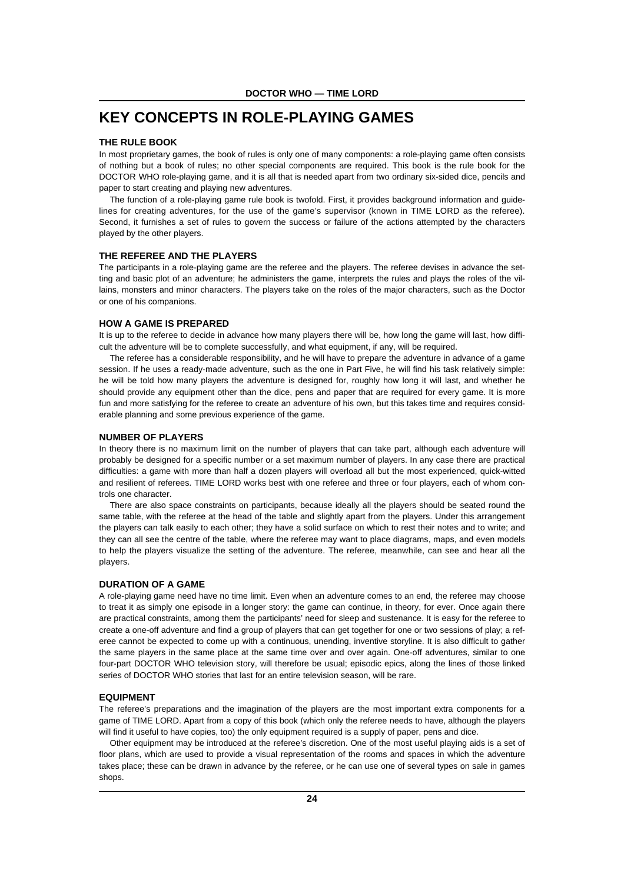# **KEY CONCEPTS IN ROLE-PLAYING GAMES**

#### **THE RULE BOOK**

In most proprietary games, the book of rules is only one of many components: a role-playing game often consists of nothing but a book of rules; no other special components are required. This book is the rule book for the DOCTOR WHO role-playing game, and it is all that is needed apart from two ordinary six-sided dice, pencils and paper to start creating and playing new adventures.

The function of a role-playing game rule book is twofold. First, it provides background information and guidelines for creating adventures, for the use of the game's supervisor (known in TIME LORD as the referee). Second, it furnishes a set of rules to govern the success or failure of the actions attempted by the characters played by the other players.

#### **THE REFEREE AND THE PLAYERS**

The participants in a role-playing game are the referee and the players. The referee devises in advance the setting and basic plot of an adventure; he administers the game, interprets the rules and plays the roles of the villains, monsters and minor characters. The players take on the roles of the major characters, such as the Doctor or one of his companions.

#### **HOW A GAME IS PREPARED**

It is up to the referee to decide in advance how many players there will be, how long the game will last, how difficult the adventure will be to complete successfully, and what equipment, if any, will be required.

The referee has a considerable responsibility, and he will have to prepare the adventure in advance of a game session. If he uses a ready-made adventure, such as the one in Part Five, he will find his task relatively simple: he will be told how many players the adventure is designed for, roughly how long it will last, and whether he should provide any equipment other than the dice, pens and paper that are required for every game. It is more fun and more satisfying for the referee to create an adventure of his own, but this takes time and requires considerable planning and some previous experience of the game.

#### **NUMBER OF PLAYERS**

In theory there is no maximum limit on the number of players that can take part, although each adventure will probably be designed for a specific number or a set maximum number of players. In any case there are practical difficulties: a game with more than half a dozen players will overload all but the most experienced, quick-witted and resilient of referees. TIME LORD works best with one referee and three or four players, each of whom controls one character.

There are also space constraints on participants, because ideally all the players should be seated round the same table, with the referee at the head of the table and slightly apart from the players. Under this arrangement the players can talk easily to each other; they have a solid surface on which to rest their notes and to write; and they can all see the centre of the table, where the referee may want to place diagrams, maps, and even models to help the players visualize the setting of the adventure. The referee, meanwhile, can see and hear all the players.

#### **DURATION OF A GAME**

A role-playing game need have no time limit. Even when an adventure comes to an end, the referee may choose to treat it as simply one episode in a longer story: the game can continue, in theory, for ever. Once again there are practical constraints, among them the participants' need for sleep and sustenance. It is easy for the referee to create a one-off adventure and find a group of players that can get together for one or two sessions of play; a referee cannot be expected to come up with a continuous, unending, inventive storyline. It is also difficult to gather the same players in the same place at the same time over and over again. One-off adventures, similar to one four-part DOCTOR WHO television story, will therefore be usual; episodic epics, along the lines of those linked series of DOCTOR WHO stories that last for an entire television season, will be rare.

#### **EQUIPMENT**

The referee's preparations and the imagination of the players are the most important extra components for a game of TIME LORD. Apart from a copy of this book (which only the referee needs to have, although the players will find it useful to have copies, too) the only equipment required is a supply of paper, pens and dice.

Other equipment may be introduced at the referee's discretion. One of the most useful playing aids is a set of floor plans, which are used to provide a visual representation of the rooms and spaces in which the adventure takes place; these can be drawn in advance by the referee, or he can use one of several types on sale in games shops.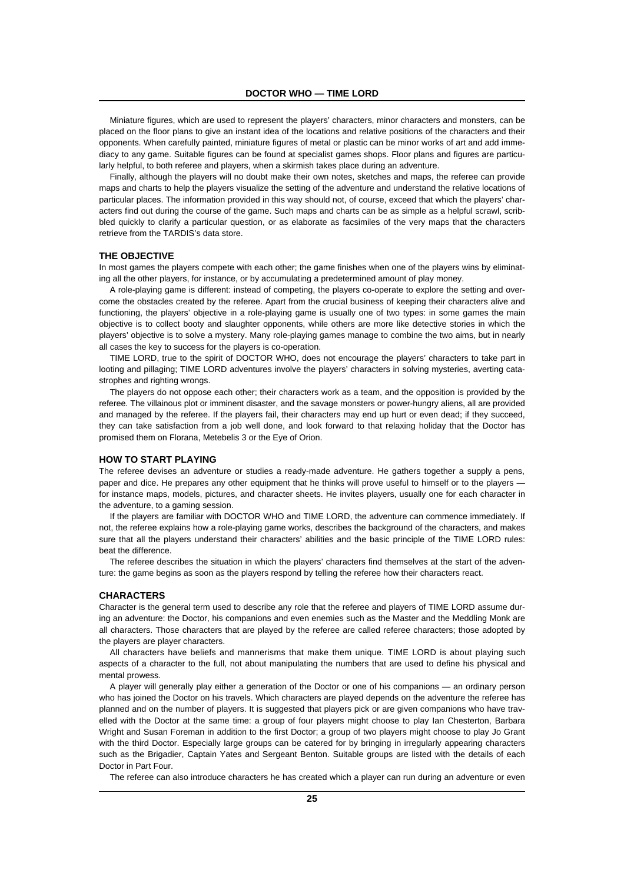Miniature figures, which are used to represent the players' characters, minor characters and monsters, can be placed on the floor plans to give an instant idea of the locations and relative positions of the characters and their opponents. When carefully painted, miniature figures of metal or plastic can be minor works of art and add immediacy to any game. Suitable figures can be found at specialist games shops. Floor plans and figures are particularly helpful, to both referee and players, when a skirmish takes place during an adventure.

Finally, although the players will no doubt make their own notes, sketches and maps, the referee can provide maps and charts to help the players visualize the setting of the adventure and understand the relative locations of particular places. The information provided in this way should not, of course, exceed that which the players' characters find out during the course of the game. Such maps and charts can be as simple as a helpful scrawl, scribbled quickly to clarify a particular question, or as elaborate as facsimiles of the very maps that the characters retrieve from the TARDIS's data store.

#### **THE OBJECTIVE**

In most games the players compete with each other; the game finishes when one of the players wins by eliminating all the other players, for instance, or by accumulating a predetermined amount of play money.

A role-playing game is different: instead of competing, the players co-operate to explore the setting and overcome the obstacles created by the referee. Apart from the crucial business of keeping their characters alive and functioning, the players' objective in a role-playing game is usually one of two types: in some games the main objective is to collect booty and slaughter opponents, while others are more like detective stories in which the players' objective is to solve a mystery. Many role-playing games manage to combine the two aims, but in nearly all cases the key to success for the players is co-operation.

TIME LORD, true to the spirit of DOCTOR WHO, does not encourage the players' characters to take part in looting and pillaging; TIME LORD adventures involve the players' characters in solving mysteries, averting catastrophes and righting wrongs.

The players do not oppose each other; their characters work as a team, and the opposition is provided by the referee. The villainous plot or imminent disaster, and the savage monsters or power-hungry aliens, all are provided and managed by the referee. If the players fail, their characters may end up hurt or even dead; if they succeed, they can take satisfaction from a job well done, and look forward to that relaxing holiday that the Doctor has promised them on Florana, Metebelis 3 or the Eye of Orion.

#### **HOW TO START PLAYING**

The referee devises an adventure or studies a ready-made adventure. He gathers together a supply a pens, paper and dice. He prepares any other equipment that he thinks will prove useful to himself or to the players for instance maps, models, pictures, and character sheets. He invites players, usually one for each character in the adventure, to a gaming session.

If the players are familiar with DOCTOR WHO and TIME LORD, the adventure can commence immediately. If not, the referee explains how a role-playing game works, describes the background of the characters, and makes sure that all the players understand their characters' abilities and the basic principle of the TIME LORD rules: beat the difference.

The referee describes the situation in which the players' characters find themselves at the start of the adventure: the game begins as soon as the players respond by telling the referee how their characters react.

#### **CHARACTERS**

Character is the general term used to describe any role that the referee and players of TIME LORD assume during an adventure: the Doctor, his companions and even enemies such as the Master and the Meddling Monk are all characters. Those characters that are played by the referee are called referee characters; those adopted by the players are player characters.

All characters have beliefs and mannerisms that make them unique. TIME LORD is about playing such aspects of a character to the full, not about manipulating the numbers that are used to define his physical and mental prowess.

A player will generally play either a generation of the Doctor or one of his companions — an ordinary person who has joined the Doctor on his travels. Which characters are played depends on the adventure the referee has planned and on the number of players. It is suggested that players pick or are given companions who have travelled with the Doctor at the same time: a group of four players might choose to play Ian Chesterton, Barbara Wright and Susan Foreman in addition to the first Doctor; a group of two players might choose to play Jo Grant with the third Doctor. Especially large groups can be catered for by bringing in irregularly appearing characters such as the Brigadier, Captain Yates and Sergeant Benton. Suitable groups are listed with the details of each Doctor in Part Four.

The referee can also introduce characters he has created which a player can run during an adventure or even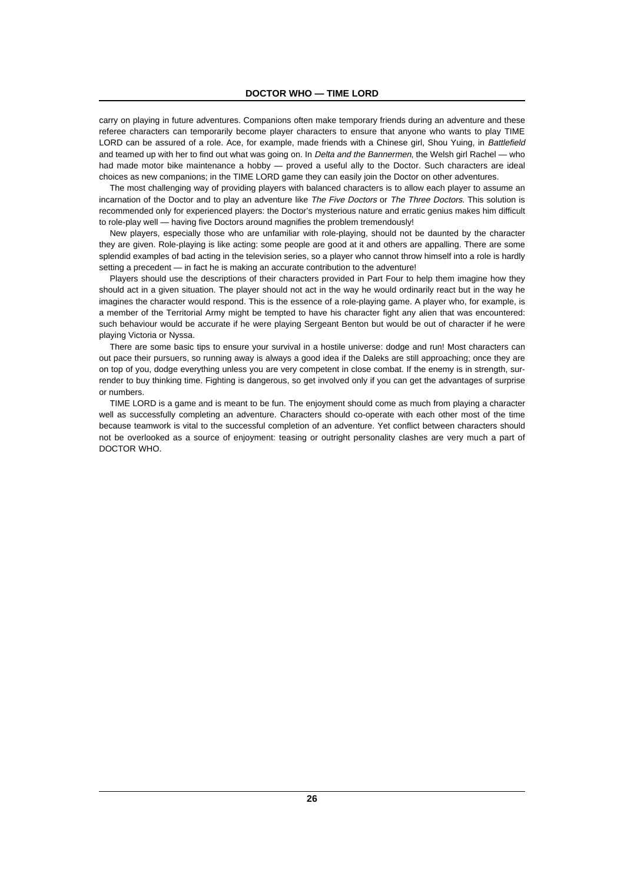carry on playing in future adventures. Companions often make temporary friends during an adventure and these referee characters can temporarily become player characters to ensure that anyone who wants to play TIME LORD can be assured of a role. Ace, for example, made friends with a Chinese girl, Shou Yuing, in Battlefield and teamed up with her to find out what was going on. In Delta and the Bannermen, the Welsh girl Rachel — who had made motor bike maintenance a hobby - proved a useful ally to the Doctor. Such characters are ideal choices as new companions; in the TIME LORD game they can easily join the Doctor on other adventures.

The most challenging way of providing players with balanced characters is to allow each player to assume an incarnation of the Doctor and to play an adventure like The Five Doctors or The Three Doctors. This solution is recommended only for experienced players: the Doctor's mysterious nature and erratic genius makes him difficult to role-play well — having five Doctors around magnifies the problem tremendously!

New players, especially those who are unfamiliar with role-playing, should not be daunted by the character they are given. Role-playing is like acting: some people are good at it and others are appalling. There are some splendid examples of bad acting in the television series, so a player who cannot throw himself into a role is hardly setting a precedent — in fact he is making an accurate contribution to the adventure!

Players should use the descriptions of their characters provided in Part Four to help them imagine how they should act in a given situation. The player should not act in the way he would ordinarily react but in the way he imagines the character would respond. This is the essence of a role-playing game. A player who, for example, is a member of the Territorial Army might be tempted to have his character fight any alien that was encountered: such behaviour would be accurate if he were playing Sergeant Benton but would be out of character if he were playing Victoria or Nyssa.

There are some basic tips to ensure your survival in a hostile universe: dodge and run! Most characters can out pace their pursuers, so running away is always a good idea if the Daleks are still approaching; once they are on top of you, dodge everything unless you are very competent in close combat. If the enemy is in strength, surrender to buy thinking time. Fighting is dangerous, so get involved only if you can get the advantages of surprise or numbers.

TIME LORD is a game and is meant to be fun. The enjoyment should come as much from playing a character well as successfully completing an adventure. Characters should co-operate with each other most of the time because teamwork is vital to the successful completion of an adventure. Yet conflict between characters should not be overlooked as a source of enjoyment: teasing or outright personality clashes are very much a part of DOCTOR WHO.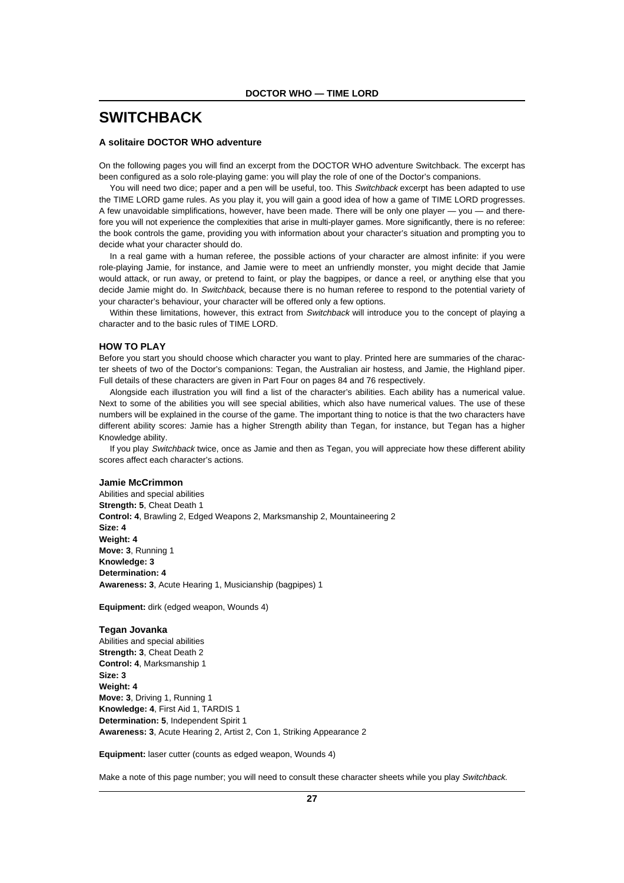### **SWITCHBACK**

#### **A solitaire DOCTOR WHO adventure**

On the following pages you will find an excerpt from the DOCTOR WHO adventure Switchback. The excerpt has been configured as a solo role-playing game: you will play the role of one of the Doctor's companions.

You will need two dice; paper and a pen will be useful, too. This Switchback excerpt has been adapted to use the TIME LORD game rules. As you play it, you will gain a good idea of how a game of TIME LORD progresses. A few unavoidable simplifications, however, have been made. There will be only one player — you — and therefore you will not experience the complexities that arise in multi-player games. More significantly, there is no referee: the book controls the game, providing you with information about your character's situation and prompting you to decide what your character should do.

In a real game with a human referee, the possible actions of your character are almost infinite: if you were role-playing Jamie, for instance, and Jamie were to meet an unfriendly monster, you might decide that Jamie would attack, or run away, or pretend to faint, or play the bagpipes, or dance a reel, or anything else that you decide Jamie might do. In Switchback, because there is no human referee to respond to the potential variety of your character's behaviour, your character will be offered only a few options.

Within these limitations, however, this extract from Switchback will introduce you to the concept of playing a character and to the basic rules of TIME LORD.

#### **HOW TO PLAY**

Before you start you should choose which character you want to play. Printed here are summaries of the character sheets of two of the Doctor's companions: Tegan, the Australian air hostess, and Jamie, the Highland piper. Full details of these characters are given in Part Four on pages 84 and 76 respectively.

Alongside each illustration you will find a list of the character's abilities. Each ability has a numerical value. Next to some of the abilities you will see special abilities, which also have numerical values. The use of these numbers will be explained in the course of the game. The important thing to notice is that the two characters have different ability scores: Jamie has a higher Strength ability than Tegan, for instance, but Tegan has a higher Knowledge ability.

If you play Switchback twice, once as Jamie and then as Tegan, you will appreciate how these different ability scores affect each character's actions.

#### **Jamie McCrimmon**

Abilities and special abilities **Strength: 5**, Cheat Death 1 **Control: 4**, Brawling 2, Edged Weapons 2, Marksmanship 2, Mountaineering 2 **Size: 4 Weight: 4 Move: 3**, Running 1 **Knowledge: 3 Determination: 4 Awareness: 3**, Acute Hearing 1, Musicianship (bagpipes) 1

**Equipment:** dirk (edged weapon, Wounds 4)

**Tegan Jovanka** Abilities and special abilities **Strength: 3**, Cheat Death 2 **Control: 4**, Marksmanship 1 **Size: 3 Weight: 4 Move: 3**, Driving 1, Running 1 **Knowledge: 4**, First Aid 1, TARDIS 1 **Determination: 5**, Independent Spirit 1 **Awareness: 3**, Acute Hearing 2, Artist 2, Con 1, Striking Appearance 2

**Equipment:** laser cutter (counts as edged weapon, Wounds 4)

Make a note of this page number; you will need to consult these character sheets while you play Switchback.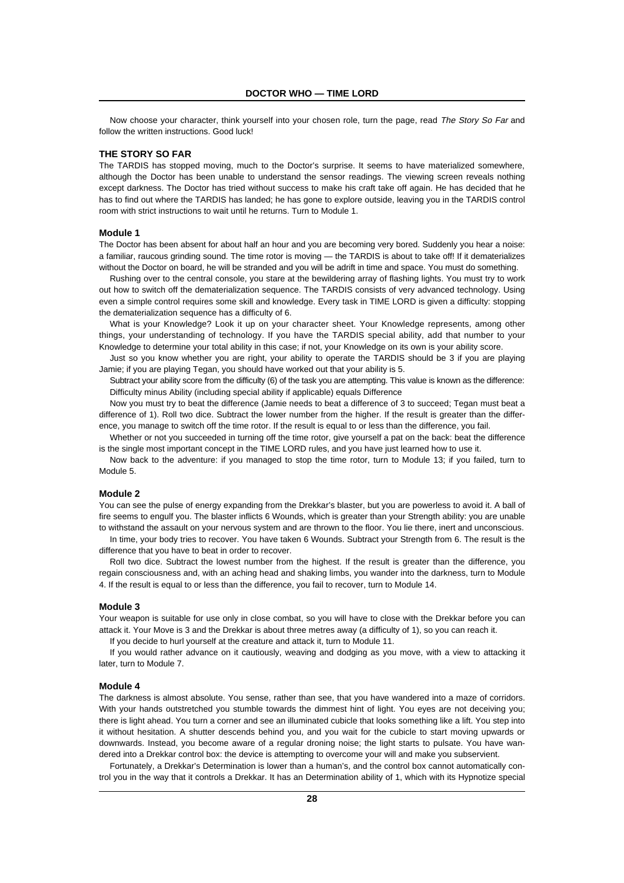Now choose your character, think yourself into your chosen role, turn the page, read The Story So Far and follow the written instructions. Good luck!

#### **THE STORY SO FAR**

The TARDIS has stopped moving, much to the Doctor's surprise. It seems to have materialized somewhere, although the Doctor has been unable to understand the sensor readings. The viewing screen reveals nothing except darkness. The Doctor has tried without success to make his craft take off again. He has decided that he has to find out where the TARDIS has landed; he has gone to explore outside, leaving you in the TARDIS control room with strict instructions to wait until he returns. Turn to Module 1.

#### **Module 1**

The Doctor has been absent for about half an hour and you are becoming very bored. Suddenly you hear a noise: a familiar, raucous grinding sound. The time rotor is moving — the TARDIS is about to take off! If it dematerializes without the Doctor on board, he will be stranded and you will be adrift in time and space. You must do something.

Rushing over to the central console, you stare at the bewildering array of flashing lights. You must try to work out how to switch off the dematerialization sequence. The TARDIS consists of very advanced technology. Using even a simple control requires some skill and knowledge. Every task in TIME LORD is given a difficulty: stopping the dematerialization sequence has a difficulty of 6.

What is your Knowledge? Look it up on your character sheet. Your Knowledge represents, among other things, your understanding of technology. If you have the TARDIS special ability, add that number to your Knowledge to determine your total ability in this case; if not, your Knowledge on its own is your ability score.

Just so you know whether you are right, your ability to operate the TARDIS should be 3 if you are playing Jamie; if you are playing Tegan, you should have worked out that your ability is 5.

Subtract your ability score from the difficulty (6) of the task you are attempting. This value is known as the difference: Difficulty minus Ability (including special ability if applicable) equals Difference

Now you must try to beat the difference (Jamie needs to beat a difference of 3 to succeed; Tegan must beat a difference of 1). Roll two dice. Subtract the lower number from the higher. If the result is greater than the difference, you manage to switch off the time rotor. If the result is equal to or less than the difference, you fail.

Whether or not you succeeded in turning off the time rotor, give yourself a pat on the back: beat the difference is the single most important concept in the TIME LORD rules, and you have just learned how to use it.

Now back to the adventure: if you managed to stop the time rotor, turn to Module 13; if you failed, turn to Module 5.

#### **Module 2**

You can see the pulse of energy expanding from the Drekkar's blaster, but you are powerless to avoid it. A ball of fire seems to engulf you. The blaster inflicts 6 Wounds, which is greater than your Strength ability: you are unable to withstand the assault on your nervous system and are thrown to the floor. You lie there, inert and unconscious.

In time, your body tries to recover. You have taken 6 Wounds. Subtract your Strength from 6. The result is the difference that you have to beat in order to recover.

Roll two dice. Subtract the lowest number from the highest. If the result is greater than the difference, you regain consciousness and, with an aching head and shaking limbs, you wander into the darkness, turn to Module 4. If the result is equal to or less than the difference, you fail to recover, turn to Module 14.

#### **Module 3**

Your weapon is suitable for use only in close combat, so you will have to close with the Drekkar before you can attack it. Your Move is 3 and the Drekkar is about three metres away (a difficulty of 1), so you can reach it.

If you decide to hurl yourself at the creature and attack it, turn to Module 11.

If you would rather advance on it cautiously, weaving and dodging as you move, with a view to attacking it later, turn to Module 7.

#### **Module 4**

The darkness is almost absolute. You sense, rather than see, that you have wandered into a maze of corridors. With your hands outstretched you stumble towards the dimmest hint of light. You eyes are not deceiving you; there is light ahead. You turn a corner and see an illuminated cubicle that looks something like a lift. You step into it without hesitation. A shutter descends behind you, and you wait for the cubicle to start moving upwards or downwards. Instead, you become aware of a regular droning noise; the light starts to pulsate. You have wandered into a Drekkar control box: the device is attempting to overcome your will and make you subservient.

Fortunately, a Drekkar's Determination is lower than a human's, and the control box cannot automatically control you in the way that it controls a Drekkar. It has an Determination ability of 1, which with its Hypnotize special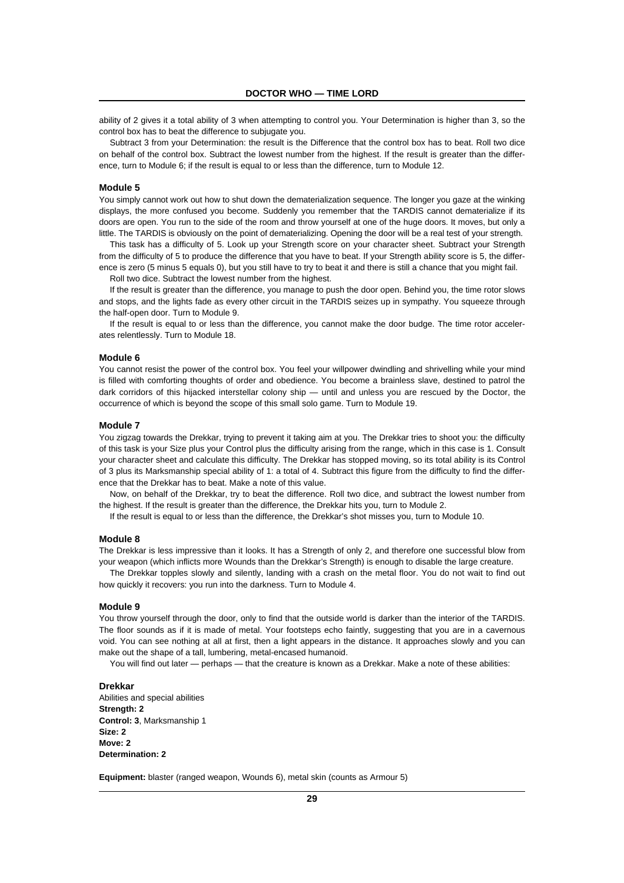ability of 2 gives it a total ability of 3 when attempting to control you. Your Determination is higher than 3, so the control box has to beat the difference to subjugate you.

Subtract 3 from your Determination: the result is the Difference that the control box has to beat. Roll two dice on behalf of the control box. Subtract the lowest number from the highest. If the result is greater than the difference, turn to Module 6; if the result is equal to or less than the difference, turn to Module 12.

#### **Module 5**

You simply cannot work out how to shut down the dematerialization sequence. The longer you gaze at the winking displays, the more confused you become. Suddenly you remember that the TARDIS cannot dematerialize if its doors are open. You run to the side of the room and throw yourself at one of the huge doors. It moves, but only a little. The TARDIS is obviously on the point of dematerializing. Opening the door will be a real test of your strength.

This task has a difficulty of 5. Look up your Strength score on your character sheet. Subtract your Strength from the difficulty of 5 to produce the difference that you have to beat. If your Strength ability score is 5, the difference is zero (5 minus 5 equals 0), but you still have to try to beat it and there is still a chance that you might fail.

Roll two dice. Subtract the lowest number from the highest.

If the result is greater than the difference, you manage to push the door open. Behind you, the time rotor slows and stops, and the lights fade as every other circuit in the TARDIS seizes up in sympathy. You squeeze through the half-open door. Turn to Module 9.

If the result is equal to or less than the difference, you cannot make the door budge. The time rotor accelerates relentlessly. Turn to Module 18.

#### **Module 6**

You cannot resist the power of the control box. You feel your willpower dwindling and shrivelling while your mind is filled with comforting thoughts of order and obedience. You become a brainless slave, destined to patrol the dark corridors of this hijacked interstellar colony ship — until and unless you are rescued by the Doctor, the occurrence of which is beyond the scope of this small solo game. Turn to Module 19.

#### **Module 7**

You zigzag towards the Drekkar, trying to prevent it taking aim at you. The Drekkar tries to shoot you: the difficulty of this task is your Size plus your Control plus the difficulty arising from the range, which in this case is 1. Consult your character sheet and calculate this difficulty. The Drekkar has stopped moving, so its total ability is its Control of 3 plus its Marksmanship special ability of 1: a total of 4. Subtract this figure from the difficulty to find the difference that the Drekkar has to beat. Make a note of this value.

Now, on behalf of the Drekkar, try to beat the difference. Roll two dice, and subtract the lowest number from the highest. If the result is greater than the difference, the Drekkar hits you, turn to Module 2.

If the result is equal to or less than the difference, the Drekkar's shot misses you, turn to Module 10.

#### **Module 8**

The Drekkar is less impressive than it looks. It has a Strength of only 2, and therefore one successful blow from your weapon (which inflicts more Wounds than the Drekkar's Strength) is enough to disable the large creature.

The Drekkar topples slowly and silently, landing with a crash on the metal floor. You do not wait to find out how quickly it recovers: you run into the darkness. Turn to Module 4.

#### **Module 9**

You throw yourself through the door, only to find that the outside world is darker than the interior of the TARDIS. The floor sounds as if it is made of metal. Your footsteps echo faintly, suggesting that you are in a cavernous void. You can see nothing at all at first, then a light appears in the distance. It approaches slowly and you can make out the shape of a tall, lumbering, metal-encased humanoid.

You will find out later — perhaps — that the creature is known as a Drekkar. Make a note of these abilities:

#### **Drekkar**

Abilities and special abilities **Strength: 2 Control: 3**, Marksmanship 1 **Size: 2 Move: 2 Determination: 2**

**Equipment:** blaster (ranged weapon, Wounds 6), metal skin (counts as Armour 5)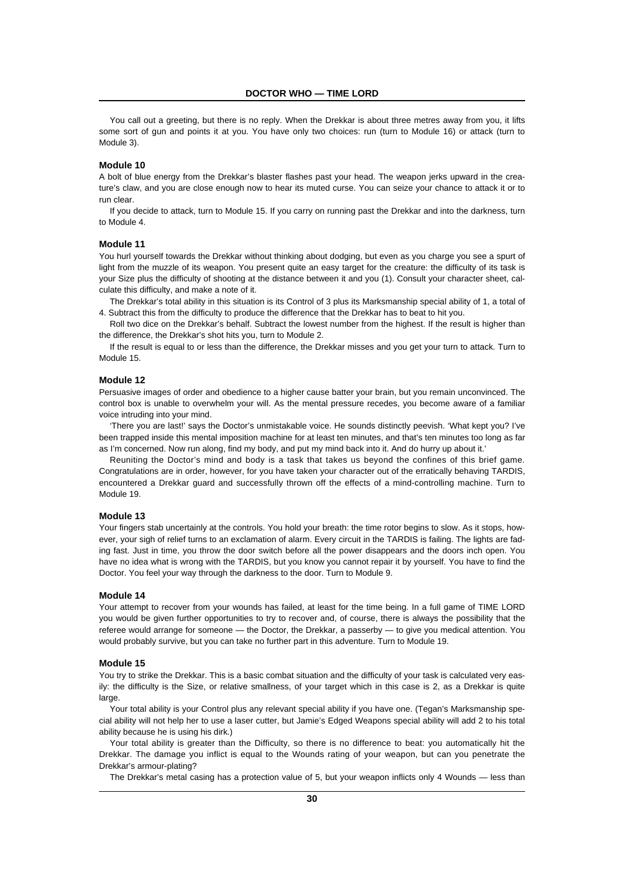You call out a greeting, but there is no reply. When the Drekkar is about three metres away from you, it lifts some sort of gun and points it at you. You have only two choices: run (turn to Module 16) or attack (turn to Module 3).

#### **Module 10**

A bolt of blue energy from the Drekkar's blaster flashes past your head. The weapon jerks upward in the creature's claw, and you are close enough now to hear its muted curse. You can seize your chance to attack it or to run clear.

If you decide to attack, turn to Module 15. If you carry on running past the Drekkar and into the darkness, turn to Module 4.

#### **Module 11**

You hurl yourself towards the Drekkar without thinking about dodging, but even as you charge you see a spurt of light from the muzzle of its weapon. You present quite an easy target for the creature: the difficulty of its task is your Size plus the difficulty of shooting at the distance between it and you (1). Consult your character sheet, calculate this difficulty, and make a note of it.

The Drekkar's total ability in this situation is its Control of 3 plus its Marksmanship special ability of 1, a total of 4. Subtract this from the difficulty to produce the difference that the Drekkar has to beat to hit you.

Roll two dice on the Drekkar's behalf. Subtract the lowest number from the highest. If the result is higher than the difference, the Drekkar's shot hits you, turn to Module 2.

If the result is equal to or less than the difference, the Drekkar misses and you get your turn to attack. Turn to Module 15.

#### **Module 12**

Persuasive images of order and obedience to a higher cause batter your brain, but you remain unconvinced. The control box is unable to overwhelm your will. As the mental pressure recedes, you become aware of a familiar voice intruding into your mind.

'There you are last!' says the Doctor's unmistakable voice. He sounds distinctly peevish. 'What kept you? I've been trapped inside this mental imposition machine for at least ten minutes, and that's ten minutes too long as far as I'm concerned. Now run along, find my body, and put my mind back into it. And do hurry up about it.'

Reuniting the Doctor's mind and body is a task that takes us beyond the confines of this brief game. Congratulations are in order, however, for you have taken your character out of the erratically behaving TARDIS, encountered a Drekkar guard and successfully thrown off the effects of a mind-controlling machine. Turn to Module 19.

#### **Module 13**

Your fingers stab uncertainly at the controls. You hold your breath: the time rotor begins to slow. As it stops, however, your sigh of relief turns to an exclamation of alarm. Every circuit in the TARDIS is failing. The lights are fading fast. Just in time, you throw the door switch before all the power disappears and the doors inch open. You have no idea what is wrong with the TARDIS, but you know you cannot repair it by yourself. You have to find the Doctor. You feel your way through the darkness to the door. Turn to Module 9.

#### **Module 14**

Your attempt to recover from your wounds has failed, at least for the time being. In a full game of TIME LORD you would be given further opportunities to try to recover and, of course, there is always the possibility that the referee would arrange for someone — the Doctor, the Drekkar, a passerby — to give you medical attention. You would probably survive, but you can take no further part in this adventure. Turn to Module 19.

#### **Module 15**

You try to strike the Drekkar. This is a basic combat situation and the difficulty of your task is calculated very easily: the difficulty is the Size, or relative smallness, of your target which in this case is 2, as a Drekkar is quite large

Your total ability is your Control plus any relevant special ability if you have one. (Tegan's Marksmanship special ability will not help her to use a laser cutter, but Jamie's Edged Weapons special ability will add 2 to his total ability because he is using his dirk.)

Your total ability is greater than the Difficulty, so there is no difference to beat: you automatically hit the Drekkar. The damage you inflict is equal to the Wounds rating of your weapon, but can you penetrate the Drekkar's armour-plating?

The Drekkar's metal casing has a protection value of 5, but your weapon inflicts only 4 Wounds — less than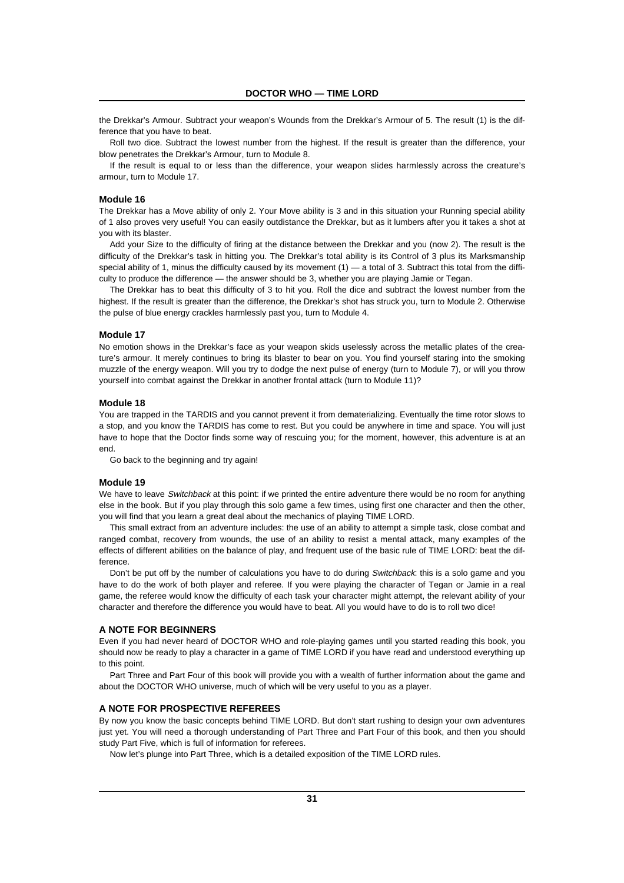the Drekkar's Armour. Subtract your weapon's Wounds from the Drekkar's Armour of 5. The result (1) is the difference that you have to beat.

Roll two dice. Subtract the lowest number from the highest. If the result is greater than the difference, your blow penetrates the Drekkar's Armour, turn to Module 8.

If the result is equal to or less than the difference, your weapon slides harmlessly across the creature's armour, turn to Module 17.

#### **Module 16**

The Drekkar has a Move ability of only 2. Your Move ability is 3 and in this situation your Running special ability of 1 also proves very useful! You can easily outdistance the Drekkar, but as it lumbers after you it takes a shot at you with its blaster.

Add your Size to the difficulty of firing at the distance between the Drekkar and you (now 2). The result is the difficulty of the Drekkar's task in hitting you. The Drekkar's total ability is its Control of 3 plus its Marksmanship special ability of 1, minus the difficulty caused by its movement  $(1)$  — a total of 3. Subtract this total from the difficulty to produce the difference — the answer should be 3, whether you are playing Jamie or Tegan.

The Drekkar has to beat this difficulty of 3 to hit you. Roll the dice and subtract the lowest number from the highest. If the result is greater than the difference, the Drekkar's shot has struck you, turn to Module 2. Otherwise the pulse of blue energy crackles harmlessly past you, turn to Module 4.

#### **Module 17**

No emotion shows in the Drekkar's face as your weapon skids uselessly across the metallic plates of the creature's armour. It merely continues to bring its blaster to bear on you. You find yourself staring into the smoking muzzle of the energy weapon. Will you try to dodge the next pulse of energy (turn to Module 7), or will you throw yourself into combat against the Drekkar in another frontal attack (turn to Module 11)?

#### **Module 18**

You are trapped in the TARDIS and you cannot prevent it from dematerializing. Eventually the time rotor slows to a stop, and you know the TARDIS has come to rest. But you could be anywhere in time and space. You will just have to hope that the Doctor finds some way of rescuing you; for the moment, however, this adventure is at an end.

Go back to the beginning and try again!

#### **Module 19**

We have to leave Switchback at this point: if we printed the entire adventure there would be no room for anything else in the book. But if you play through this solo game a few times, using first one character and then the other, you will find that you learn a great deal about the mechanics of playing TIME LORD.

This small extract from an adventure includes: the use of an ability to attempt a simple task, close combat and ranged combat, recovery from wounds, the use of an ability to resist a mental attack, many examples of the effects of different abilities on the balance of play, and frequent use of the basic rule of TIME LORD: beat the difference.

Don't be put off by the number of calculations you have to do during Switchback: this is a solo game and you have to do the work of both player and referee. If you were playing the character of Tegan or Jamie in a real game, the referee would know the difficulty of each task your character might attempt, the relevant ability of your character and therefore the difference you would have to beat. All you would have to do is to roll two dice!

#### **A NOTE FOR BEGINNERS**

Even if you had never heard of DOCTOR WHO and role-playing games until you started reading this book, you should now be ready to play a character in a game of TIME LORD if you have read and understood everything up to this point.

Part Three and Part Four of this book will provide you with a wealth of further information about the game and about the DOCTOR WHO universe, much of which will be very useful to you as a player.

#### **A NOTE FOR PROSPECTIVE REFEREES**

By now you know the basic concepts behind TIME LORD. But don't start rushing to design your own adventures just yet. You will need a thorough understanding of Part Three and Part Four of this book, and then you should study Part Five, which is full of information for referees.

Now let's plunge into Part Three, which is a detailed exposition of the TIME LORD rules.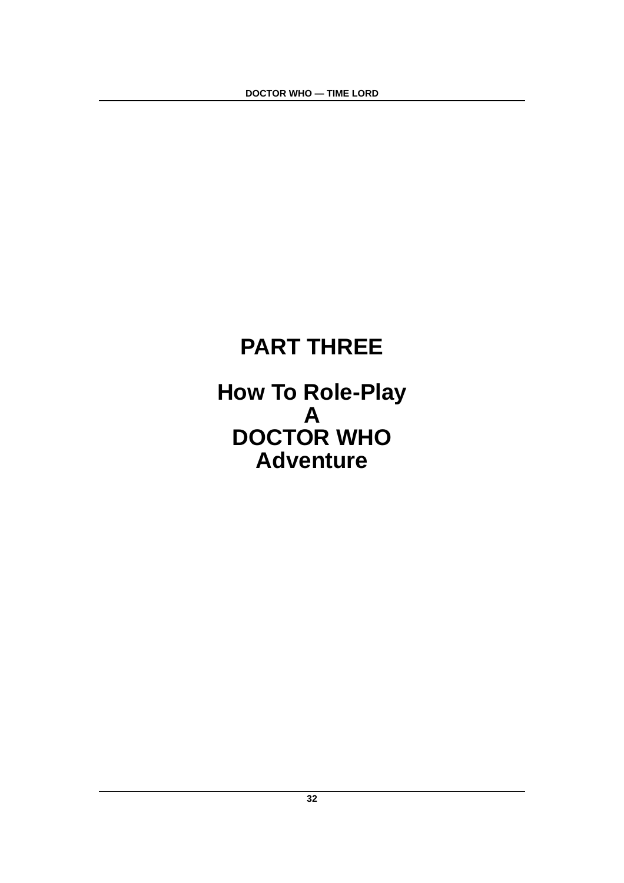# **PART THREE**

**How To Role-Play A DOCTOR WHO Adventure**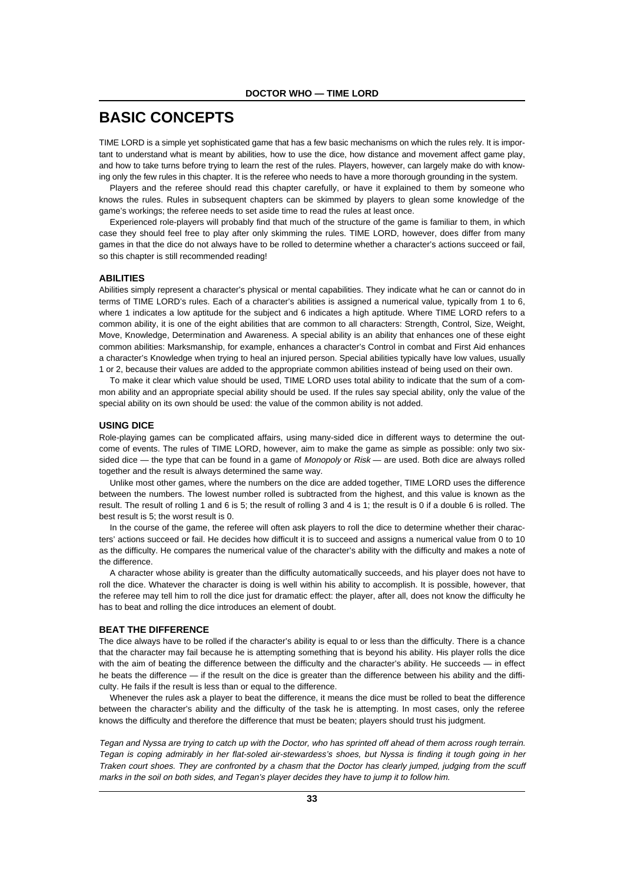# **BASIC CONCEPTS**

TIME LORD is a simple yet sophisticated game that has a few basic mechanisms on which the rules rely. It is important to understand what is meant by abilities, how to use the dice, how distance and movement affect game play, and how to take turns before trying to learn the rest of the rules. Players, however, can largely make do with knowing only the few rules in this chapter. It is the referee who needs to have a more thorough grounding in the system.

Players and the referee should read this chapter carefully, or have it explained to them by someone who knows the rules. Rules in subsequent chapters can be skimmed by players to glean some knowledge of the game's workings; the referee needs to set aside time to read the rules at least once.

Experienced role-players will probably find that much of the structure of the game is familiar to them, in which case they should feel free to play after only skimming the rules. TIME LORD, however, does differ from many games in that the dice do not always have to be rolled to determine whether a character's actions succeed or fail, so this chapter is still recommended reading!

#### **ABILITIES**

Abilities simply represent a character's physical or mental capabilities. They indicate what he can or cannot do in terms of TIME LORD's rules. Each of a character's abilities is assigned a numerical value, typically from 1 to 6, where 1 indicates a low aptitude for the subject and 6 indicates a high aptitude. Where TIME LORD refers to a common ability, it is one of the eight abilities that are common to all characters: Strength, Control, Size, Weight, Move, Knowledge, Determination and Awareness. A special ability is an ability that enhances one of these eight common abilities: Marksmanship, for example, enhances a character's Control in combat and First Aid enhances a character's Knowledge when trying to heal an injured person. Special abilities typically have low values, usually 1 or 2, because their values are added to the appropriate common abilities instead of being used on their own.

To make it clear which value should be used, TIME LORD uses total ability to indicate that the sum of a common ability and an appropriate special ability should be used. If the rules say special ability, only the value of the special ability on its own should be used: the value of the common ability is not added.

#### **USING DICE**

Role-playing games can be complicated affairs, using many-sided dice in different ways to determine the outcome of events. The rules of TIME LORD, however, aim to make the game as simple as possible: only two sixsided dice — the type that can be found in a game of Monopoly or  $Risk$ — are used. Both dice are always rolled together and the result is always determined the same way.

Unlike most other games, where the numbers on the dice are added together, TIME LORD uses the difference between the numbers. The lowest number rolled is subtracted from the highest, and this value is known as the result. The result of rolling 1 and 6 is 5; the result of rolling 3 and 4 is 1; the result is 0 if a double 6 is rolled. The best result is 5; the worst result is 0.

In the course of the game, the referee will often ask players to roll the dice to determine whether their characters' actions succeed or fail. He decides how difficult it is to succeed and assigns a numerical value from 0 to 10 as the difficulty. He compares the numerical value of the character's ability with the difficulty and makes a note of the difference.

A character whose ability is greater than the difficulty automatically succeeds, and his player does not have to roll the dice. Whatever the character is doing is well within his ability to accomplish. It is possible, however, that the referee may tell him to roll the dice just for dramatic effect: the player, after all, does not know the difficulty he has to beat and rolling the dice introduces an element of doubt.

#### **BEAT THE DIFFERENCE**

The dice always have to be rolled if the character's ability is equal to or less than the difficulty. There is a chance that the character may fail because he is attempting something that is beyond his ability. His player rolls the dice with the aim of beating the difference between the difficulty and the character's ability. He succeeds — in effect he beats the difference — if the result on the dice is greater than the difference between his ability and the difficulty. He fails if the result is less than or equal to the difference.

Whenever the rules ask a player to beat the difference, it means the dice must be rolled to beat the difference between the character's ability and the difficulty of the task he is attempting. In most cases, only the referee knows the difficulty and therefore the difference that must be beaten; players should trust his judgment.

Tegan and Nyssa are trying to catch up with the Doctor, who has sprinted off ahead of them across rough terrain. Tegan is coping admirably in her flat-soled air-stewardess's shoes, but Nyssa is finding it tough going in her Traken court shoes. They are confronted by a chasm that the Doctor has clearly jumped, judging from the scuff marks in the soil on both sides, and Tegan's player decides they have to jump it to follow him.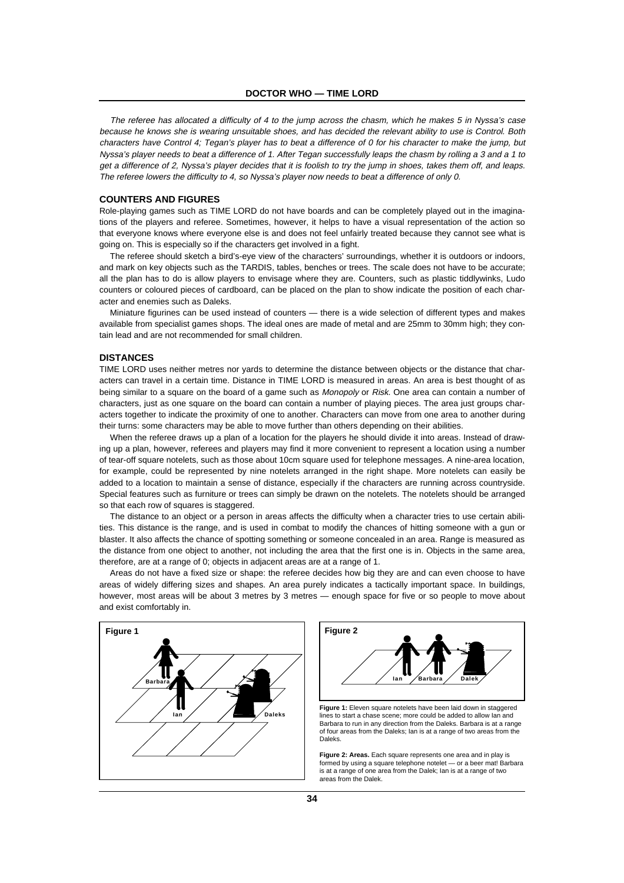The referee has allocated a difficulty of 4 to the jump across the chasm, which he makes 5 in Nyssa's case because he knows she is wearing unsuitable shoes, and has decided the relevant ability to use is Control. Both characters have Control 4; Tegan's player has to beat a difference of 0 for his character to make the jump, but Nyssa's player needs to beat a difference of 1. After Tegan successfully leaps the chasm by rolling a 3 and a 1 to get a difference of 2, Nyssa's player decides that it is foolish to try the jump in shoes, takes them off, and leaps. The referee lowers the difficulty to 4, so Nyssa's player now needs to beat a difference of only 0.

#### **COUNTERS AND FIGURES**

Role-playing games such as TIME LORD do not have boards and can be completely played out in the imaginations of the players and referee. Sometimes, however, it helps to have a visual representation of the action so that everyone knows where everyone else is and does not feel unfairly treated because they cannot see what is going on. This is especially so if the characters get involved in a fight.

The referee should sketch a bird's-eye view of the characters' surroundings, whether it is outdoors or indoors, and mark on key objects such as the TARDIS, tables, benches or trees. The scale does not have to be accurate; all the plan has to do is allow players to envisage where they are. Counters, such as plastic tiddlywinks, Ludo counters or coloured pieces of cardboard, can be placed on the plan to show indicate the position of each character and enemies such as Daleks.

Miniature figurines can be used instead of counters — there is a wide selection of different types and makes available from specialist games shops. The ideal ones are made of metal and are 25mm to 30mm high; they contain lead and are not recommended for small children.

#### **DISTANCES**

TIME LORD uses neither metres nor yards to determine the distance between objects or the distance that characters can travel in a certain time. Distance in TIME LORD is measured in areas. An area is best thought of as being similar to a square on the board of a game such as *Monopoly* or Risk. One area can contain a number of characters, just as one square on the board can contain a number of playing pieces. The area just groups characters together to indicate the proximity of one to another. Characters can move from one area to another during their turns: some characters may be able to move further than others depending on their abilities.

When the referee draws up a plan of a location for the players he should divide it into areas. Instead of drawing up a plan, however, referees and players may find it more convenient to represent a location using a number of tear-off square notelets, such as those about 10cm square used for telephone messages. A nine-area location, for example, could be represented by nine notelets arranged in the right shape. More notelets can easily be added to a location to maintain a sense of distance, especially if the characters are running across countryside. Special features such as furniture or trees can simply be drawn on the notelets. The notelets should be arranged so that each row of squares is staggered.

The distance to an object or a person in areas affects the difficulty when a character tries to use certain abilities. This distance is the range, and is used in combat to modify the chances of hitting someone with a gun or blaster. It also affects the chance of spotting something or someone concealed in an area. Range is measured as the distance from one object to another, not including the area that the first one is in. Objects in the same area, therefore, are at a range of 0; objects in adjacent areas are at a range of 1.

Areas do not have a fixed size or shape: the referee decides how big they are and can even choose to have areas of widely differing sizes and shapes. An area purely indicates a tactically important space. In buildings, however, most areas will be about 3 metres by 3 metres — enough space for five or so people to move about and exist comfortably in.





**Figure 1:** Eleven square notelets have been laid down in staggered lines to start a chase scene; more could be added to allow Ian and Barbara to run in any direction from the Daleks. Barbara is at a range of four areas from the Daleks; Ian is at a range of two areas from the Daleks.

**Figure 2: Areas.** Fach square represents one area and in play is formed by using a square telephone notelet — or a beer mat! Barbara is at a range of one area from the Dalek; Ian is at a range of two areas from the Dalek.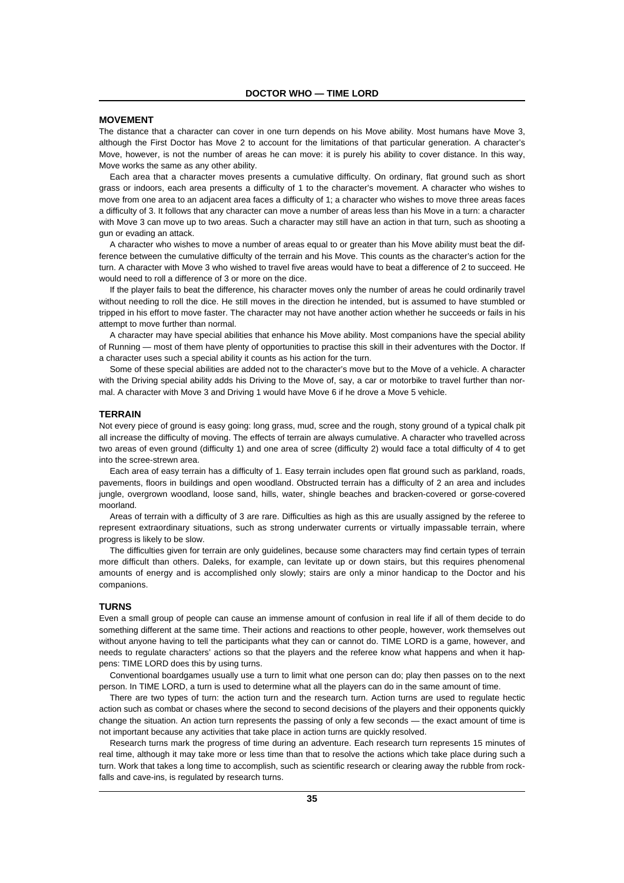#### **MOVEMENT**

The distance that a character can cover in one turn depends on his Move ability. Most humans have Move 3, although the First Doctor has Move 2 to account for the limitations of that particular generation. A character's Move, however, is not the number of areas he can move: it is purely his ability to cover distance. In this way, Move works the same as any other ability.

Each area that a character moves presents a cumulative difficulty. On ordinary, flat ground such as short grass or indoors, each area presents a difficulty of 1 to the character's movement. A character who wishes to move from one area to an adjacent area faces a difficulty of 1; a character who wishes to move three areas faces a difficulty of 3. It follows that any character can move a number of areas less than his Move in a turn: a character with Move 3 can move up to two areas. Such a character may still have an action in that turn, such as shooting a gun or evading an attack.

A character who wishes to move a number of areas equal to or greater than his Move ability must beat the difference between the cumulative difficulty of the terrain and his Move. This counts as the character's action for the turn. A character with Move 3 who wished to travel five areas would have to beat a difference of 2 to succeed. He would need to roll a difference of 3 or more on the dice.

If the player fails to beat the difference, his character moves only the number of areas he could ordinarily travel without needing to roll the dice. He still moves in the direction he intended, but is assumed to have stumbled or tripped in his effort to move faster. The character may not have another action whether he succeeds or fails in his attempt to move further than normal.

A character may have special abilities that enhance his Move ability. Most companions have the special ability of Running — most of them have plenty of opportunities to practise this skill in their adventures with the Doctor. If a character uses such a special ability it counts as his action for the turn.

Some of these special abilities are added not to the character's move but to the Move of a vehicle. A character with the Driving special ability adds his Driving to the Move of, say, a car or motorbike to travel further than normal. A character with Move 3 and Driving 1 would have Move 6 if he drove a Move 5 vehicle.

#### **TERRAIN**

Not every piece of ground is easy going: long grass, mud, scree and the rough, stony ground of a typical chalk pit all increase the difficulty of moving. The effects of terrain are always cumulative. A character who travelled across two areas of even ground (difficulty 1) and one area of scree (difficulty 2) would face a total difficulty of 4 to get into the scree-strewn area.

Each area of easy terrain has a difficulty of 1. Easy terrain includes open flat ground such as parkland, roads, pavements, floors in buildings and open woodland. Obstructed terrain has a difficulty of 2 an area and includes jungle, overgrown woodland, loose sand, hills, water, shingle beaches and bracken-covered or gorse-covered moorland.

Areas of terrain with a difficulty of 3 are rare. Difficulties as high as this are usually assigned by the referee to represent extraordinary situations, such as strong underwater currents or virtually impassable terrain, where progress is likely to be slow.

The difficulties given for terrain are only guidelines, because some characters may find certain types of terrain more difficult than others. Daleks, for example, can levitate up or down stairs, but this requires phenomenal amounts of energy and is accomplished only slowly; stairs are only a minor handicap to the Doctor and his companions.

# **TURNS**

Even a small group of people can cause an immense amount of confusion in real life if all of them decide to do something different at the same time. Their actions and reactions to other people, however, work themselves out without anyone having to tell the participants what they can or cannot do. TIME LORD is a game, however, and needs to regulate characters' actions so that the players and the referee know what happens and when it happens: TIME LORD does this by using turns.

Conventional boardgames usually use a turn to limit what one person can do; play then passes on to the next person. In TIME LORD, a turn is used to determine what all the players can do in the same amount of time.

There are two types of turn: the action turn and the research turn. Action turns are used to regulate hectic action such as combat or chases where the second to second decisions of the players and their opponents quickly change the situation. An action turn represents the passing of only a few seconds — the exact amount of time is not important because any activities that take place in action turns are quickly resolved.

Research turns mark the progress of time during an adventure. Each research turn represents 15 minutes of real time, although it may take more or less time than that to resolve the actions which take place during such a turn. Work that takes a long time to accomplish, such as scientific research or clearing away the rubble from rockfalls and cave-ins, is regulated by research turns.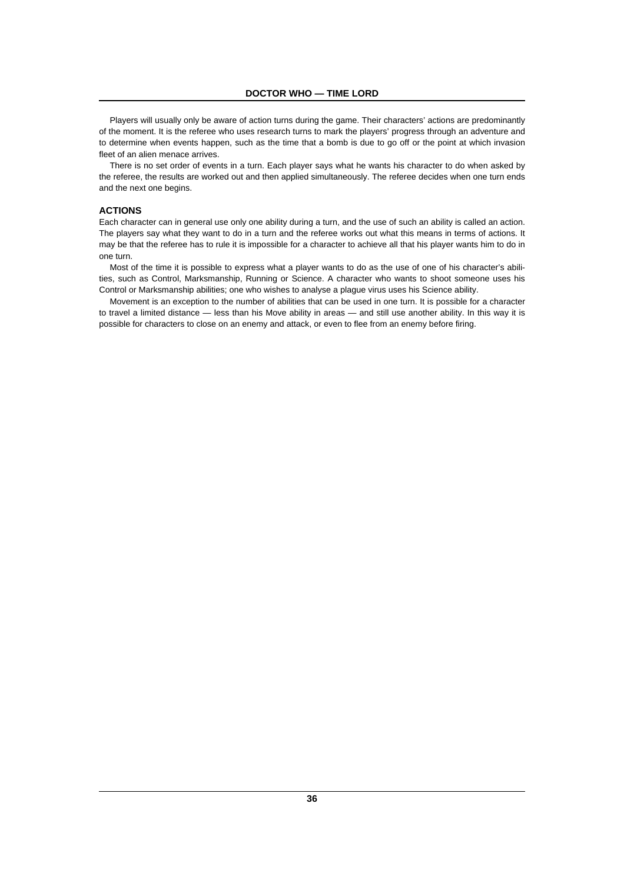Players will usually only be aware of action turns during the game. Their characters' actions are predominantly of the moment. It is the referee who uses research turns to mark the players' progress through an adventure and to determine when events happen, such as the time that a bomb is due to go off or the point at which invasion fleet of an alien menace arrives.

There is no set order of events in a turn. Each player says what he wants his character to do when asked by the referee, the results are worked out and then applied simultaneously. The referee decides when one turn ends and the next one begins.

# **ACTIONS**

Each character can in general use only one ability during a turn, and the use of such an ability is called an action. The players say what they want to do in a turn and the referee works out what this means in terms of actions. It may be that the referee has to rule it is impossible for a character to achieve all that his player wants him to do in one turn.

Most of the time it is possible to express what a player wants to do as the use of one of his character's abilities, such as Control, Marksmanship, Running or Science. A character who wants to shoot someone uses his Control or Marksmanship abilities; one who wishes to analyse a plague virus uses his Science ability.

Movement is an exception to the number of abilities that can be used in one turn. It is possible for a character to travel a limited distance — less than his Move ability in areas — and still use another ability. In this way it is possible for characters to close on an enemy and attack, or even to flee from an enemy before firing.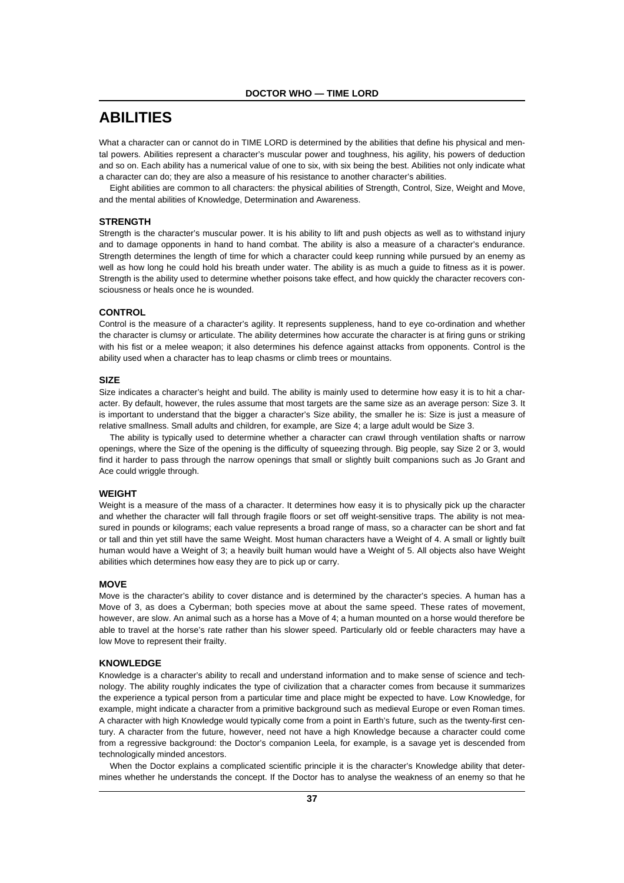# **ABILITIES**

What a character can or cannot do in TIME LORD is determined by the abilities that define his physical and mental powers. Abilities represent a character's muscular power and toughness, his agility, his powers of deduction and so on. Each ability has a numerical value of one to six, with six being the best. Abilities not only indicate what a character can do; they are also a measure of his resistance to another character's abilities.

Eight abilities are common to all characters: the physical abilities of Strength, Control, Size, Weight and Move, and the mental abilities of Knowledge, Determination and Awareness.

# **STRENGTH**

Strength is the character's muscular power. It is his ability to lift and push objects as well as to withstand injury and to damage opponents in hand to hand combat. The ability is also a measure of a character's endurance. Strength determines the length of time for which a character could keep running while pursued by an enemy as well as how long he could hold his breath under water. The ability is as much a guide to fitness as it is power. Strength is the ability used to determine whether poisons take effect, and how quickly the character recovers consciousness or heals once he is wounded.

#### **CONTROL**

Control is the measure of a character's agility. It represents suppleness, hand to eye co-ordination and whether the character is clumsy or articulate. The ability determines how accurate the character is at firing guns or striking with his fist or a melee weapon; it also determines his defence against attacks from opponents. Control is the ability used when a character has to leap chasms or climb trees or mountains.

#### **SIZE**

Size indicates a character's height and build. The ability is mainly used to determine how easy it is to hit a character. By default, however, the rules assume that most targets are the same size as an average person: Size 3. It is important to understand that the bigger a character's Size ability, the smaller he is: Size is just a measure of relative smallness. Small adults and children, for example, are Size 4; a large adult would be Size 3.

The ability is typically used to determine whether a character can crawl through ventilation shafts or narrow openings, where the Size of the opening is the difficulty of squeezing through. Big people, say Size 2 or 3, would find it harder to pass through the narrow openings that small or slightly built companions such as Jo Grant and Ace could wriggle through.

#### **WEIGHT**

Weight is a measure of the mass of a character. It determines how easy it is to physically pick up the character and whether the character will fall through fragile floors or set off weight-sensitive traps. The ability is not measured in pounds or kilograms; each value represents a broad range of mass, so a character can be short and fat or tall and thin yet still have the same Weight. Most human characters have a Weight of 4. A small or lightly built human would have a Weight of 3; a heavily built human would have a Weight of 5. All objects also have Weight abilities which determines how easy they are to pick up or carry.

#### **MOVE**

Move is the character's ability to cover distance and is determined by the character's species. A human has a Move of 3, as does a Cyberman; both species move at about the same speed. These rates of movement, however, are slow. An animal such as a horse has a Move of 4; a human mounted on a horse would therefore be able to travel at the horse's rate rather than his slower speed. Particularly old or feeble characters may have a low Move to represent their frailty.

#### **KNOWLEDGE**

Knowledge is a character's ability to recall and understand information and to make sense of science and technology. The ability roughly indicates the type of civilization that a character comes from because it summarizes the experience a typical person from a particular time and place might be expected to have. Low Knowledge, for example, might indicate a character from a primitive background such as medieval Europe or even Roman times. A character with high Knowledge would typically come from a point in Earth's future, such as the twenty-first century. A character from the future, however, need not have a high Knowledge because a character could come from a regressive background: the Doctor's companion Leela, for example, is a savage yet is descended from technologically minded ancestors.

When the Doctor explains a complicated scientific principle it is the character's Knowledge ability that determines whether he understands the concept. If the Doctor has to analyse the weakness of an enemy so that he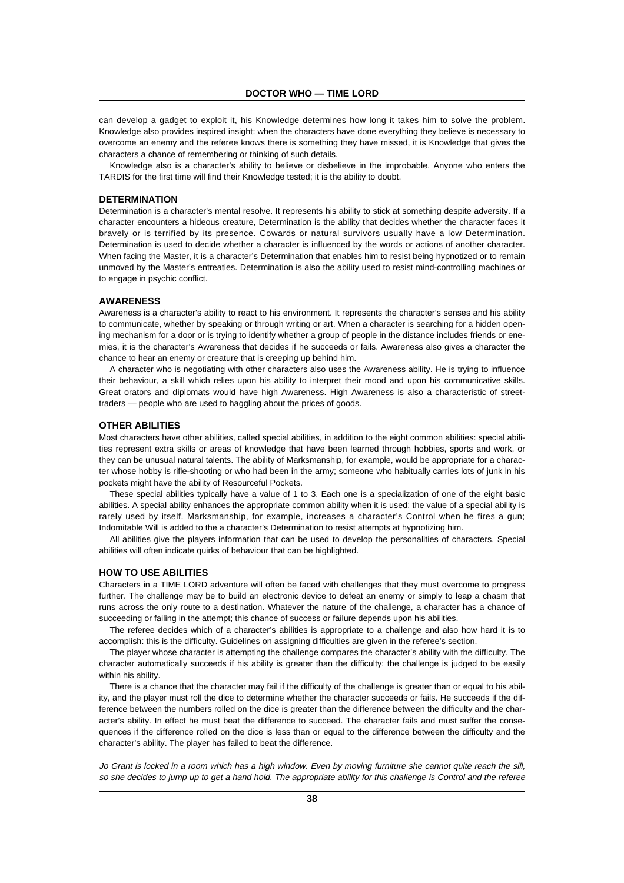can develop a gadget to exploit it, his Knowledge determines how long it takes him to solve the problem. Knowledge also provides inspired insight: when the characters have done everything they believe is necessary to overcome an enemy and the referee knows there is something they have missed, it is Knowledge that gives the characters a chance of remembering or thinking of such details.

Knowledge also is a character's ability to believe or disbelieve in the improbable. Anyone who enters the TARDIS for the first time will find their Knowledge tested; it is the ability to doubt.

#### **DETERMINATION**

Determination is a character's mental resolve. It represents his ability to stick at something despite adversity. If a character encounters a hideous creature, Determination is the ability that decides whether the character faces it bravely or is terrified by its presence. Cowards or natural survivors usually have a low Determination. Determination is used to decide whether a character is influenced by the words or actions of another character. When facing the Master, it is a character's Determination that enables him to resist being hypnotized or to remain unmoved by the Master's entreaties. Determination is also the ability used to resist mind-controlling machines or to engage in psychic conflict.

#### **AWARENESS**

Awareness is a character's ability to react to his environment. It represents the character's senses and his ability to communicate, whether by speaking or through writing or art. When a character is searching for a hidden opening mechanism for a door or is trying to identify whether a group of people in the distance includes friends or enemies, it is the character's Awareness that decides if he succeeds or fails. Awareness also gives a character the chance to hear an enemy or creature that is creeping up behind him.

A character who is negotiating with other characters also uses the Awareness ability. He is trying to influence their behaviour, a skill which relies upon his ability to interpret their mood and upon his communicative skills. Great orators and diplomats would have high Awareness. High Awareness is also a characteristic of streettraders — people who are used to haggling about the prices of goods.

#### **OTHER ABILITIES**

Most characters have other abilities, called special abilities, in addition to the eight common abilities: special abilities represent extra skills or areas of knowledge that have been learned through hobbies, sports and work, or they can be unusual natural talents. The ability of Marksmanship, for example, would be appropriate for a character whose hobby is rifle-shooting or who had been in the army; someone who habitually carries lots of junk in his pockets might have the ability of Resourceful Pockets.

These special abilities typically have a value of 1 to 3. Each one is a specialization of one of the eight basic abilities. A special ability enhances the appropriate common ability when it is used; the value of a special ability is rarely used by itself. Marksmanship, for example, increases a character's Control when he fires a gun; Indomitable Will is added to the a character's Determination to resist attempts at hypnotizing him.

All abilities give the players information that can be used to develop the personalities of characters. Special abilities will often indicate quirks of behaviour that can be highlighted.

#### **HOW TO USE ABILITIES**

Characters in a TIME LORD adventure will often be faced with challenges that they must overcome to progress further. The challenge may be to build an electronic device to defeat an enemy or simply to leap a chasm that runs across the only route to a destination. Whatever the nature of the challenge, a character has a chance of succeeding or failing in the attempt; this chance of success or failure depends upon his abilities.

The referee decides which of a character's abilities is appropriate to a challenge and also how hard it is to accomplish: this is the difficulty. Guidelines on assigning difficulties are given in the referee's section.

The player whose character is attempting the challenge compares the character's ability with the difficulty. The character automatically succeeds if his ability is greater than the difficulty: the challenge is judged to be easily within his ability.

There is a chance that the character may fail if the difficulty of the challenge is greater than or equal to his ability, and the player must roll the dice to determine whether the character succeeds or fails. He succeeds if the difference between the numbers rolled on the dice is greater than the difference between the difficulty and the character's ability. In effect he must beat the difference to succeed. The character fails and must suffer the consequences if the difference rolled on the dice is less than or equal to the difference between the difficulty and the character's ability. The player has failed to beat the difference.

Jo Grant is locked in a room which has a high window. Even by moving furniture she cannot quite reach the sill, so she decides to jump up to get a hand hold. The appropriate ability for this challenge is Control and the referee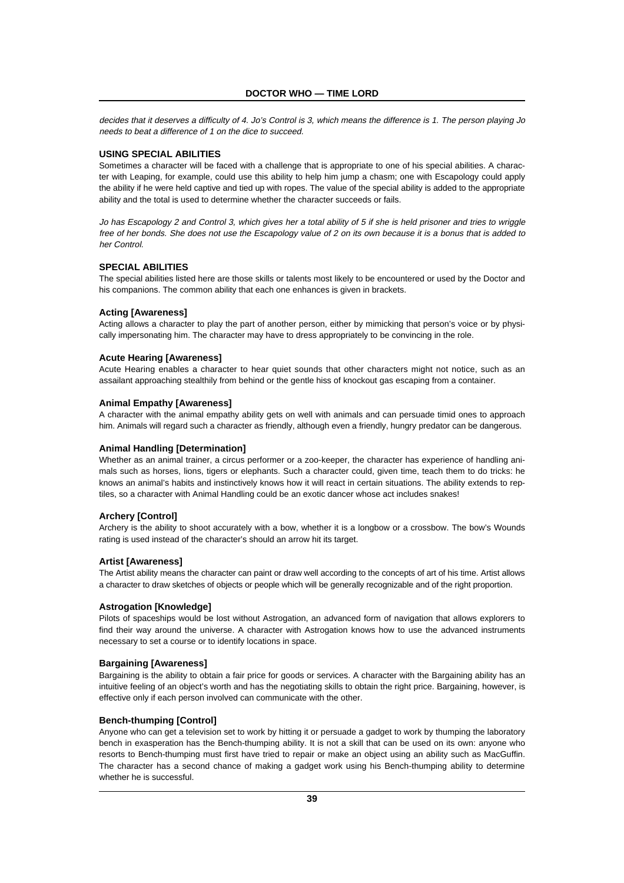decides that it deserves a difficulty of 4. Jo's Control is 3, which means the difference is 1. The person playing Jo needs to beat a difference of 1 on the dice to succeed.

# **USING SPECIAL ABILITIES**

Sometimes a character will be faced with a challenge that is appropriate to one of his special abilities. A character with Leaping, for example, could use this ability to help him jump a chasm; one with Escapology could apply the ability if he were held captive and tied up with ropes. The value of the special ability is added to the appropriate ability and the total is used to determine whether the character succeeds or fails.

Jo has Escapology 2 and Control 3, which gives her a total ability of 5 if she is held prisoner and tries to wriggle free of her bonds. She does not use the Escapology value of 2 on its own because it is a bonus that is added to her Control.

#### **SPECIAL ABILITIES**

The special abilities listed here are those skills or talents most likely to be encountered or used by the Doctor and his companions. The common ability that each one enhances is given in brackets.

# **Acting [Awareness]**

Acting allows a character to play the part of another person, either by mimicking that person's voice or by physically impersonating him. The character may have to dress appropriately to be convincing in the role.

#### **Acute Hearing [Awareness]**

Acute Hearing enables a character to hear quiet sounds that other characters might not notice, such as an assailant approaching stealthily from behind or the gentle hiss of knockout gas escaping from a container.

#### **Animal Empathy [Awareness]**

A character with the animal empathy ability gets on well with animals and can persuade timid ones to approach him. Animals will regard such a character as friendly, although even a friendly, hungry predator can be dangerous.

#### **Animal Handling [Determination]**

Whether as an animal trainer, a circus performer or a zoo-keeper, the character has experience of handling animals such as horses, lions, tigers or elephants. Such a character could, given time, teach them to do tricks; he knows an animal's habits and instinctively knows how it will react in certain situations. The ability extends to reptiles, so a character with Animal Handling could be an exotic dancer whose act includes snakes!

# **Archery [Control]**

Archery is the ability to shoot accurately with a bow, whether it is a longbow or a crossbow. The bow's Wounds rating is used instead of the character's should an arrow hit its target.

#### **Artist [Awareness]**

The Artist ability means the character can paint or draw well according to the concepts of art of his time. Artist allows a character to draw sketches of objects or people which will be generally recognizable and of the right proportion.

#### **Astrogation [Knowledge]**

Pilots of spaceships would be lost without Astrogation, an advanced form of navigation that allows explorers to find their way around the universe. A character with Astrogation knows how to use the advanced instruments necessary to set a course or to identify locations in space.

#### **Bargaining [Awareness]**

Bargaining is the ability to obtain a fair price for goods or services. A character with the Bargaining ability has an intuitive feeling of an object's worth and has the negotiating skills to obtain the right price. Bargaining, however, is effective only if each person involved can communicate with the other.

#### **Bench-thumping [Control]**

Anyone who can get a television set to work by hitting it or persuade a gadget to work by thumping the laboratory bench in exasperation has the Bench-thumping ability. It is not a skill that can be used on its own: anyone who resorts to Bench-thumping must first have tried to repair or make an object using an ability such as MacGuffin. The character has a second chance of making a gadget work using his Bench-thumping ability to determine whether he is successful.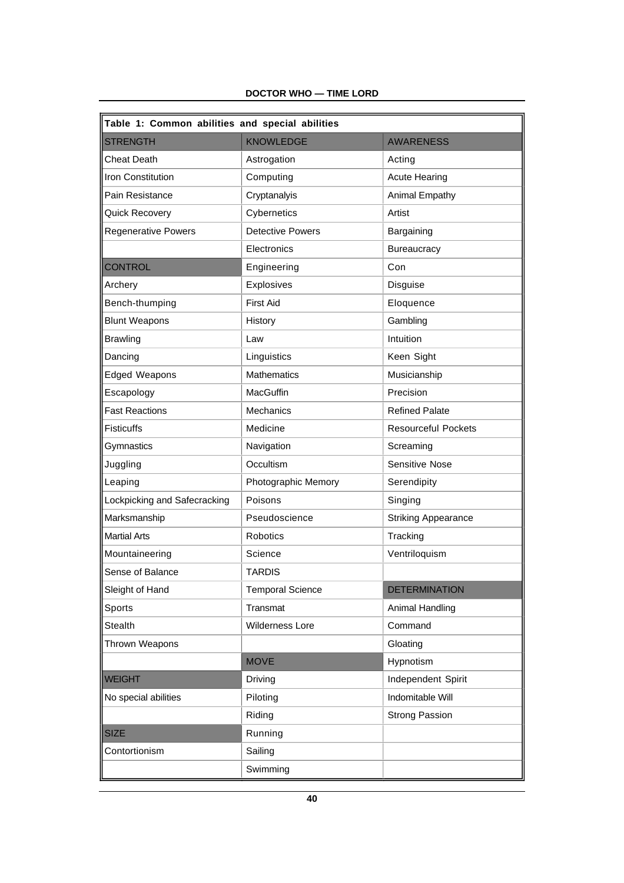| Table 1: Common abilities and special abilities |                         |                            |  |  |
|-------------------------------------------------|-------------------------|----------------------------|--|--|
| <b>STRENGTH</b>                                 | <b>KNOWLEDGE</b>        | <b>AWARENESS</b>           |  |  |
| <b>Cheat Death</b>                              | Astrogation             | Acting                     |  |  |
| <b>Iron Constitution</b>                        | Computing               | <b>Acute Hearing</b>       |  |  |
| Pain Resistance                                 | Cryptanalyis            | Animal Empathy             |  |  |
| Quick Recovery                                  | Cybernetics             | Artist                     |  |  |
| <b>Regenerative Powers</b>                      | <b>Detective Powers</b> | Bargaining                 |  |  |
|                                                 | Electronics             | Bureaucracy                |  |  |
| <b>CONTROL</b>                                  | Engineering             | Con                        |  |  |
| Archery                                         | Explosives              | Disguise                   |  |  |
| Bench-thumping                                  | <b>First Aid</b>        | Eloquence                  |  |  |
| <b>Blunt Weapons</b>                            | History                 | Gambling                   |  |  |
| <b>Brawling</b>                                 | Law                     | Intuition                  |  |  |
| Dancing                                         | Linguistics             | Keen Sight                 |  |  |
| <b>Edged Weapons</b>                            | Mathematics             | Musicianship               |  |  |
| Escapology                                      | MacGuffin               | Precision                  |  |  |
| <b>Fast Reactions</b>                           | <b>Mechanics</b>        | <b>Refined Palate</b>      |  |  |
| <b>Fisticuffs</b>                               | Medicine                | <b>Resourceful Pockets</b> |  |  |
| Gymnastics                                      | Navigation              | Screaming                  |  |  |
| Juggling                                        | Occultism               | <b>Sensitive Nose</b>      |  |  |
| Leaping                                         | Photographic Memory     | Serendipity                |  |  |
| Lockpicking and Safecracking                    | Poisons                 | Singing                    |  |  |
| Marksmanship                                    | Pseudoscience           | <b>Striking Appearance</b> |  |  |
| <b>Martial Arts</b>                             | <b>Robotics</b>         | Tracking                   |  |  |
| Mountaineering                                  | Science                 | Ventriloquism              |  |  |
| Sense of Balance                                | <b>TARDIS</b>           |                            |  |  |
| Sleight of Hand                                 | <b>Temporal Science</b> | <b>DETERMINATION</b>       |  |  |
| Sports                                          | Transmat                | Animal Handling            |  |  |
| Stealth                                         | <b>Wilderness Lore</b>  | Command                    |  |  |
| Thrown Weapons                                  |                         | Gloating                   |  |  |
|                                                 | <b>MOVE</b>             | Hypnotism                  |  |  |
| <b>WEIGHT</b>                                   | Driving                 | Independent Spirit         |  |  |
| No special abilities                            | Piloting                | Indomitable Will           |  |  |
|                                                 | Riding                  | <b>Strong Passion</b>      |  |  |
| <b>SIZE</b>                                     | Running                 |                            |  |  |
| Contortionism                                   | Sailing                 |                            |  |  |
|                                                 | Swimming                |                            |  |  |

# **DOCTOR WHO — TIME LORD**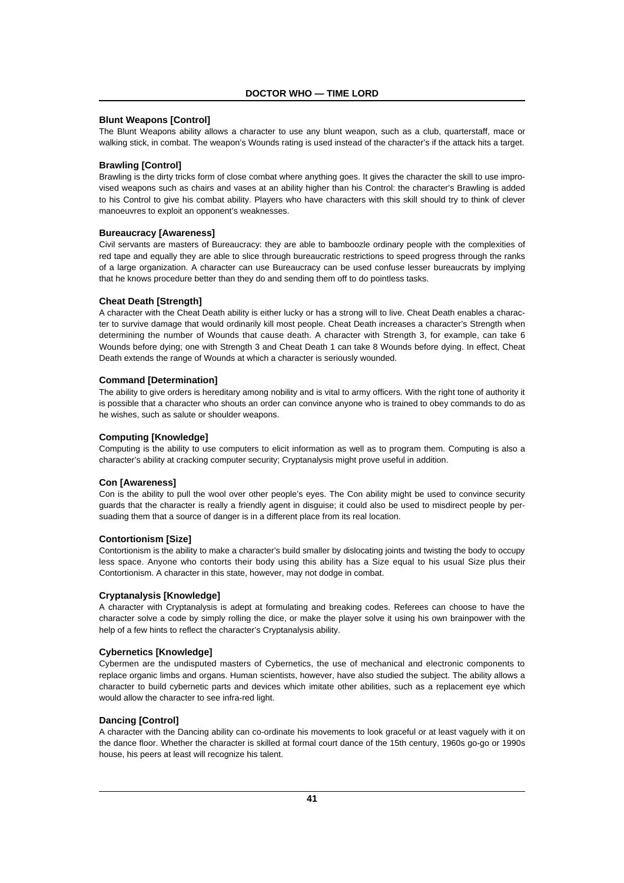# **Blunt Weapons [Control]**

The Blunt Weapons ability allows a character to use any blunt weapon, such as a club, quarterstaff, mace or walking stick, in combat. The weapon's Wounds rating is used instead of the character's if the attack hits a target.

#### **Brawling [Control]**

Brawling is the dirty tricks form of close combat where anything goes. It gives the character the skill to use improvised weapons such as chairs and vases at an ability higher than his Control: the character's Brawling is added to his Control to give his combat ability. Players who have characters with this skill should try to think of clever manoeuvres to exploit an opponent's weaknesses.

# **Bureaucracy [Awareness]**

Civil servants are masters of Bureaucracy: they are able to bamboozle ordinary people with the complexities of red tape and equally they are able to slice through bureaucratic restrictions to speed progress through the ranks of a large organization. A character can use Bureaucracy can be used confuse lesser bureaucrats by implying that he knows procedure better than they do and sending them off to do pointless tasks.

#### **Cheat Death [Strength]**

A character with the Cheat Death ability is either lucky or has a strong will to live. Cheat Death enables a character to survive damage that would ordinarily kill most people. Cheat Death increases a character's Strength when determining the number of Wounds that cause death. A character with Strength 3, for example, can take 6 Wounds before dying; one with Strength 3 and Cheat Death 1 can take 8 Wounds before dying. In effect, Cheat Death extends the range of Wounds at which a character is seriously wounded.

#### **Command [Determination]**

The ability to give orders is hereditary among nobility and is vital to army officers. With the right tone of authority it is possible that a character who shouts an order can convince anyone who is trained to obey commands to do as he wishes, such as salute or shoulder weapons.

#### **Computing [Knowledge]**

Computing is the ability to use computers to elicit information as well as to program them. Computing is also a character's ability at cracking computer security; Cryptanalysis might prove useful in addition.

#### **Con [Awareness]**

Con is the ability to pull the wool over other people's eyes. The Con ability might be used to convince security guards that the character is really a friendly agent in disguise; it could also be used to misdirect people by persuading them that a source of danger is in a different place from its real location.

#### **Contortionism [Size]**

Contortionism is the ability to make a character's build smaller by dislocating joints and twisting the body to occupy less space. Anyone who contorts their body using this ability has a Size equal to his usual Size plus their Contortionism. A character in this state, however, may not dodge in combat.

#### **Cryptanalysis [Knowledge]**

A character with Cryptanalysis is adept at formulating and breaking codes. Referees can choose to have the character solve a code by simply rolling the dice, or make the player solve it using his own brainpower with the help of a few hints to reflect the character's Cryptanalysis ability.

#### **Cybernetics [Knowledge]**

Cybermen are the undisputed masters of Cybernetics, the use of mechanical and electronic components to replace organic limbs and organs. Human scientists, however, have also studied the subject. The ability allows a character to build cybernetic parts and devices which imitate other abilities, such as a replacement eye which would allow the character to see infra-red light.

#### **Dancing [Control]**

A character with the Dancing ability can co-ordinate his movements to look graceful or at least vaguely with it on the dance floor. Whether the character is skilled at formal court dance of the 15th century, 1960s go-go or 1990s house, his peers at least will recognize his talent.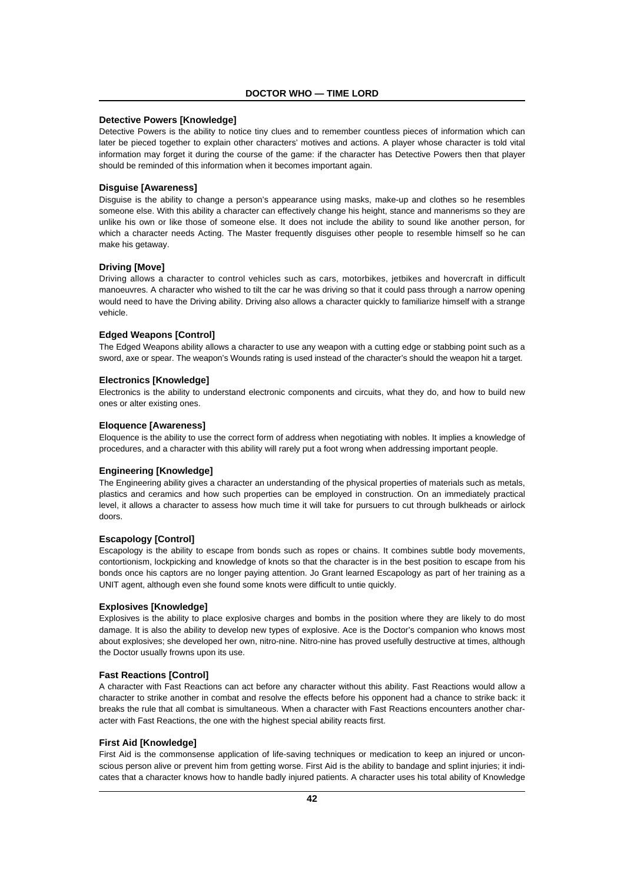# **Detective Powers [Knowledge]**

Detective Powers is the ability to notice tiny clues and to remember countless pieces of information which can later be pieced together to explain other characters' motives and actions. A player whose character is told vital information may forget it during the course of the game: if the character has Detective Powers then that player should be reminded of this information when it becomes important again.

## **Disguise [Awareness]**

Disguise is the ability to change a person's appearance using masks, make-up and clothes so he resembles someone else. With this ability a character can effectively change his height, stance and mannerisms so they are unlike his own or like those of someone else. It does not include the ability to sound like another person, for which a character needs Acting. The Master frequently disguises other people to resemble himself so he can make his getaway.

# **Driving [Move]**

Driving allows a character to control vehicles such as cars, motorbikes, jetbikes and hovercraft in difficult manoeuvres. A character who wished to tilt the car he was driving so that it could pass through a narrow opening would need to have the Driving ability. Driving also allows a character quickly to familiarize himself with a strange vehicle.

#### **Edged Weapons [Control]**

The Edged Weapons ability allows a character to use any weapon with a cutting edge or stabbing point such as a sword, axe or spear. The weapon's Wounds rating is used instead of the character's should the weapon hit a target.

# **Electronics [Knowledge]**

Electronics is the ability to understand electronic components and circuits, what they do, and how to build new ones or alter existing ones.

#### **Eloquence [Awareness]**

Eloquence is the ability to use the correct form of address when negotiating with nobles. It implies a knowledge of procedures, and a character with this ability will rarely put a foot wrong when addressing important people.

# **Engineering [Knowledge]**

The Engineering ability gives a character an understanding of the physical properties of materials such as metals, plastics and ceramics and how such properties can be employed in construction. On an immediately practical level, it allows a character to assess how much time it will take for pursuers to cut through bulkheads or airlock doors.

# **Escapology [Control]**

Escapology is the ability to escape from bonds such as ropes or chains. It combines subtle body movements, contortionism, lockpicking and knowledge of knots so that the character is in the best position to escape from his bonds once his captors are no longer paying attention. Jo Grant learned Escapology as part of her training as a UNIT agent, although even she found some knots were difficult to untie quickly.

#### **Explosives [Knowledge]**

Explosives is the ability to place explosive charges and bombs in the position where they are likely to do most damage. It is also the ability to develop new types of explosive. Ace is the Doctor's companion who knows most about explosives; she developed her own, nitro-nine. Nitro-nine has proved usefully destructive at times, although the Doctor usually frowns upon its use.

#### **Fast Reactions [Control]**

A character with Fast Reactions can act before any character without this ability. Fast Reactions would allow a character to strike another in combat and resolve the effects before his opponent had a chance to strike back: it breaks the rule that all combat is simultaneous. When a character with Fast Reactions encounters another character with Fast Reactions, the one with the highest special ability reacts first.

#### **First Aid [Knowledge]**

First Aid is the commonsense application of life-saving techniques or medication to keep an injured or unconscious person alive or prevent him from getting worse. First Aid is the ability to bandage and splint injuries; it indicates that a character knows how to handle badly injured patients. A character uses his total ability of Knowledge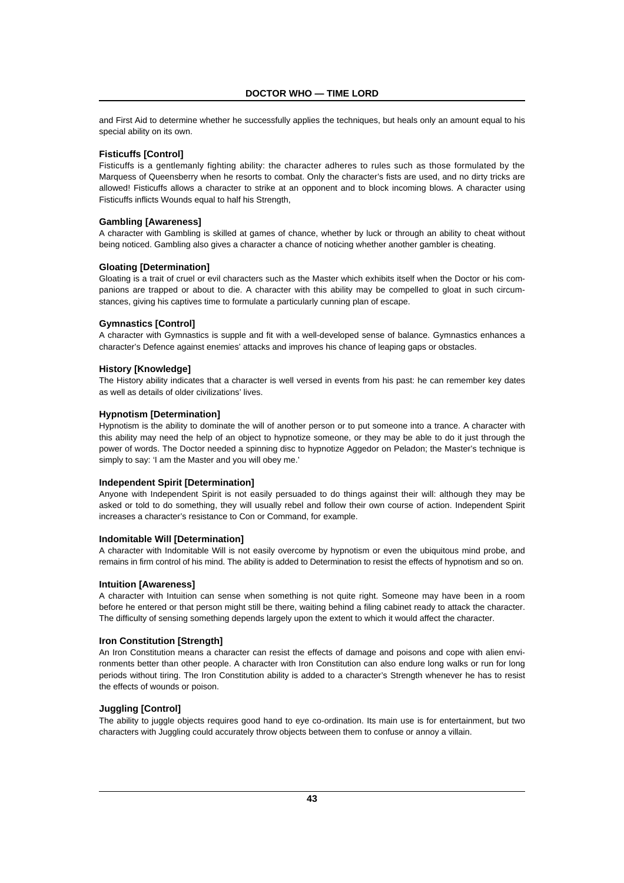and First Aid to determine whether he successfully applies the techniques, but heals only an amount equal to his special ability on its own.

# **Fisticuffs [Control]**

Fisticuffs is a gentlemanly fighting ability: the character adheres to rules such as those formulated by the Marquess of Queensberry when he resorts to combat. Only the character's fists are used, and no dirty tricks are allowed! Fisticuffs allows a character to strike at an opponent and to block incoming blows. A character using Fisticuffs inflicts Wounds equal to half his Strength,

# **Gambling [Awareness]**

A character with Gambling is skilled at games of chance, whether by luck or through an ability to cheat without being noticed. Gambling also gives a character a chance of noticing whether another gambler is cheating.

# **Gloating [Determination]**

Gloating is a trait of cruel or evil characters such as the Master which exhibits itself when the Doctor or his companions are trapped or about to die. A character with this ability may be compelled to gloat in such circumstances, giving his captives time to formulate a particularly cunning plan of escape.

# **Gymnastics [Control]**

A character with Gymnastics is supple and fit with a well-developed sense of balance. Gymnastics enhances a character's Defence against enemies' attacks and improves his chance of leaping gaps or obstacles.

#### **History [Knowledge]**

The History ability indicates that a character is well versed in events from his past: he can remember key dates as well as details of older civilizations' lives.

# **Hypnotism [Determination]**

Hypnotism is the ability to dominate the will of another person or to put someone into a trance. A character with this ability may need the help of an object to hypnotize someone, or they may be able to do it just through the power of words. The Doctor needed a spinning disc to hypnotize Aggedor on Peladon; the Master's technique is simply to say: 'I am the Master and you will obey me.'

#### **Independent Spirit [Determination]**

Anyone with Independent Spirit is not easily persuaded to do things against their will: although they may be asked or told to do something, they will usually rebel and follow their own course of action. Independent Spirit increases a character's resistance to Con or Command, for example.

## **Indomitable Will [Determination]**

A character with Indomitable Will is not easily overcome by hypnotism or even the ubiquitous mind probe, and remains in firm control of his mind. The ability is added to Determination to resist the effects of hypnotism and so on.

#### **Intuition [Awareness]**

A character with Intuition can sense when something is not quite right. Someone may have been in a room before he entered or that person might still be there, waiting behind a filing cabinet ready to attack the character. The difficulty of sensing something depends largely upon the extent to which it would affect the character.

# **Iron Constitution [Strength]**

An Iron Constitution means a character can resist the effects of damage and poisons and cope with alien environments better than other people. A character with Iron Constitution can also endure long walks or run for long periods without tiring. The Iron Constitution ability is added to a character's Strength whenever he has to resist the effects of wounds or poison.

# **Juggling [Control]**

The ability to juggle objects requires good hand to eye co-ordination. Its main use is for entertainment, but two characters with Juggling could accurately throw objects between them to confuse or annoy a villain.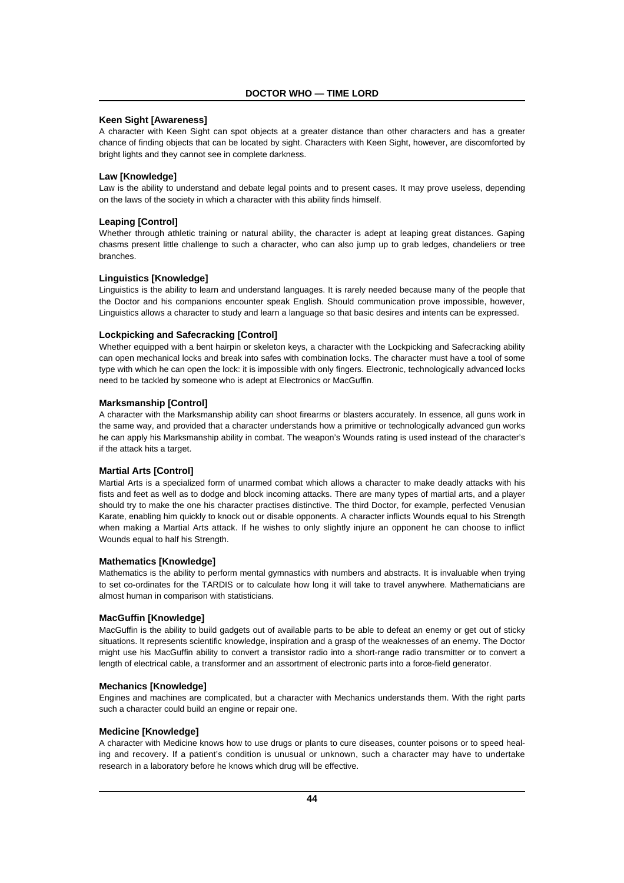# **Keen Sight [Awareness]**

A character with Keen Sight can spot objects at a greater distance than other characters and has a greater chance of finding objects that can be located by sight. Characters with Keen Sight, however, are discomforted by bright lights and they cannot see in complete darkness.

## **Law [Knowledge]**

Law is the ability to understand and debate legal points and to present cases. It may prove useless, depending on the laws of the society in which a character with this ability finds himself.

#### **Leaping [Control]**

Whether through athletic training or natural ability, the character is adept at leaping great distances. Gaping chasms present little challenge to such a character, who can also jump up to grab ledges, chandeliers or tree branches.

#### **Linguistics [Knowledge]**

Linguistics is the ability to learn and understand languages. It is rarely needed because many of the people that the Doctor and his companions encounter speak English. Should communication prove impossible, however, Linguistics allows a character to study and learn a language so that basic desires and intents can be expressed.

#### **Lockpicking and Safecracking [Control]**

Whether equipped with a bent hairpin or skeleton keys, a character with the Lockpicking and Safecracking ability can open mechanical locks and break into safes with combination locks. The character must have a tool of some type with which he can open the lock: it is impossible with only fingers. Electronic, technologically advanced locks need to be tackled by someone who is adept at Electronics or MacGuffin.

# **Marksmanship [Control]**

A character with the Marksmanship ability can shoot firearms or blasters accurately. In essence, all guns work in the same way, and provided that a character understands how a primitive or technologically advanced gun works he can apply his Marksmanship ability in combat. The weapon's Wounds rating is used instead of the character's if the attack hits a target.

#### **Martial Arts [Control]**

Martial Arts is a specialized form of unarmed combat which allows a character to make deadly attacks with his fists and feet as well as to dodge and block incoming attacks. There are many types of martial arts, and a player should try to make the one his character practises distinctive. The third Doctor, for example, perfected Venusian Karate, enabling him quickly to knock out or disable opponents. A character inflicts Wounds equal to his Strength when making a Martial Arts attack. If he wishes to only slightly injure an opponent he can choose to inflict Wounds equal to half his Strength.

# **Mathematics [Knowledge]**

Mathematics is the ability to perform mental gymnastics with numbers and abstracts. It is invaluable when trying to set co-ordinates for the TARDIS or to calculate how long it will take to travel anywhere. Mathematicians are almost human in comparison with statisticians.

## **MacGuffin [Knowledge]**

MacGuffin is the ability to build gadgets out of available parts to be able to defeat an enemy or get out of sticky situations. It represents scientific knowledge, inspiration and a grasp of the weaknesses of an enemy. The Doctor might use his MacGuffin ability to convert a transistor radio into a short-range radio transmitter or to convert a length of electrical cable, a transformer and an assortment of electronic parts into a force-field generator.

# **Mechanics [Knowledge]**

Engines and machines are complicated, but a character with Mechanics understands them. With the right parts such a character could build an engine or repair one.

#### **Medicine [Knowledge]**

A character with Medicine knows how to use drugs or plants to cure diseases, counter poisons or to speed healing and recovery. If a patient's condition is unusual or unknown, such a character may have to undertake research in a laboratory before he knows which drug will be effective.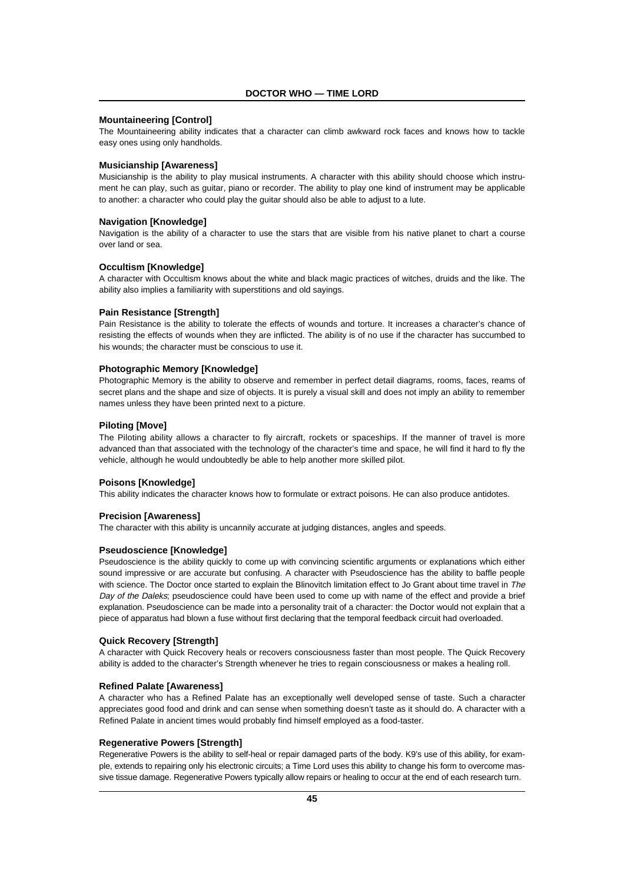## **Mountaineering [Control]**

The Mountaineering ability indicates that a character can climb awkward rock faces and knows how to tackle easy ones using only handholds.

# **Musicianship [Awareness]**

Musicianship is the ability to play musical instruments. A character with this ability should choose which instrument he can play, such as guitar, piano or recorder. The ability to play one kind of instrument may be applicable to another: a character who could play the guitar should also be able to adjust to a lute.

#### **Navigation [Knowledge]**

Navigation is the ability of a character to use the stars that are visible from his native planet to chart a course over land or sea.

#### **Occultism [Knowledge]**

A character with Occultism knows about the white and black magic practices of witches, druids and the like. The ability also implies a familiarity with superstitions and old sayings.

#### **Pain Resistance [Strength]**

Pain Resistance is the ability to tolerate the effects of wounds and torture. It increases a character's chance of resisting the effects of wounds when they are inflicted. The ability is of no use if the character has succumbed to his wounds; the character must be conscious to use it.

#### **Photographic Memory [Knowledge]**

Photographic Memory is the ability to observe and remember in perfect detail diagrams, rooms, faces, reams of secret plans and the shape and size of objects. It is purely a visual skill and does not imply an ability to remember names unless they have been printed next to a picture.

#### **Piloting [Move]**

The Piloting ability allows a character to fly aircraft, rockets or spaceships. If the manner of travel is more advanced than that associated with the technology of the character's time and space, he will find it hard to fly the vehicle, although he would undoubtedly be able to help another more skilled pilot.

#### **Poisons [Knowledge]**

This ability indicates the character knows how to formulate or extract poisons. He can also produce antidotes.

#### **Precision [Awareness]**

The character with this ability is uncannily accurate at judging distances, angles and speeds.

#### **Pseudoscience [Knowledge]**

Pseudoscience is the ability quickly to come up with convincing scientific arguments or explanations which either sound impressive or are accurate but confusing. A character with Pseudoscience has the ability to baffle people with science. The Doctor once started to explain the Blinovitch limitation effect to Jo Grant about time travel in The Day of the Daleks; pseudoscience could have been used to come up with name of the effect and provide a brief explanation. Pseudoscience can be made into a personality trait of a character: the Doctor would not explain that a piece of apparatus had blown a fuse without first declaring that the temporal feedback circuit had overloaded.

#### **Quick Recovery [Strength]**

A character with Quick Recovery heals or recovers consciousness faster than most people. The Quick Recovery ability is added to the character's Strength whenever he tries to regain consciousness or makes a healing roll.

## **Refined Palate [Awareness]**

A character who has a Refined Palate has an exceptionally well developed sense of taste. Such a character appreciates good food and drink and can sense when something doesn't taste as it should do. A character with a Refined Palate in ancient times would probably find himself employed as a food-taster.

#### **Regenerative Powers [Strength]**

Regenerative Powers is the ability to self-heal or repair damaged parts of the body. K9's use of this ability, for example, extends to repairing only his electronic circuits; a Time Lord uses this ability to change his form to overcome massive tissue damage. Regenerative Powers typically allow repairs or healing to occur at the end of each research turn.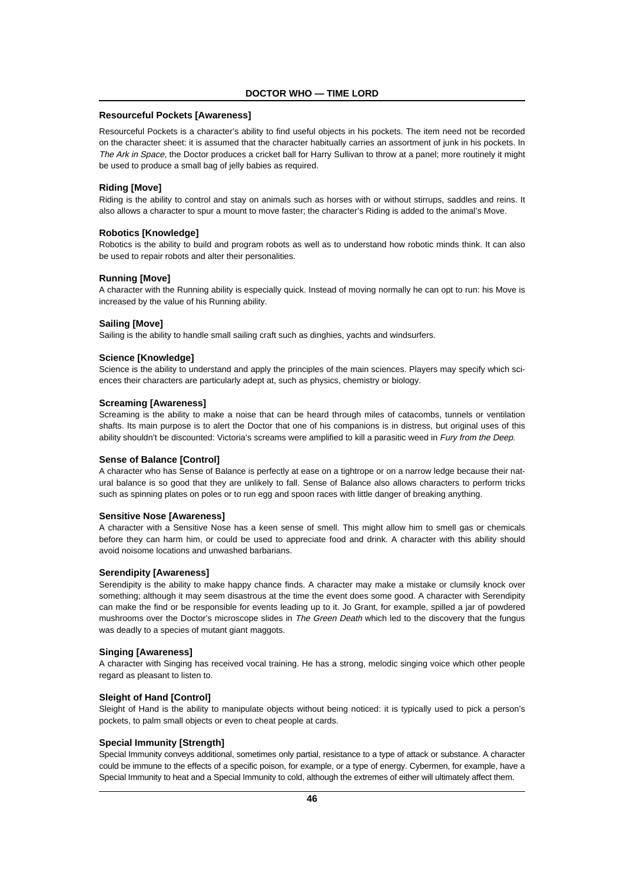# **Resourceful Pockets [Awareness]**

Resourceful Pockets is a character's ability to find useful objects in his pockets. The item need not be recorded on the character sheet: it is assumed that the character habitually carries an assortment of junk in his pockets. In The Ark in Space, the Doctor produces a cricket ball for Harry Sullivan to throw at a panel; more routinely it might be used to produce a small bag of jelly babies as required.

## **Riding [Move]**

Riding is the ability to control and stay on animals such as horses with or without stirrups, saddles and reins. It also allows a character to spur a mount to move faster; the character's Riding is added to the animal's Move.

# **Robotics [Knowledge]**

Robotics is the ability to build and program robots as well as to understand how robotic minds think. It can also be used to repair robots and alter their personalities.

#### **Running [Move]**

A character with the Running ability is especially quick. Instead of moving normally he can opt to run: his Move is increased by the value of his Running ability.

#### **Sailing [Move]**

Sailing is the ability to handle small sailing craft such as dinghies, yachts and windsurfers.

#### **Science [Knowledge]**

Science is the ability to understand and apply the principles of the main sciences. Players may specify which sciences their characters are particularly adept at, such as physics, chemistry or biology.

#### **Screaming [Awareness]**

Screaming is the ability to make a noise that can be heard through miles of catacombs, tunnels or ventilation shafts. Its main purpose is to alert the Doctor that one of his companions is in distress, but original uses of this ability shouldn't be discounted: Victoria's screams were amplified to kill a parasitic weed in Fury from the Deep.

#### **Sense of Balance [Control]**

A character who has Sense of Balance is perfectly at ease on a tightrope or on a narrow ledge because their natural balance is so good that they are unlikely to fall. Sense of Balance also allows characters to perform tricks such as spinning plates on poles or to run egg and spoon races with little danger of breaking anything.

#### **Sensitive Nose [Awareness]**

A character with a Sensitive Nose has a keen sense of smell. This might allow him to smell gas or chemicals before they can harm him, or could be used to appreciate food and drink. A character with this ability should avoid noisome locations and unwashed barbarians.

#### **Serendipity [Awareness]**

Serendipity is the ability to make happy chance finds. A character may make a mistake or clumsily knock over something; although it may seem disastrous at the time the event does some good. A character with Serendipity can make the find or be responsible for events leading up to it. Jo Grant, for example, spilled a jar of powdered mushrooms over the Doctor's microscope slides in The Green Death which led to the discovery that the fungus was deadly to a species of mutant giant maggots.

#### **Singing [Awareness]**

A character with Singing has received vocal training. He has a strong, melodic singing voice which other people regard as pleasant to listen to.

#### **Sleight of Hand [Control]**

Sleight of Hand is the ability to manipulate objects without being noticed: it is typically used to pick a person's pockets, to palm small objects or even to cheat people at cards.

## **Special Immunity [Strength]**

Special Immunity conveys additional, sometimes only partial, resistance to a type of attack or substance. A character could be immune to the effects of a specific poison, for example, or a type of energy. Cybermen, for example, have a Special Immunity to heat and a Special Immunity to cold, although the extremes of either will ultimately affect them.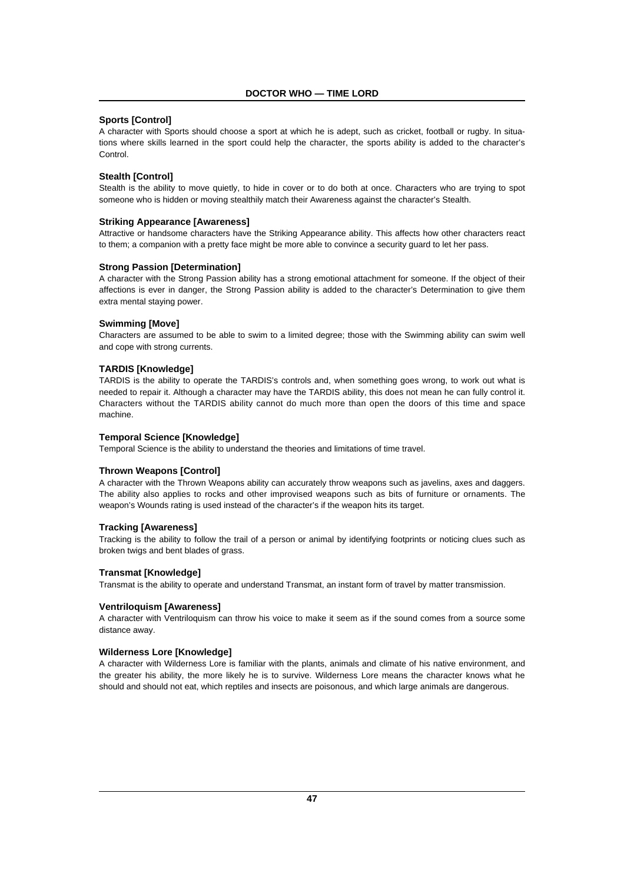# **Sports [Control]**

A character with Sports should choose a sport at which he is adept, such as cricket, football or rugby. In situations where skills learned in the sport could help the character, the sports ability is added to the character's **Control.** 

# **Stealth [Control]**

Stealth is the ability to move quietly, to hide in cover or to do both at once. Characters who are trying to spot someone who is hidden or moving stealthily match their Awareness against the character's Stealth.

#### **Striking Appearance [Awareness]**

Attractive or handsome characters have the Striking Appearance ability. This affects how other characters react to them; a companion with a pretty face might be more able to convince a security guard to let her pass.

#### **Strong Passion [Determination]**

A character with the Strong Passion ability has a strong emotional attachment for someone. If the object of their affections is ever in danger, the Strong Passion ability is added to the character's Determination to give them extra mental staying power.

#### **Swimming [Move]**

Characters are assumed to be able to swim to a limited degree; those with the Swimming ability can swim well and cope with strong currents.

#### **TARDIS [Knowledge]**

TARDIS is the ability to operate the TARDIS's controls and, when something goes wrong, to work out what is needed to repair it. Although a character may have the TARDIS ability, this does not mean he can fully control it. Characters without the TARDIS ability cannot do much more than open the doors of this time and space machine.

#### **Temporal Science [Knowledge]**

Temporal Science is the ability to understand the theories and limitations of time travel.

#### **Thrown Weapons [Control]**

A character with the Thrown Weapons ability can accurately throw weapons such as javelins, axes and daggers. The ability also applies to rocks and other improvised weapons such as bits of furniture or ornaments. The weapon's Wounds rating is used instead of the character's if the weapon hits its target.

#### **Tracking [Awareness]**

Tracking is the ability to follow the trail of a person or animal by identifying footprints or noticing clues such as broken twigs and bent blades of grass.

#### **Transmat [Knowledge]**

Transmat is the ability to operate and understand Transmat, an instant form of travel by matter transmission.

#### **Ventriloquism [Awareness]**

A character with Ventriloquism can throw his voice to make it seem as if the sound comes from a source some distance away.

#### **Wilderness Lore [Knowledge]**

A character with Wilderness Lore is familiar with the plants, animals and climate of his native environment, and the greater his ability, the more likely he is to survive. Wilderness Lore means the character knows what he should and should not eat, which reptiles and insects are poisonous, and which large animals are dangerous.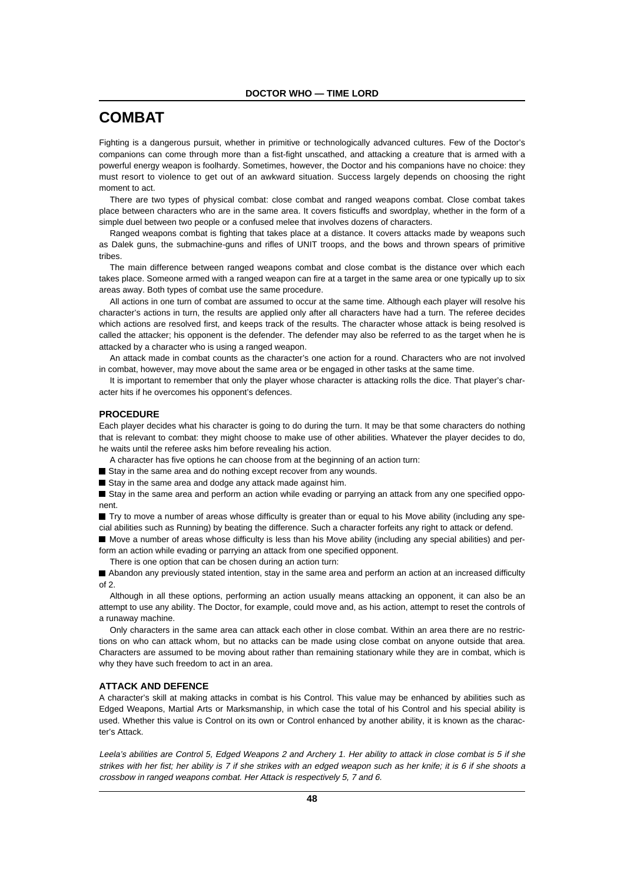# **COMBAT**

Fighting is a dangerous pursuit, whether in primitive or technologically advanced cultures. Few of the Doctor's companions can come through more than a fist-fight unscathed, and attacking a creature that is armed with a powerful energy weapon is foolhardy. Sometimes, however, the Doctor and his companions have no choice: they must resort to violence to get out of an awkward situation. Success largely depends on choosing the right moment to act.

There are two types of physical combat: close combat and ranged weapons combat. Close combat takes place between characters who are in the same area. It covers fisticuffs and swordplay, whether in the form of a simple duel between two people or a confused melee that involves dozens of characters.

Ranged weapons combat is fighting that takes place at a distance. It covers attacks made by weapons such as Dalek guns, the submachine-guns and rifles of UNIT troops, and the bows and thrown spears of primitive tribes.

The main difference between ranged weapons combat and close combat is the distance over which each takes place. Someone armed with a ranged weapon can fire at a target in the same area or one typically up to six areas away. Both types of combat use the same procedure.

All actions in one turn of combat are assumed to occur at the same time. Although each player will resolve his character's actions in turn, the results are applied only after all characters have had a turn. The referee decides which actions are resolved first, and keeps track of the results. The character whose attack is being resolved is called the attacker; his opponent is the defender. The defender may also be referred to as the target when he is attacked by a character who is using a ranged weapon.

An attack made in combat counts as the character's one action for a round. Characters who are not involved in combat, however, may move about the same area or be engaged in other tasks at the same time.

It is important to remember that only the player whose character is attacking rolls the dice. That player's character hits if he overcomes his opponent's defences.

#### **PROCEDURE**

Each player decides what his character is going to do during the turn. It may be that some characters do nothing that is relevant to combat: they might choose to make use of other abilities. Whatever the player decides to do, he waits until the referee asks him before revealing his action.

A character has five options he can choose from at the beginning of an action turn:

 $\blacksquare$  Stay in the same area and do nothing except recover from any wounds.

Stay in the same area and dodge any attack made against him.

■ Stay in the same area and perform an action while evading or parrying an attack from any one specified opponent.

■ Try to move a number of areas whose difficulty is greater than or equal to his Move ability (including any special abilities such as Running) by beating the difference. Such a character forfeits any right to attack or defend.

n Move a number of areas whose difficulty is less than his Move ability (including any special abilities) and perform an action while evading or parrying an attack from one specified opponent.

There is one option that can be chosen during an action turn:

n Abandon any previously stated intention, stay in the same area and perform an action at an increased difficulty  $of 2$ 

Although in all these options, performing an action usually means attacking an opponent, it can also be an attempt to use any ability. The Doctor, for example, could move and, as his action, attempt to reset the controls of a runaway machine.

Only characters in the same area can attack each other in close combat. Within an area there are no restrictions on who can attack whom, but no attacks can be made using close combat on anyone outside that area. Characters are assumed to be moving about rather than remaining stationary while they are in combat, which is why they have such freedom to act in an area.

## **ATTACK AND DEFENCE**

A character's skill at making attacks in combat is his Control. This value may be enhanced by abilities such as Edged Weapons, Martial Arts or Marksmanship, in which case the total of his Control and his special ability is used. Whether this value is Control on its own or Control enhanced by another ability, it is known as the character's Attack.

Leela's abilities are Control 5, Edged Weapons 2 and Archery 1. Her ability to attack in close combat is 5 if she strikes with her fist; her ability is 7 if she strikes with an edged weapon such as her knife; it is 6 if she shoots a crossbow in ranged weapons combat. Her Attack is respectively 5, 7 and 6.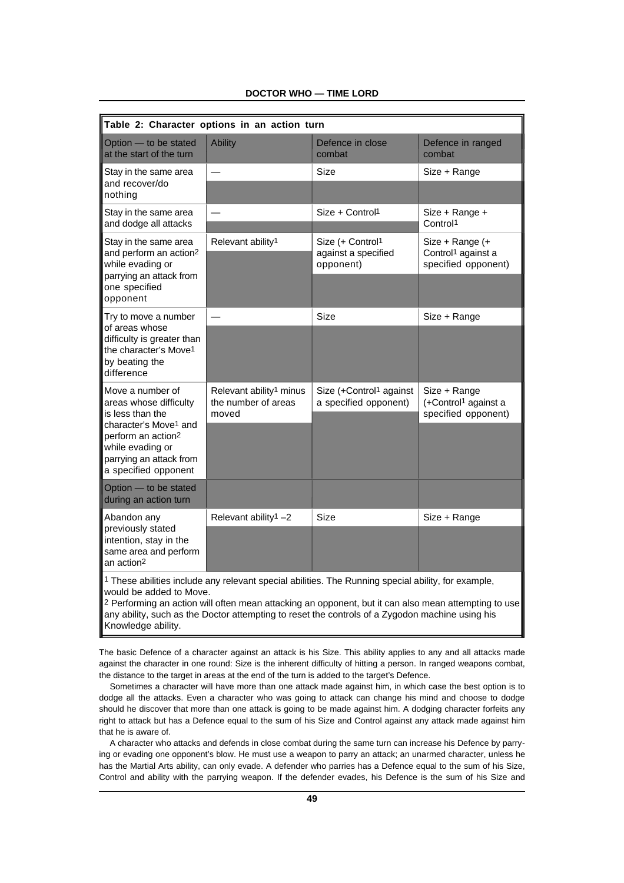| Table 2: Character options in an action turn                                                                                                                                                                 |                                                                     |                                                                                                                                                                                                                                                                                                                           |                                                                         |  |  |
|--------------------------------------------------------------------------------------------------------------------------------------------------------------------------------------------------------------|---------------------------------------------------------------------|---------------------------------------------------------------------------------------------------------------------------------------------------------------------------------------------------------------------------------------------------------------------------------------------------------------------------|-------------------------------------------------------------------------|--|--|
|                                                                                                                                                                                                              |                                                                     |                                                                                                                                                                                                                                                                                                                           |                                                                         |  |  |
| Option - to be stated<br>at the start of the turn                                                                                                                                                            | <b>Ability</b>                                                      | Defence in close<br>combat                                                                                                                                                                                                                                                                                                | Defence in ranged<br>combat                                             |  |  |
| Stay in the same area                                                                                                                                                                                        |                                                                     | Size                                                                                                                                                                                                                                                                                                                      | Size + Range                                                            |  |  |
| and recover/do<br>nothing                                                                                                                                                                                    |                                                                     |                                                                                                                                                                                                                                                                                                                           |                                                                         |  |  |
| Stay in the same area<br>and dodge all attacks                                                                                                                                                               |                                                                     | Size + Control <sup>1</sup>                                                                                                                                                                                                                                                                                               | Size + Range +<br>Control <sup>1</sup>                                  |  |  |
| Stay in the same area<br>and perform an action <sup>2</sup><br>while evading or                                                                                                                              | Relevant ability <sup>1</sup>                                       | Size (+ Control1                                                                                                                                                                                                                                                                                                          | Size + Range (+                                                         |  |  |
|                                                                                                                                                                                                              |                                                                     | against a specified<br>opponent)                                                                                                                                                                                                                                                                                          | Control <sup>1</sup> against a<br>specified opponent)                   |  |  |
| parrying an attack from<br>one specified<br>opponent                                                                                                                                                         |                                                                     |                                                                                                                                                                                                                                                                                                                           |                                                                         |  |  |
| Try to move a number                                                                                                                                                                                         |                                                                     | Size                                                                                                                                                                                                                                                                                                                      | Size + Range                                                            |  |  |
| of areas whose<br>difficulty is greater than<br>the character's Move <sup>1</sup><br>by beating the<br>difference                                                                                            |                                                                     |                                                                                                                                                                                                                                                                                                                           |                                                                         |  |  |
| Move a number of<br>areas whose difficulty<br>is less than the<br>character's Move <sup>1</sup> and<br>perform an action <sup>2</sup><br>while evading or<br>parrying an attack from<br>a specified opponent | Relevant ability <sup>1</sup> minus<br>the number of areas<br>moved | Size (+Control <sup>1</sup> against<br>a specified opponent)                                                                                                                                                                                                                                                              | Size + Range<br>(+Control <sup>1</sup> against a<br>specified opponent) |  |  |
| Option - to be stated<br>during an action turn                                                                                                                                                               |                                                                     |                                                                                                                                                                                                                                                                                                                           |                                                                         |  |  |
| Abandon any<br>previously stated<br>intention, stay in the<br>same area and perform<br>an action <sup>2</sup>                                                                                                | Relevant ability <sup>1</sup> -2                                    | Size                                                                                                                                                                                                                                                                                                                      | Size + Range                                                            |  |  |
|                                                                                                                                                                                                              |                                                                     |                                                                                                                                                                                                                                                                                                                           |                                                                         |  |  |
| would be added to Move.<br>Knowledge ability.                                                                                                                                                                |                                                                     | 1 These abilities include any relevant special abilities. The Running special ability, for example,<br><sup>2</sup> Performing an action will often mean attacking an opponent, but it can also mean attempting to use<br>any ability, such as the Doctor attempting to reset the controls of a Zygodon machine using his |                                                                         |  |  |

**DOCTOR WHO — TIME LORD**

The basic Defence of a character against an attack is his Size. This ability applies to any and all attacks made against the character in one round: Size is the inherent difficulty of hitting a person. In ranged weapons combat, the distance to the target in areas at the end of the turn is added to the target's Defence.

Sometimes a character will have more than one attack made against him, in which case the best option is to dodge all the attacks. Even a character who was going to attack can change his mind and choose to dodge should he discover that more than one attack is going to be made against him. A dodging character forfeits any right to attack but has a Defence equal to the sum of his Size and Control against any attack made against him that he is aware of.

A character who attacks and defends in close combat during the same turn can increase his Defence by parrying or evading one opponent's blow. He must use a weapon to parry an attack; an unarmed character, unless he has the Martial Arts ability, can only evade. A defender who parries has a Defence equal to the sum of his Size, Control and ability with the parrying weapon. If the defender evades, his Defence is the sum of his Size and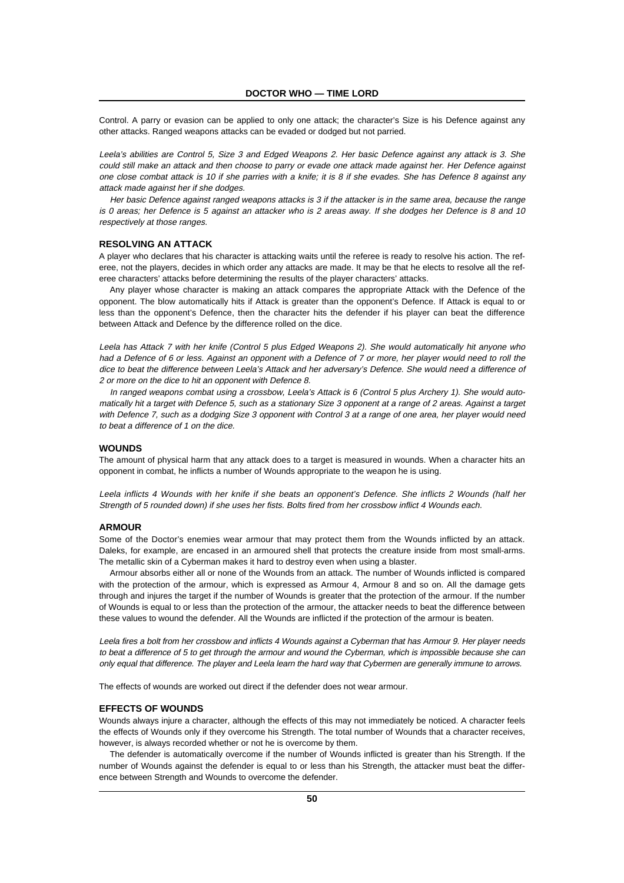Control. A parry or evasion can be applied to only one attack; the character's Size is his Defence against any other attacks. Ranged weapons attacks can be evaded or dodged but not parried.

Leela's abilities are Control 5, Size 3 and Edged Weapons 2. Her basic Defence against any attack is 3. She could still make an attack and then choose to parry or evade one attack made against her. Her Defence against one close combat attack is 10 if she parries with a knife; it is 8 if she evades. She has Defence 8 against any attack made against her if she dodges.

Her basic Defence against ranged weapons attacks is 3 if the attacker is in the same area, because the range is 0 areas; her Defence is 5 against an attacker who is 2 areas away. If she dodges her Defence is 8 and 10 respectively at those ranges.

#### **RESOLVING AN ATTACK**

A player who declares that his character is attacking waits until the referee is ready to resolve his action. The referee, not the players, decides in which order any attacks are made. It may be that he elects to resolve all the referee characters' attacks before determining the results of the player characters' attacks.

Any player whose character is making an attack compares the appropriate Attack with the Defence of the opponent. The blow automatically hits if Attack is greater than the opponent's Defence. If Attack is equal to or less than the opponent's Defence, then the character hits the defender if his player can beat the difference between Attack and Defence by the difference rolled on the dice.

Leela has Attack 7 with her knife (Control 5 plus Edged Weapons 2). She would automatically hit anyone who had a Defence of 6 or less. Against an opponent with a Defence of 7 or more, her player would need to roll the dice to beat the difference between Leela's Attack and her adversary's Defence. She would need a difference of 2 or more on the dice to hit an opponent with Defence 8.

In ranged weapons combat using a crossbow, Leela's Attack is 6 (Control 5 plus Archery 1). She would automatically hit a target with Defence 5, such as a stationary Size 3 opponent at a range of 2 areas. Against a target with Defence 7, such as a dodging Size 3 opponent with Control 3 at a range of one area, her player would need to beat a difference of 1 on the dice.

#### **WOUNDS**

The amount of physical harm that any attack does to a target is measured in wounds. When a character hits an opponent in combat, he inflicts a number of Wounds appropriate to the weapon he is using.

Leela inflicts 4 Wounds with her knife if she beats an opponent's Defence. She inflicts 2 Wounds (half her Strength of 5 rounded down) if she uses her fists. Bolts fired from her crossbow inflict 4 Wounds each.

# **ARMOUR**

Some of the Doctor's enemies wear armour that may protect them from the Wounds inflicted by an attack. Daleks, for example, are encased in an armoured shell that protects the creature inside from most small-arms. The metallic skin of a Cyberman makes it hard to destroy even when using a blaster.

Armour absorbs either all or none of the Wounds from an attack. The number of Wounds inflicted is compared with the protection of the armour, which is expressed as Armour 4, Armour 8 and so on. All the damage gets through and injures the target if the number of Wounds is greater that the protection of the armour. If the number of Wounds is equal to or less than the protection of the armour, the attacker needs to beat the difference between these values to wound the defender. All the Wounds are inflicted if the protection of the armour is beaten.

Leela fires a bolt from her crossbow and inflicts 4 Wounds against a Cyberman that has Armour 9. Her player needs to beat a difference of 5 to get through the armour and wound the Cyberman, which is impossible because she can only equal that difference. The player and Leela learn the hard way that Cybermen are generally immune to arrows.

The effects of wounds are worked out direct if the defender does not wear armour.

#### **EFFECTS OF WOUNDS**

Wounds always injure a character, although the effects of this may not immediately be noticed. A character feels the effects of Wounds only if they overcome his Strength. The total number of Wounds that a character receives, however, is always recorded whether or not he is overcome by them.

The defender is automatically overcome if the number of Wounds inflicted is greater than his Strength. If the number of Wounds against the defender is equal to or less than his Strength, the attacker must beat the difference between Strength and Wounds to overcome the defender.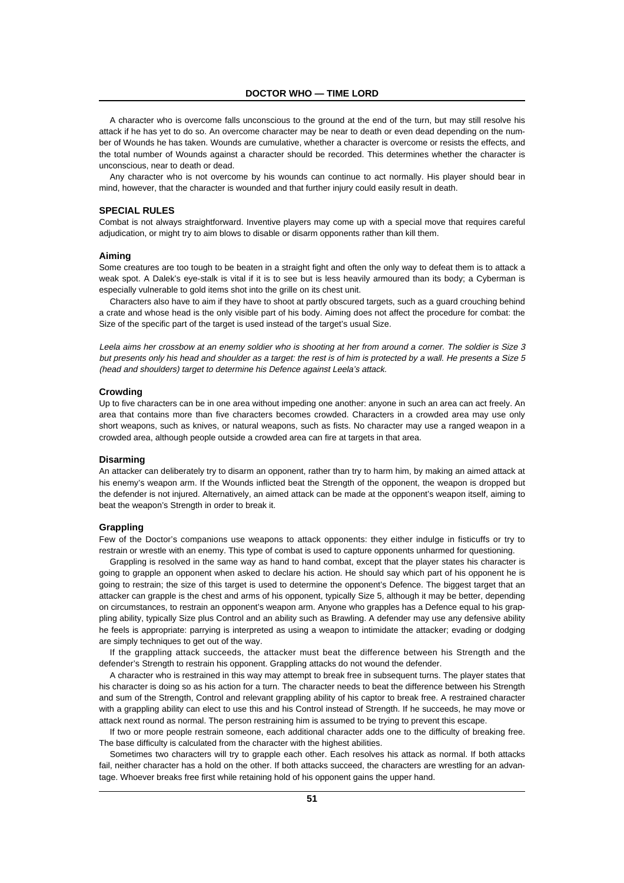A character who is overcome falls unconscious to the ground at the end of the turn, but may still resolve his attack if he has yet to do so. An overcome character may be near to death or even dead depending on the number of Wounds he has taken. Wounds are cumulative, whether a character is overcome or resists the effects, and the total number of Wounds against a character should be recorded. This determines whether the character is unconscious, near to death or dead.

Any character who is not overcome by his wounds can continue to act normally. His player should bear in mind, however, that the character is wounded and that further injury could easily result in death.

# **SPECIAL RULES**

Combat is not always straightforward. Inventive players may come up with a special move that requires careful adjudication, or might try to aim blows to disable or disarm opponents rather than kill them.

#### **Aiming**

Some creatures are too tough to be beaten in a straight fight and often the only way to defeat them is to attack a weak spot. A Dalek's eye-stalk is vital if it is to see but is less heavily armoured than its body; a Cyberman is especially vulnerable to gold items shot into the grille on its chest unit.

Characters also have to aim if they have to shoot at partly obscured targets, such as a guard crouching behind a crate and whose head is the only visible part of his body. Aiming does not affect the procedure for combat: the Size of the specific part of the target is used instead of the target's usual Size.

Leela aims her crossbow at an enemy soldier who is shooting at her from around a corner. The soldier is Size 3 but presents only his head and shoulder as a target: the rest is of him is protected by a wall. He presents a Size 5 (head and shoulders) target to determine his Defence against Leela's attack.

#### **Crowding**

Up to five characters can be in one area without impeding one another: anyone in such an area can act freely. An area that contains more than five characters becomes crowded. Characters in a crowded area may use only short weapons, such as knives, or natural weapons, such as fists. No character may use a ranged weapon in a crowded area, although people outside a crowded area can fire at targets in that area.

#### **Disarming**

An attacker can deliberately try to disarm an opponent, rather than try to harm him, by making an aimed attack at his enemy's weapon arm. If the Wounds inflicted beat the Strength of the opponent, the weapon is dropped but the defender is not injured. Alternatively, an aimed attack can be made at the opponent's weapon itself, aiming to beat the weapon's Strength in order to break it.

#### **Grappling**

Few of the Doctor's companions use weapons to attack opponents: they either indulge in fisticuffs or try to restrain or wrestle with an enemy. This type of combat is used to capture opponents unharmed for questioning.

Grappling is resolved in the same way as hand to hand combat, except that the player states his character is going to grapple an opponent when asked to declare his action. He should say which part of his opponent he is going to restrain; the size of this target is used to determine the opponent's Defence. The biggest target that an attacker can grapple is the chest and arms of his opponent, typically Size 5, although it may be better, depending on circumstances, to restrain an opponent's weapon arm. Anyone who grapples has a Defence equal to his grappling ability, typically Size plus Control and an ability such as Brawling. A defender may use any defensive ability he feels is appropriate: parrying is interpreted as using a weapon to intimidate the attacker; evading or dodging are simply techniques to get out of the way.

If the grappling attack succeeds, the attacker must beat the difference between his Strength and the defender's Strength to restrain his opponent. Grappling attacks do not wound the defender.

A character who is restrained in this way may attempt to break free in subsequent turns. The player states that his character is doing so as his action for a turn. The character needs to beat the difference between his Strength and sum of the Strength, Control and relevant grappling ability of his captor to break free. A restrained character with a grappling ability can elect to use this and his Control instead of Strength. If he succeeds, he may move or attack next round as normal. The person restraining him is assumed to be trying to prevent this escape.

If two or more people restrain someone, each additional character adds one to the difficulty of breaking free. The base difficulty is calculated from the character with the highest abilities.

Sometimes two characters will try to grapple each other. Each resolves his attack as normal. If both attacks fail, neither character has a hold on the other. If both attacks succeed, the characters are wrestling for an advantage. Whoever breaks free first while retaining hold of his opponent gains the upper hand.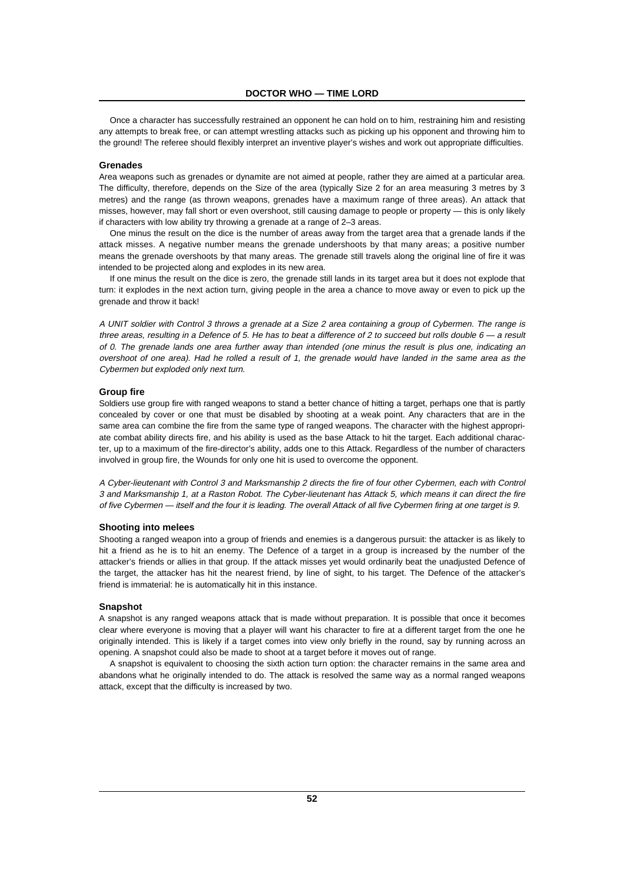Once a character has successfully restrained an opponent he can hold on to him, restraining him and resisting any attempts to break free, or can attempt wrestling attacks such as picking up his opponent and throwing him to the ground! The referee should flexibly interpret an inventive player's wishes and work out appropriate difficulties.

# **Grenades**

Area weapons such as grenades or dynamite are not aimed at people, rather they are aimed at a particular area. The difficulty, therefore, depends on the Size of the area (typically Size 2 for an area measuring 3 metres by 3 metres) and the range (as thrown weapons, grenades have a maximum range of three areas). An attack that misses, however, may fall short or even overshoot, still causing damage to people or property — this is only likely if characters with low ability try throwing a grenade at a range of 2–3 areas.

One minus the result on the dice is the number of areas away from the target area that a grenade lands if the attack misses. A negative number means the grenade undershoots by that many areas; a positive number means the grenade overshoots by that many areas. The grenade still travels along the original line of fire it was intended to be projected along and explodes in its new area.

If one minus the result on the dice is zero, the grenade still lands in its target area but it does not explode that turn: it explodes in the next action turn, giving people in the area a chance to move away or even to pick up the grenade and throw it back!

A UNIT soldier with Control 3 throws a grenade at a Size 2 area containing a group of Cybermen. The range is three areas, resulting in a Defence of 5. He has to beat a difference of 2 to succeed but rolls double  $6 - a$  result of 0. The grenade lands one area further away than intended (one minus the result is plus one, indicating an overshoot of one area). Had he rolled a result of 1, the grenade would have landed in the same area as the Cybermen but exploded only next turn.

#### **Group fire**

Soldiers use group fire with ranged weapons to stand a better chance of hitting a target, perhaps one that is partly concealed by cover or one that must be disabled by shooting at a weak point. Any characters that are in the same area can combine the fire from the same type of ranged weapons. The character with the highest appropriate combat ability directs fire, and his ability is used as the base Attack to hit the target. Each additional character, up to a maximum of the fire-director's ability, adds one to this Attack. Regardless of the number of characters involved in group fire, the Wounds for only one hit is used to overcome the opponent.

A Cyber-lieutenant with Control 3 and Marksmanship 2 directs the fire of four other Cybermen, each with Control 3 and Marksmanship 1, at a Raston Robot. The Cyber-lieutenant has Attack 5, which means it can direct the fire of five Cybermen — itself and the four it is leading. The overall Attack of all five Cybermen firing at one target is 9.

# **Shooting into melees**

Shooting a ranged weapon into a group of friends and enemies is a dangerous pursuit: the attacker is as likely to hit a friend as he is to hit an enemy. The Defence of a target in a group is increased by the number of the attacker's friends or allies in that group. If the attack misses yet would ordinarily beat the unadjusted Defence of the target, the attacker has hit the nearest friend, by line of sight, to his target. The Defence of the attacker's friend is immaterial: he is automatically hit in this instance.

#### **Snapshot**

A snapshot is any ranged weapons attack that is made without preparation. It is possible that once it becomes clear where everyone is moving that a player will want his character to fire at a different target from the one he originally intended. This is likely if a target comes into view only briefly in the round, say by running across an opening. A snapshot could also be made to shoot at a target before it moves out of range.

A snapshot is equivalent to choosing the sixth action turn option: the character remains in the same area and abandons what he originally intended to do. The attack is resolved the same way as a normal ranged weapons attack, except that the difficulty is increased by two.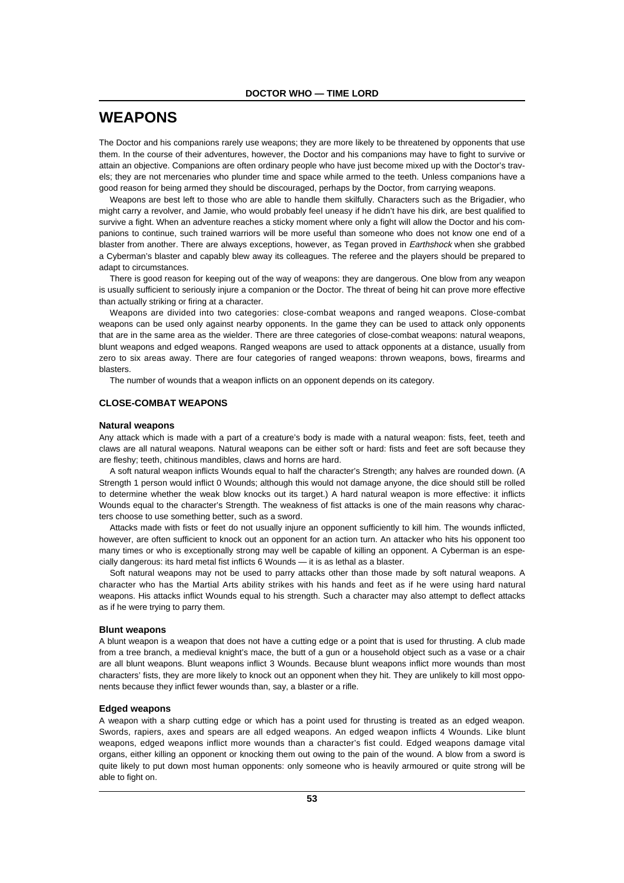# **WEAPONS**

The Doctor and his companions rarely use weapons; they are more likely to be threatened by opponents that use them. In the course of their adventures, however, the Doctor and his companions may have to fight to survive or attain an objective. Companions are often ordinary people who have just become mixed up with the Doctor's travels; they are not mercenaries who plunder time and space while armed to the teeth. Unless companions have a good reason for being armed they should be discouraged, perhaps by the Doctor, from carrying weapons.

Weapons are best left to those who are able to handle them skilfully. Characters such as the Brigadier, who might carry a revolver, and Jamie, who would probably feel uneasy if he didn't have his dirk, are best qualified to survive a fight. When an adventure reaches a sticky moment where only a fight will allow the Doctor and his companions to continue, such trained warriors will be more useful than someone who does not know one end of a blaster from another. There are always exceptions, however, as Tegan proved in *Earthshock* when she grabbed a Cyberman's blaster and capably blew away its colleagues. The referee and the players should be prepared to adapt to circumstances.

There is good reason for keeping out of the way of weapons: they are dangerous. One blow from any weapon is usually sufficient to seriously injure a companion or the Doctor. The threat of being hit can prove more effective than actually striking or firing at a character.

Weapons are divided into two categories: close-combat weapons and ranged weapons. Close-combat weapons can be used only against nearby opponents. In the game they can be used to attack only opponents that are in the same area as the wielder. There are three categories of close-combat weapons: natural weapons, blunt weapons and edged weapons. Ranged weapons are used to attack opponents at a distance, usually from zero to six areas away. There are four categories of ranged weapons: thrown weapons, bows, firearms and blasters.

The number of wounds that a weapon inflicts on an opponent depends on its category.

## **CLOSE-COMBAT WEAPONS**

#### **Natural weapons**

Any attack which is made with a part of a creature's body is made with a natural weapon: fists, feet, teeth and claws are all natural weapons. Natural weapons can be either soft or hard: fists and feet are soft because they are fleshy; teeth, chitinous mandibles, claws and horns are hard.

A soft natural weapon inflicts Wounds equal to half the character's Strength; any halves are rounded down. (A Strength 1 person would inflict 0 Wounds; although this would not damage anyone, the dice should still be rolled to determine whether the weak blow knocks out its target.) A hard natural weapon is more effective: it inflicts Wounds equal to the character's Strength. The weakness of fist attacks is one of the main reasons why characters choose to use something better, such as a sword.

Attacks made with fists or feet do not usually injure an opponent sufficiently to kill him. The wounds inflicted, however, are often sufficient to knock out an opponent for an action turn. An attacker who hits his opponent too many times or who is exceptionally strong may well be capable of killing an opponent. A Cyberman is an especially dangerous: its hard metal fist inflicts 6 Wounds — it is as lethal as a blaster.

Soft natural weapons may not be used to parry attacks other than those made by soft natural weapons. A character who has the Martial Arts ability strikes with his hands and feet as if he were using hard natural weapons. His attacks inflict Wounds equal to his strength. Such a character may also attempt to deflect attacks as if he were trying to parry them.

#### **Blunt weapons**

A blunt weapon is a weapon that does not have a cutting edge or a point that is used for thrusting. A club made from a tree branch, a medieval knight's mace, the butt of a gun or a household object such as a vase or a chair are all blunt weapons. Blunt weapons inflict 3 Wounds. Because blunt weapons inflict more wounds than most characters' fists, they are more likely to knock out an opponent when they hit. They are unlikely to kill most opponents because they inflict fewer wounds than, say, a blaster or a rifle.

#### **Edged weapons**

A weapon with a sharp cutting edge or which has a point used for thrusting is treated as an edged weapon. Swords, rapiers, axes and spears are all edged weapons. An edged weapon inflicts 4 Wounds. Like blunt weapons, edged weapons inflict more wounds than a character's fist could. Edged weapons damage vital organs, either killing an opponent or knocking them out owing to the pain of the wound. A blow from a sword is quite likely to put down most human opponents: only someone who is heavily armoured or quite strong will be able to fight on.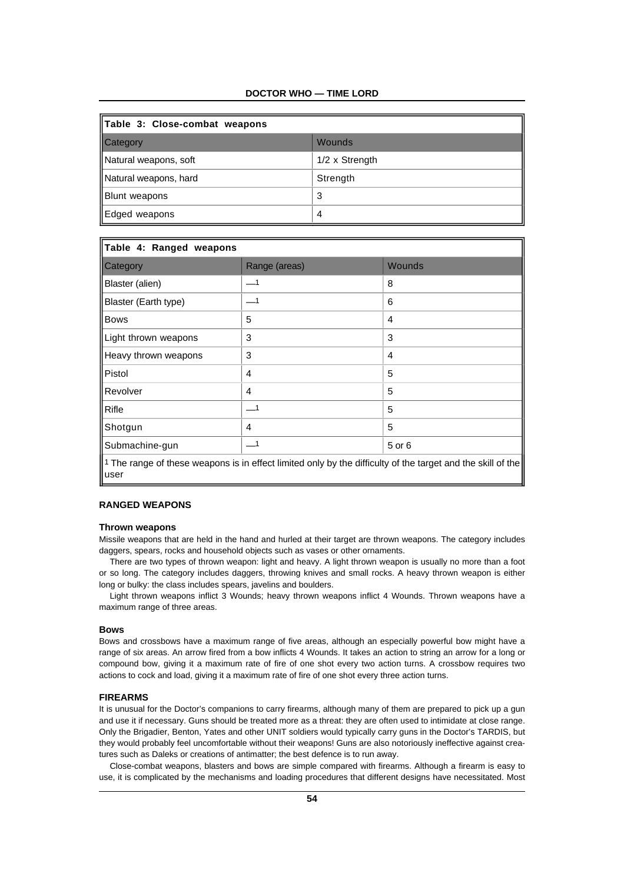# **DOCTOR WHO — TIME LORD**

| Table 3: Close-combat weapons |                |  |  |
|-------------------------------|----------------|--|--|
| Category                      | Wounds         |  |  |
| Natural weapons, soft         | 1/2 x Strength |  |  |
| Natural weapons, hard         | Strength       |  |  |
| Blunt weapons                 | 3              |  |  |
| Edged weapons                 | 4              |  |  |

| Table 4: Ranged weapons                                                                                             |                            |               |  |  |
|---------------------------------------------------------------------------------------------------------------------|----------------------------|---------------|--|--|
| Category                                                                                                            | Range (areas)              | <b>Wounds</b> |  |  |
| Blaster (alien)                                                                                                     |                            | 8             |  |  |
| Blaster (Earth type)                                                                                                | ___1                       | 6             |  |  |
| <b>Bows</b>                                                                                                         | 5                          | 4             |  |  |
| Light thrown weapons                                                                                                | 3                          | 3             |  |  |
| Heavy thrown weapons                                                                                                | 3                          | 4             |  |  |
| ll Pistol                                                                                                           | 4                          | 5             |  |  |
| Revolver                                                                                                            | 4                          | 5             |  |  |
| Rifle                                                                                                               | $\overline{\phantom{0}}$   | 5             |  |  |
| Shotgun                                                                                                             | 4                          | 5             |  |  |
| Submachine-gun                                                                                                      | $\overline{\phantom{0}}$ 1 | 5 or 6        |  |  |
| The range of these weapons is in effect limited only by the difficulty of the target and the skill of the<br>lluser |                            |               |  |  |

# **RANGED WEAPONS**

# **Thrown weapons**

Missile weapons that are held in the hand and hurled at their target are thrown weapons. The category includes daggers, spears, rocks and household objects such as vases or other ornaments.

There are two types of thrown weapon: light and heavy. A light thrown weapon is usually no more than a foot or so long. The category includes daggers, throwing knives and small rocks. A heavy thrown weapon is either long or bulky: the class includes spears, javelins and boulders.

Light thrown weapons inflict 3 Wounds; heavy thrown weapons inflict 4 Wounds. Thrown weapons have a maximum range of three areas.

#### **Bows**

Bows and crossbows have a maximum range of five areas, although an especially powerful bow might have a range of six areas. An arrow fired from a bow inflicts 4 Wounds. It takes an action to string an arrow for a long or compound bow, giving it a maximum rate of fire of one shot every two action turns. A crossbow requires two actions to cock and load, giving it a maximum rate of fire of one shot every three action turns.

#### **FIREARMS**

It is unusual for the Doctor's companions to carry firearms, although many of them are prepared to pick up a gun and use it if necessary. Guns should be treated more as a threat: they are often used to intimidate at close range. Only the Brigadier, Benton, Yates and other UNIT soldiers would typically carry guns in the Doctor's TARDIS, but they would probably feel uncomfortable without their weapons! Guns are also notoriously ineffective against creatures such as Daleks or creations of antimatter; the best defence is to run away.

Close-combat weapons, blasters and bows are simple compared with firearms. Although a firearm is easy to use, it is complicated by the mechanisms and loading procedures that different designs have necessitated. Most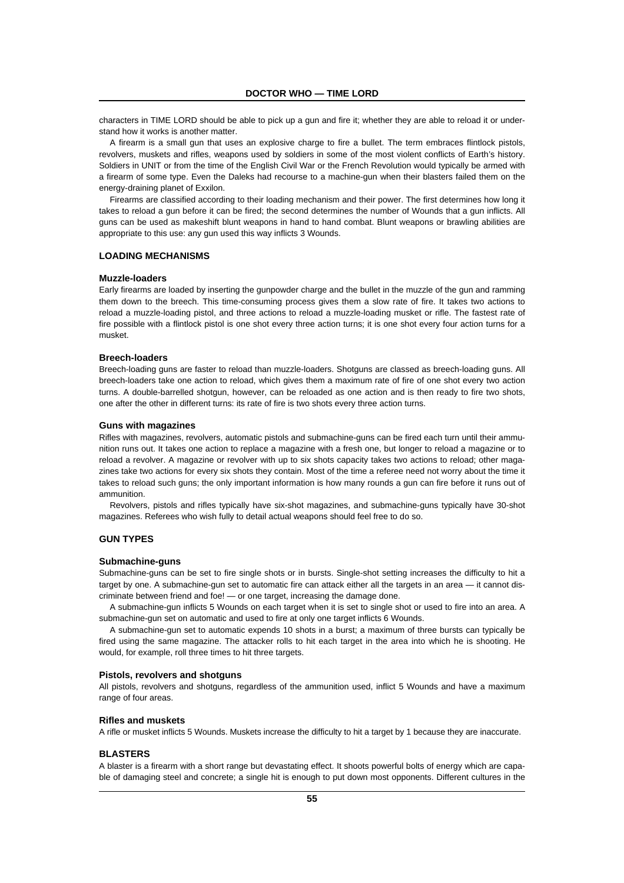characters in TIME LORD should be able to pick up a gun and fire it; whether they are able to reload it or understand how it works is another matter.

A firearm is a small gun that uses an explosive charge to fire a bullet. The term embraces flintlock pistols, revolvers, muskets and rifles, weapons used by soldiers in some of the most violent conflicts of Earth's history. Soldiers in UNIT or from the time of the English Civil War or the French Revolution would typically be armed with a firearm of some type. Even the Daleks had recourse to a machine-gun when their blasters failed them on the energy-draining planet of Exxilon.

Firearms are classified according to their loading mechanism and their power. The first determines how long it takes to reload a gun before it can be fired; the second determines the number of Wounds that a gun inflicts. All guns can be used as makeshift blunt weapons in hand to hand combat. Blunt weapons or brawling abilities are appropriate to this use: any gun used this way inflicts 3 Wounds.

#### **LOADING MECHANISMS**

#### **Muzzle-loaders**

Early firearms are loaded by inserting the gunpowder charge and the bullet in the muzzle of the gun and ramming them down to the breech. This time-consuming process gives them a slow rate of fire. It takes two actions to reload a muzzle-loading pistol, and three actions to reload a muzzle-loading musket or rifle. The fastest rate of fire possible with a flintlock pistol is one shot every three action turns; it is one shot every four action turns for a musket.

#### **Breech-loaders**

Breech-loading guns are faster to reload than muzzle-loaders. Shotguns are classed as breech-loading guns. All breech-loaders take one action to reload, which gives them a maximum rate of fire of one shot every two action turns. A double-barrelled shotgun, however, can be reloaded as one action and is then ready to fire two shots, one after the other in different turns: its rate of fire is two shots every three action turns.

#### **Guns with magazines**

Rifles with magazines, revolvers, automatic pistols and submachine-guns can be fired each turn until their ammunition runs out. It takes one action to replace a magazine with a fresh one, but longer to reload a magazine or to reload a revolver. A magazine or revolver with up to six shots capacity takes two actions to reload; other magazines take two actions for every six shots they contain. Most of the time a referee need not worry about the time it takes to reload such guns; the only important information is how many rounds a gun can fire before it runs out of ammunition.

Revolvers, pistols and rifles typically have six-shot magazines, and submachine-guns typically have 30-shot magazines. Referees who wish fully to detail actual weapons should feel free to do so.

# **GUN TYPES**

#### **Submachine-guns**

Submachine-guns can be set to fire single shots or in bursts. Single-shot setting increases the difficulty to hit a target by one. A submachine-gun set to automatic fire can attack either all the targets in an area — it cannot discriminate between friend and foe! — or one target, increasing the damage done.

A submachine-gun inflicts 5 Wounds on each target when it is set to single shot or used to fire into an area. A submachine-gun set on automatic and used to fire at only one target inflicts 6 Wounds.

A submachine-gun set to automatic expends 10 shots in a burst; a maximum of three bursts can typically be fired using the same magazine. The attacker rolls to hit each target in the area into which he is shooting. He would, for example, roll three times to hit three targets.

#### **Pistols, revolvers and shotguns**

All pistols, revolvers and shotguns, regardless of the ammunition used, inflict 5 Wounds and have a maximum range of four areas.

#### **Rifles and muskets**

A rifle or musket inflicts 5 Wounds. Muskets increase the difficulty to hit a target by 1 because they are inaccurate.

# **BLASTERS**

A blaster is a firearm with a short range but devastating effect. It shoots powerful bolts of energy which are capable of damaging steel and concrete; a single hit is enough to put down most opponents. Different cultures in the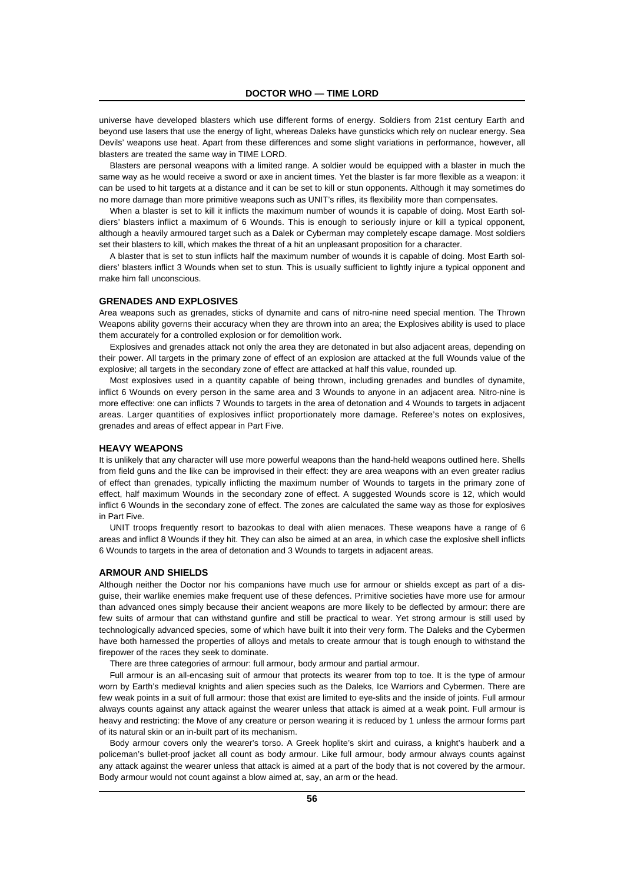universe have developed blasters which use different forms of energy. Soldiers from 21st century Earth and beyond use lasers that use the energy of light, whereas Daleks have gunsticks which rely on nuclear energy. Sea Devils' weapons use heat. Apart from these differences and some slight variations in performance, however, all blasters are treated the same way in TIME LORD.

Blasters are personal weapons with a limited range. A soldier would be equipped with a blaster in much the same way as he would receive a sword or axe in ancient times. Yet the blaster is far more flexible as a weapon: it can be used to hit targets at a distance and it can be set to kill or stun opponents. Although it may sometimes do no more damage than more primitive weapons such as UNIT's rifles, its flexibility more than compensates.

When a blaster is set to kill it inflicts the maximum number of wounds it is capable of doing. Most Earth soldiers' blasters inflict a maximum of 6 Wounds. This is enough to seriously injure or kill a typical opponent, although a heavily armoured target such as a Dalek or Cyberman may completely escape damage. Most soldiers set their blasters to kill, which makes the threat of a hit an unpleasant proposition for a character.

A blaster that is set to stun inflicts half the maximum number of wounds it is capable of doing. Most Earth soldiers' blasters inflict 3 Wounds when set to stun. This is usually sufficient to lightly injure a typical opponent and make him fall unconscious.

#### **GRENADES AND EXPLOSIVES**

Area weapons such as grenades, sticks of dynamite and cans of nitro-nine need special mention. The Thrown Weapons ability governs their accuracy when they are thrown into an area; the Explosives ability is used to place them accurately for a controlled explosion or for demolition work.

Explosives and grenades attack not only the area they are detonated in but also adjacent areas, depending on their power. All targets in the primary zone of effect of an explosion are attacked at the full Wounds value of the explosive; all targets in the secondary zone of effect are attacked at half this value, rounded up.

Most explosives used in a quantity capable of being thrown, including grenades and bundles of dynamite, inflict 6 Wounds on every person in the same area and 3 Wounds to anyone in an adjacent area. Nitro-nine is more effective: one can inflicts 7 Wounds to targets in the area of detonation and 4 Wounds to targets in adjacent areas. Larger quantities of explosives inflict proportionately more damage. Referee's notes on explosives, grenades and areas of effect appear in Part Five.

#### **HEAVY WEAPONS**

It is unlikely that any character will use more powerful weapons than the hand-held weapons outlined here. Shells from field guns and the like can be improvised in their effect: they are area weapons with an even greater radius of effect than grenades, typically inflicting the maximum number of Wounds to targets in the primary zone of effect, half maximum Wounds in the secondary zone of effect. A suggested Wounds score is 12, which would inflict 6 Wounds in the secondary zone of effect. The zones are calculated the same way as those for explosives in Part Five.

UNIT troops frequently resort to bazookas to deal with alien menaces. These weapons have a range of 6 areas and inflict 8 Wounds if they hit. They can also be aimed at an area, in which case the explosive shell inflicts 6 Wounds to targets in the area of detonation and 3 Wounds to targets in adjacent areas.

#### **ARMOUR AND SHIELDS**

Although neither the Doctor nor his companions have much use for armour or shields except as part of a disguise, their warlike enemies make frequent use of these defences. Primitive societies have more use for armour than advanced ones simply because their ancient weapons are more likely to be deflected by armour: there are few suits of armour that can withstand gunfire and still be practical to wear. Yet strong armour is still used by technologically advanced species, some of which have built it into their very form. The Daleks and the Cybermen have both harnessed the properties of alloys and metals to create armour that is tough enough to withstand the firepower of the races they seek to dominate.

There are three categories of armour: full armour, body armour and partial armour.

Full armour is an all-encasing suit of armour that protects its wearer from top to toe. It is the type of armour worn by Earth's medieval knights and alien species such as the Daleks, Ice Warriors and Cybermen. There are few weak points in a suit of full armour: those that exist are limited to eye-slits and the inside of joints. Full armour always counts against any attack against the wearer unless that attack is aimed at a weak point. Full armour is heavy and restricting: the Move of any creature or person wearing it is reduced by 1 unless the armour forms part of its natural skin or an in-built part of its mechanism.

Body armour covers only the wearer's torso. A Greek hoplite's skirt and cuirass, a knight's hauberk and a policeman's bullet-proof jacket all count as body armour. Like full armour, body armour always counts against any attack against the wearer unless that attack is aimed at a part of the body that is not covered by the armour. Body armour would not count against a blow aimed at, say, an arm or the head.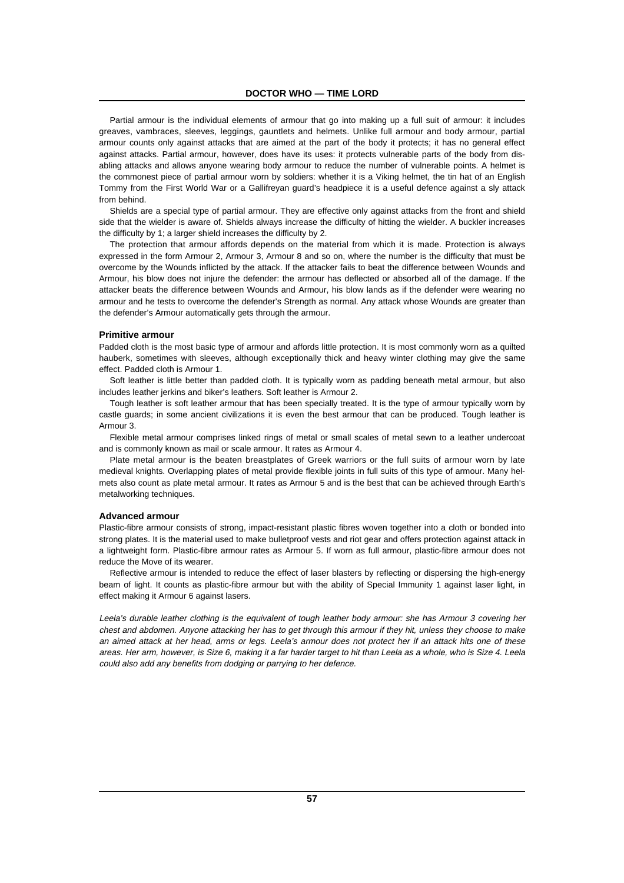Partial armour is the individual elements of armour that go into making up a full suit of armour: it includes greaves, vambraces, sleeves, leggings, gauntlets and helmets. Unlike full armour and body armour, partial armour counts only against attacks that are aimed at the part of the body it protects; it has no general effect against attacks. Partial armour, however, does have its uses: it protects vulnerable parts of the body from disabling attacks and allows anyone wearing body armour to reduce the number of vulnerable points. A helmet is the commonest piece of partial armour worn by soldiers: whether it is a Viking helmet, the tin hat of an English Tommy from the First World War or a Gallifreyan guard's headpiece it is a useful defence against a sly attack from behind.

Shields are a special type of partial armour. They are effective only against attacks from the front and shield side that the wielder is aware of. Shields always increase the difficulty of hitting the wielder. A buckler increases the difficulty by 1; a larger shield increases the difficulty by 2.

The protection that armour affords depends on the material from which it is made. Protection is always expressed in the form Armour 2, Armour 3, Armour 8 and so on, where the number is the difficulty that must be overcome by the Wounds inflicted by the attack. If the attacker fails to beat the difference between Wounds and Armour, his blow does not injure the defender: the armour has deflected or absorbed all of the damage. If the attacker beats the difference between Wounds and Armour, his blow lands as if the defender were wearing no armour and he tests to overcome the defender's Strength as normal. Any attack whose Wounds are greater than the defender's Armour automatically gets through the armour.

#### **Primitive armour**

Padded cloth is the most basic type of armour and affords little protection. It is most commonly worn as a quilted hauberk, sometimes with sleeves, although exceptionally thick and heavy winter clothing may give the same effect. Padded cloth is Armour 1.

Soft leather is little better than padded cloth. It is typically worn as padding beneath metal armour, but also includes leather jerkins and biker's leathers. Soft leather is Armour 2.

Tough leather is soft leather armour that has been specially treated. It is the type of armour typically worn by castle guards; in some ancient civilizations it is even the best armour that can be produced. Tough leather is Armour 3.

Flexible metal armour comprises linked rings of metal or small scales of metal sewn to a leather undercoat and is commonly known as mail or scale armour. It rates as Armour 4.

Plate metal armour is the beaten breastplates of Greek warriors or the full suits of armour worn by late medieval knights. Overlapping plates of metal provide flexible joints in full suits of this type of armour. Many helmets also count as plate metal armour. It rates as Armour 5 and is the best that can be achieved through Earth's metalworking techniques.

#### **Advanced armour**

Plastic-fibre armour consists of strong, impact-resistant plastic fibres woven together into a cloth or bonded into strong plates. It is the material used to make bulletproof vests and riot gear and offers protection against attack in a lightweight form. Plastic-fibre armour rates as Armour 5. If worn as full armour, plastic-fibre armour does not reduce the Move of its wearer.

Reflective armour is intended to reduce the effect of laser blasters by reflecting or dispersing the high-energy beam of light. It counts as plastic-fibre armour but with the ability of Special Immunity 1 against laser light, in effect making it Armour 6 against lasers.

Leela's durable leather clothing is the equivalent of tough leather body armour: she has Armour 3 covering her chest and abdomen. Anyone attacking her has to get through this armour if they hit, unless they choose to make an aimed attack at her head, arms or legs. Leela's armour does not protect her if an attack hits one of these areas. Her arm, however, is Size 6, making it a far harder target to hit than Leela as a whole, who is Size 4. Leela could also add any benefits from dodging or parrying to her defence.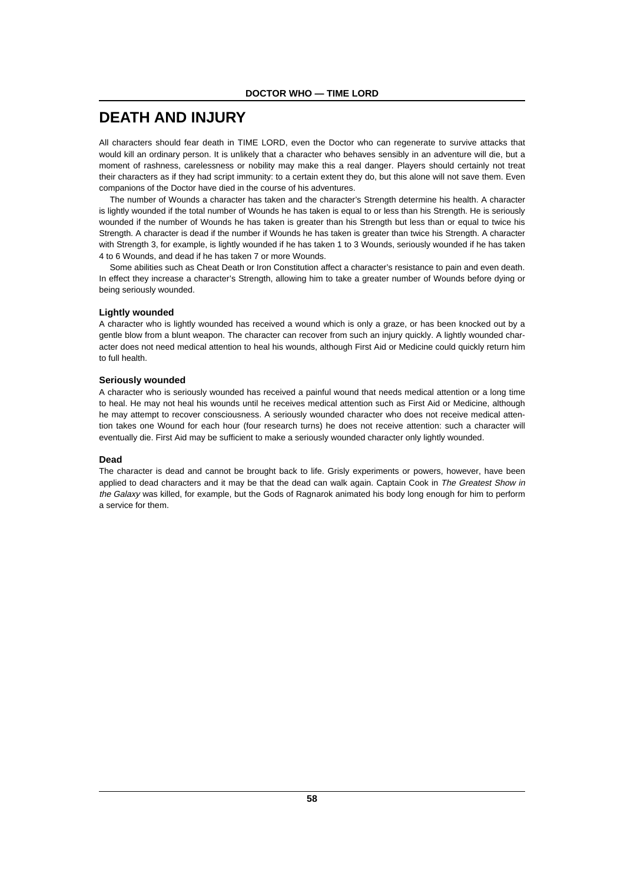# **DEATH AND INJURY**

All characters should fear death in TIME LORD, even the Doctor who can regenerate to survive attacks that would kill an ordinary person. It is unlikely that a character who behaves sensibly in an adventure will die, but a moment of rashness, carelessness or nobility may make this a real danger. Players should certainly not treat their characters as if they had script immunity: to a certain extent they do, but this alone will not save them. Even companions of the Doctor have died in the course of his adventures.

The number of Wounds a character has taken and the character's Strength determine his health. A character is lightly wounded if the total number of Wounds he has taken is equal to or less than his Strength. He is seriously wounded if the number of Wounds he has taken is greater than his Strength but less than or equal to twice his Strength. A character is dead if the number if Wounds he has taken is greater than twice his Strength. A character with Strength 3, for example, is lightly wounded if he has taken 1 to 3 Wounds, seriously wounded if he has taken 4 to 6 Wounds, and dead if he has taken 7 or more Wounds.

Some abilities such as Cheat Death or Iron Constitution affect a character's resistance to pain and even death. In effect they increase a character's Strength, allowing him to take a greater number of Wounds before dying or being seriously wounded.

#### **Lightly wounded**

A character who is lightly wounded has received a wound which is only a graze, or has been knocked out by a gentle blow from a blunt weapon. The character can recover from such an injury quickly. A lightly wounded character does not need medical attention to heal his wounds, although First Aid or Medicine could quickly return him to full health.

# **Seriously wounded**

A character who is seriously wounded has received a painful wound that needs medical attention or a long time to heal. He may not heal his wounds until he receives medical attention such as First Aid or Medicine, although he may attempt to recover consciousness. A seriously wounded character who does not receive medical attention takes one Wound for each hour (four research turns) he does not receive attention: such a character will eventually die. First Aid may be sufficient to make a seriously wounded character only lightly wounded.

# **Dead**

The character is dead and cannot be brought back to life. Grisly experiments or powers, however, have been applied to dead characters and it may be that the dead can walk again. Captain Cook in The Greatest Show in the Galaxy was killed, for example, but the Gods of Ragnarok animated his body long enough for him to perform a service for them.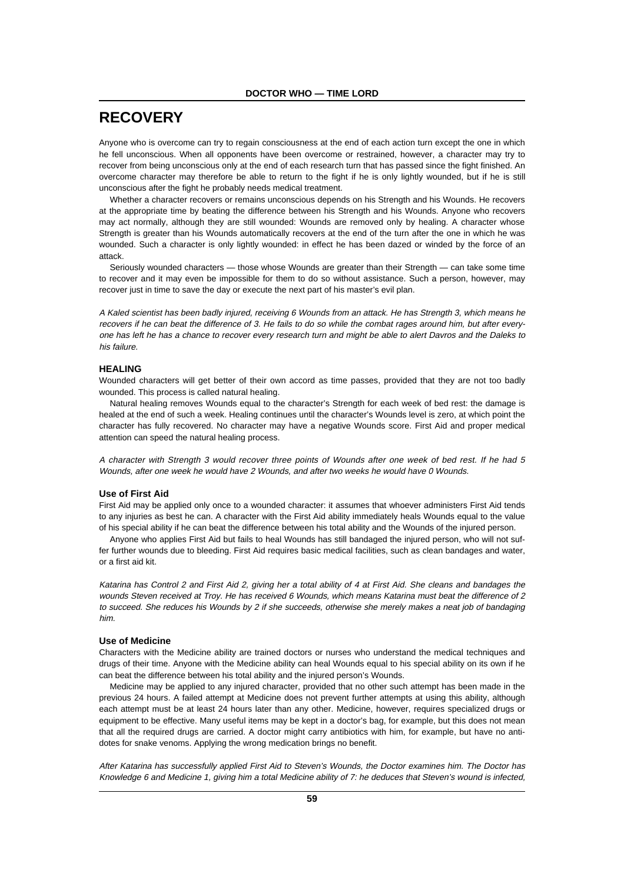# **RECOVERY**

Anyone who is overcome can try to regain consciousness at the end of each action turn except the one in which he fell unconscious. When all opponents have been overcome or restrained, however, a character may try to recover from being unconscious only at the end of each research turn that has passed since the fight finished. An overcome character may therefore be able to return to the fight if he is only lightly wounded, but if he is still unconscious after the fight he probably needs medical treatment.

Whether a character recovers or remains unconscious depends on his Strength and his Wounds. He recovers at the appropriate time by beating the difference between his Strength and his Wounds. Anyone who recovers may act normally, although they are still wounded: Wounds are removed only by healing. A character whose Strength is greater than his Wounds automatically recovers at the end of the turn after the one in which he was wounded. Such a character is only lightly wounded: in effect he has been dazed or winded by the force of an attack.

Seriously wounded characters — those whose Wounds are greater than their Strength — can take some time to recover and it may even be impossible for them to do so without assistance. Such a person, however, may recover just in time to save the day or execute the next part of his master's evil plan.

A Kaled scientist has been badly injured, receiving 6 Wounds from an attack. He has Strength 3, which means he recovers if he can beat the difference of 3. He fails to do so while the combat rages around him, but after everyone has left he has a chance to recover every research turn and might be able to alert Davros and the Daleks to his failure.

## **HEALING**

Wounded characters will get better of their own accord as time passes, provided that they are not too badly wounded. This process is called natural healing.

Natural healing removes Wounds equal to the character's Strength for each week of bed rest: the damage is healed at the end of such a week. Healing continues until the character's Wounds level is zero, at which point the character has fully recovered. No character may have a negative Wounds score. First Aid and proper medical attention can speed the natural healing process.

A character with Strength 3 would recover three points of Wounds after one week of bed rest. If he had 5 Wounds, after one week he would have 2 Wounds, and after two weeks he would have 0 Wounds.

#### **Use of First Aid**

First Aid may be applied only once to a wounded character: it assumes that whoever administers First Aid tends to any injuries as best he can. A character with the First Aid ability immediately heals Wounds equal to the value of his special ability if he can beat the difference between his total ability and the Wounds of the injured person.

Anyone who applies First Aid but fails to heal Wounds has still bandaged the injured person, who will not suffer further wounds due to bleeding. First Aid requires basic medical facilities, such as clean bandages and water, or a first aid kit.

Katarina has Control 2 and First Aid 2, giving her a total ability of 4 at First Aid. She cleans and bandages the wounds Steven received at Troy. He has received 6 Wounds, which means Katarina must beat the difference of 2 to succeed. She reduces his Wounds by 2 if she succeeds, otherwise she merely makes a neat job of bandaging him.

#### **Use of Medicine**

Characters with the Medicine ability are trained doctors or nurses who understand the medical techniques and drugs of their time. Anyone with the Medicine ability can heal Wounds equal to his special ability on its own if he can beat the difference between his total ability and the injured person's Wounds.

Medicine may be applied to any injured character, provided that no other such attempt has been made in the previous 24 hours. A failed attempt at Medicine does not prevent further attempts at using this ability, although each attempt must be at least 24 hours later than any other. Medicine, however, requires specialized drugs or equipment to be effective. Many useful items may be kept in a doctor's bag, for example, but this does not mean that all the required drugs are carried. A doctor might carry antibiotics with him, for example, but have no antidotes for snake venoms. Applying the wrong medication brings no benefit.

After Katarina has successfully applied First Aid to Steven's Wounds, the Doctor examines him. The Doctor has Knowledge 6 and Medicine 1, giving him a total Medicine ability of 7: he deduces that Steven's wound is infected,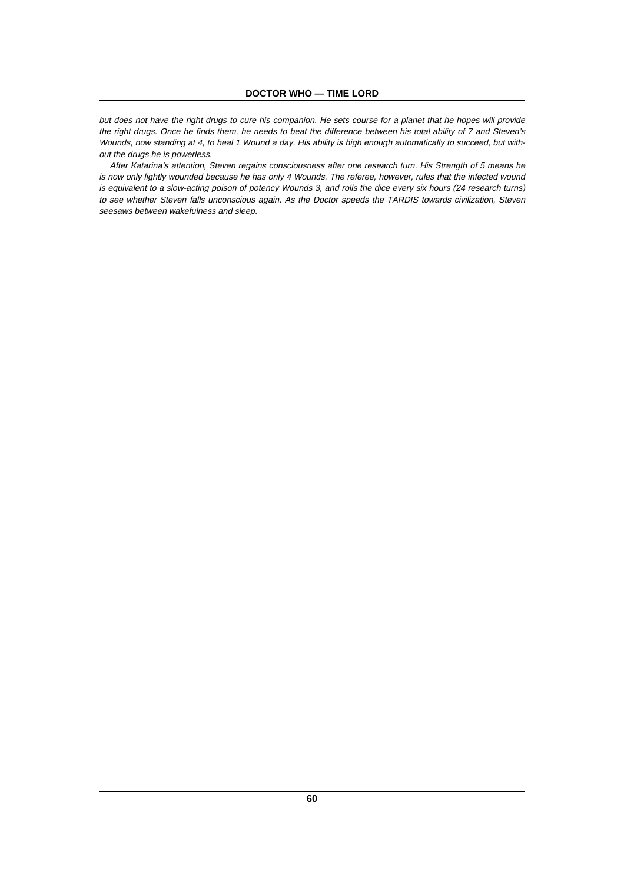but does not have the right drugs to cure his companion. He sets course for a planet that he hopes will provide the right drugs. Once he finds them, he needs to beat the difference between his total ability of 7 and Steven's Wounds, now standing at 4, to heal 1 Wound a day. His ability is high enough automatically to succeed, but without the drugs he is powerless.

After Katarina's attention, Steven regains consciousness after one research turn. His Strength of 5 means he is now only lightly wounded because he has only 4 Wounds. The referee, however, rules that the infected wound is equivalent to a slow-acting poison of potency Wounds 3, and rolls the dice every six hours (24 research turns) to see whether Steven falls unconscious again. As the Doctor speeds the TARDIS towards civilization, Steven seesaws between wakefulness and sleep.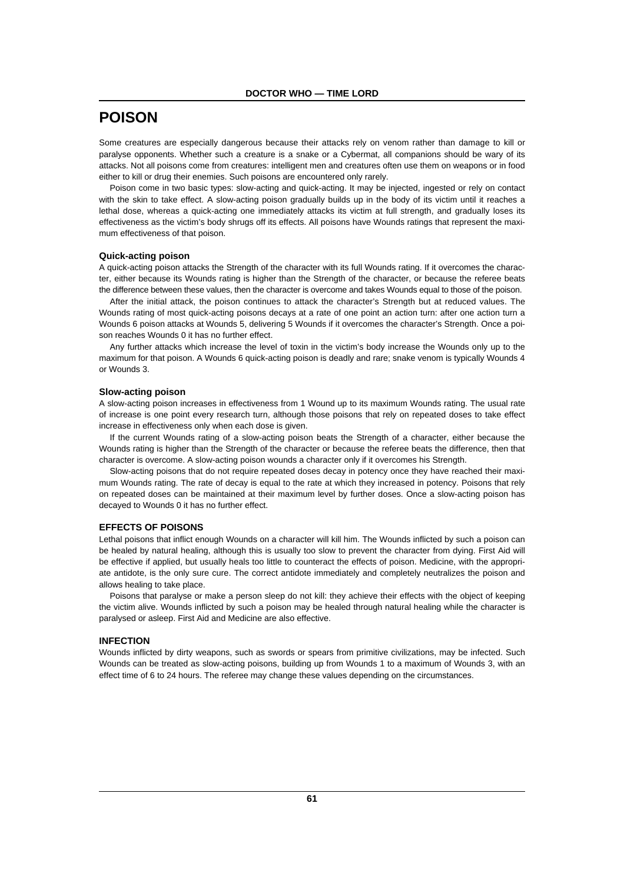# **POISON**

Some creatures are especially dangerous because their attacks rely on venom rather than damage to kill or paralyse opponents. Whether such a creature is a snake or a Cybermat, all companions should be wary of its attacks. Not all poisons come from creatures: intelligent men and creatures often use them on weapons or in food either to kill or drug their enemies. Such poisons are encountered only rarely.

Poison come in two basic types: slow-acting and quick-acting. It may be injected, ingested or rely on contact with the skin to take effect. A slow-acting poison gradually builds up in the body of its victim until it reaches a lethal dose, whereas a quick-acting one immediately attacks its victim at full strength, and gradually loses its effectiveness as the victim's body shrugs off its effects. All poisons have Wounds ratings that represent the maximum effectiveness of that poison.

## **Quick-acting poison**

A quick-acting poison attacks the Strength of the character with its full Wounds rating. If it overcomes the character, either because its Wounds rating is higher than the Strength of the character, or because the referee beats the difference between these values, then the character is overcome and takes Wounds equal to those of the poison.

After the initial attack, the poison continues to attack the character's Strength but at reduced values. The Wounds rating of most quick-acting poisons decays at a rate of one point an action turn: after one action turn a Wounds 6 poison attacks at Wounds 5, delivering 5 Wounds if it overcomes the character's Strength. Once a poison reaches Wounds 0 it has no further effect.

Any further attacks which increase the level of toxin in the victim's body increase the Wounds only up to the maximum for that poison. A Wounds 6 quick-acting poison is deadly and rare; snake venom is typically Wounds 4 or Wounds 3.

#### **Slow-acting poison**

A slow-acting poison increases in effectiveness from 1 Wound up to its maximum Wounds rating. The usual rate of increase is one point every research turn, although those poisons that rely on repeated doses to take effect increase in effectiveness only when each dose is given.

If the current Wounds rating of a slow-acting poison beats the Strength of a character, either because the Wounds rating is higher than the Strength of the character or because the referee beats the difference, then that character is overcome. A slow-acting poison wounds a character only if it overcomes his Strength.

Slow-acting poisons that do not require repeated doses decay in potency once they have reached their maximum Wounds rating. The rate of decay is equal to the rate at which they increased in potency. Poisons that rely on repeated doses can be maintained at their maximum level by further doses. Once a slow-acting poison has decayed to Wounds 0 it has no further effect.

#### **EFFECTS OF POISONS**

Lethal poisons that inflict enough Wounds on a character will kill him. The Wounds inflicted by such a poison can be healed by natural healing, although this is usually too slow to prevent the character from dying. First Aid will be effective if applied, but usually heals too little to counteract the effects of poison. Medicine, with the appropriate antidote, is the only sure cure. The correct antidote immediately and completely neutralizes the poison and allows healing to take place.

Poisons that paralyse or make a person sleep do not kill: they achieve their effects with the object of keeping the victim alive. Wounds inflicted by such a poison may be healed through natural healing while the character is paralysed or asleep. First Aid and Medicine are also effective.

# **INFECTION**

Wounds inflicted by dirty weapons, such as swords or spears from primitive civilizations, may be infected. Such Wounds can be treated as slow-acting poisons, building up from Wounds 1 to a maximum of Wounds 3, with an effect time of 6 to 24 hours. The referee may change these values depending on the circumstances.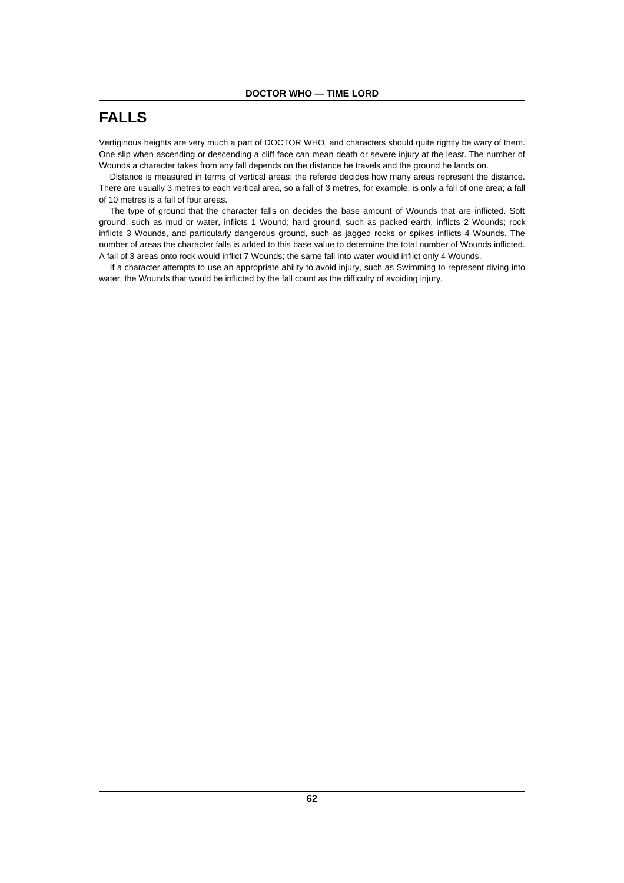# **FALLS**

Vertiginous heights are very much a part of DOCTOR WHO, and characters should quite rightly be wary of them. One slip when ascending or descending a cliff face can mean death or severe injury at the least. The number of Wounds a character takes from any fall depends on the distance he travels and the ground he lands on.

Distance is measured in terms of vertical areas: the referee decides how many areas represent the distance. There are usually 3 metres to each vertical area, so a fall of 3 metres, for example, is only a fall of one area; a fall of 10 metres is a fall of four areas.

The type of ground that the character falls on decides the base amount of Wounds that are inflicted. Soft ground, such as mud or water, inflicts 1 Wound; hard ground, such as packed earth, inflicts 2 Wounds; rock inflicts 3 Wounds, and particularly dangerous ground, such as jagged rocks or spikes inflicts 4 Wounds. The number of areas the character falls is added to this base value to determine the total number of Wounds inflicted. A fall of 3 areas onto rock would inflict 7 Wounds; the same fall into water would inflict only 4 Wounds.

If a character attempts to use an appropriate ability to avoid injury, such as Swimming to represent diving into water, the Wounds that would be inflicted by the fall count as the difficulty of avoiding injury.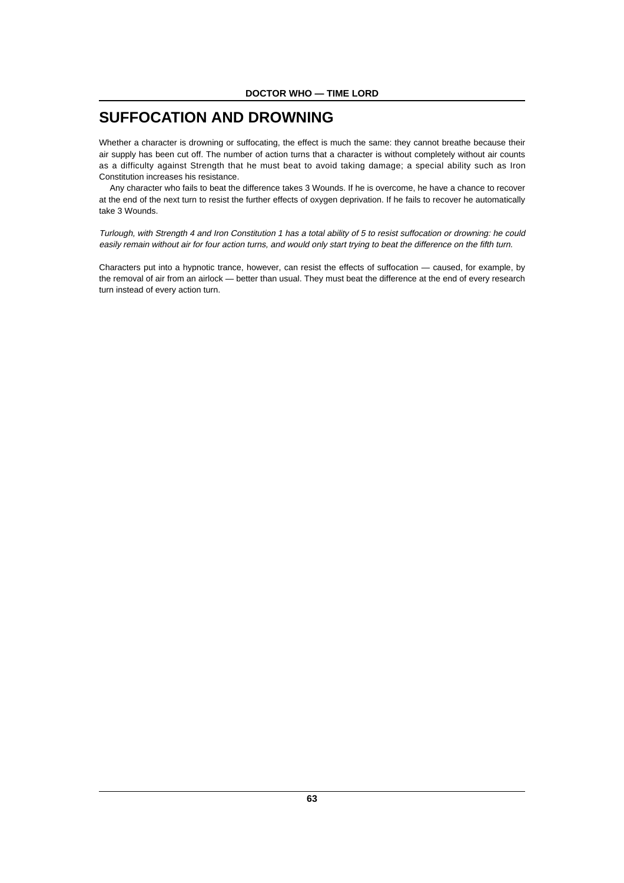# **SUFFOCATION AND DROWNING**

Whether a character is drowning or suffocating, the effect is much the same: they cannot breathe because their air supply has been cut off. The number of action turns that a character is without completely without air counts as a difficulty against Strength that he must beat to avoid taking damage; a special ability such as Iron Constitution increases his resistance.

Any character who fails to beat the difference takes 3 Wounds. If he is overcome, he have a chance to recover at the end of the next turn to resist the further effects of oxygen deprivation. If he fails to recover he automatically take 3 Wounds.

Turlough, with Strength 4 and Iron Constitution 1 has a total ability of 5 to resist suffocation or drowning: he could easily remain without air for four action turns, and would only start trying to beat the difference on the fifth turn.

Characters put into a hypnotic trance, however, can resist the effects of suffocation — caused, for example, by the removal of air from an airlock — better than usual. They must beat the difference at the end of every research turn instead of every action turn.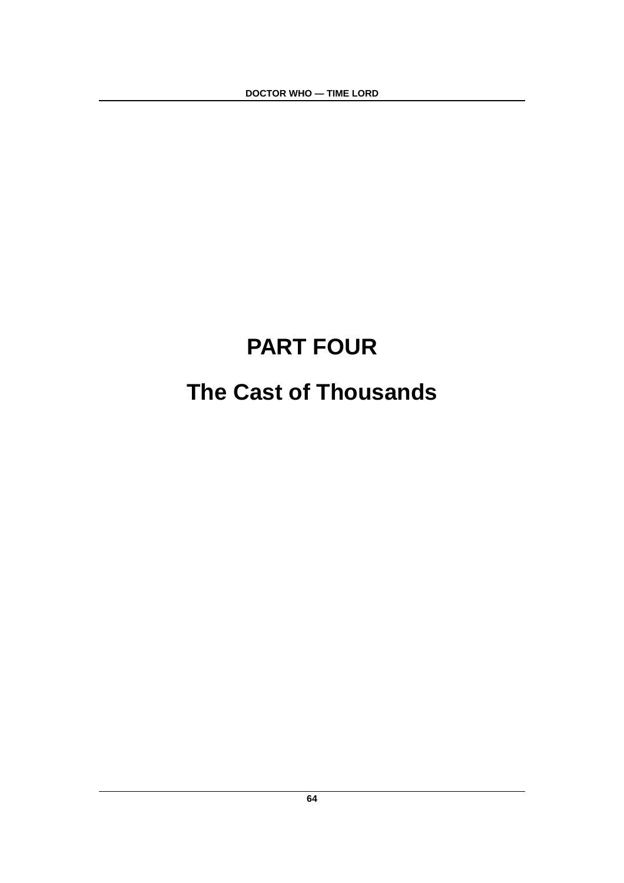**DOCTOR WHO — TIME LORD**

# **PART FOUR The Cast of Thousands**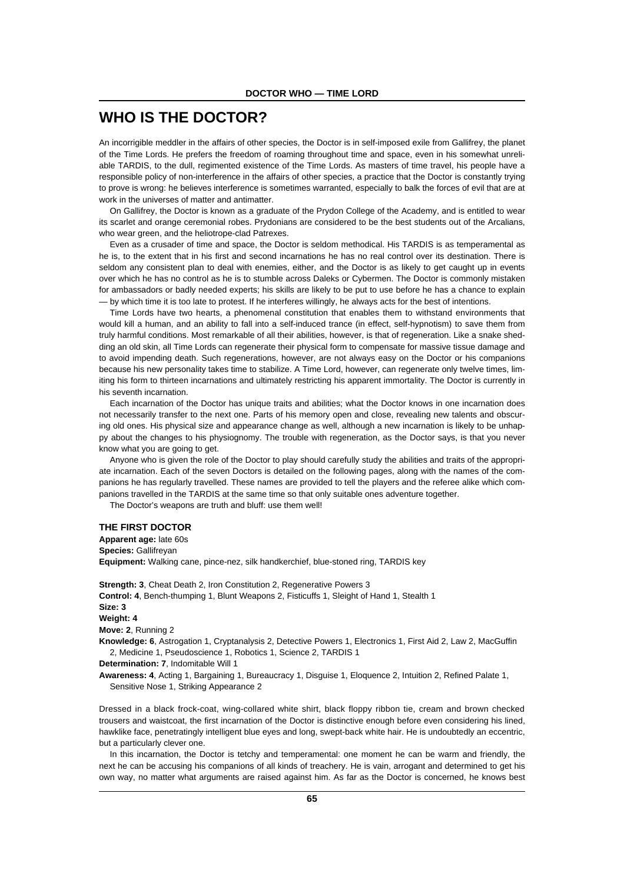# **WHO IS THE DOCTOR?**

An incorrigible meddler in the affairs of other species, the Doctor is in self-imposed exile from Gallifrey, the planet of the Time Lords. He prefers the freedom of roaming throughout time and space, even in his somewhat unreliable TARDIS, to the dull, regimented existence of the Time Lords. As masters of time travel, his people have a responsible policy of non-interference in the affairs of other species, a practice that the Doctor is constantly trying to prove is wrong: he believes interference is sometimes warranted, especially to balk the forces of evil that are at work in the universes of matter and antimatter.

On Gallifrey, the Doctor is known as a graduate of the Prydon College of the Academy, and is entitled to wear its scarlet and orange ceremonial robes. Prydonians are considered to be the best students out of the Arcalians, who wear green, and the heliotrope-clad Patrexes.

Even as a crusader of time and space, the Doctor is seldom methodical. His TARDIS is as temperamental as he is, to the extent that in his first and second incarnations he has no real control over its destination. There is seldom any consistent plan to deal with enemies, either, and the Doctor is as likely to get caught up in events over which he has no control as he is to stumble across Daleks or Cybermen. The Doctor is commonly mistaken for ambassadors or badly needed experts; his skills are likely to be put to use before he has a chance to explain — by which time it is too late to protest. If he interferes willingly, he always acts for the best of intentions.

Time Lords have two hearts, a phenomenal constitution that enables them to withstand environments that would kill a human, and an ability to fall into a self-induced trance (in effect, self-hypnotism) to save them from truly harmful conditions. Most remarkable of all their abilities, however, is that of regeneration. Like a snake shedding an old skin, all Time Lords can regenerate their physical form to compensate for massive tissue damage and to avoid impending death. Such regenerations, however, are not always easy on the Doctor or his companions because his new personality takes time to stabilize. A Time Lord, however, can regenerate only twelve times, limiting his form to thirteen incarnations and ultimately restricting his apparent immortality. The Doctor is currently in his seventh incarnation.

Each incarnation of the Doctor has unique traits and abilities; what the Doctor knows in one incarnation does not necessarily transfer to the next one. Parts of his memory open and close, revealing new talents and obscuring old ones. His physical size and appearance change as well, although a new incarnation is likely to be unhappy about the changes to his physiognomy. The trouble with regeneration, as the Doctor says, is that you never know what you are going to get.

Anyone who is given the role of the Doctor to play should carefully study the abilities and traits of the appropriate incarnation. Each of the seven Doctors is detailed on the following pages, along with the names of the companions he has regularly travelled. These names are provided to tell the players and the referee alike which companions travelled in the TARDIS at the same time so that only suitable ones adventure together.

The Doctor's weapons are truth and bluff: use them well!

# **THE FIRST DOCTOR**

**Apparent age:** late 60s **Species:** Gallifreyan **Equipment:** Walking cane, pince-nez, silk handkerchief, blue-stoned ring, TARDIS key

**Strength: 3**, Cheat Death 2, Iron Constitution 2, Regenerative Powers 3 **Control: 4**, Bench-thumping 1, Blunt Weapons 2, Fisticuffs 1, Sleight of Hand 1, Stealth 1 **Size: 3 Weight: 4 Move: 2**, Running 2 **Knowledge: 6**, Astrogation 1, Cryptanalysis 2, Detective Powers 1, Electronics 1, First Aid 2, Law 2, MacGuffin

2, Medicine 1, Pseudoscience 1, Robotics 1, Science 2, TARDIS 1

**Determination: 7**, Indomitable Will 1

**Awareness: 4**, Acting 1, Bargaining 1, Bureaucracy 1, Disguise 1, Eloquence 2, Intuition 2, Refined Palate 1, Sensitive Nose 1, Striking Appearance 2

Dressed in a black frock-coat, wing-collared white shirt, black floppy ribbon tie, cream and brown checked trousers and waistcoat, the first incarnation of the Doctor is distinctive enough before even considering his lined, hawklike face, penetratingly intelligent blue eyes and long, swept-back white hair. He is undoubtedly an eccentric, but a particularly clever one.

In this incarnation, the Doctor is tetchy and temperamental: one moment he can be warm and friendly, the next he can be accusing his companions of all kinds of treachery. He is vain, arrogant and determined to get his own way, no matter what arguments are raised against him. As far as the Doctor is concerned, he knows best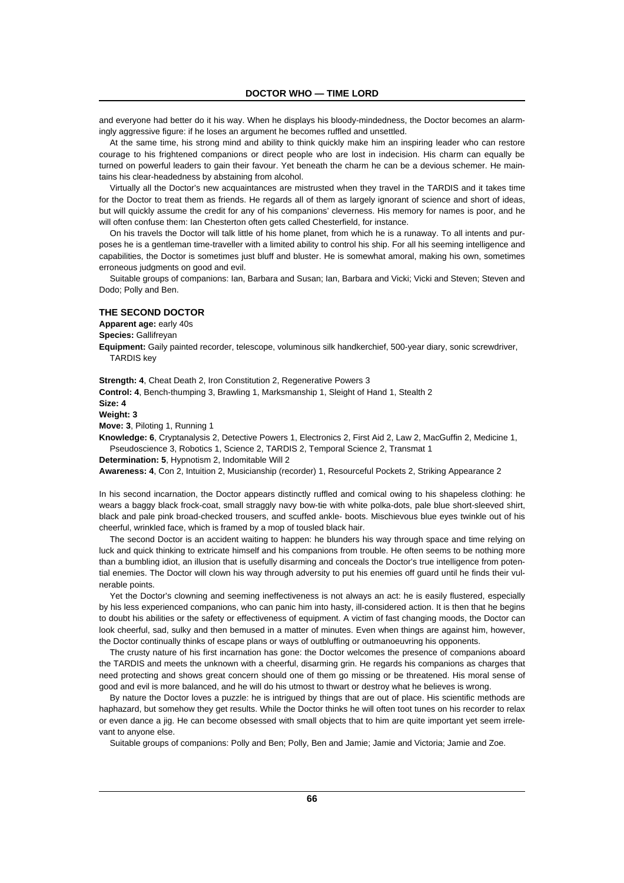and everyone had better do it his way. When he displays his bloody-mindedness, the Doctor becomes an alarmingly aggressive figure: if he loses an argument he becomes ruffled and unsettled.

At the same time, his strong mind and ability to think quickly make him an inspiring leader who can restore courage to his frightened companions or direct people who are lost in indecision. His charm can equally be turned on powerful leaders to gain their favour. Yet beneath the charm he can be a devious schemer. He maintains his clear-headedness by abstaining from alcohol.

Virtually all the Doctor's new acquaintances are mistrusted when they travel in the TARDIS and it takes time for the Doctor to treat them as friends. He regards all of them as largely ignorant of science and short of ideas, but will quickly assume the credit for any of his companions' cleverness. His memory for names is poor, and he will often confuse them: Ian Chesterton often gets called Chesterfield, for instance.

On his travels the Doctor will talk little of his home planet, from which he is a runaway. To all intents and purposes he is a gentleman time-traveller with a limited ability to control his ship. For all his seeming intelligence and capabilities, the Doctor is sometimes just bluff and bluster. He is somewhat amoral, making his own, sometimes erroneous judgments on good and evil.

Suitable groups of companions: Ian, Barbara and Susan; Ian, Barbara and Vicki; Vicki and Steven; Steven and Dodo; Polly and Ben.

# **THE SECOND DOCTOR**

**Apparent age:** early 40s

**Species:** Gallifreyan

**Equipment:** Gaily painted recorder, telescope, voluminous silk handkerchief, 500-year diary, sonic screwdriver, TARDIS key

**Strength: 4**, Cheat Death 2, Iron Constitution 2, Regenerative Powers 3

**Control: 4**, Bench-thumping 3, Brawling 1, Marksmanship 1, Sleight of Hand 1, Stealth 2

**Size: 4**

**Weight: 3**

**Move: 3**, Piloting 1, Running 1

**Knowledge: 6**, Cryptanalysis 2, Detective Powers 1, Electronics 2, First Aid 2, Law 2, MacGuffin 2, Medicine 1, Pseudoscience 3, Robotics 1, Science 2, TARDIS 2, Temporal Science 2, Transmat 1

**Determination: 5**, Hypnotism 2, Indomitable Will 2

**Awareness: 4**, Con 2, Intuition 2, Musicianship (recorder) 1, Resourceful Pockets 2, Striking Appearance 2

In his second incarnation, the Doctor appears distinctly ruffled and comical owing to his shapeless clothing: he wears a baggy black frock-coat, small straggly navy bow-tie with white polka-dots, pale blue short-sleeved shirt, black and pale pink broad-checked trousers, and scuffed ankle- boots. Mischievous blue eyes twinkle out of his cheerful, wrinkled face, which is framed by a mop of tousled black hair.

The second Doctor is an accident waiting to happen: he blunders his way through space and time relying on luck and quick thinking to extricate himself and his companions from trouble. He often seems to be nothing more than a bumbling idiot, an illusion that is usefully disarming and conceals the Doctor's true intelligence from potential enemies. The Doctor will clown his way through adversity to put his enemies off guard until he finds their vulnerable points.

Yet the Doctor's clowning and seeming ineffectiveness is not always an act: he is easily flustered, especially by his less experienced companions, who can panic him into hasty, ill-considered action. It is then that he begins to doubt his abilities or the safety or effectiveness of equipment. A victim of fast changing moods, the Doctor can look cheerful, sad, sulky and then bemused in a matter of minutes. Even when things are against him, however, the Doctor continually thinks of escape plans or ways of outbluffing or outmanoeuvring his opponents.

The crusty nature of his first incarnation has gone: the Doctor welcomes the presence of companions aboard the TARDIS and meets the unknown with a cheerful, disarming grin. He regards his companions as charges that need protecting and shows great concern should one of them go missing or be threatened. His moral sense of good and evil is more balanced, and he will do his utmost to thwart or destroy what he believes is wrong.

By nature the Doctor loves a puzzle: he is intrigued by things that are out of place. His scientific methods are haphazard, but somehow they get results. While the Doctor thinks he will often toot tunes on his recorder to relax or even dance a jig. He can become obsessed with small objects that to him are quite important yet seem irrelevant to anyone else.

Suitable groups of companions: Polly and Ben; Polly, Ben and Jamie; Jamie and Victoria; Jamie and Zoe.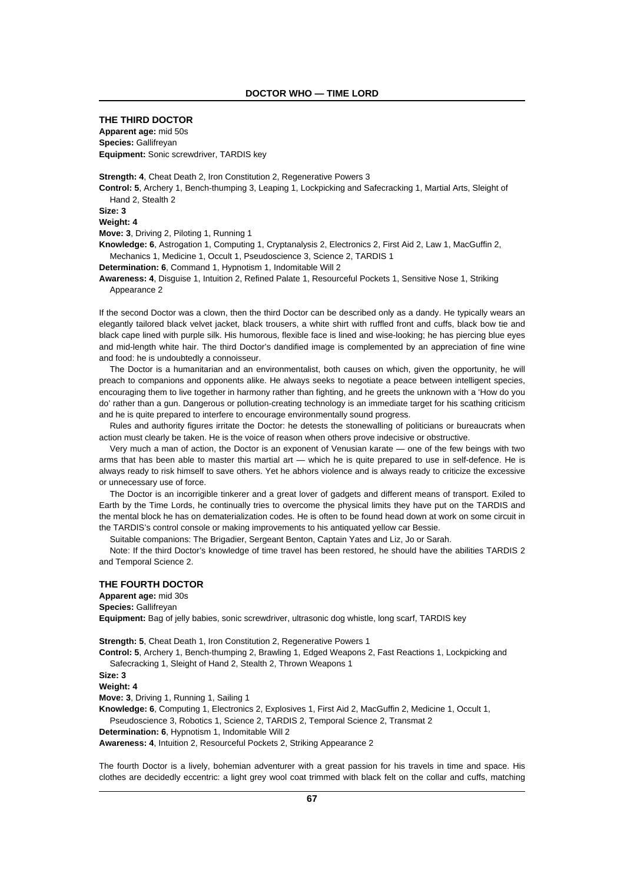# **THE THIRD DOCTOR Apparent age:** mid 50s **Species:** Gallifreyan **Equipment:** Sonic screwdriver, TARDIS key

**Strength: 4**, Cheat Death 2, Iron Constitution 2, Regenerative Powers 3 **Control: 5**, Archery 1, Bench-thumping 3, Leaping 1, Lockpicking and Safecracking 1, Martial Arts, Sleight of Hand 2, Stealth 2 **Size: 3 Weight: 4 Move: 3**, Driving 2, Piloting 1, Running 1 **Knowledge: 6**, Astrogation 1, Computing 1, Cryptanalysis 2, Electronics 2, First Aid 2, Law 1, MacGuffin 2, Mechanics 1, Medicine 1, Occult 1, Pseudoscience 3, Science 2, TARDIS 1 **Determination: 6**, Command 1, Hypnotism 1, Indomitable Will 2 **Awareness: 4**, Disguise 1, Intuition 2, Refined Palate 1, Resourceful Pockets 1, Sensitive Nose 1, Striking Appearance 2

If the second Doctor was a clown, then the third Doctor can be described only as a dandy. He typically wears an elegantly tailored black velvet jacket, black trousers, a white shirt with ruffled front and cuffs, black bow tie and black cape lined with purple silk. His humorous, flexible face is lined and wise-looking; he has piercing blue eyes and mid-length white hair. The third Doctor's dandified image is complemented by an appreciation of fine wine and food: he is undoubtedly a connoisseur.

The Doctor is a humanitarian and an environmentalist, both causes on which, given the opportunity, he will preach to companions and opponents alike. He always seeks to negotiate a peace between intelligent species, encouraging them to live together in harmony rather than fighting, and he greets the unknown with a 'How do you do' rather than a gun. Dangerous or pollution-creating technology is an immediate target for his scathing criticism and he is quite prepared to interfere to encourage environmentally sound progress.

Rules and authority figures irritate the Doctor: he detests the stonewalling of politicians or bureaucrats when action must clearly be taken. He is the voice of reason when others prove indecisive or obstructive.

Very much a man of action, the Doctor is an exponent of Venusian karate — one of the few beings with two arms that has been able to master this martial art — which he is quite prepared to use in self-defence. He is always ready to risk himself to save others. Yet he abhors violence and is always ready to criticize the excessive or unnecessary use of force.

The Doctor is an incorrigible tinkerer and a great lover of gadgets and different means of transport. Exiled to Earth by the Time Lords, he continually tries to overcome the physical limits they have put on the TARDIS and the mental block he has on dematerialization codes. He is often to be found head down at work on some circuit in the TARDIS's control console or making improvements to his antiquated yellow car Bessie.

Suitable companions: The Brigadier, Sergeant Benton, Captain Yates and Liz, Jo or Sarah.

Note: If the third Doctor's knowledge of time travel has been restored, he should have the abilities TARDIS 2 and Temporal Science 2.

# **THE FOURTH DOCTOR**

**Apparent age:** mid 30s **Species:** Gallifreyan **Equipment:** Bag of jelly babies, sonic screwdriver, ultrasonic dog whistle, long scarf, TARDIS key

**Strength: 5**, Cheat Death 1, Iron Constitution 2, Regenerative Powers 1

**Control: 5**, Archery 1, Bench-thumping 2, Brawling 1, Edged Weapons 2, Fast Reactions 1, Lockpicking and Safecracking 1, Sleight of Hand 2, Stealth 2, Thrown Weapons 1

**Size: 3**

**Weight: 4**

**Move: 3**, Driving 1, Running 1, Sailing 1

**Knowledge: 6**, Computing 1, Electronics 2, Explosives 1, First Aid 2, MacGuffin 2, Medicine 1, Occult 1, Pseudoscience 3, Robotics 1, Science 2, TARDIS 2, Temporal Science 2, Transmat 2

**Determination: 6**, Hypnotism 1, Indomitable Will 2

**Awareness: 4**, Intuition 2, Resourceful Pockets 2, Striking Appearance 2

The fourth Doctor is a lively, bohemian adventurer with a great passion for his travels in time and space. His clothes are decidedly eccentric: a light grey wool coat trimmed with black felt on the collar and cuffs, matching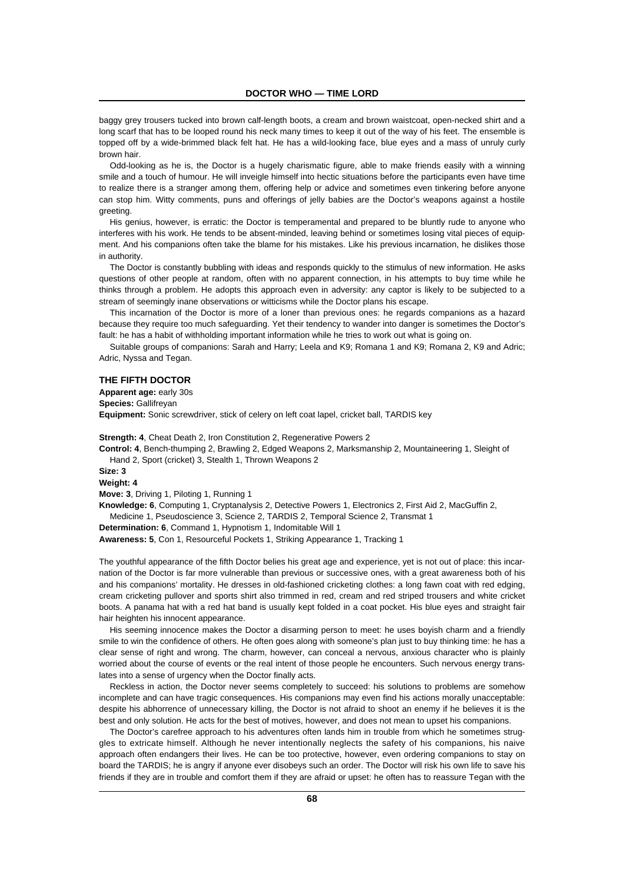baggy grey trousers tucked into brown calf-length boots, a cream and brown waistcoat, open-necked shirt and a long scarf that has to be looped round his neck many times to keep it out of the way of his feet. The ensemble is topped off by a wide-brimmed black felt hat. He has a wild-looking face, blue eyes and a mass of unruly curly brown hair.

Odd-looking as he is, the Doctor is a hugely charismatic figure, able to make friends easily with a winning smile and a touch of humour. He will inveigle himself into hectic situations before the participants even have time to realize there is a stranger among them, offering help or advice and sometimes even tinkering before anyone can stop him. Witty comments, puns and offerings of jelly babies are the Doctor's weapons against a hostile greeting.

His genius, however, is erratic: the Doctor is temperamental and prepared to be bluntly rude to anyone who interferes with his work. He tends to be absent-minded, leaving behind or sometimes losing vital pieces of equipment. And his companions often take the blame for his mistakes. Like his previous incarnation, he dislikes those in authority.

The Doctor is constantly bubbling with ideas and responds quickly to the stimulus of new information. He asks questions of other people at random, often with no apparent connection, in his attempts to buy time while he thinks through a problem. He adopts this approach even in adversity: any captor is likely to be subjected to a stream of seemingly inane observations or witticisms while the Doctor plans his escape.

This incarnation of the Doctor is more of a loner than previous ones: he regards companions as a hazard because they require too much safeguarding. Yet their tendency to wander into danger is sometimes the Doctor's fault: he has a habit of withholding important information while he tries to work out what is going on.

Suitable groups of companions: Sarah and Harry; Leela and K9; Romana 1 and K9; Romana 2, K9 and Adric; Adric, Nyssa and Tegan.

# **THE FIFTH DOCTOR**

**Apparent age:** early 30s **Species:** Gallifreyan **Equipment:** Sonic screwdriver, stick of celery on left coat lapel, cricket ball, TARDIS key

**Strength: 4**, Cheat Death 2, Iron Constitution 2, Regenerative Powers 2 **Control: 4**, Bench-thumping 2, Brawling 2, Edged Weapons 2, Marksmanship 2, Mountaineering 1, Sleight of Hand 2, Sport (cricket) 3, Stealth 1, Thrown Weapons 2

**Size: 3**

**Weight: 4**

**Move: 3**, Driving 1, Piloting 1, Running 1

**Knowledge: 6**, Computing 1, Cryptanalysis 2, Detective Powers 1, Electronics 2, First Aid 2, MacGuffin 2, Medicine 1, Pseudoscience 3, Science 2, TARDIS 2, Temporal Science 2, Transmat 1

**Determination: 6**, Command 1, Hypnotism 1, Indomitable Will 1

**Awareness: 5**, Con 1, Resourceful Pockets 1, Striking Appearance 1, Tracking 1

The youthful appearance of the fifth Doctor belies his great age and experience, yet is not out of place: this incarnation of the Doctor is far more vulnerable than previous or successive ones, with a great awareness both of his and his companions' mortality. He dresses in old-fashioned cricketing clothes: a long fawn coat with red edging, cream cricketing pullover and sports shirt also trimmed in red, cream and red striped trousers and white cricket boots. A panama hat with a red hat band is usually kept folded in a coat pocket. His blue eyes and straight fair hair heighten his innocent appearance.

His seeming innocence makes the Doctor a disarming person to meet: he uses boyish charm and a friendly smile to win the confidence of others. He often goes along with someone's plan just to buy thinking time: he has a clear sense of right and wrong. The charm, however, can conceal a nervous, anxious character who is plainly worried about the course of events or the real intent of those people he encounters. Such nervous energy translates into a sense of urgency when the Doctor finally acts.

Reckless in action, the Doctor never seems completely to succeed: his solutions to problems are somehow incomplete and can have tragic consequences. His companions may even find his actions morally unacceptable: despite his abhorrence of unnecessary killing, the Doctor is not afraid to shoot an enemy if he believes it is the best and only solution. He acts for the best of motives, however, and does not mean to upset his companions.

The Doctor's carefree approach to his adventures often lands him in trouble from which he sometimes struggles to extricate himself. Although he never intentionally neglects the safety of his companions, his naive approach often endangers their lives. He can be too protective, however, even ordering companions to stay on board the TARDIS; he is angry if anyone ever disobeys such an order. The Doctor will risk his own life to save his friends if they are in trouble and comfort them if they are afraid or upset: he often has to reassure Tegan with the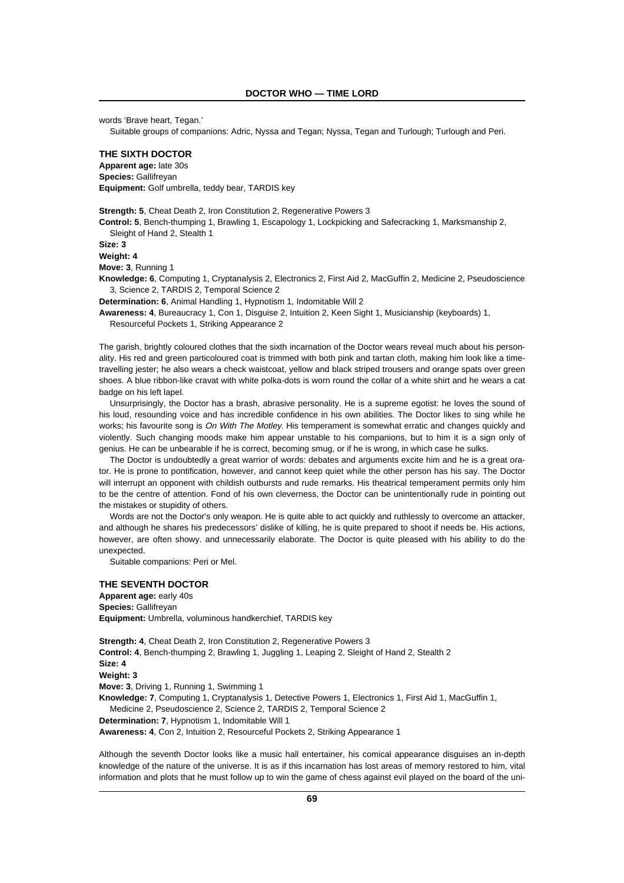words 'Brave heart, Tegan.'

Suitable groups of companions: Adric, Nyssa and Tegan; Nyssa, Tegan and Turlough; Turlough and Peri.

# **THE SIXTH DOCTOR**

**Apparent age:** late 30s **Species:** Gallifreyan **Equipment:** Golf umbrella, teddy bear, TARDIS key

**Strength: 5**, Cheat Death 2, Iron Constitution 2, Regenerative Powers 3

**Control: 5**, Bench-thumping 1, Brawling 1, Escapology 1, Lockpicking and Safecracking 1, Marksmanship 2, Sleight of Hand 2, Stealth 1

**Size: 3**

**Weight: 4**

**Move: 3**, Running 1

**Knowledge: 6**, Computing 1, Cryptanalysis 2, Electronics 2, First Aid 2, MacGuffin 2, Medicine 2, Pseudoscience 3, Science 2, TARDIS 2, Temporal Science 2

**Determination: 6**, Animal Handling 1, Hypnotism 1, Indomitable Will 2

**Awareness: 4**, Bureaucracy 1, Con 1, Disguise 2, Intuition 2, Keen Sight 1, Musicianship (keyboards) 1, Resourceful Pockets 1, Striking Appearance 2

The garish, brightly coloured clothes that the sixth incarnation of the Doctor wears reveal much about his personality. His red and green particoloured coat is trimmed with both pink and tartan cloth, making him look like a timetravelling jester; he also wears a check waistcoat, yellow and black striped trousers and orange spats over green shoes. A blue ribbon-like cravat with white polka-dots is worn round the collar of a white shirt and he wears a cat badge on his left lapel.

Unsurprisingly, the Doctor has a brash, abrasive personality. He is a supreme egotist: he loves the sound of his loud, resounding voice and has incredible confidence in his own abilities. The Doctor likes to sing while he works; his favourite song is On With The Motley. His temperament is somewhat erratic and changes quickly and violently. Such changing moods make him appear unstable to his companions, but to him it is a sign only of genius. He can be unbearable if he is correct, becoming smug, or if he is wrong, in which case he sulks.

The Doctor is undoubtedly a great warrior of words: debates and arguments excite him and he is a great orator. He is prone to pontification, however, and cannot keep quiet while the other person has his say. The Doctor will interrupt an opponent with childish outbursts and rude remarks. His theatrical temperament permits only him to be the centre of attention. Fond of his own cleverness, the Doctor can be unintentionally rude in pointing out the mistakes or stupidity of others.

Words are not the Doctor's only weapon. He is quite able to act quickly and ruthlessly to overcome an attacker, and although he shares his predecessors' dislike of killing, he is quite prepared to shoot if needs be. His actions, however, are often showy. and unnecessarily elaborate. The Doctor is quite pleased with his ability to do the unexpected.

Suitable companions: Peri or Mel.

# **THE SEVENTH DOCTOR**

**Apparent age:** early 40s **Species:** Gallifreyan **Equipment:** Umbrella, voluminous handkerchief, TARDIS key

**Strength: 4**, Cheat Death 2, Iron Constitution 2, Regenerative Powers 3 **Control: 4**, Bench-thumping 2, Brawling 1, Juggling 1, Leaping 2, Sleight of Hand 2, Stealth 2 **Size: 4 Weight: 3 Move: 3**, Driving 1, Running 1, Swimming 1 **Knowledge: 7**, Computing 1, Cryptanalysis 1, Detective Powers 1, Electronics 1, First Aid 1, MacGuffin 1, Medicine 2, Pseudoscience 2, Science 2, TARDIS 2, Temporal Science 2 **Determination: 7**, Hypnotism 1, Indomitable Will 1 **Awareness: 4**, Con 2, Intuition 2, Resourceful Pockets 2, Striking Appearance 1

Although the seventh Doctor looks like a music hall entertainer, his comical appearance disguises an in-depth knowledge of the nature of the universe. It is as if this incarnation has lost areas of memory restored to him, vital information and plots that he must follow up to win the game of chess against evil played on the board of the uni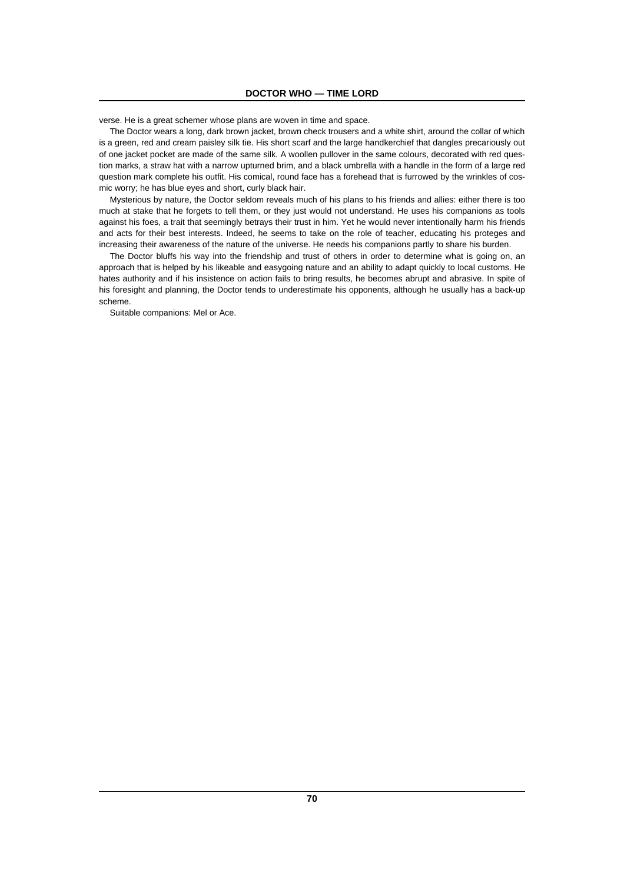verse. He is a great schemer whose plans are woven in time and space.

The Doctor wears a long, dark brown jacket, brown check trousers and a white shirt, around the collar of which is a green, red and cream paisley silk tie. His short scarf and the large handkerchief that dangles precariously out of one jacket pocket are made of the same silk. A woollen pullover in the same colours, decorated with red question marks, a straw hat with a narrow upturned brim, and a black umbrella with a handle in the form of a large red question mark complete his outfit. His comical, round face has a forehead that is furrowed by the wrinkles of cosmic worry; he has blue eyes and short, curly black hair.

Mysterious by nature, the Doctor seldom reveals much of his plans to his friends and allies: either there is too much at stake that he forgets to tell them, or they just would not understand. He uses his companions as tools against his foes, a trait that seemingly betrays their trust in him. Yet he would never intentionally harm his friends and acts for their best interests. Indeed, he seems to take on the role of teacher, educating his proteges and increasing their awareness of the nature of the universe. He needs his companions partly to share his burden.

The Doctor bluffs his way into the friendship and trust of others in order to determine what is going on, an approach that is helped by his likeable and easygoing nature and an ability to adapt quickly to local customs. He hates authority and if his insistence on action fails to bring results, he becomes abrupt and abrasive. In spite of his foresight and planning, the Doctor tends to underestimate his opponents, although he usually has a back-up scheme.

Suitable companions: Mel or Ace.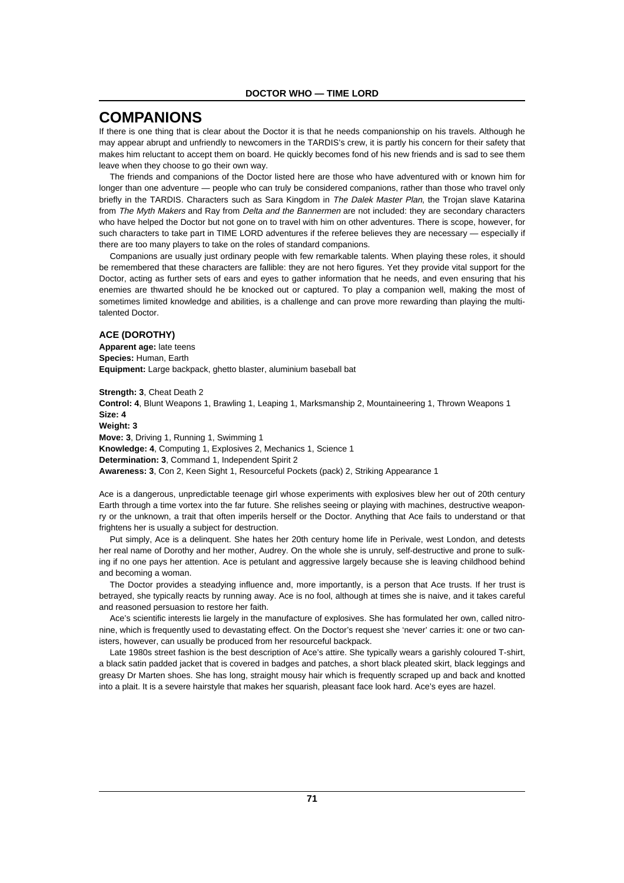# **COMPANIONS**

If there is one thing that is clear about the Doctor it is that he needs companionship on his travels. Although he may appear abrupt and unfriendly to newcomers in the TARDIS's crew, it is partly his concern for their safety that makes him reluctant to accept them on board. He quickly becomes fond of his new friends and is sad to see them leave when they choose to go their own way.

The friends and companions of the Doctor listed here are those who have adventured with or known him for longer than one adventure — people who can truly be considered companions, rather than those who travel only briefly in the TARDIS. Characters such as Sara Kingdom in The Dalek Master Plan, the Trojan slave Katarina from The Myth Makers and Ray from Delta and the Bannermen are not included: they are secondary characters who have helped the Doctor but not gone on to travel with him on other adventures. There is scope, however, for such characters to take part in TIME LORD adventures if the referee believes they are necessary — especially if there are too many players to take on the roles of standard companions.

Companions are usually just ordinary people with few remarkable talents. When playing these roles, it should be remembered that these characters are fallible: they are not hero figures. Yet they provide vital support for the Doctor, acting as further sets of ears and eyes to gather information that he needs, and even ensuring that his enemies are thwarted should he be knocked out or captured. To play a companion well, making the most of sometimes limited knowledge and abilities, is a challenge and can prove more rewarding than playing the multitalented Doctor.

# **ACE (DOROTHY)**

**Apparent age:** late teens **Species:** Human, Earth **Equipment:** Large backpack, ghetto blaster, aluminium baseball bat

**Strength: 3**, Cheat Death 2 **Control: 4**, Blunt Weapons 1, Brawling 1, Leaping 1, Marksmanship 2, Mountaineering 1, Thrown Weapons 1 **Size: 4 Weight: 3 Move: 3**, Driving 1, Running 1, Swimming 1 **Knowledge: 4**, Computing 1, Explosives 2, Mechanics 1, Science 1 **Determination: 3**, Command 1, Independent Spirit 2 **Awareness: 3**, Con 2, Keen Sight 1, Resourceful Pockets (pack) 2, Striking Appearance 1

Ace is a dangerous, unpredictable teenage girl whose experiments with explosives blew her out of 20th century Earth through a time vortex into the far future. She relishes seeing or playing with machines, destructive weaponry or the unknown, a trait that often imperils herself or the Doctor. Anything that Ace fails to understand or that frightens her is usually a subject for destruction.

Put simply, Ace is a delinquent. She hates her 20th century home life in Perivale, west London, and detests her real name of Dorothy and her mother, Audrey. On the whole she is unruly, self-destructive and prone to sulking if no one pays her attention. Ace is petulant and aggressive largely because she is leaving childhood behind and becoming a woman.

The Doctor provides a steadying influence and, more importantly, is a person that Ace trusts. If her trust is betrayed, she typically reacts by running away. Ace is no fool, although at times she is naive, and it takes careful and reasoned persuasion to restore her faith.

Ace's scientific interests lie largely in the manufacture of explosives. She has formulated her own, called nitronine, which is frequently used to devastating effect. On the Doctor's request she 'never' carries it: one or two canisters, however, can usually be produced from her resourceful backpack.

Late 1980s street fashion is the best description of Ace's attire. She typically wears a garishly coloured T-shirt, a black satin padded jacket that is covered in badges and patches, a short black pleated skirt, black leggings and greasy Dr Marten shoes. She has long, straight mousy hair which is frequently scraped up and back and knotted into a plait. It is a severe hairstyle that makes her squarish, pleasant face look hard. Ace's eyes are hazel.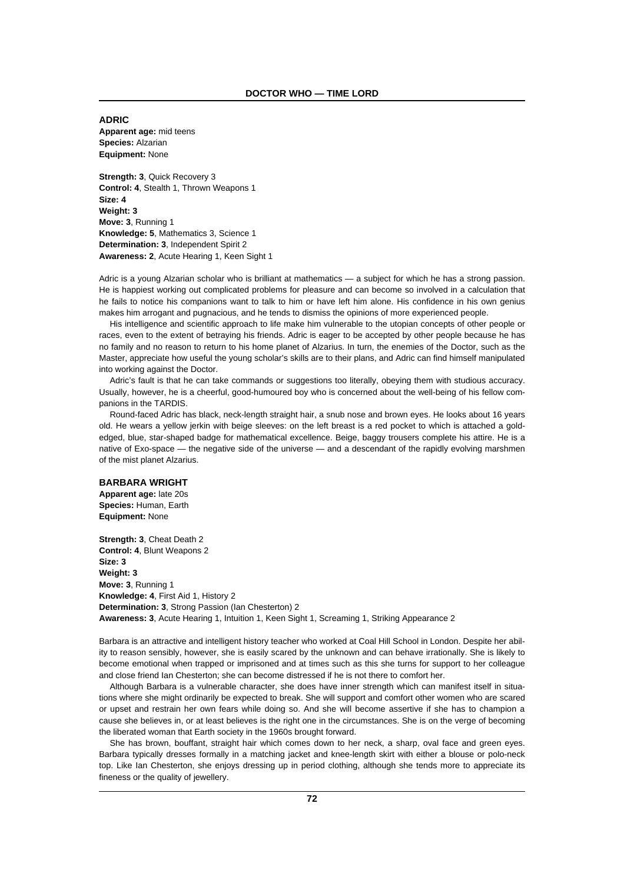**ADRIC Apparent age:** mid teens **Species:** Alzarian **Equipment:** None

**Strength: 3**, Quick Recovery 3 **Control: 4**, Stealth 1, Thrown Weapons 1 **Size: 4 Weight: 3 Move: 3**, Running 1 **Knowledge: 5**, Mathematics 3, Science 1 **Determination: 3**, Independent Spirit 2 **Awareness: 2**, Acute Hearing 1, Keen Sight 1

Adric is a young Alzarian scholar who is brilliant at mathematics — a subject for which he has a strong passion. He is happiest working out complicated problems for pleasure and can become so involved in a calculation that he fails to notice his companions want to talk to him or have left him alone. His confidence in his own genius makes him arrogant and pugnacious, and he tends to dismiss the opinions of more experienced people.

His intelligence and scientific approach to life make him vulnerable to the utopian concepts of other people or races, even to the extent of betraying his friends. Adric is eager to be accepted by other people because he has no family and no reason to return to his home planet of Alzarius. In turn, the enemies of the Doctor, such as the Master, appreciate how useful the young scholar's skills are to their plans, and Adric can find himself manipulated into working against the Doctor.

Adric's fault is that he can take commands or suggestions too literally, obeying them with studious accuracy. Usually, however, he is a cheerful, good-humoured boy who is concerned about the well-being of his fellow companions in the TARDIS.

Round-faced Adric has black, neck-length straight hair, a snub nose and brown eyes. He looks about 16 years old. He wears a yellow jerkin with beige sleeves: on the left breast is a red pocket to which is attached a goldedged, blue, star-shaped badge for mathematical excellence. Beige, baggy trousers complete his attire. He is a native of Exo-space — the negative side of the universe — and a descendant of the rapidly evolving marshmen of the mist planet Alzarius.

# **BARBARA WRIGHT**

**Apparent age:** late 20s **Species:** Human, Earth **Equipment:** None

**Strength: 3**, Cheat Death 2 **Control: 4**, Blunt Weapons 2 **Size: 3 Weight: 3 Move: 3**, Running 1 **Knowledge: 4**, First Aid 1, History 2 **Determination: 3**, Strong Passion (Ian Chesterton) 2 **Awareness: 3**, Acute Hearing 1, Intuition 1, Keen Sight 1, Screaming 1, Striking Appearance 2

Barbara is an attractive and intelligent history teacher who worked at Coal Hill School in London. Despite her ability to reason sensibly, however, she is easily scared by the unknown and can behave irrationally. She is likely to become emotional when trapped or imprisoned and at times such as this she turns for support to her colleague and close friend Ian Chesterton; she can become distressed if he is not there to comfort her.

Although Barbara is a vulnerable character, she does have inner strength which can manifest itself in situations where she might ordinarily be expected to break. She will support and comfort other women who are scared or upset and restrain her own fears while doing so. And she will become assertive if she has to champion a cause she believes in, or at least believes is the right one in the circumstances. She is on the verge of becoming the liberated woman that Earth society in the 1960s brought forward.

She has brown, bouffant, straight hair which comes down to her neck, a sharp, oval face and green eyes. Barbara typically dresses formally in a matching jacket and knee-length skirt with either a blouse or polo-neck top. Like Ian Chesterton, she enjoys dressing up in period clothing, although she tends more to appreciate its fineness or the quality of jewellery.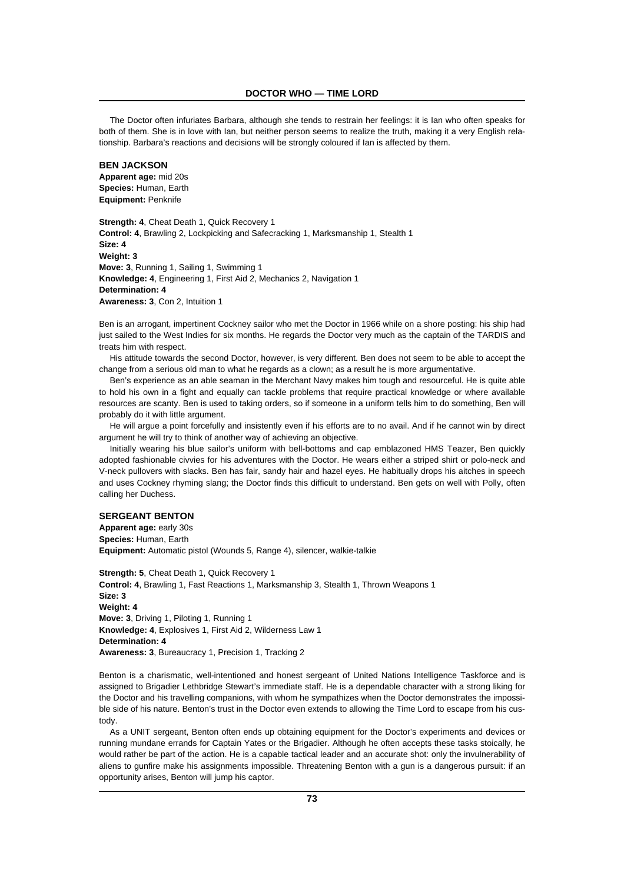The Doctor often infuriates Barbara, although she tends to restrain her feelings: it is Ian who often speaks for both of them. She is in love with Ian, but neither person seems to realize the truth, making it a very English relationship. Barbara's reactions and decisions will be strongly coloured if Ian is affected by them.

### **BEN JACKSON**

**Apparent age:** mid 20s **Species:** Human, Earth **Equipment:** Penknife

**Strength: 4**, Cheat Death 1, Quick Recovery 1 **Control: 4**, Brawling 2, Lockpicking and Safecracking 1, Marksmanship 1, Stealth 1 **Size: 4 Weight: 3 Move: 3**, Running 1, Sailing 1, Swimming 1 **Knowledge: 4**, Engineering 1, First Aid 2, Mechanics 2, Navigation 1 **Determination: 4 Awareness: 3**, Con 2, Intuition 1

Ben is an arrogant, impertinent Cockney sailor who met the Doctor in 1966 while on a shore posting: his ship had just sailed to the West Indies for six months. He regards the Doctor very much as the captain of the TARDIS and treats him with respect.

His attitude towards the second Doctor, however, is very different. Ben does not seem to be able to accept the change from a serious old man to what he regards as a clown; as a result he is more argumentative.

Ben's experience as an able seaman in the Merchant Navy makes him tough and resourceful. He is quite able to hold his own in a fight and equally can tackle problems that require practical knowledge or where available resources are scanty. Ben is used to taking orders, so if someone in a uniform tells him to do something, Ben will probably do it with little argument.

He will argue a point forcefully and insistently even if his efforts are to no avail. And if he cannot win by direct argument he will try to think of another way of achieving an objective.

Initially wearing his blue sailor's uniform with bell-bottoms and cap emblazoned HMS Teazer, Ben quickly adopted fashionable civvies for his adventures with the Doctor. He wears either a striped shirt or polo-neck and V-neck pullovers with slacks. Ben has fair, sandy hair and hazel eyes. He habitually drops his aitches in speech and uses Cockney rhyming slang; the Doctor finds this difficult to understand. Ben gets on well with Polly, often calling her Duchess.

### **SERGEANT BENTON**

**Apparent age:** early 30s **Species:** Human, Earth **Equipment:** Automatic pistol (Wounds 5, Range 4), silencer, walkie-talkie

**Strength: 5**, Cheat Death 1, Quick Recovery 1 **Control: 4**, Brawling 1, Fast Reactions 1, Marksmanship 3, Stealth 1, Thrown Weapons 1 **Size: 3 Weight: 4 Move: 3**, Driving 1, Piloting 1, Running 1 **Knowledge: 4**, Explosives 1, First Aid 2, Wilderness Law 1 **Determination: 4 Awareness: 3**, Bureaucracy 1, Precision 1, Tracking 2

Benton is a charismatic, well-intentioned and honest sergeant of United Nations Intelligence Taskforce and is assigned to Brigadier Lethbridge Stewart's immediate staff. He is a dependable character with a strong liking for the Doctor and his travelling companions, with whom he sympathizes when the Doctor demonstrates the impossible side of his nature. Benton's trust in the Doctor even extends to allowing the Time Lord to escape from his custody.

As a UNIT sergeant, Benton often ends up obtaining equipment for the Doctor's experiments and devices or running mundane errands for Captain Yates or the Brigadier. Although he often accepts these tasks stoically, he would rather be part of the action. He is a capable tactical leader and an accurate shot: only the invulnerability of aliens to gunfire make his assignments impossible. Threatening Benton with a gun is a dangerous pursuit: if an opportunity arises, Benton will jump his captor.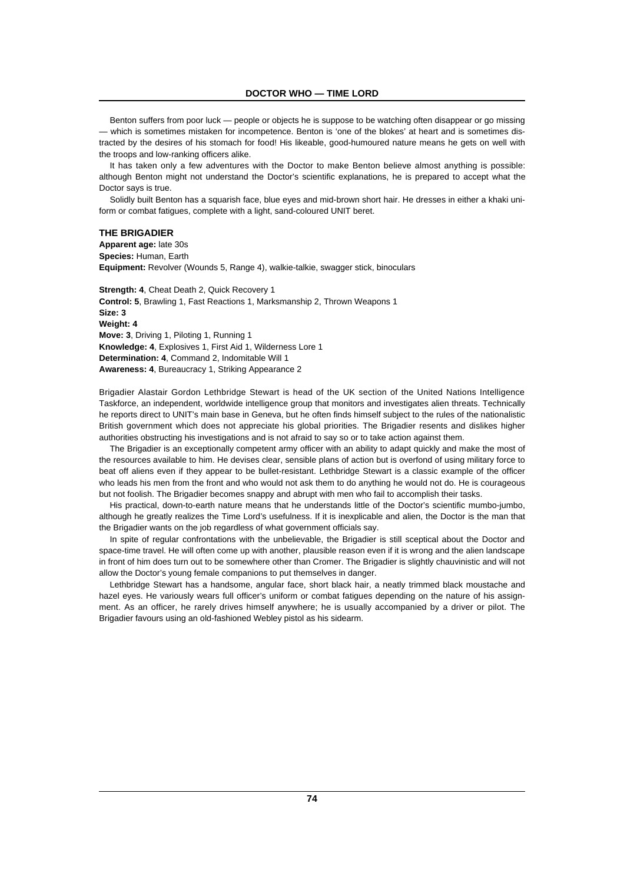Benton suffers from poor luck — people or objects he is suppose to be watching often disappear or go missing — which is sometimes mistaken for incompetence. Benton is 'one of the blokes' at heart and is sometimes distracted by the desires of his stomach for food! His likeable, good-humoured nature means he gets on well with the troops and low-ranking officers alike.

It has taken only a few adventures with the Doctor to make Benton believe almost anything is possible: although Benton might not understand the Doctor's scientific explanations, he is prepared to accept what the Doctor says is true.

Solidly built Benton has a squarish face, blue eyes and mid-brown short hair. He dresses in either a khaki uniform or combat fatigues, complete with a light, sand-coloured UNIT beret.

# **THE BRIGADIER**

**Apparent age:** late 30s **Species:** Human, Earth **Equipment:** Revolver (Wounds 5, Range 4), walkie-talkie, swagger stick, binoculars

**Strength: 4**, Cheat Death 2, Quick Recovery 1 **Control: 5**, Brawling 1, Fast Reactions 1, Marksmanship 2, Thrown Weapons 1 **Size: 3 Weight: 4 Move: 3**, Driving 1, Piloting 1, Running 1 **Knowledge: 4**, Explosives 1, First Aid 1, Wilderness Lore 1 **Determination: 4**, Command 2, Indomitable Will 1 **Awareness: 4**, Bureaucracy 1, Striking Appearance 2

Brigadier Alastair Gordon Lethbridge Stewart is head of the UK section of the United Nations Intelligence Taskforce, an independent, worldwide intelligence group that monitors and investigates alien threats. Technically he reports direct to UNIT's main base in Geneva, but he often finds himself subject to the rules of the nationalistic British government which does not appreciate his global priorities. The Brigadier resents and dislikes higher authorities obstructing his investigations and is not afraid to say so or to take action against them.

The Brigadier is an exceptionally competent army officer with an ability to adapt quickly and make the most of the resources available to him. He devises clear, sensible plans of action but is overfond of using military force to beat off aliens even if they appear to be bullet-resistant. Lethbridge Stewart is a classic example of the officer who leads his men from the front and who would not ask them to do anything he would not do. He is courageous but not foolish. The Brigadier becomes snappy and abrupt with men who fail to accomplish their tasks.

His practical, down-to-earth nature means that he understands little of the Doctor's scientific mumbo-jumbo, although he greatly realizes the Time Lord's usefulness. If it is inexplicable and alien, the Doctor is the man that the Brigadier wants on the job regardless of what government officials say.

In spite of regular confrontations with the unbelievable, the Brigadier is still sceptical about the Doctor and space-time travel. He will often come up with another, plausible reason even if it is wrong and the alien landscape in front of him does turn out to be somewhere other than Cromer. The Brigadier is slightly chauvinistic and will not allow the Doctor's young female companions to put themselves in danger.

Lethbridge Stewart has a handsome, angular face, short black hair, a neatly trimmed black moustache and hazel eyes. He variously wears full officer's uniform or combat fatigues depending on the nature of his assignment. As an officer, he rarely drives himself anywhere; he is usually accompanied by a driver or pilot. The Brigadier favours using an old-fashioned Webley pistol as his sidearm.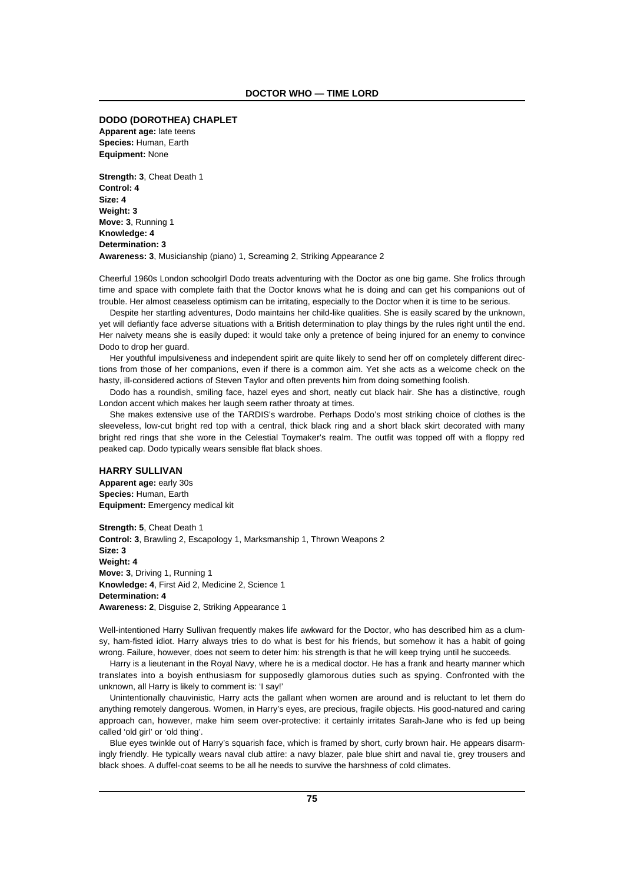### **DODO (DOROTHEA) CHAPLET**

**Apparent age:** late teens **Species:** Human, Earth **Equipment:** None

**Strength: 3**, Cheat Death 1 **Control: 4 Size: 4 Weight: 3 Move: 3**, Running 1 **Knowledge: 4 Determination: 3 Awareness: 3**, Musicianship (piano) 1, Screaming 2, Striking Appearance 2

Cheerful 1960s London schoolgirl Dodo treats adventuring with the Doctor as one big game. She frolics through time and space with complete faith that the Doctor knows what he is doing and can get his companions out of trouble. Her almost ceaseless optimism can be irritating, especially to the Doctor when it is time to be serious.

Despite her startling adventures, Dodo maintains her child-like qualities. She is easily scared by the unknown, yet will defiantly face adverse situations with a British determination to play things by the rules right until the end. Her naivety means she is easily duped: it would take only a pretence of being injured for an enemy to convince Dodo to drop her guard.

Her youthful impulsiveness and independent spirit are quite likely to send her off on completely different directions from those of her companions, even if there is a common aim. Yet she acts as a welcome check on the hasty, ill-considered actions of Steven Taylor and often prevents him from doing something foolish.

Dodo has a roundish, smiling face, hazel eyes and short, neatly cut black hair. She has a distinctive, rough London accent which makes her laugh seem rather throaty at times.

She makes extensive use of the TARDIS's wardrobe. Perhaps Dodo's most striking choice of clothes is the sleeveless, low-cut bright red top with a central, thick black ring and a short black skirt decorated with many bright red rings that she wore in the Celestial Toymaker's realm. The outfit was topped off with a floppy red peaked cap. Dodo typically wears sensible flat black shoes.

# **HARRY SULLIVAN**

**Apparent age:** early 30s **Species:** Human, Earth **Equipment:** Emergency medical kit

**Strength: 5**, Cheat Death 1 **Control: 3**, Brawling 2, Escapology 1, Marksmanship 1, Thrown Weapons 2 **Size: 3 Weight: 4 Move: 3**, Driving 1, Running 1 **Knowledge: 4**, First Aid 2, Medicine 2, Science 1 **Determination: 4 Awareness: 2**, Disguise 2, Striking Appearance 1

Well-intentioned Harry Sullivan frequently makes life awkward for the Doctor, who has described him as a clumsy, ham-fisted idiot. Harry always tries to do what is best for his friends, but somehow it has a habit of going wrong. Failure, however, does not seem to deter him: his strength is that he will keep trying until he succeeds.

Harry is a lieutenant in the Royal Navy, where he is a medical doctor. He has a frank and hearty manner which translates into a boyish enthusiasm for supposedly glamorous duties such as spying. Confronted with the unknown, all Harry is likely to comment is: 'I say!'

Unintentionally chauvinistic, Harry acts the gallant when women are around and is reluctant to let them do anything remotely dangerous. Women, in Harry's eyes, are precious, fragile objects. His good-natured and caring approach can, however, make him seem over-protective: it certainly irritates Sarah-Jane who is fed up being called 'old girl' or 'old thing'.

Blue eyes twinkle out of Harry's squarish face, which is framed by short, curly brown hair. He appears disarmingly friendly. He typically wears naval club attire: a navy blazer, pale blue shirt and naval tie, grey trousers and black shoes. A duffel-coat seems to be all he needs to survive the harshness of cold climates.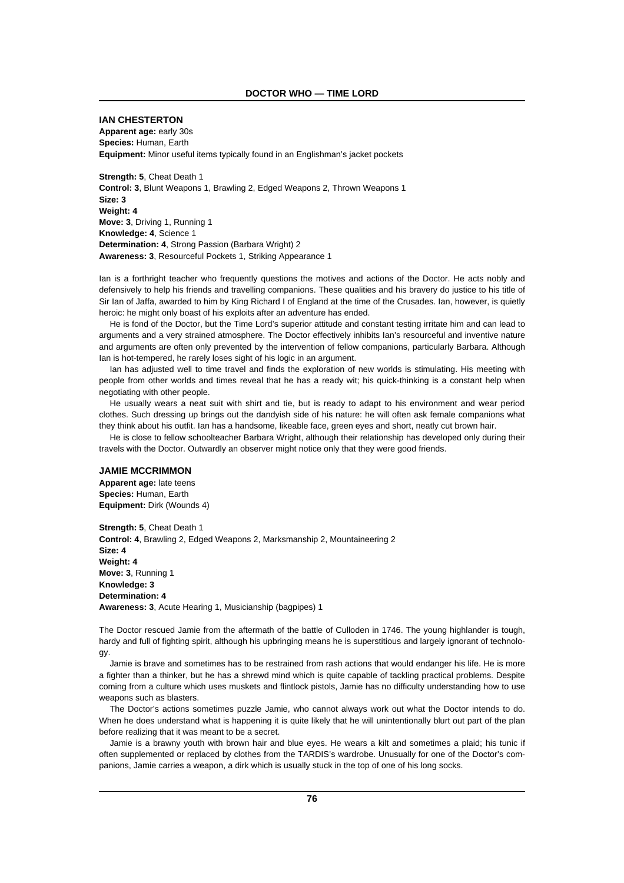### **IAN CHESTERTON**

**Apparent age:** early 30s **Species:** Human, Earth **Equipment:** Minor useful items typically found in an Englishman's jacket pockets

**Strength: 5**, Cheat Death 1 **Control: 3**, Blunt Weapons 1, Brawling 2, Edged Weapons 2, Thrown Weapons 1 **Size: 3 Weight: 4 Move: 3**, Driving 1, Running 1 **Knowledge: 4**, Science 1 **Determination: 4**, Strong Passion (Barbara Wright) 2 **Awareness: 3**, Resourceful Pockets 1, Striking Appearance 1

Ian is a forthright teacher who frequently questions the motives and actions of the Doctor. He acts nobly and defensively to help his friends and travelling companions. These qualities and his bravery do justice to his title of Sir Ian of Jaffa, awarded to him by King Richard I of England at the time of the Crusades. Ian, however, is quietly heroic: he might only boast of his exploits after an adventure has ended.

He is fond of the Doctor, but the Time Lord's superior attitude and constant testing irritate him and can lead to arguments and a very strained atmosphere. The Doctor effectively inhibits Ian's resourceful and inventive nature and arguments are often only prevented by the intervention of fellow companions, particularly Barbara. Although Ian is hot-tempered, he rarely loses sight of his logic in an argument.

Ian has adjusted well to time travel and finds the exploration of new worlds is stimulating. His meeting with people from other worlds and times reveal that he has a ready wit; his quick-thinking is a constant help when negotiating with other people.

He usually wears a neat suit with shirt and tie, but is ready to adapt to his environment and wear period clothes. Such dressing up brings out the dandyish side of his nature: he will often ask female companions what they think about his outfit. Ian has a handsome, likeable face, green eyes and short, neatly cut brown hair.

He is close to fellow schoolteacher Barbara Wright, although their relationship has developed only during their travels with the Doctor. Outwardly an observer might notice only that they were good friends.

# **JAMIE MCCRIMMON**

**Apparent age:** late teens **Species:** Human, Earth **Equipment:** Dirk (Wounds 4)

**Strength: 5**, Cheat Death 1 **Control: 4**, Brawling 2, Edged Weapons 2, Marksmanship 2, Mountaineering 2 **Size: 4 Weight: 4 Move: 3**, Running 1 **Knowledge: 3 Determination: 4 Awareness: 3**, Acute Hearing 1, Musicianship (bagpipes) 1

The Doctor rescued Jamie from the aftermath of the battle of Culloden in 1746. The young highlander is tough, hardy and full of fighting spirit, although his upbringing means he is superstitious and largely ignorant of technology.

Jamie is brave and sometimes has to be restrained from rash actions that would endanger his life. He is more a fighter than a thinker, but he has a shrewd mind which is quite capable of tackling practical problems. Despite coming from a culture which uses muskets and flintlock pistols, Jamie has no difficulty understanding how to use weapons such as blasters.

The Doctor's actions sometimes puzzle Jamie, who cannot always work out what the Doctor intends to do. When he does understand what is happening it is quite likely that he will unintentionally blurt out part of the plan before realizing that it was meant to be a secret.

Jamie is a brawny youth with brown hair and blue eyes. He wears a kilt and sometimes a plaid; his tunic if often supplemented or replaced by clothes from the TARDIS's wardrobe. Unusually for one of the Doctor's companions, Jamie carries a weapon, a dirk which is usually stuck in the top of one of his long socks.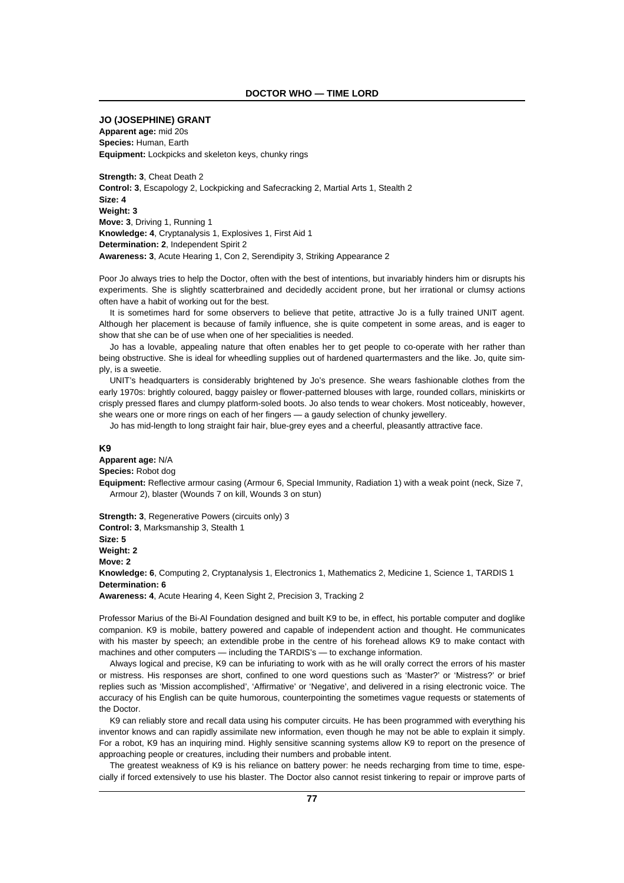### **JO (JOSEPHINE) GRANT**

**Apparent age:** mid 20s **Species:** Human, Earth **Equipment:** Lockpicks and skeleton keys, chunky rings

**Strength: 3**, Cheat Death 2 **Control: 3**, Escapology 2, Lockpicking and Safecracking 2, Martial Arts 1, Stealth 2 **Size: 4 Weight: 3 Move: 3**, Driving 1, Running 1 **Knowledge: 4**, Cryptanalysis 1, Explosives 1, First Aid 1 **Determination: 2**, Independent Spirit 2 **Awareness: 3**, Acute Hearing 1, Con 2, Serendipity 3, Striking Appearance 2

Poor Jo always tries to help the Doctor, often with the best of intentions, but invariably hinders him or disrupts his experiments. She is slightly scatterbrained and decidedly accident prone, but her irrational or clumsy actions often have a habit of working out for the best.

It is sometimes hard for some observers to believe that petite, attractive Jo is a fully trained UNIT agent. Although her placement is because of family influence, she is quite competent in some areas, and is eager to show that she can be of use when one of her specialities is needed.

Jo has a lovable, appealing nature that often enables her to get people to co-operate with her rather than being obstructive. She is ideal for wheedling supplies out of hardened quartermasters and the like. Jo, quite simply, is a sweetie.

UNIT's headquarters is considerably brightened by Jo's presence. She wears fashionable clothes from the early 1970s: brightly coloured, baggy paisley or flower-patterned blouses with large, rounded collars, miniskirts or crisply pressed flares and clumpy platform-soled boots. Jo also tends to wear chokers. Most noticeably, however, she wears one or more rings on each of her fingers — a gaudy selection of chunky jewellery.

Jo has mid-length to long straight fair hair, blue-grey eyes and a cheerful, pleasantly attractive face.

### **K9**

**Apparent age:** N/A **Species:** Robot dog

**Equipment:** Reflective armour casing (Armour 6, Special Immunity, Radiation 1) with a weak point (neck, Size 7, Armour 2), blaster (Wounds 7 on kill, Wounds 3 on stun)

**Strength: 3**, Regenerative Powers (circuits only) 3

**Control: 3**, Marksmanship 3, Stealth 1 **Size: 5**

**Weight: 2**

**Move: 2**

**Knowledge: 6**, Computing 2, Cryptanalysis 1, Electronics 1, Mathematics 2, Medicine 1, Science 1, TARDIS 1 **Determination: 6**

**Awareness: 4**, Acute Hearing 4, Keen Sight 2, Precision 3, Tracking 2

Professor Marius of the Bi-Al Foundation designed and built K9 to be, in effect, his portable computer and doglike companion. K9 is mobile, battery powered and capable of independent action and thought. He communicates with his master by speech; an extendible probe in the centre of his forehead allows K9 to make contact with machines and other computers — including the TARDIS's — to exchange information.

Always logical and precise, K9 can be infuriating to work with as he will orally correct the errors of his master or mistress. His responses are short, confined to one word questions such as 'Master?' or 'Mistress?' or brief replies such as 'Mission accomplished', 'Affirmative' or 'Negative', and delivered in a rising electronic voice. The accuracy of his English can be quite humorous, counterpointing the sometimes vague requests or statements of the Doctor.

K9 can reliably store and recall data using his computer circuits. He has been programmed with everything his inventor knows and can rapidly assimilate new information, even though he may not be able to explain it simply. For a robot, K9 has an inquiring mind. Highly sensitive scanning systems allow K9 to report on the presence of approaching people or creatures, including their numbers and probable intent.

The greatest weakness of K9 is his reliance on battery power: he needs recharging from time to time, especially if forced extensively to use his blaster. The Doctor also cannot resist tinkering to repair or improve parts of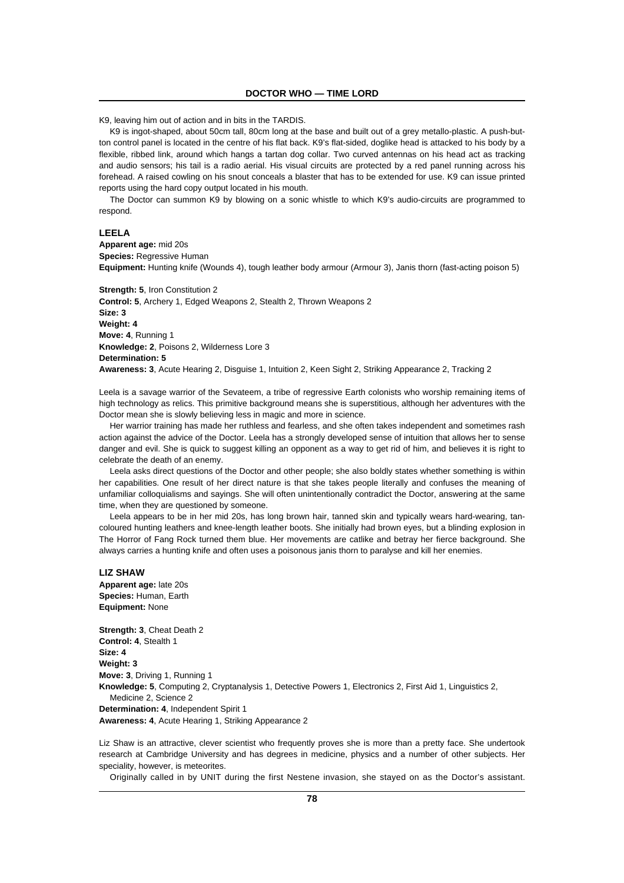K9, leaving him out of action and in bits in the TARDIS.

K9 is ingot-shaped, about 50cm tall, 80cm long at the base and built out of a grey metallo-plastic. A push-button control panel is located in the centre of his flat back. K9's flat-sided, doglike head is attacked to his body by a flexible, ribbed link, around which hangs a tartan dog collar. Two curved antennas on his head act as tracking and audio sensors; his tail is a radio aerial. His visual circuits are protected by a red panel running across his forehead. A raised cowling on his snout conceals a blaster that has to be extended for use. K9 can issue printed reports using the hard copy output located in his mouth.

The Doctor can summon K9 by blowing on a sonic whistle to which K9's audio-circuits are programmed to respond.

# **LEELA**

**Apparent age:** mid 20s **Species:** Regressive Human **Equipment:** Hunting knife (Wounds 4), tough leather body armour (Armour 3), Janis thorn (fast-acting poison 5)

**Strength: 5**, Iron Constitution 2 **Control: 5**, Archery 1, Edged Weapons 2, Stealth 2, Thrown Weapons 2 **Size: 3 Weight: 4 Move: 4**, Running 1 **Knowledge: 2**, Poisons 2, Wilderness Lore 3 **Determination: 5 Awareness: 3**, Acute Hearing 2, Disguise 1, Intuition 2, Keen Sight 2, Striking Appearance 2, Tracking 2

Leela is a savage warrior of the Sevateem, a tribe of regressive Earth colonists who worship remaining items of high technology as relics. This primitive background means she is superstitious, although her adventures with the Doctor mean she is slowly believing less in magic and more in science.

Her warrior training has made her ruthless and fearless, and she often takes independent and sometimes rash action against the advice of the Doctor. Leela has a strongly developed sense of intuition that allows her to sense danger and evil. She is quick to suggest killing an opponent as a way to get rid of him, and believes it is right to celebrate the death of an enemy.

Leela asks direct questions of the Doctor and other people; she also boldly states whether something is within her capabilities. One result of her direct nature is that she takes people literally and confuses the meaning of unfamiliar colloquialisms and sayings. She will often unintentionally contradict the Doctor, answering at the same time, when they are questioned by someone.

Leela appears to be in her mid 20s, has long brown hair, tanned skin and typically wears hard-wearing, tancoloured hunting leathers and knee-length leather boots. She initially had brown eyes, but a blinding explosion in The Horror of Fang Rock turned them blue. Her movements are catlike and betray her fierce background. She always carries a hunting knife and often uses a poisonous janis thorn to paralyse and kill her enemies.

#### **LIZ SHAW**

**Apparent age:** late 20s **Species:** Human, Earth **Equipment:** None

**Strength: 3**, Cheat Death 2 **Control: 4**, Stealth 1 **Size: 4 Weight: 3 Move: 3**, Driving 1, Running 1 **Knowledge: 5**, Computing 2, Cryptanalysis 1, Detective Powers 1, Electronics 2, First Aid 1, Linguistics 2, Medicine 2, Science 2 **Determination: 4**, Independent Spirit 1 **Awareness: 4**, Acute Hearing 1, Striking Appearance 2

Liz Shaw is an attractive, clever scientist who frequently proves she is more than a pretty face. She undertook research at Cambridge University and has degrees in medicine, physics and a number of other subjects. Her speciality, however, is meteorites.

Originally called in by UNIT during the first Nestene invasion, she stayed on as the Doctor's assistant.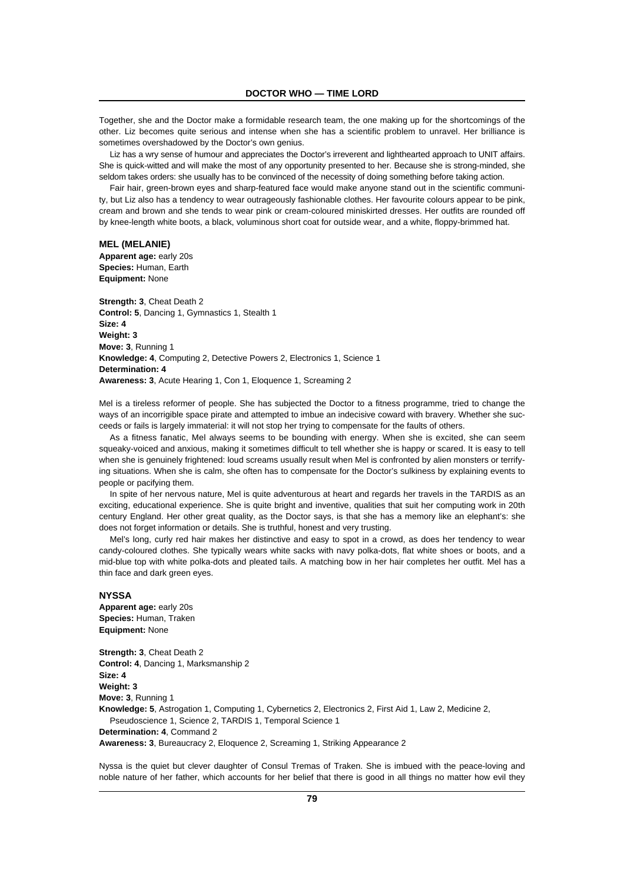Together, she and the Doctor make a formidable research team, the one making up for the shortcomings of the other. Liz becomes quite serious and intense when she has a scientific problem to unravel. Her brilliance is sometimes overshadowed by the Doctor's own genius.

Liz has a wry sense of humour and appreciates the Doctor's irreverent and lighthearted approach to UNIT affairs. She is quick-witted and will make the most of any opportunity presented to her. Because she is strong-minded, she seldom takes orders: she usually has to be convinced of the necessity of doing something before taking action.

Fair hair, green-brown eyes and sharp-featured face would make anyone stand out in the scientific community, but Liz also has a tendency to wear outrageously fashionable clothes. Her favourite colours appear to be pink, cream and brown and she tends to wear pink or cream-coloured miniskirted dresses. Her outfits are rounded off by knee-length white boots, a black, voluminous short coat for outside wear, and a white, floppy-brimmed hat.

# **MEL (MELANIE)**

**Apparent age:** early 20s **Species:** Human, Earth **Equipment:** None

**Strength: 3**, Cheat Death 2 **Control: 5**, Dancing 1, Gymnastics 1, Stealth 1 **Size: 4 Weight: 3 Move: 3**, Running 1 **Knowledge: 4**, Computing 2, Detective Powers 2, Electronics 1, Science 1 **Determination: 4 Awareness: 3**, Acute Hearing 1, Con 1, Eloquence 1, Screaming 2

Mel is a tireless reformer of people. She has subjected the Doctor to a fitness programme, tried to change the ways of an incorrigible space pirate and attempted to imbue an indecisive coward with bravery. Whether she succeeds or fails is largely immaterial: it will not stop her trying to compensate for the faults of others.

As a fitness fanatic, Mel always seems to be bounding with energy. When she is excited, she can seem squeaky-voiced and anxious, making it sometimes difficult to tell whether she is happy or scared. It is easy to tell when she is genuinely frightened: loud screams usually result when Mel is confronted by alien monsters or terrifying situations. When she is calm, she often has to compensate for the Doctor's sulkiness by explaining events to people or pacifying them.

In spite of her nervous nature, Mel is quite adventurous at heart and regards her travels in the TARDIS as an exciting, educational experience. She is quite bright and inventive, qualities that suit her computing work in 20th century England. Her other great quality, as the Doctor says, is that she has a memory like an elephant's: she does not forget information or details. She is truthful, honest and very trusting.

Mel's long, curly red hair makes her distinctive and easy to spot in a crowd, as does her tendency to wear candy-coloured clothes. She typically wears white sacks with navy polka-dots, flat white shoes or boots, and a mid-blue top with white polka-dots and pleated tails. A matching bow in her hair completes her outfit. Mel has a thin face and dark green eyes.

# **NYSSA**

**Apparent age:** early 20s **Species:** Human, Traken **Equipment:** None

**Strength: 3**, Cheat Death 2 **Control: 4**, Dancing 1, Marksmanship 2 **Size: 4 Weight: 3 Move: 3**, Running 1 **Knowledge: 5**, Astrogation 1, Computing 1, Cybernetics 2, Electronics 2, First Aid 1, Law 2, Medicine 2, Pseudoscience 1, Science 2, TARDIS 1, Temporal Science 1 **Determination: 4**, Command 2 **Awareness: 3**, Bureaucracy 2, Eloquence 2, Screaming 1, Striking Appearance 2

Nyssa is the quiet but clever daughter of Consul Tremas of Traken. She is imbued with the peace-loving and noble nature of her father, which accounts for her belief that there is good in all things no matter how evil they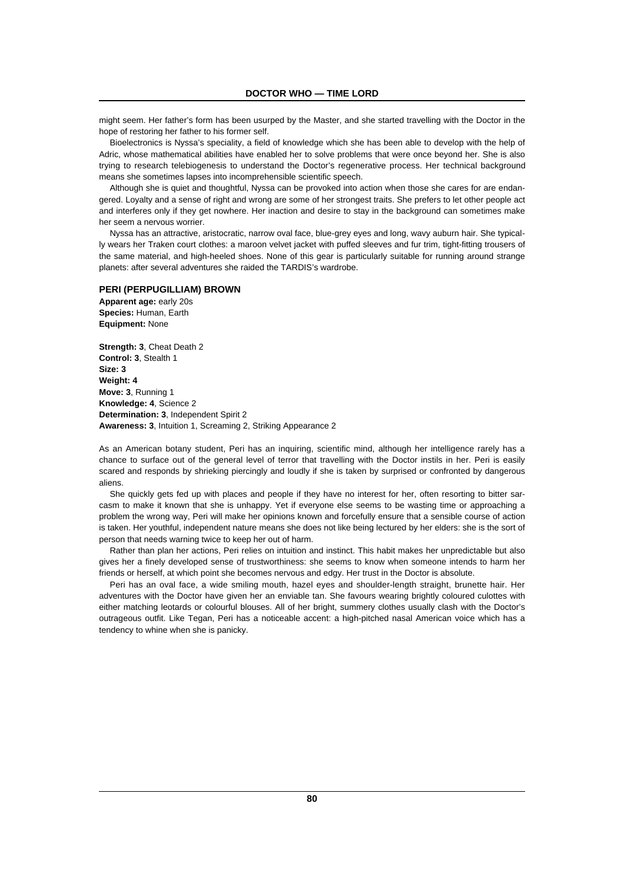might seem. Her father's form has been usurped by the Master, and she started travelling with the Doctor in the hope of restoring her father to his former self.

Bioelectronics is Nyssa's speciality, a field of knowledge which she has been able to develop with the help of Adric, whose mathematical abilities have enabled her to solve problems that were once beyond her. She is also trying to research telebiogenesis to understand the Doctor's regenerative process. Her technical background means she sometimes lapses into incomprehensible scientific speech.

Although she is quiet and thoughtful, Nyssa can be provoked into action when those she cares for are endangered. Loyalty and a sense of right and wrong are some of her strongest traits. She prefers to let other people act and interferes only if they get nowhere. Her inaction and desire to stay in the background can sometimes make her seem a nervous worrier.

Nyssa has an attractive, aristocratic, narrow oval face, blue-grey eyes and long, wavy auburn hair. She typically wears her Traken court clothes: a maroon velvet jacket with puffed sleeves and fur trim, tight-fitting trousers of the same material, and high-heeled shoes. None of this gear is particularly suitable for running around strange planets: after several adventures she raided the TARDIS's wardrobe.

#### **PERI (PERPUGILLIAM) BROWN**

**Apparent age:** early 20s **Species:** Human, Earth **Equipment:** None

**Strength: 3**, Cheat Death 2 **Control: 3**, Stealth 1 **Size: 3 Weight: 4 Move: 3**, Running 1 **Knowledge: 4**, Science 2 **Determination: 3**, Independent Spirit 2 **Awareness: 3**, Intuition 1, Screaming 2, Striking Appearance 2

As an American botany student, Peri has an inquiring, scientific mind, although her intelligence rarely has a chance to surface out of the general level of terror that travelling with the Doctor instils in her. Peri is easily scared and responds by shrieking piercingly and loudly if she is taken by surprised or confronted by dangerous aliens.

She quickly gets fed up with places and people if they have no interest for her, often resorting to bitter sarcasm to make it known that she is unhappy. Yet if everyone else seems to be wasting time or approaching a problem the wrong way, Peri will make her opinions known and forcefully ensure that a sensible course of action is taken. Her youthful, independent nature means she does not like being lectured by her elders: she is the sort of person that needs warning twice to keep her out of harm.

Rather than plan her actions, Peri relies on intuition and instinct. This habit makes her unpredictable but also gives her a finely developed sense of trustworthiness: she seems to know when someone intends to harm her friends or herself, at which point she becomes nervous and edgy. Her trust in the Doctor is absolute.

Peri has an oval face, a wide smiling mouth, hazel eyes and shoulder-length straight, brunette hair. Her adventures with the Doctor have given her an enviable tan. She favours wearing brightly coloured culottes with either matching leotards or colourful blouses. All of her bright, summery clothes usually clash with the Doctor's outrageous outfit. Like Tegan, Peri has a noticeable accent: a high-pitched nasal American voice which has a tendency to whine when she is panicky.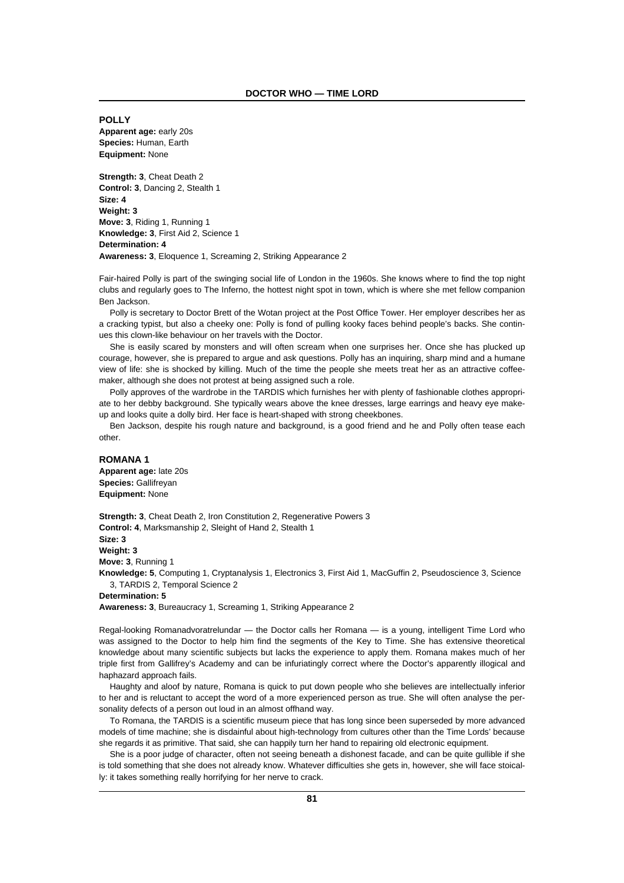**POLLY Apparent age:** early 20s **Species:** Human, Earth **Equipment:** None

**Strength: 3**, Cheat Death 2 **Control: 3**, Dancing 2, Stealth 1 **Size: 4 Weight: 3 Move: 3**, Riding 1, Running 1 **Knowledge: 3**, First Aid 2, Science 1 **Determination: 4 Awareness: 3**, Eloquence 1, Screaming 2, Striking Appearance 2

Fair-haired Polly is part of the swinging social life of London in the 1960s. She knows where to find the top night clubs and regularly goes to The Inferno, the hottest night spot in town, which is where she met fellow companion Ben Jackson.

Polly is secretary to Doctor Brett of the Wotan project at the Post Office Tower. Her employer describes her as a cracking typist, but also a cheeky one: Polly is fond of pulling kooky faces behind people's backs. She continues this clown-like behaviour on her travels with the Doctor.

She is easily scared by monsters and will often scream when one surprises her. Once she has plucked up courage, however, she is prepared to argue and ask questions. Polly has an inquiring, sharp mind and a humane view of life: she is shocked by killing. Much of the time the people she meets treat her as an attractive coffeemaker, although she does not protest at being assigned such a role.

Polly approves of the wardrobe in the TARDIS which furnishes her with plenty of fashionable clothes appropriate to her debby background. She typically wears above the knee dresses, large earrings and heavy eye makeup and looks quite a dolly bird. Her face is heart-shaped with strong cheekbones.

Ben Jackson, despite his rough nature and background, is a good friend and he and Polly often tease each other.

# **ROMANA 1**

**Apparent age:** late 20s **Species:** Gallifreyan **Equipment:** None

**Strength: 3**, Cheat Death 2, Iron Constitution 2, Regenerative Powers 3 **Control: 4**, Marksmanship 2, Sleight of Hand 2, Stealth 1

**Size: 3**

**Weight: 3**

**Move: 3**, Running 1

**Knowledge: 5**, Computing 1, Cryptanalysis 1, Electronics 3, First Aid 1, MacGuffin 2, Pseudoscience 3, Science 3, TARDIS 2, Temporal Science 2

**Determination: 5**

**Awareness: 3**, Bureaucracy 1, Screaming 1, Striking Appearance 2

Regal-looking Romanadvoratrelundar — the Doctor calls her Romana — is a young, intelligent Time Lord who was assigned to the Doctor to help him find the segments of the Key to Time. She has extensive theoretical knowledge about many scientific subjects but lacks the experience to apply them. Romana makes much of her triple first from Gallifrey's Academy and can be infuriatingly correct where the Doctor's apparently illogical and haphazard approach fails.

Haughty and aloof by nature, Romana is quick to put down people who she believes are intellectually inferior to her and is reluctant to accept the word of a more experienced person as true. She will often analyse the personality defects of a person out loud in an almost offhand way.

To Romana, the TARDIS is a scientific museum piece that has long since been superseded by more advanced models of time machine; she is disdainful about high-technology from cultures other than the Time Lords' because she regards it as primitive. That said, she can happily turn her hand to repairing old electronic equipment.

She is a poor judge of character, often not seeing beneath a dishonest facade, and can be quite gullible if she is told something that she does not already know. Whatever difficulties she gets in, however, she will face stoically: it takes something really horrifying for her nerve to crack.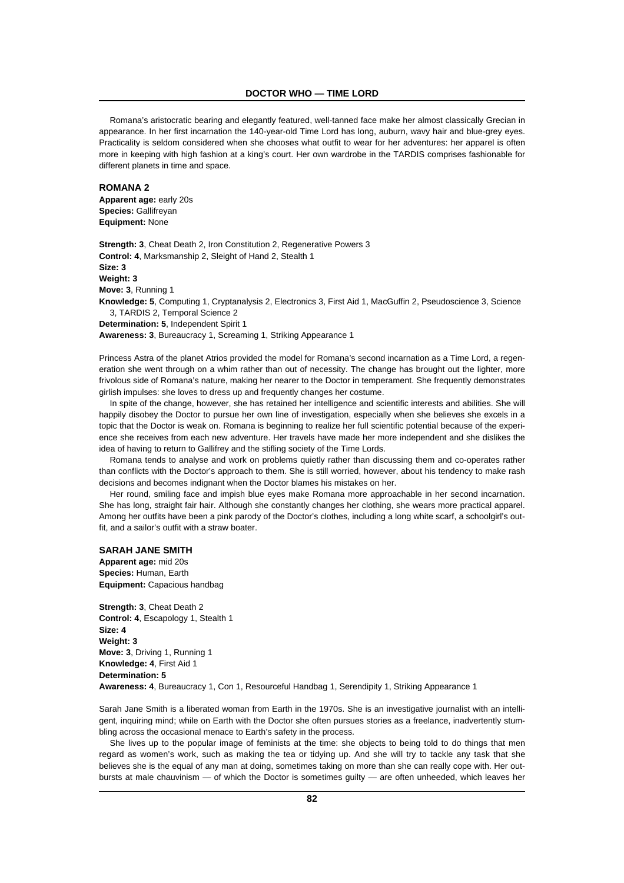Romana's aristocratic bearing and elegantly featured, well-tanned face make her almost classically Grecian in appearance. In her first incarnation the 140-year-old Time Lord has long, auburn, wavy hair and blue-grey eyes. Practicality is seldom considered when she chooses what outfit to wear for her adventures: her apparel is often more in keeping with high fashion at a king's court. Her own wardrobe in the TARDIS comprises fashionable for different planets in time and space.

# **ROMANA 2**

**Apparent age:** early 20s **Species:** Gallifreyan **Equipment:** None

**Strength: 3**, Cheat Death 2, Iron Constitution 2, Regenerative Powers 3 **Control: 4**, Marksmanship 2, Sleight of Hand 2, Stealth 1 **Size: 3 Weight: 3 Move: 3**, Running 1 **Knowledge: 5**, Computing 1, Cryptanalysis 2, Electronics 3, First Aid 1, MacGuffin 2, Pseudoscience 3, Science 3, TARDIS 2, Temporal Science 2 **Determination: 5**, Independent Spirit 1

**Awareness: 3**, Bureaucracy 1, Screaming 1, Striking Appearance 1

Princess Astra of the planet Atrios provided the model for Romana's second incarnation as a Time Lord, a regeneration she went through on a whim rather than out of necessity. The change has brought out the lighter, more frivolous side of Romana's nature, making her nearer to the Doctor in temperament. She frequently demonstrates girlish impulses: she loves to dress up and frequently changes her costume.

In spite of the change, however, she has retained her intelligence and scientific interests and abilities. She will happily disobey the Doctor to pursue her own line of investigation, especially when she believes she excels in a topic that the Doctor is weak on. Romana is beginning to realize her full scientific potential because of the experience she receives from each new adventure. Her travels have made her more independent and she dislikes the idea of having to return to Gallifrey and the stifling society of the Time Lords.

Romana tends to analyse and work on problems quietly rather than discussing them and co-operates rather than conflicts with the Doctor's approach to them. She is still worried, however, about his tendency to make rash decisions and becomes indignant when the Doctor blames his mistakes on her.

Her round, smiling face and impish blue eyes make Romana more approachable in her second incarnation. She has long, straight fair hair. Although she constantly changes her clothing, she wears more practical apparel. Among her outfits have been a pink parody of the Doctor's clothes, including a long white scarf, a schoolgirl's outfit, and a sailor's outfit with a straw boater.

# **SARAH JANE SMITH**

**Apparent age:** mid 20s **Species:** Human, Earth **Equipment:** Capacious handbag

**Strength: 3**, Cheat Death 2 **Control: 4**, Escapology 1, Stealth 1 **Size: 4 Weight: 3 Move: 3**, Driving 1, Running 1 **Knowledge: 4**, First Aid 1 **Determination: 5 Awareness: 4**, Bureaucracy 1, Con 1, Resourceful Handbag 1, Serendipity 1, Striking Appearance 1

Sarah Jane Smith is a liberated woman from Earth in the 1970s. She is an investigative journalist with an intelligent, inquiring mind; while on Earth with the Doctor she often pursues stories as a freelance, inadvertently stumbling across the occasional menace to Earth's safety in the process.

She lives up to the popular image of feminists at the time: she objects to being told to do things that men regard as women's work, such as making the tea or tidying up. And she will try to tackle any task that she believes she is the equal of any man at doing, sometimes taking on more than she can really cope with. Her outbursts at male chauvinism — of which the Doctor is sometimes guilty — are often unheeded, which leaves her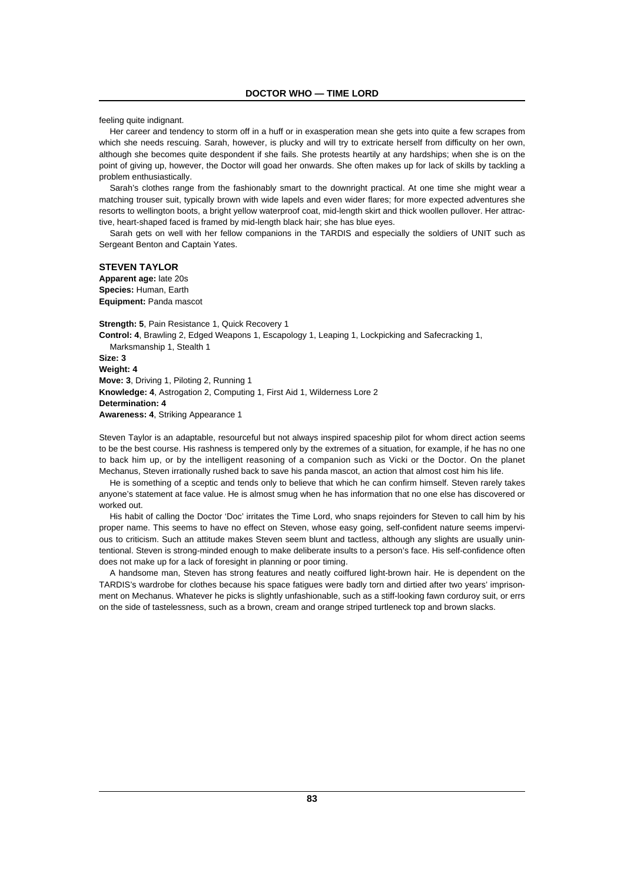feeling quite indignant.

Her career and tendency to storm off in a huff or in exasperation mean she gets into quite a few scrapes from which she needs rescuing. Sarah, however, is plucky and will try to extricate herself from difficulty on her own, although she becomes quite despondent if she fails. She protests heartily at any hardships; when she is on the point of giving up, however, the Doctor will goad her onwards. She often makes up for lack of skills by tackling a problem enthusiastically.

Sarah's clothes range from the fashionably smart to the downright practical. At one time she might wear a matching trouser suit, typically brown with wide lapels and even wider flares; for more expected adventures she resorts to wellington boots, a bright yellow waterproof coat, mid-length skirt and thick woollen pullover. Her attractive, heart-shaped faced is framed by mid-length black hair; she has blue eyes.

Sarah gets on well with her fellow companions in the TARDIS and especially the soldiers of UNIT such as Sergeant Benton and Captain Yates.

**STEVEN TAYLOR Apparent age:** late 20s

**Species:** Human, Earth **Equipment:** Panda mascot

**Strength: 5**, Pain Resistance 1, Quick Recovery 1 **Control: 4**, Brawling 2, Edged Weapons 1, Escapology 1, Leaping 1, Lockpicking and Safecracking 1, Marksmanship 1, Stealth 1 **Size: 3 Weight: 4 Move: 3**, Driving 1, Piloting 2, Running 1 **Knowledge: 4**, Astrogation 2, Computing 1, First Aid 1, Wilderness Lore 2 **Determination: 4 Awareness: 4**, Striking Appearance 1

Steven Taylor is an adaptable, resourceful but not always inspired spaceship pilot for whom direct action seems to be the best course. His rashness is tempered only by the extremes of a situation, for example, if he has no one to back him up, or by the intelligent reasoning of a companion such as Vicki or the Doctor. On the planet Mechanus, Steven irrationally rushed back to save his panda mascot, an action that almost cost him his life.

He is something of a sceptic and tends only to believe that which he can confirm himself. Steven rarely takes anyone's statement at face value. He is almost smug when he has information that no one else has discovered or worked out.

His habit of calling the Doctor 'Doc' irritates the Time Lord, who snaps rejoinders for Steven to call him by his proper name. This seems to have no effect on Steven, whose easy going, self-confident nature seems impervious to criticism. Such an attitude makes Steven seem blunt and tactless, although any slights are usually unintentional. Steven is strong-minded enough to make deliberate insults to a person's face. His self-confidence often does not make up for a lack of foresight in planning or poor timing.

A handsome man, Steven has strong features and neatly coiffured light-brown hair. He is dependent on the TARDIS's wardrobe for clothes because his space fatigues were badly torn and dirtied after two years' imprisonment on Mechanus. Whatever he picks is slightly unfashionable, such as a stiff-looking fawn corduroy suit, or errs on the side of tastelessness, such as a brown, cream and orange striped turtleneck top and brown slacks.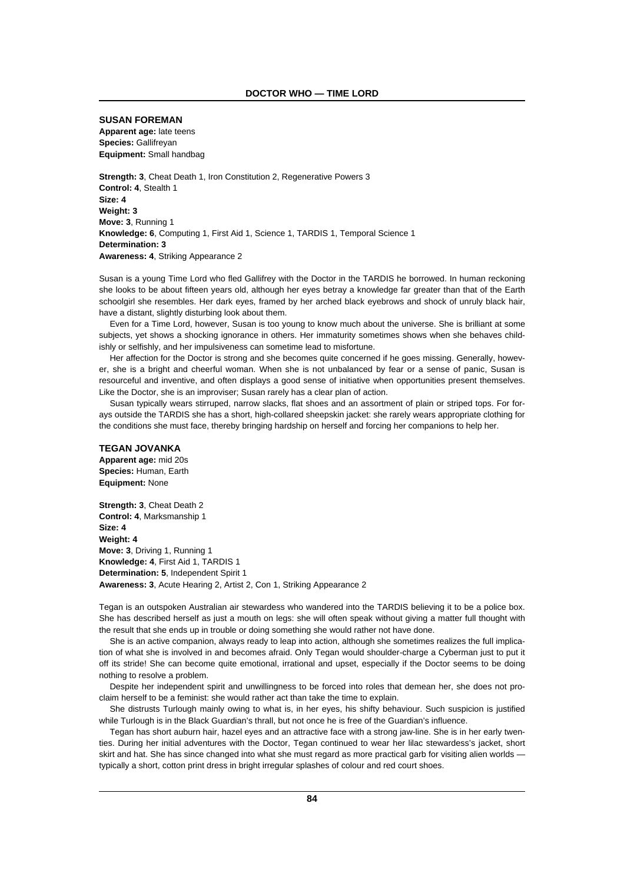### **SUSAN FOREMAN**

**Apparent age:** late teens **Species:** Gallifreyan **Equipment:** Small handbag

**Strength: 3**, Cheat Death 1, Iron Constitution 2, Regenerative Powers 3 **Control: 4**, Stealth 1 **Size: 4 Weight: 3 Move: 3**, Running 1 **Knowledge: 6**, Computing 1, First Aid 1, Science 1, TARDIS 1, Temporal Science 1 **Determination: 3 Awareness: 4**, Striking Appearance 2

Susan is a young Time Lord who fled Gallifrey with the Doctor in the TARDIS he borrowed. In human reckoning she looks to be about fifteen years old, although her eyes betray a knowledge far greater than that of the Earth schoolgirl she resembles. Her dark eyes, framed by her arched black eyebrows and shock of unruly black hair, have a distant, slightly disturbing look about them.

Even for a Time Lord, however, Susan is too young to know much about the universe. She is brilliant at some subjects, yet shows a shocking ignorance in others. Her immaturity sometimes shows when she behaves childishly or selfishly, and her impulsiveness can sometime lead to misfortune.

Her affection for the Doctor is strong and she becomes quite concerned if he goes missing. Generally, however, she is a bright and cheerful woman. When she is not unbalanced by fear or a sense of panic, Susan is resourceful and inventive, and often displays a good sense of initiative when opportunities present themselves. Like the Doctor, she is an improviser; Susan rarely has a clear plan of action.

Susan typically wears stirruped, narrow slacks, flat shoes and an assortment of plain or striped tops. For forays outside the TARDIS she has a short, high-collared sheepskin jacket: she rarely wears appropriate clothing for the conditions she must face, thereby bringing hardship on herself and forcing her companions to help her.

# **TEGAN JOVANKA**

**Apparent age:** mid 20s **Species:** Human, Earth **Equipment:** None

**Strength: 3**, Cheat Death 2 **Control: 4**, Marksmanship 1 **Size: 4 Weight: 4 Move: 3**, Driving 1, Running 1 **Knowledge: 4**, First Aid 1, TARDIS 1 **Determination: 5**, Independent Spirit 1 **Awareness: 3**, Acute Hearing 2, Artist 2, Con 1, Striking Appearance 2

Tegan is an outspoken Australian air stewardess who wandered into the TARDIS believing it to be a police box. She has described herself as just a mouth on legs: she will often speak without giving a matter full thought with the result that she ends up in trouble or doing something she would rather not have done.

She is an active companion, always ready to leap into action, although she sometimes realizes the full implication of what she is involved in and becomes afraid. Only Tegan would shoulder-charge a Cyberman just to put it off its stride! She can become quite emotional, irrational and upset, especially if the Doctor seems to be doing nothing to resolve a problem.

Despite her independent spirit and unwillingness to be forced into roles that demean her, she does not proclaim herself to be a feminist: she would rather act than take the time to explain.

She distrusts Turlough mainly owing to what is, in her eyes, his shifty behaviour. Such suspicion is justified while Turlough is in the Black Guardian's thrall, but not once he is free of the Guardian's influence.

Tegan has short auburn hair, hazel eyes and an attractive face with a strong jaw-line. She is in her early twenties. During her initial adventures with the Doctor, Tegan continued to wear her lilac stewardess's jacket, short skirt and hat. She has since changed into what she must regard as more practical garb for visiting alien worlds typically a short, cotton print dress in bright irregular splashes of colour and red court shoes.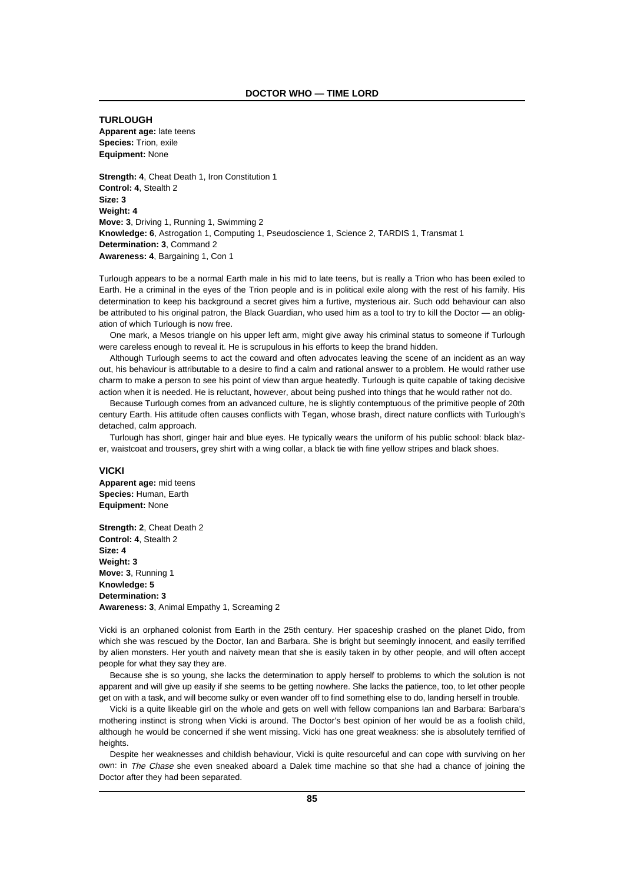**TURLOUGH Apparent age:** late teens **Species:** Trion, exile **Equipment:** None

**Strength: 4**, Cheat Death 1, Iron Constitution 1 **Control: 4**, Stealth 2 **Size: 3 Weight: 4 Move: 3**, Driving 1, Running 1, Swimming 2 **Knowledge: 6**, Astrogation 1, Computing 1, Pseudoscience 1, Science 2, TARDIS 1, Transmat 1 **Determination: 3**, Command 2 **Awareness: 4**, Bargaining 1, Con 1

Turlough appears to be a normal Earth male in his mid to late teens, but is really a Trion who has been exiled to Earth. He a criminal in the eyes of the Trion people and is in political exile along with the rest of his family. His determination to keep his background a secret gives him a furtive, mysterious air. Such odd behaviour can also be attributed to his original patron, the Black Guardian, who used him as a tool to try to kill the Doctor — an obligation of which Turlough is now free.

One mark, a Mesos triangle on his upper left arm, might give away his criminal status to someone if Turlough were careless enough to reveal it. He is scrupulous in his efforts to keep the brand hidden.

Although Turlough seems to act the coward and often advocates leaving the scene of an incident as an way out, his behaviour is attributable to a desire to find a calm and rational answer to a problem. He would rather use charm to make a person to see his point of view than argue heatedly. Turlough is quite capable of taking decisive action when it is needed. He is reluctant, however, about being pushed into things that he would rather not do.

Because Turlough comes from an advanced culture, he is slightly contemptuous of the primitive people of 20th century Earth. His attitude often causes conflicts with Tegan, whose brash, direct nature conflicts with Turlough's detached, calm approach.

Turlough has short, ginger hair and blue eyes. He typically wears the uniform of his public school: black blazer, waistcoat and trousers, grey shirt with a wing collar, a black tie with fine yellow stripes and black shoes.

#### **VICKI**

**Apparent age:** mid teens **Species:** Human, Earth **Equipment:** None

**Strength: 2**, Cheat Death 2 **Control: 4**, Stealth 2 **Size: 4 Weight: 3 Move: 3**, Running 1 **Knowledge: 5 Determination: 3 Awareness: 3**, Animal Empathy 1, Screaming 2

Vicki is an orphaned colonist from Earth in the 25th century. Her spaceship crashed on the planet Dido, from which she was rescued by the Doctor, Ian and Barbara. She is bright but seemingly innocent, and easily terrified by alien monsters. Her youth and naivety mean that she is easily taken in by other people, and will often accept people for what they say they are.

Because she is so young, she lacks the determination to apply herself to problems to which the solution is not apparent and will give up easily if she seems to be getting nowhere. She lacks the patience, too, to let other people get on with a task, and will become sulky or even wander off to find something else to do, landing herself in trouble.

Vicki is a quite likeable girl on the whole and gets on well with fellow companions Ian and Barbara: Barbara's mothering instinct is strong when Vicki is around. The Doctor's best opinion of her would be as a foolish child, although he would be concerned if she went missing. Vicki has one great weakness: she is absolutely terrified of heights

Despite her weaknesses and childish behaviour, Vicki is quite resourceful and can cope with surviving on her own: in The Chase she even sneaked aboard a Dalek time machine so that she had a chance of joining the Doctor after they had been separated.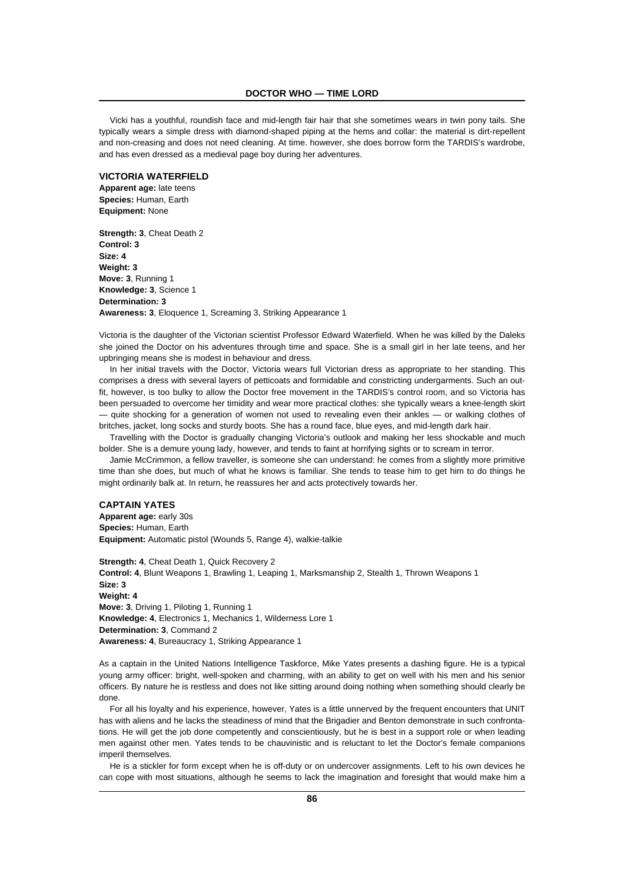Vicki has a youthful, roundish face and mid-length fair hair that she sometimes wears in twin pony tails. She typically wears a simple dress with diamond-shaped piping at the hems and collar: the material is dirt-repellent and non-creasing and does not need cleaning. At time. however, she does borrow form the TARDIS's wardrobe, and has even dressed as a medieval page boy during her adventures.

# **VICTORIA WATERFIELD**

**Apparent age:** late teens **Species:** Human, Earth **Equipment:** None

**Strength: 3**, Cheat Death 2 **Control: 3 Size: 4 Weight: 3 Move: 3**, Running 1 **Knowledge: 3**, Science 1 **Determination: 3 Awareness: 3**, Eloquence 1, Screaming 3, Striking Appearance 1

Victoria is the daughter of the Victorian scientist Professor Edward Waterfield. When he was killed by the Daleks she joined the Doctor on his adventures through time and space. She is a small girl in her late teens, and her upbringing means she is modest in behaviour and dress.

In her initial travels with the Doctor, Victoria wears full Victorian dress as appropriate to her standing. This comprises a dress with several layers of petticoats and formidable and constricting undergarments. Such an outfit, however, is too bulky to allow the Doctor free movement in the TARDIS's control room, and so Victoria has been persuaded to overcome her timidity and wear more practical clothes: she typically wears a knee-length skirt — quite shocking for a generation of women not used to revealing even their ankles — or walking clothes of britches, jacket, long socks and sturdy boots. She has a round face, blue eyes, and mid-length dark hair.

Travelling with the Doctor is gradually changing Victoria's outlook and making her less shockable and much bolder. She is a demure young lady, however, and tends to faint at horrifying sights or to scream in terror.

Jamie McCrimmon, a fellow traveller, is someone she can understand: he comes from a slightly more primitive time than she does, but much of what he knows is familiar. She tends to tease him to get him to do things he might ordinarily balk at. In return, he reassures her and acts protectively towards her.

# **CAPTAIN YATES**

**Apparent age:** early 30s **Species:** Human, Earth **Equipment:** Automatic pistol (Wounds 5, Range 4), walkie-talkie

**Strength: 4**, Cheat Death 1, Quick Recovery 2 **Control: 4**, Blunt Weapons 1, Brawling 1, Leaping 1, Marksmanship 2, Stealth 1, Thrown Weapons 1 **Size: 3 Weight: 4 Move: 3**, Driving 1, Piloting 1, Running 1 **Knowledge: 4**, Electronics 1, Mechanics 1, Wilderness Lore 1 **Determination: 3**, Command 2 **Awareness: 4**, Bureaucracy 1, Striking Appearance 1

As a captain in the United Nations Intelligence Taskforce, Mike Yates presents a dashing figure. He is a typical young army officer: bright, well-spoken and charming, with an ability to get on well with his men and his senior officers. By nature he is restless and does not like sitting around doing nothing when something should clearly be done.

For all his loyalty and his experience, however, Yates is a little unnerved by the frequent encounters that UNIT has with aliens and he lacks the steadiness of mind that the Brigadier and Benton demonstrate in such confrontations. He will get the job done competently and conscientiously, but he is best in a support role or when leading men against other men. Yates tends to be chauvinistic and is reluctant to let the Doctor's female companions imperil themselves.

He is a stickler for form except when he is off-duty or on undercover assignments. Left to his own devices he can cope with most situations, although he seems to lack the imagination and foresight that would make him a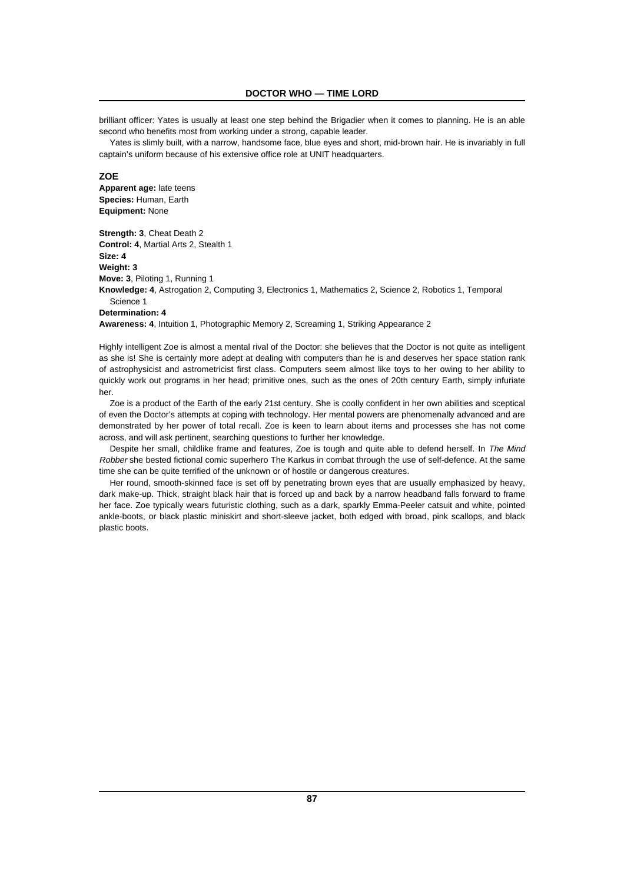brilliant officer: Yates is usually at least one step behind the Brigadier when it comes to planning. He is an able second who benefits most from working under a strong, capable leader.

Yates is slimly built, with a narrow, handsome face, blue eyes and short, mid-brown hair. He is invariably in full captain's uniform because of his extensive office role at UNIT headquarters.

# **ZOE**

**Apparent age:** late teens **Species:** Human, Earth **Equipment:** None

**Strength: 3**, Cheat Death 2 **Control: 4**, Martial Arts 2, Stealth 1 **Size: 4 Weight: 3 Move: 3**, Piloting 1, Running 1 **Knowledge: 4**, Astrogation 2, Computing 3, Electronics 1, Mathematics 2, Science 2, Robotics 1, Temporal Science 1 **Determination: 4**

**Awareness: 4**, Intuition 1, Photographic Memory 2, Screaming 1, Striking Appearance 2

Highly intelligent Zoe is almost a mental rival of the Doctor: she believes that the Doctor is not quite as intelligent as she is! She is certainly more adept at dealing with computers than he is and deserves her space station rank of astrophysicist and astrometricist first class. Computers seem almost like toys to her owing to her ability to quickly work out programs in her head; primitive ones, such as the ones of 20th century Earth, simply infuriate her.

Zoe is a product of the Earth of the early 21st century. She is coolly confident in her own abilities and sceptical of even the Doctor's attempts at coping with technology. Her mental powers are phenomenally advanced and are demonstrated by her power of total recall. Zoe is keen to learn about items and processes she has not come across, and will ask pertinent, searching questions to further her knowledge.

Despite her small, childlike frame and features, Zoe is tough and quite able to defend herself. In The Mind Robber she bested fictional comic superhero The Karkus in combat through the use of self-defence. At the same time she can be quite terrified of the unknown or of hostile or dangerous creatures.

Her round, smooth-skinned face is set off by penetrating brown eyes that are usually emphasized by heavy, dark make-up. Thick, straight black hair that is forced up and back by a narrow headband falls forward to frame her face. Zoe typically wears futuristic clothing, such as a dark, sparkly Emma-Peeler catsuit and white, pointed ankle-boots, or black plastic miniskirt and short-sleeve jacket, both edged with broad, pink scallops, and black plastic boots.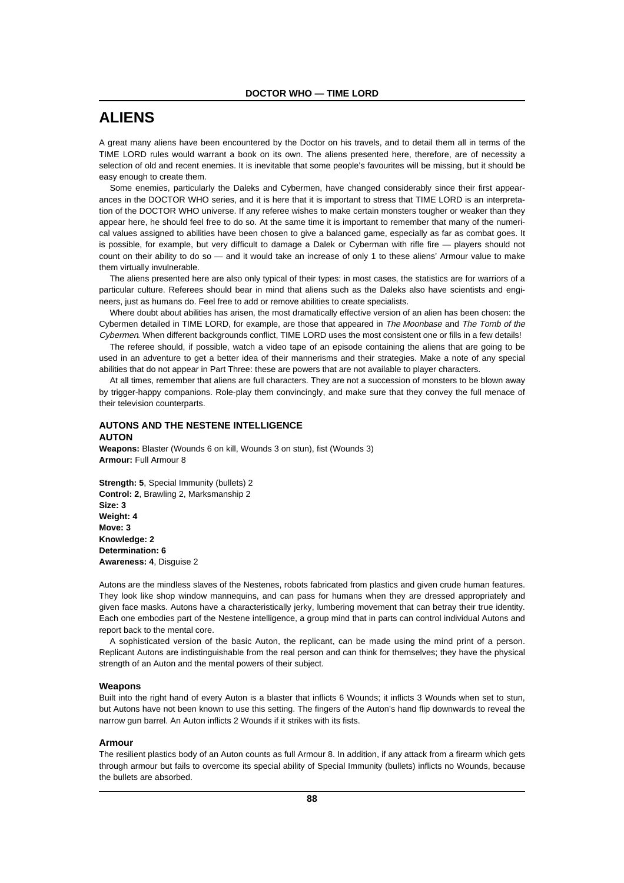# **ALIENS**

A great many aliens have been encountered by the Doctor on his travels, and to detail them all in terms of the TIME LORD rules would warrant a book on its own. The aliens presented here, therefore, are of necessity a selection of old and recent enemies. It is inevitable that some people's favourites will be missing, but it should be easy enough to create them.

Some enemies, particularly the Daleks and Cybermen, have changed considerably since their first appearances in the DOCTOR WHO series, and it is here that it is important to stress that TIME LORD is an interpretation of the DOCTOR WHO universe. If any referee wishes to make certain monsters tougher or weaker than they appear here, he should feel free to do so. At the same time it is important to remember that many of the numerical values assigned to abilities have been chosen to give a balanced game, especially as far as combat goes. It is possible, for example, but very difficult to damage a Dalek or Cyberman with rifle fire — players should not count on their ability to do so — and it would take an increase of only 1 to these aliens' Armour value to make them virtually invulnerable.

The aliens presented here are also only typical of their types: in most cases, the statistics are for warriors of a particular culture. Referees should bear in mind that aliens such as the Daleks also have scientists and engineers, just as humans do. Feel free to add or remove abilities to create specialists.

Where doubt about abilities has arisen, the most dramatically effective version of an alien has been chosen: the Cybermen detailed in TIME LORD, for example, are those that appeared in The Moonbase and The Tomb of the Cybermen. When different backgrounds conflict, TIME LORD uses the most consistent one or fills in a few details!

The referee should, if possible, watch a video tape of an episode containing the aliens that are going to be used in an adventure to get a better idea of their mannerisms and their strategies. Make a note of any special abilities that do not appear in Part Three: these are powers that are not available to player characters.

At all times, remember that aliens are full characters. They are not a succession of monsters to be blown away by trigger-happy companions. Role-play them convincingly, and make sure that they convey the full menace of their television counterparts.

# **AUTONS AND THE NESTENE INTELLIGENCE**

**AUTON**

**Weapons:** Blaster (Wounds 6 on kill, Wounds 3 on stun), fist (Wounds 3) **Armour:** Full Armour 8

**Strength: 5**, Special Immunity (bullets) 2 **Control: 2**, Brawling 2, Marksmanship 2 **Size: 3 Weight: 4 Move: 3 Knowledge: 2 Determination: 6 Awareness: 4**, Disguise 2

Autons are the mindless slaves of the Nestenes, robots fabricated from plastics and given crude human features. They look like shop window mannequins, and can pass for humans when they are dressed appropriately and given face masks. Autons have a characteristically jerky, lumbering movement that can betray their true identity. Each one embodies part of the Nestene intelligence, a group mind that in parts can control individual Autons and report back to the mental core.

A sophisticated version of the basic Auton, the replicant, can be made using the mind print of a person. Replicant Autons are indistinguishable from the real person and can think for themselves; they have the physical strength of an Auton and the mental powers of their subject.

# **Weapons**

Built into the right hand of every Auton is a blaster that inflicts 6 Wounds; it inflicts 3 Wounds when set to stun, but Autons have not been known to use this setting. The fingers of the Auton's hand flip downwards to reveal the narrow gun barrel. An Auton inflicts 2 Wounds if it strikes with its fists.

### **Armour**

The resilient plastics body of an Auton counts as full Armour 8. In addition, if any attack from a firearm which gets through armour but fails to overcome its special ability of Special Immunity (bullets) inflicts no Wounds, because the bullets are absorbed.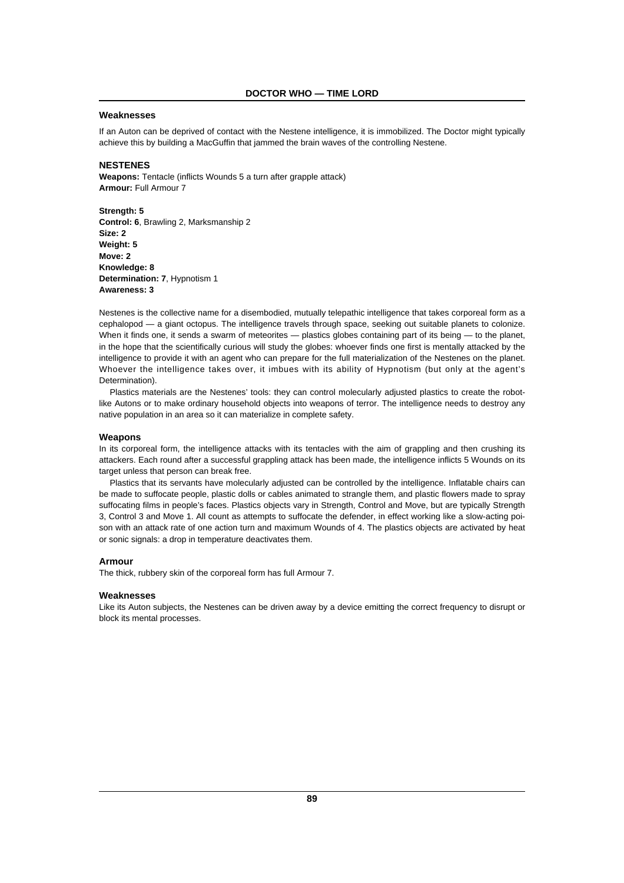### **Weaknesses**

If an Auton can be deprived of contact with the Nestene intelligence, it is immobilized. The Doctor might typically achieve this by building a MacGuffin that jammed the brain waves of the controlling Nestene.

### **NESTENES**

**Weapons:** Tentacle (inflicts Wounds 5 a turn after grapple attack) **Armour:** Full Armour 7

**Strength: 5 Control: 6**, Brawling 2, Marksmanship 2 **Size: 2 Weight: 5 Move: 2 Knowledge: 8 Determination: 7**, Hypnotism 1 **Awareness: 3**

Nestenes is the collective name for a disembodied, mutually telepathic intelligence that takes corporeal form as a cephalopod — a giant octopus. The intelligence travels through space, seeking out suitable planets to colonize. When it finds one, it sends a swarm of meteorites — plastics globes containing part of its being — to the planet, in the hope that the scientifically curious will study the globes: whoever finds one first is mentally attacked by the intelligence to provide it with an agent who can prepare for the full materialization of the Nestenes on the planet. Whoever the intelligence takes over, it imbues with its ability of Hypnotism (but only at the agent's Determination).

Plastics materials are the Nestenes' tools: they can control molecularly adjusted plastics to create the robotlike Autons or to make ordinary household objects into weapons of terror. The intelligence needs to destroy any native population in an area so it can materialize in complete safety.

### **Weapons**

In its corporeal form, the intelligence attacks with its tentacles with the aim of grappling and then crushing its attackers. Each round after a successful grappling attack has been made, the intelligence inflicts 5 Wounds on its target unless that person can break free.

Plastics that its servants have molecularly adjusted can be controlled by the intelligence. Inflatable chairs can be made to suffocate people, plastic dolls or cables animated to strangle them, and plastic flowers made to spray suffocating films in people's faces. Plastics objects vary in Strength, Control and Move, but are typically Strength 3, Control 3 and Move 1. All count as attempts to suffocate the defender, in effect working like a slow-acting poison with an attack rate of one action turn and maximum Wounds of 4. The plastics objects are activated by heat or sonic signals: a drop in temperature deactivates them.

#### **Armour**

The thick, rubbery skin of the corporeal form has full Armour 7.

#### **Weaknesses**

Like its Auton subjects, the Nestenes can be driven away by a device emitting the correct frequency to disrupt or block its mental processes.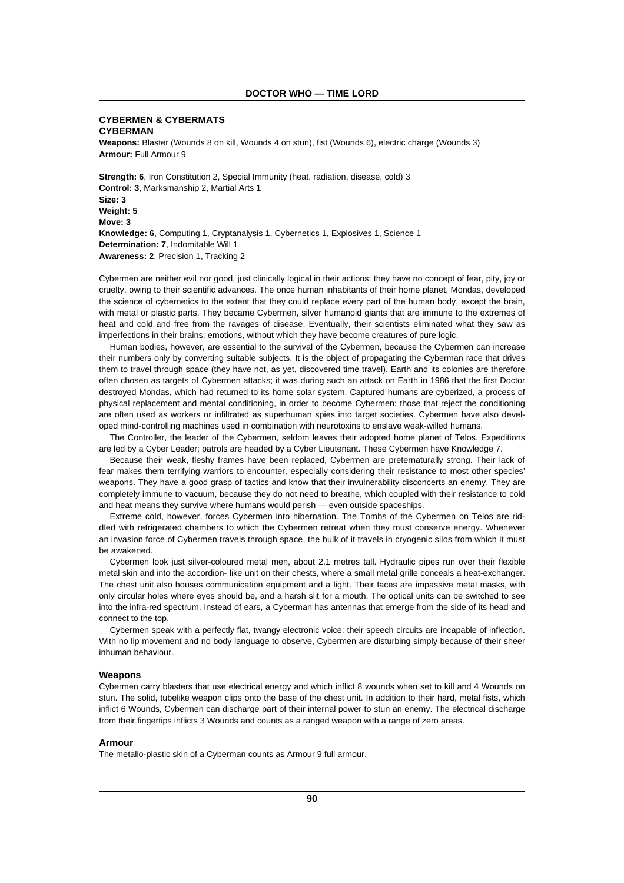# **CYBERMEN & CYBERMATS CYBERMAN**

**Weapons:** Blaster (Wounds 8 on kill, Wounds 4 on stun), fist (Wounds 6), electric charge (Wounds 3) **Armour:** Full Armour 9

**Strength: 6**, Iron Constitution 2, Special Immunity (heat, radiation, disease, cold) 3 **Control: 3**, Marksmanship 2, Martial Arts 1 **Size: 3 Weight: 5 Move: 3 Knowledge: 6**, Computing 1, Cryptanalysis 1, Cybernetics 1, Explosives 1, Science 1 **Determination: 7**, Indomitable Will 1 **Awareness: 2**, Precision 1, Tracking 2

Cybermen are neither evil nor good, just clinically logical in their actions: they have no concept of fear, pity, joy or cruelty, owing to their scientific advances. The once human inhabitants of their home planet, Mondas, developed the science of cybernetics to the extent that they could replace every part of the human body, except the brain, with metal or plastic parts. They became Cybermen, silver humanoid giants that are immune to the extremes of heat and cold and free from the ravages of disease. Eventually, their scientists eliminated what they saw as imperfections in their brains: emotions, without which they have become creatures of pure logic.

Human bodies, however, are essential to the survival of the Cybermen, because the Cybermen can increase their numbers only by converting suitable subjects. It is the object of propagating the Cyberman race that drives them to travel through space (they have not, as yet, discovered time travel). Earth and its colonies are therefore often chosen as targets of Cybermen attacks; it was during such an attack on Earth in 1986 that the first Doctor destroyed Mondas, which had returned to its home solar system. Captured humans are cyberized, a process of physical replacement and mental conditioning, in order to become Cybermen; those that reject the conditioning are often used as workers or infiltrated as superhuman spies into target societies. Cybermen have also developed mind-controlling machines used in combination with neurotoxins to enslave weak-willed humans.

The Controller, the leader of the Cybermen, seldom leaves their adopted home planet of Telos. Expeditions are led by a Cyber Leader; patrols are headed by a Cyber Lieutenant. These Cybermen have Knowledge 7.

Because their weak, fleshy frames have been replaced, Cybermen are preternaturally strong. Their lack of fear makes them terrifying warriors to encounter, especially considering their resistance to most other species' weapons. They have a good grasp of tactics and know that their invulnerability disconcerts an enemy. They are completely immune to vacuum, because they do not need to breathe, which coupled with their resistance to cold and heat means they survive where humans would perish — even outside spaceships.

Extreme cold, however, forces Cybermen into hibernation. The Tombs of the Cybermen on Telos are riddled with refrigerated chambers to which the Cybermen retreat when they must conserve energy. Whenever an invasion force of Cybermen travels through space, the bulk of it travels in cryogenic silos from which it must be awakened.

Cybermen look just silver-coloured metal men, about 2.1 metres tall. Hydraulic pipes run over their flexible metal skin and into the accordion- like unit on their chests, where a small metal grille conceals a heat-exchanger. The chest unit also houses communication equipment and a light. Their faces are impassive metal masks, with only circular holes where eyes should be, and a harsh slit for a mouth. The optical units can be switched to see into the infra-red spectrum. Instead of ears, a Cyberman has antennas that emerge from the side of its head and connect to the top.

Cybermen speak with a perfectly flat, twangy electronic voice: their speech circuits are incapable of inflection. With no lip movement and no body language to observe, Cybermen are disturbing simply because of their sheer inhuman behaviour.

#### **Weapons**

Cybermen carry blasters that use electrical energy and which inflict 8 wounds when set to kill and 4 Wounds on stun. The solid, tubelike weapon clips onto the base of the chest unit. In addition to their hard, metal fists, which inflict 6 Wounds, Cybermen can discharge part of their internal power to stun an enemy. The electrical discharge from their fingertips inflicts 3 Wounds and counts as a ranged weapon with a range of zero areas.

#### **Armour**

The metallo-plastic skin of a Cyberman counts as Armour 9 full armour.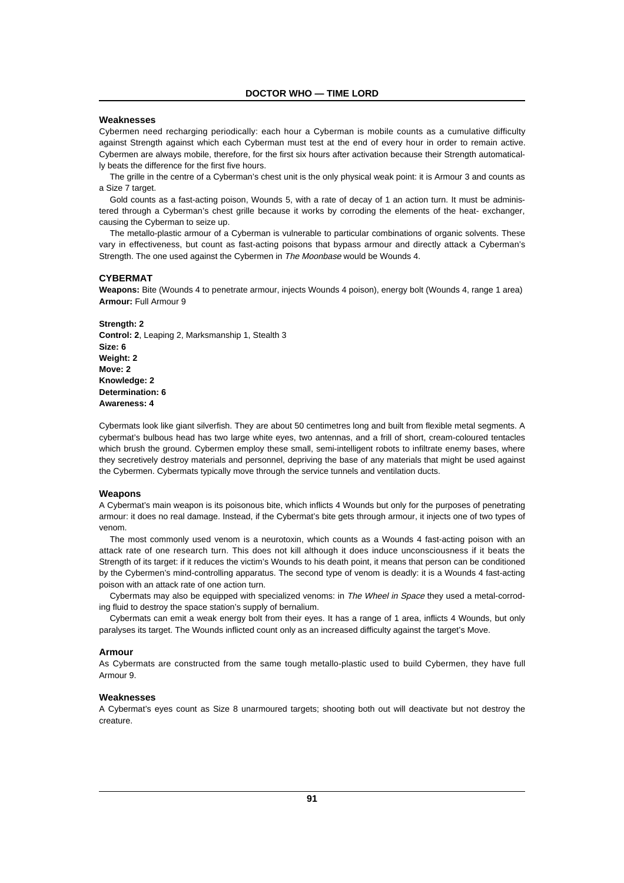### **Weaknesses**

Cybermen need recharging periodically: each hour a Cyberman is mobile counts as a cumulative difficulty against Strength against which each Cyberman must test at the end of every hour in order to remain active. Cybermen are always mobile, therefore, for the first six hours after activation because their Strength automatically beats the difference for the first five hours.

The grille in the centre of a Cyberman's chest unit is the only physical weak point: it is Armour 3 and counts as a Size 7 target.

Gold counts as a fast-acting poison, Wounds 5, with a rate of decay of 1 an action turn. It must be administered through a Cyberman's chest grille because it works by corroding the elements of the heat- exchanger, causing the Cyberman to seize up.

The metallo-plastic armour of a Cyberman is vulnerable to particular combinations of organic solvents. These vary in effectiveness, but count as fast-acting poisons that bypass armour and directly attack a Cyberman's Strength. The one used against the Cybermen in The Moonbase would be Wounds 4.

#### **CYBERMAT**

**Weapons:** Bite (Wounds 4 to penetrate armour, injects Wounds 4 poison), energy bolt (Wounds 4, range 1 area) **Armour:** Full Armour 9

**Strength: 2 Control: 2**, Leaping 2, Marksmanship 1, Stealth 3 **Size: 6 Weight: 2 Move: 2 Knowledge: 2 Determination: 6 Awareness: 4**

Cybermats look like giant silverfish. They are about 50 centimetres long and built from flexible metal segments. A cybermat's bulbous head has two large white eyes, two antennas, and a frill of short, cream-coloured tentacles which brush the ground. Cybermen employ these small, semi-intelligent robots to infiltrate enemy bases, where they secretively destroy materials and personnel, depriving the base of any materials that might be used against the Cybermen. Cybermats typically move through the service tunnels and ventilation ducts.

#### **Weapons**

A Cybermat's main weapon is its poisonous bite, which inflicts 4 Wounds but only for the purposes of penetrating armour: it does no real damage. Instead, if the Cybermat's bite gets through armour, it injects one of two types of venom.

The most commonly used venom is a neurotoxin, which counts as a Wounds 4 fast-acting poison with an attack rate of one research turn. This does not kill although it does induce unconsciousness if it beats the Strength of its target: if it reduces the victim's Wounds to his death point, it means that person can be conditioned by the Cybermen's mind-controlling apparatus. The second type of venom is deadly: it is a Wounds 4 fast-acting poison with an attack rate of one action turn.

Cybermats may also be equipped with specialized venoms: in The Wheel in Space they used a metal-corroding fluid to destroy the space station's supply of bernalium.

Cybermats can emit a weak energy bolt from their eyes. It has a range of 1 area, inflicts 4 Wounds, but only paralyses its target. The Wounds inflicted count only as an increased difficulty against the target's Move.

### **Armour**

As Cybermats are constructed from the same tough metallo-plastic used to build Cybermen, they have full Armour 9.

# **Weaknesses**

A Cybermat's eyes count as Size 8 unarmoured targets; shooting both out will deactivate but not destroy the creature.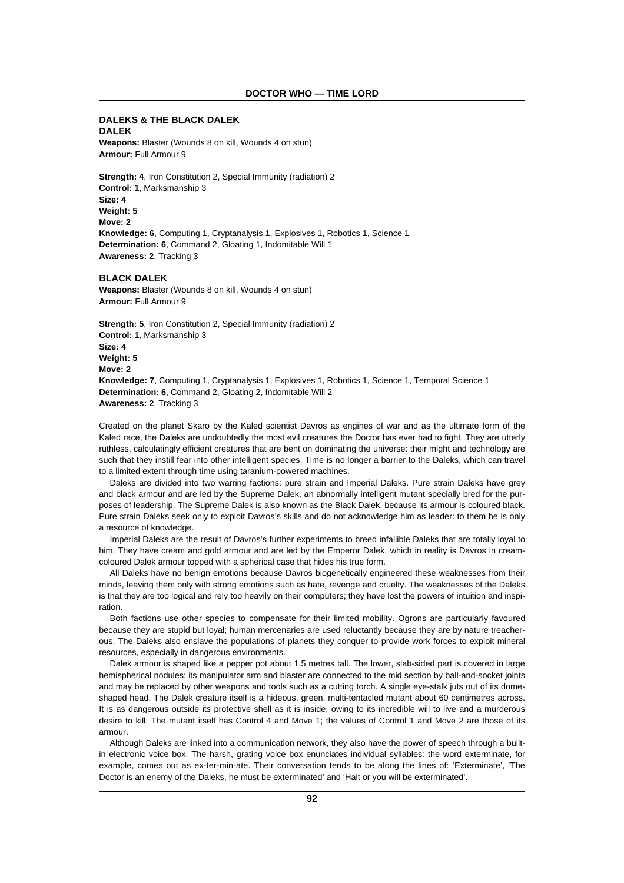### **DALEKS & THE BLACK DALEK DALEK**

**Weapons:** Blaster (Wounds 8 on kill, Wounds 4 on stun) **Armour:** Full Armour 9

**Strength: 4**, Iron Constitution 2, Special Immunity (radiation) 2 **Control: 1**, Marksmanship 3 **Size: 4 Weight: 5 Move: 2 Knowledge: 6**, Computing 1, Cryptanalysis 1, Explosives 1, Robotics 1, Science 1 **Determination: 6**, Command 2, Gloating 1, Indomitable Will 1 **Awareness: 2**, Tracking 3

### **BLACK DALEK**

**Weapons:** Blaster (Wounds 8 on kill, Wounds 4 on stun) **Armour:** Full Armour 9

**Strength: 5**, Iron Constitution 2, Special Immunity (radiation) 2 **Control: 1**, Marksmanship 3 **Size: 4 Weight: 5 Move: 2 Knowledge: 7**, Computing 1, Cryptanalysis 1, Explosives 1, Robotics 1, Science 1, Temporal Science 1 **Determination: 6**, Command 2, Gloating 2, Indomitable Will 2 **Awareness: 2**, Tracking 3

Created on the planet Skaro by the Kaled scientist Davros as engines of war and as the ultimate form of the Kaled race, the Daleks are undoubtedly the most evil creatures the Doctor has ever had to fight. They are utterly ruthless, calculatingly efficient creatures that are bent on dominating the universe: their might and technology are such that they instill fear into other intelligent species. Time is no longer a barrier to the Daleks, which can travel to a limited extent through time using taranium-powered machines.

Daleks are divided into two warring factions: pure strain and Imperial Daleks. Pure strain Daleks have grey and black armour and are led by the Supreme Dalek, an abnormally intelligent mutant specially bred for the purposes of leadership. The Supreme Dalek is also known as the Black Dalek, because its armour is coloured black. Pure strain Daleks seek only to exploit Davros's skills and do not acknowledge him as leader: to them he is only a resource of knowledge.

Imperial Daleks are the result of Davros's further experiments to breed infallible Daleks that are totally loyal to him. They have cream and gold armour and are led by the Emperor Dalek, which in reality is Davros in creamcoloured Dalek armour topped with a spherical case that hides his true form.

All Daleks have no benign emotions because Davros biogenetically engineered these weaknesses from their minds, leaving them only with strong emotions such as hate, revenge and cruelty. The weaknesses of the Daleks is that they are too logical and rely too heavily on their computers; they have lost the powers of intuition and inspiration.

Both factions use other species to compensate for their limited mobility. Ogrons are particularly favoured because they are stupid but loyal; human mercenaries are used reluctantly because they are by nature treacherous. The Daleks also enslave the populations of planets they conquer to provide work forces to exploit mineral resources, especially in dangerous environments.

Dalek armour is shaped like a pepper pot about 1.5 metres tall. The lower, slab-sided part is covered in large hemispherical nodules; its manipulator arm and blaster are connected to the mid section by ball-and-socket joints and may be replaced by other weapons and tools such as a cutting torch. A single eye-stalk juts out of its domeshaped head. The Dalek creature itself is a hideous, green, multi-tentacled mutant about 60 centimetres across. It is as dangerous outside its protective shell as it is inside, owing to its incredible will to live and a murderous desire to kill. The mutant itself has Control 4 and Move 1; the values of Control 1 and Move 2 are those of its armour.

Although Daleks are linked into a communication network, they also have the power of speech through a builtin electronic voice box. The harsh, grating voice box enunciates individual syllables: the word exterminate, for example, comes out as ex-ter-min-ate. Their conversation tends to be along the lines of: 'Exterminate', 'The Doctor is an enemy of the Daleks, he must be exterminated' and 'Halt or you will be exterminated'.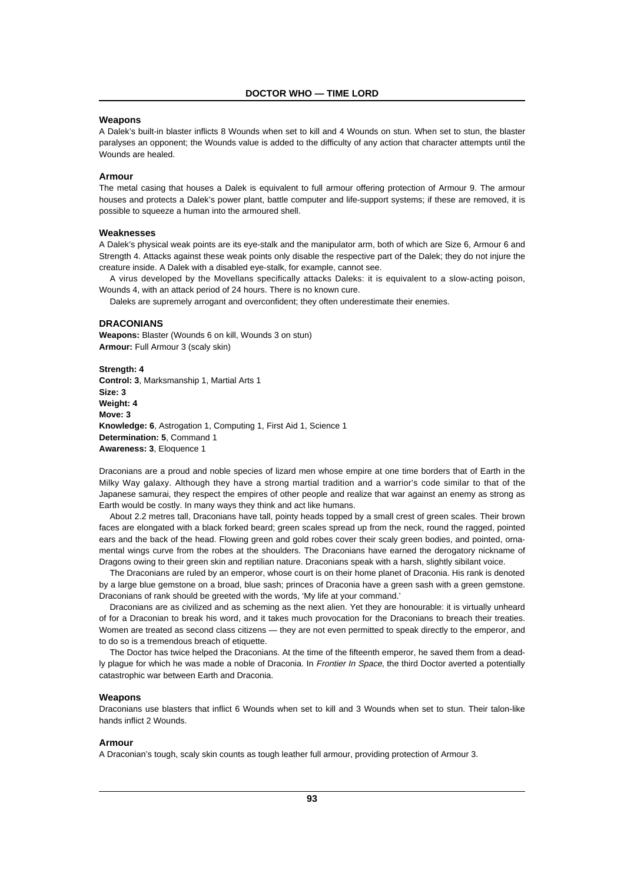# **Weapons**

A Dalek's built-in blaster inflicts 8 Wounds when set to kill and 4 Wounds on stun. When set to stun, the blaster paralyses an opponent; the Wounds value is added to the difficulty of any action that character attempts until the Wounds are healed.

# **Armour**

The metal casing that houses a Dalek is equivalent to full armour offering protection of Armour 9. The armour houses and protects a Dalek's power plant, battle computer and life-support systems; if these are removed, it is possible to squeeze a human into the armoured shell.

# **Weaknesses**

A Dalek's physical weak points are its eye-stalk and the manipulator arm, both of which are Size 6, Armour 6 and Strength 4. Attacks against these weak points only disable the respective part of the Dalek; they do not injure the creature inside. A Dalek with a disabled eye-stalk, for example, cannot see.

A virus developed by the Movellans specifically attacks Daleks: it is equivalent to a slow-acting poison, Wounds 4, with an attack period of 24 hours. There is no known cure.

Daleks are supremely arrogant and overconfident; they often underestimate their enemies.

#### **DRACONIANS**

**Weapons:** Blaster (Wounds 6 on kill, Wounds 3 on stun) **Armour:** Full Armour 3 (scaly skin)

**Strength: 4 Control: 3**, Marksmanship 1, Martial Arts 1 **Size: 3 Weight: 4 Move: 3 Knowledge: 6**, Astrogation 1, Computing 1, First Aid 1, Science 1 **Determination: 5**, Command 1 **Awareness: 3**, Eloquence 1

Draconians are a proud and noble species of lizard men whose empire at one time borders that of Earth in the Milky Way galaxy. Although they have a strong martial tradition and a warrior's code similar to that of the Japanese samurai, they respect the empires of other people and realize that war against an enemy as strong as Earth would be costly. In many ways they think and act like humans.

About 2.2 metres tall, Draconians have tall, pointy heads topped by a small crest of green scales. Their brown faces are elongated with a black forked beard; green scales spread up from the neck, round the ragged, pointed ears and the back of the head. Flowing green and gold robes cover their scaly green bodies, and pointed, ornamental wings curve from the robes at the shoulders. The Draconians have earned the derogatory nickname of Dragons owing to their green skin and reptilian nature. Draconians speak with a harsh, slightly sibilant voice.

The Draconians are ruled by an emperor, whose court is on their home planet of Draconia. His rank is denoted by a large blue gemstone on a broad, blue sash; princes of Draconia have a green sash with a green gemstone. Draconians of rank should be greeted with the words, 'My life at your command.'

Draconians are as civilized and as scheming as the next alien. Yet they are honourable: it is virtually unheard of for a Draconian to break his word, and it takes much provocation for the Draconians to breach their treaties. Women are treated as second class citizens — they are not even permitted to speak directly to the emperor, and to do so is a tremendous breach of etiquette.

The Doctor has twice helped the Draconians. At the time of the fifteenth emperor, he saved them from a deadly plague for which he was made a noble of Draconia. In Frontier In Space, the third Doctor averted a potentially catastrophic war between Earth and Draconia.

# **Weapons**

Draconians use blasters that inflict 6 Wounds when set to kill and 3 Wounds when set to stun. Their talon-like hands inflict 2 Wounds.

# **Armour**

A Draconian's tough, scaly skin counts as tough leather full armour, providing protection of Armour 3.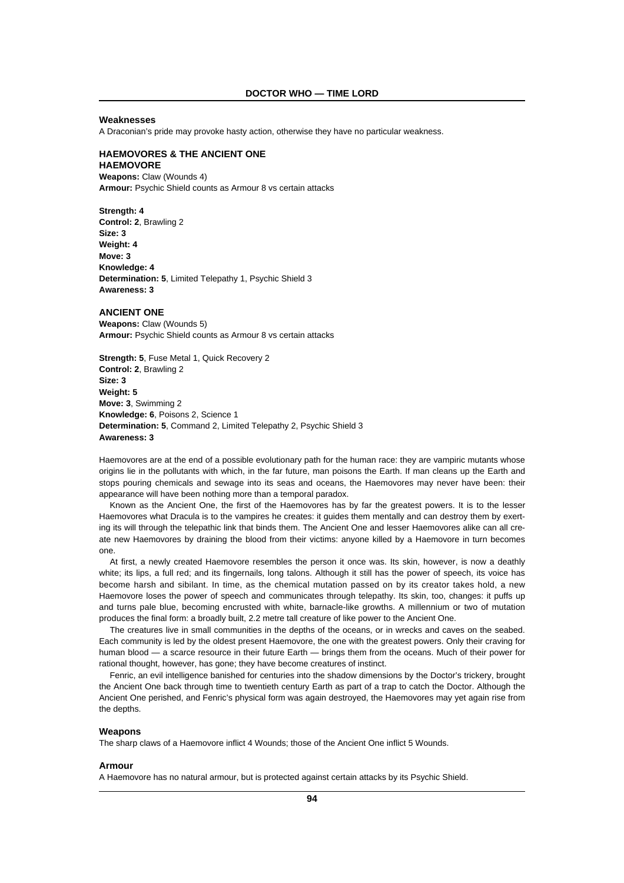### **Weaknesses**

A Draconian's pride may provoke hasty action, otherwise they have no particular weakness.

# **HAEMOVORES & THE ANCIENT ONE HAEMOVORE**

**Weapons:** Claw (Wounds 4) **Armour:** Psychic Shield counts as Armour 8 vs certain attacks

**Strength: 4 Control: 2**, Brawling 2 **Size: 3 Weight: 4 Move: 3 Knowledge: 4 Determination: 5**, Limited Telepathy 1, Psychic Shield 3 **Awareness: 3**

# **ANCIENT ONE**

**Weapons:** Claw (Wounds 5) **Armour:** Psychic Shield counts as Armour 8 vs certain attacks

**Strength: 5**, Fuse Metal 1, Quick Recovery 2 **Control: 2**, Brawling 2 **Size: 3 Weight: 5 Move: 3**, Swimming 2 **Knowledge: 6**, Poisons 2, Science 1 **Determination: 5**, Command 2, Limited Telepathy 2, Psychic Shield 3 **Awareness: 3**

Haemovores are at the end of a possible evolutionary path for the human race: they are vampiric mutants whose origins lie in the pollutants with which, in the far future, man poisons the Earth. If man cleans up the Earth and stops pouring chemicals and sewage into its seas and oceans, the Haemovores may never have been: their appearance will have been nothing more than a temporal paradox.

Known as the Ancient One, the first of the Haemovores has by far the greatest powers. It is to the lesser Haemovores what Dracula is to the vampires he creates: it guides them mentally and can destroy them by exerting its will through the telepathic link that binds them. The Ancient One and lesser Haemovores alike can all create new Haemovores by draining the blood from their victims: anyone killed by a Haemovore in turn becomes one.

At first, a newly created Haemovore resembles the person it once was. Its skin, however, is now a deathly white; its lips, a full red; and its fingernails, long talons. Although it still has the power of speech, its voice has become harsh and sibilant. In time, as the chemical mutation passed on by its creator takes hold, a new Haemovore loses the power of speech and communicates through telepathy. Its skin, too, changes: it puffs up and turns pale blue, becoming encrusted with white, barnacle-like growths. A millennium or two of mutation produces the final form: a broadly built, 2.2 metre tall creature of like power to the Ancient One.

The creatures live in small communities in the depths of the oceans, or in wrecks and caves on the seabed. Each community is led by the oldest present Haemovore, the one with the greatest powers. Only their craving for human blood — a scarce resource in their future Earth — brings them from the oceans. Much of their power for rational thought, however, has gone; they have become creatures of instinct.

Fenric, an evil intelligence banished for centuries into the shadow dimensions by the Doctor's trickery, brought the Ancient One back through time to twentieth century Earth as part of a trap to catch the Doctor. Although the Ancient One perished, and Fenric's physical form was again destroyed, the Haemovores may yet again rise from the depths.

#### **Weapons**

The sharp claws of a Haemovore inflict 4 Wounds; those of the Ancient One inflict 5 Wounds.

#### **Armour**

A Haemovore has no natural armour, but is protected against certain attacks by its Psychic Shield.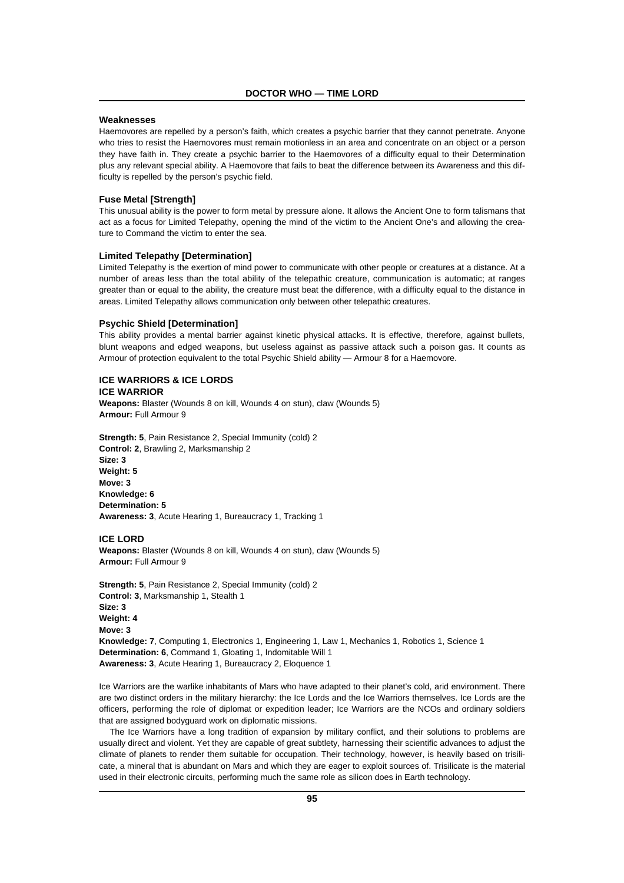### **Weaknesses**

Haemovores are repelled by a person's faith, which creates a psychic barrier that they cannot penetrate. Anyone who tries to resist the Haemovores must remain motionless in an area and concentrate on an object or a person they have faith in. They create a psychic barrier to the Haemovores of a difficulty equal to their Determination plus any relevant special ability. A Haemovore that fails to beat the difference between its Awareness and this difficulty is repelled by the person's psychic field.

# **Fuse Metal [Strength]**

This unusual ability is the power to form metal by pressure alone. It allows the Ancient One to form talismans that act as a focus for Limited Telepathy, opening the mind of the victim to the Ancient One's and allowing the creature to Command the victim to enter the sea.

# **Limited Telepathy [Determination]**

Limited Telepathy is the exertion of mind power to communicate with other people or creatures at a distance. At a number of areas less than the total ability of the telepathic creature, communication is automatic; at ranges greater than or equal to the ability, the creature must beat the difference, with a difficulty equal to the distance in areas. Limited Telepathy allows communication only between other telepathic creatures.

#### **Psychic Shield [Determination]**

This ability provides a mental barrier against kinetic physical attacks. It is effective, therefore, against bullets, blunt weapons and edged weapons, but useless against as passive attack such a poison gas. It counts as Armour of protection equivalent to the total Psychic Shield ability — Armour 8 for a Haemovore.

# **ICE WARRIORS & ICE LORDS ICE WARRIOR**

**Weapons:** Blaster (Wounds 8 on kill, Wounds 4 on stun), claw (Wounds 5) **Armour:** Full Armour 9

**Strength: 5**, Pain Resistance 2, Special Immunity (cold) 2 **Control: 2**, Brawling 2, Marksmanship 2 **Size: 3 Weight: 5 Move: 3 Knowledge: 6 Determination: 5 Awareness: 3**, Acute Hearing 1, Bureaucracy 1, Tracking 1

### **ICE LORD**

**Weapons:** Blaster (Wounds 8 on kill, Wounds 4 on stun), claw (Wounds 5) **Armour:** Full Armour 9

**Strength: 5**, Pain Resistance 2, Special Immunity (cold) 2 **Control: 3**, Marksmanship 1, Stealth 1 **Size: 3 Weight: 4 Move: 3 Knowledge: 7**, Computing 1, Electronics 1, Engineering 1, Law 1, Mechanics 1, Robotics 1, Science 1 **Determination: 6**, Command 1, Gloating 1, Indomitable Will 1 **Awareness: 3**, Acute Hearing 1, Bureaucracy 2, Eloquence 1

Ice Warriors are the warlike inhabitants of Mars who have adapted to their planet's cold, arid environment. There are two distinct orders in the military hierarchy: the Ice Lords and the Ice Warriors themselves. Ice Lords are the officers, performing the role of diplomat or expedition leader; Ice Warriors are the NCOs and ordinary soldiers that are assigned bodyguard work on diplomatic missions.

The Ice Warriors have a long tradition of expansion by military conflict, and their solutions to problems are usually direct and violent. Yet they are capable of great subtlety, harnessing their scientific advances to adjust the climate of planets to render them suitable for occupation. Their technology, however, is heavily based on trisilicate, a mineral that is abundant on Mars and which they are eager to exploit sources of. Trisilicate is the material used in their electronic circuits, performing much the same role as silicon does in Earth technology.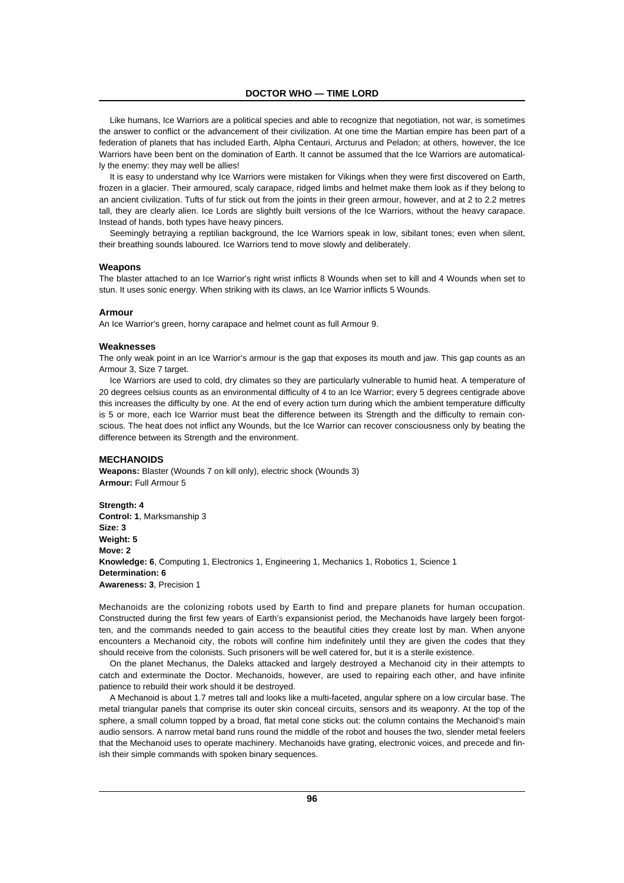Like humans, Ice Warriors are a political species and able to recognize that negotiation, not war, is sometimes the answer to conflict or the advancement of their civilization. At one time the Martian empire has been part of a federation of planets that has included Earth, Alpha Centauri, Arcturus and Peladon; at others, however, the Ice Warriors have been bent on the domination of Earth. It cannot be assumed that the Ice Warriors are automatically the enemy: they may well be allies!

It is easy to understand why Ice Warriors were mistaken for Vikings when they were first discovered on Earth, frozen in a glacier. Their armoured, scaly carapace, ridged limbs and helmet make them look as if they belong to an ancient civilization. Tufts of fur stick out from the joints in their green armour, however, and at 2 to 2.2 metres tall, they are clearly alien. Ice Lords are slightly built versions of the Ice Warriors, without the heavy carapace. Instead of hands, both types have heavy pincers.

Seemingly betraying a reptilian background, the Ice Warriors speak in low, sibilant tones; even when silent, their breathing sounds laboured. Ice Warriors tend to move slowly and deliberately.

#### **Weapons**

The blaster attached to an Ice Warrior's right wrist inflicts 8 Wounds when set to kill and 4 Wounds when set to stun. It uses sonic energy. When striking with its claws, an Ice Warrior inflicts 5 Wounds.

### **Armour**

An Ice Warrior's green, horny carapace and helmet count as full Armour 9.

#### **Weaknesses**

The only weak point in an Ice Warrior's armour is the gap that exposes its mouth and jaw. This gap counts as an Armour 3, Size 7 target.

Ice Warriors are used to cold, dry climates so they are particularly vulnerable to humid heat. A temperature of 20 degrees celsius counts as an environmental difficulty of 4 to an Ice Warrior; every 5 degrees centigrade above this increases the difficulty by one. At the end of every action turn during which the ambient temperature difficulty is 5 or more, each Ice Warrior must beat the difference between its Strength and the difficulty to remain conscious. The heat does not inflict any Wounds, but the Ice Warrior can recover consciousness only by beating the difference between its Strength and the environment.

# **MECHANOIDS**

**Weapons:** Blaster (Wounds 7 on kill only), electric shock (Wounds 3) **Armour:** Full Armour 5

**Strength: 4 Control: 1**, Marksmanship 3 **Size: 3 Weight: 5 Move: 2 Knowledge: 6**, Computing 1, Electronics 1, Engineering 1, Mechanics 1, Robotics 1, Science 1 **Determination: 6 Awareness: 3**, Precision 1

Mechanoids are the colonizing robots used by Earth to find and prepare planets for human occupation. Constructed during the first few years of Earth's expansionist period, the Mechanoids have largely been forgotten, and the commands needed to gain access to the beautiful cities they create lost by man. When anyone encounters a Mechanoid city, the robots will confine him indefinitely until they are given the codes that they should receive from the colonists. Such prisoners will be well catered for, but it is a sterile existence.

On the planet Mechanus, the Daleks attacked and largely destroyed a Mechanoid city in their attempts to catch and exterminate the Doctor. Mechanoids, however, are used to repairing each other, and have infinite patience to rebuild their work should it be destroyed.

A Mechanoid is about 1.7 metres tall and looks like a multi-faceted, angular sphere on a low circular base. The metal triangular panels that comprise its outer skin conceal circuits, sensors and its weaponry. At the top of the sphere, a small column topped by a broad, flat metal cone sticks out: the column contains the Mechanoid's main audio sensors. A narrow metal band runs round the middle of the robot and houses the two, slender metal feelers that the Mechanoid uses to operate machinery. Mechanoids have grating, electronic voices, and precede and finish their simple commands with spoken binary sequences.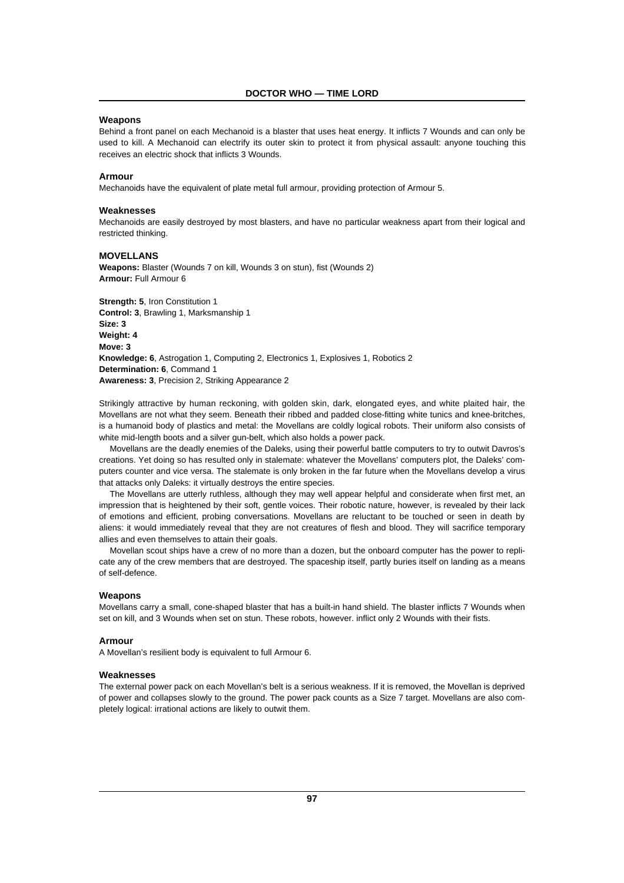# **Weapons**

Behind a front panel on each Mechanoid is a blaster that uses heat energy. It inflicts 7 Wounds and can only be used to kill. A Mechanoid can electrify its outer skin to protect it from physical assault: anyone touching this receives an electric shock that inflicts 3 Wounds.

# **Armour**

Mechanoids have the equivalent of plate metal full armour, providing protection of Armour 5.

#### **Weaknesses**

Mechanoids are easily destroyed by most blasters, and have no particular weakness apart from their logical and restricted thinking.

# **MOVELLANS**

**Weapons:** Blaster (Wounds 7 on kill, Wounds 3 on stun), fist (Wounds 2) **Armour:** Full Armour 6

**Strength: 5**, Iron Constitution 1 **Control: 3**, Brawling 1, Marksmanship 1 **Size: 3 Weight: 4 Move: 3 Knowledge: 6**, Astrogation 1, Computing 2, Electronics 1, Explosives 1, Robotics 2 **Determination: 6**, Command 1 **Awareness: 3**, Precision 2, Striking Appearance 2

Strikingly attractive by human reckoning, with golden skin, dark, elongated eyes, and white plaited hair, the Movellans are not what they seem. Beneath their ribbed and padded close-fitting white tunics and knee-britches, is a humanoid body of plastics and metal: the Movellans are coldly logical robots. Their uniform also consists of white mid-length boots and a silver gun-belt, which also holds a power pack.

Movellans are the deadly enemies of the Daleks, using their powerful battle computers to try to outwit Davros's creations. Yet doing so has resulted only in stalemate: whatever the Movellans' computers plot, the Daleks' computers counter and vice versa. The stalemate is only broken in the far future when the Movellans develop a virus that attacks only Daleks: it virtually destroys the entire species.

The Movellans are utterly ruthless, although they may well appear helpful and considerate when first met, an impression that is heightened by their soft, gentle voices. Their robotic nature, however, is revealed by their lack of emotions and efficient, probing conversations. Movellans are reluctant to be touched or seen in death by aliens: it would immediately reveal that they are not creatures of flesh and blood. They will sacrifice temporary allies and even themselves to attain their goals.

Movellan scout ships have a crew of no more than a dozen, but the onboard computer has the power to replicate any of the crew members that are destroyed. The spaceship itself, partly buries itself on landing as a means of self-defence.

#### **Weapons**

Movellans carry a small, cone-shaped blaster that has a built-in hand shield. The blaster inflicts 7 Wounds when set on kill, and 3 Wounds when set on stun. These robots, however. inflict only 2 Wounds with their fists.

# **Armour**

A Movellan's resilient body is equivalent to full Armour 6.

#### **Weaknesses**

The external power pack on each Movellan's belt is a serious weakness. If it is removed, the Movellan is deprived of power and collapses slowly to the ground. The power pack counts as a Size 7 target. Movellans are also completely logical: irrational actions are likely to outwit them.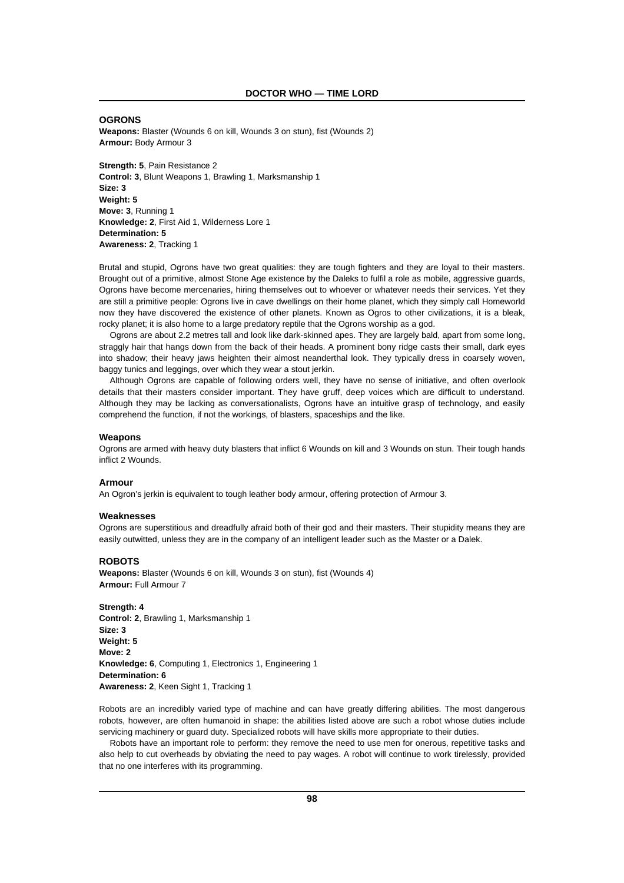### **OGRONS**

**Weapons:** Blaster (Wounds 6 on kill, Wounds 3 on stun), fist (Wounds 2) **Armour:** Body Armour 3

**Strength: 5**, Pain Resistance 2 **Control: 3**, Blunt Weapons 1, Brawling 1, Marksmanship 1 **Size: 3 Weight: 5 Move: 3**, Running 1 **Knowledge: 2**, First Aid 1, Wilderness Lore 1 **Determination: 5 Awareness: 2**, Tracking 1

Brutal and stupid, Ogrons have two great qualities: they are tough fighters and they are loyal to their masters. Brought out of a primitive, almost Stone Age existence by the Daleks to fulfil a role as mobile, aggressive guards, Ogrons have become mercenaries, hiring themselves out to whoever or whatever needs their services. Yet they are still a primitive people: Ogrons live in cave dwellings on their home planet, which they simply call Homeworld now they have discovered the existence of other planets. Known as Ogros to other civilizations, it is a bleak, rocky planet; it is also home to a large predatory reptile that the Ogrons worship as a god.

Ogrons are about 2.2 metres tall and look like dark-skinned apes. They are largely bald, apart from some long, straggly hair that hangs down from the back of their heads. A prominent bony ridge casts their small, dark eyes into shadow; their heavy jaws heighten their almost neanderthal look. They typically dress in coarsely woven, baggy tunics and leggings, over which they wear a stout jerkin.

Although Ogrons are capable of following orders well, they have no sense of initiative, and often overlook details that their masters consider important. They have gruff, deep voices which are difficult to understand. Although they may be lacking as conversationalists, Ogrons have an intuitive grasp of technology, and easily comprehend the function, if not the workings, of blasters, spaceships and the like.

#### **Weapons**

Ogrons are armed with heavy duty blasters that inflict 6 Wounds on kill and 3 Wounds on stun. Their tough hands inflict 2 Wounds.

#### **Armour**

An Ogron's jerkin is equivalent to tough leather body armour, offering protection of Armour 3.

#### **Weaknesses**

Ogrons are superstitious and dreadfully afraid both of their god and their masters. Their stupidity means they are easily outwitted, unless they are in the company of an intelligent leader such as the Master or a Dalek.

#### **ROBOTS**

**Weapons:** Blaster (Wounds 6 on kill, Wounds 3 on stun), fist (Wounds 4) **Armour:** Full Armour 7

**Strength: 4 Control: 2**, Brawling 1, Marksmanship 1 **Size: 3 Weight: 5 Move: 2 Knowledge: 6**, Computing 1, Electronics 1, Engineering 1 **Determination: 6 Awareness: 2**, Keen Sight 1, Tracking 1

Robots are an incredibly varied type of machine and can have greatly differing abilities. The most dangerous robots, however, are often humanoid in shape: the abilities listed above are such a robot whose duties include servicing machinery or guard duty. Specialized robots will have skills more appropriate to their duties.

Robots have an important role to perform: they remove the need to use men for onerous, repetitive tasks and also help to cut overheads by obviating the need to pay wages. A robot will continue to work tirelessly, provided that no one interferes with its programming.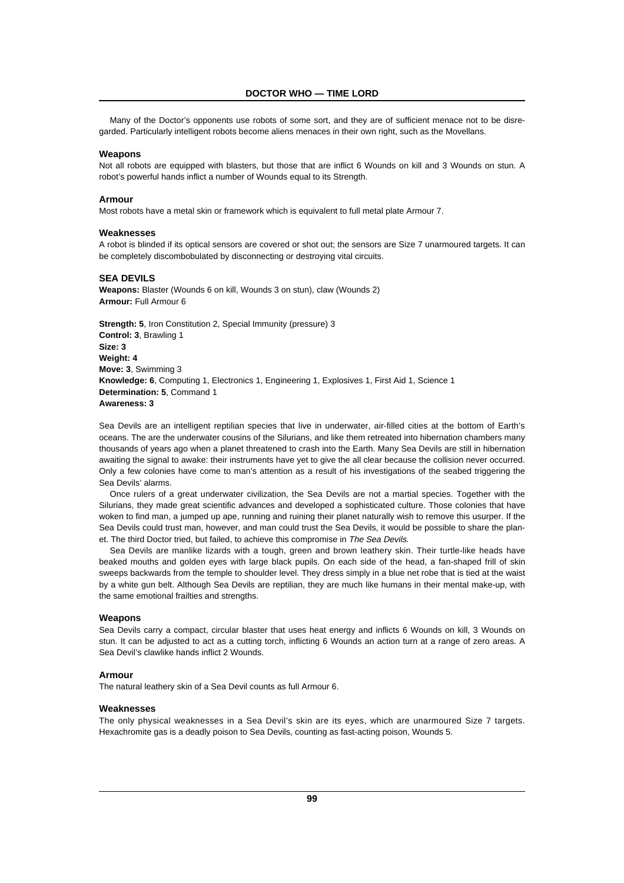Many of the Doctor's opponents use robots of some sort, and they are of sufficient menace not to be disregarded. Particularly intelligent robots become aliens menaces in their own right, such as the Movellans.

# **Weapons**

Not all robots are equipped with blasters, but those that are inflict 6 Wounds on kill and 3 Wounds on stun. A robot's powerful hands inflict a number of Wounds equal to its Strength.

# **Armour**

Most robots have a metal skin or framework which is equivalent to full metal plate Armour 7.

### **Weaknesses**

A robot is blinded if its optical sensors are covered or shot out; the sensors are Size 7 unarmoured targets. It can be completely discombobulated by disconnecting or destroying vital circuits.

#### **SEA DEVILS**

**Weapons:** Blaster (Wounds 6 on kill, Wounds 3 on stun), claw (Wounds 2) **Armour:** Full Armour 6

**Strength: 5**, Iron Constitution 2, Special Immunity (pressure) 3 **Control: 3**, Brawling 1 **Size: 3 Weight: 4 Move: 3**, Swimming 3 **Knowledge: 6**, Computing 1, Electronics 1, Engineering 1, Explosives 1, First Aid 1, Science 1 **Determination: 5**, Command 1 **Awareness: 3**

Sea Devils are an intelligent reptilian species that live in underwater, air-filled cities at the bottom of Earth's oceans. The are the underwater cousins of the Silurians, and like them retreated into hibernation chambers many thousands of years ago when a planet threatened to crash into the Earth. Many Sea Devils are still in hibernation awaiting the signal to awake: their instruments have yet to give the all clear because the collision never occurred. Only a few colonies have come to man's attention as a result of his investigations of the seabed triggering the Sea Devils' alarms.

Once rulers of a great underwater civilization, the Sea Devils are not a martial species. Together with the Silurians, they made great scientific advances and developed a sophisticated culture. Those colonies that have woken to find man, a jumped up ape, running and ruining their planet naturally wish to remove this usurper. If the Sea Devils could trust man, however, and man could trust the Sea Devils, it would be possible to share the planet. The third Doctor tried, but failed, to achieve this compromise in The Sea Devils.

Sea Devils are manlike lizards with a tough, green and brown leathery skin. Their turtle-like heads have beaked mouths and golden eyes with large black pupils. On each side of the head, a fan-shaped frill of skin sweeps backwards from the temple to shoulder level. They dress simply in a blue net robe that is tied at the waist by a white gun belt. Although Sea Devils are reptilian, they are much like humans in their mental make-up, with the same emotional frailties and strengths.

### **Weapons**

Sea Devils carry a compact, circular blaster that uses heat energy and inflicts 6 Wounds on kill, 3 Wounds on stun. It can be adjusted to act as a cutting torch, inflicting 6 Wounds an action turn at a range of zero areas. A Sea Devil's clawlike hands inflict 2 Wounds.

### **Armour**

The natural leathery skin of a Sea Devil counts as full Armour 6.

### **Weaknesses**

The only physical weaknesses in a Sea Devil's skin are its eyes, which are unarmoured Size 7 targets. Hexachromite gas is a deadly poison to Sea Devils, counting as fast-acting poison, Wounds 5.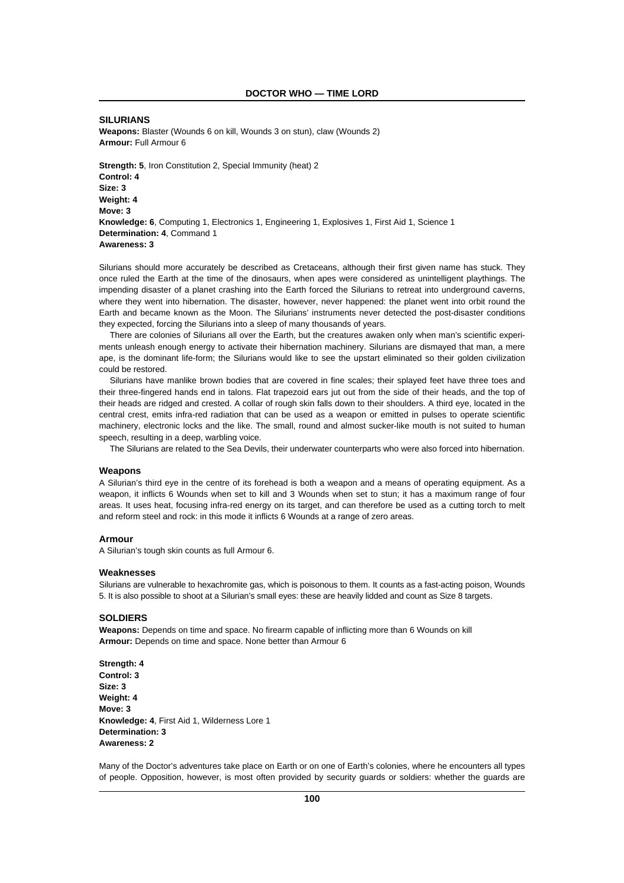### **SILURIANS**

**Weapons:** Blaster (Wounds 6 on kill, Wounds 3 on stun), claw (Wounds 2) **Armour:** Full Armour 6

**Strength: 5. Iron Constitution 2, Special Immunity (heat) 2 Control: 4 Size: 3 Weight: 4 Move: 3 Knowledge: 6**, Computing 1, Electronics 1, Engineering 1, Explosives 1, First Aid 1, Science 1 **Determination: 4**, Command 1 **Awareness: 3**

Silurians should more accurately be described as Cretaceans, although their first given name has stuck. They once ruled the Earth at the time of the dinosaurs, when apes were considered as unintelligent playthings. The impending disaster of a planet crashing into the Earth forced the Silurians to retreat into underground caverns, where they went into hibernation. The disaster, however, never happened: the planet went into orbit round the Earth and became known as the Moon. The Silurians' instruments never detected the post-disaster conditions they expected, forcing the Silurians into a sleep of many thousands of years.

There are colonies of Silurians all over the Earth, but the creatures awaken only when man's scientific experiments unleash enough energy to activate their hibernation machinery. Silurians are dismayed that man, a mere ape, is the dominant life-form; the Silurians would like to see the upstart eliminated so their golden civilization could be restored.

Silurians have manlike brown bodies that are covered in fine scales; their splayed feet have three toes and their three-fingered hands end in talons. Flat trapezoid ears jut out from the side of their heads, and the top of their heads are ridged and crested. A collar of rough skin falls down to their shoulders. A third eye, located in the central crest, emits infra-red radiation that can be used as a weapon or emitted in pulses to operate scientific machinery, electronic locks and the like. The small, round and almost sucker-like mouth is not suited to human speech, resulting in a deep, warbling voice.

The Silurians are related to the Sea Devils, their underwater counterparts who were also forced into hibernation.

#### **Weapons**

A Silurian's third eye in the centre of its forehead is both a weapon and a means of operating equipment. As a weapon, it inflicts 6 Wounds when set to kill and 3 Wounds when set to stun; it has a maximum range of four areas. It uses heat, focusing infra-red energy on its target, and can therefore be used as a cutting torch to melt and reform steel and rock: in this mode it inflicts 6 Wounds at a range of zero areas.

### **Armour**

A Silurian's tough skin counts as full Armour 6.

#### **Weaknesses**

Silurians are vulnerable to hexachromite gas, which is poisonous to them. It counts as a fast-acting poison, Wounds 5. It is also possible to shoot at a Silurian's small eyes: these are heavily lidded and count as Size 8 targets.

### **SOLDIERS**

**Weapons:** Depends on time and space. No firearm capable of inflicting more than 6 Wounds on kill **Armour:** Depends on time and space. None better than Armour 6

**Strength: 4 Control: 3 Size: 3 Weight: 4 Move: 3 Knowledge: 4**, First Aid 1, Wilderness Lore 1 **Determination: 3 Awareness: 2**

Many of the Doctor's adventures take place on Earth or on one of Earth's colonies, where he encounters all types of people. Opposition, however, is most often provided by security guards or soldiers: whether the guards are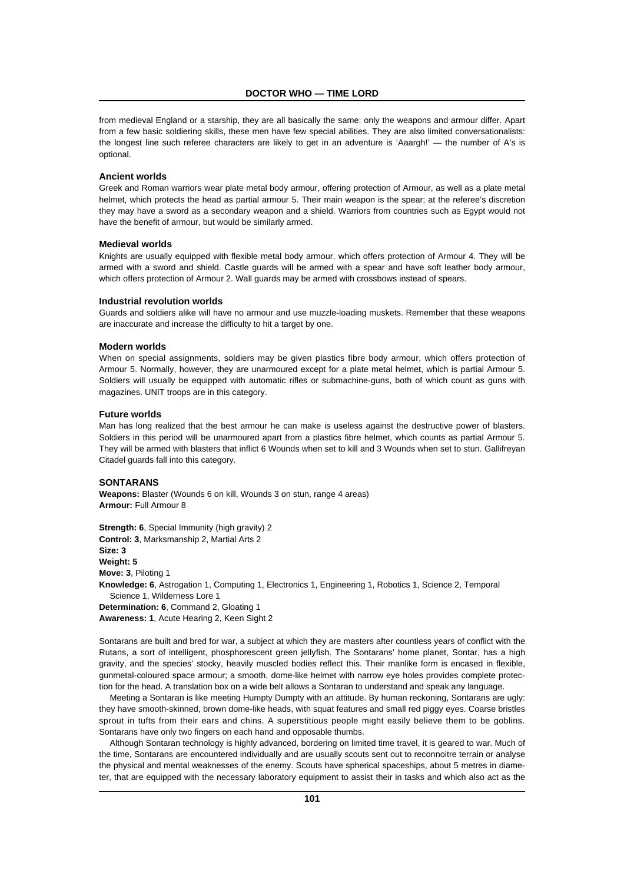from medieval England or a starship, they are all basically the same: only the weapons and armour differ. Apart from a few basic soldiering skills, these men have few special abilities. They are also limited conversationalists: the longest line such referee characters are likely to get in an adventure is 'Aaargh!' — the number of A's is optional.

# **Ancient worlds**

Greek and Roman warriors wear plate metal body armour, offering protection of Armour, as well as a plate metal helmet, which protects the head as partial armour 5. Their main weapon is the spear; at the referee's discretion they may have a sword as a secondary weapon and a shield. Warriors from countries such as Egypt would not have the benefit of armour, but would be similarly armed.

#### **Medieval worlds**

Knights are usually equipped with flexible metal body armour, which offers protection of Armour 4. They will be armed with a sword and shield. Castle guards will be armed with a spear and have soft leather body armour, which offers protection of Armour 2. Wall guards may be armed with crossbows instead of spears.

#### **Industrial revolution worlds**

Guards and soldiers alike will have no armour and use muzzle-loading muskets. Remember that these weapons are inaccurate and increase the difficulty to hit a target by one.

#### **Modern worlds**

When on special assignments, soldiers may be given plastics fibre body armour, which offers protection of Armour 5. Normally, however, they are unarmoured except for a plate metal helmet, which is partial Armour 5. Soldiers will usually be equipped with automatic rifles or submachine-guns, both of which count as guns with magazines. UNIT troops are in this category.

#### **Future worlds**

Man has long realized that the best armour he can make is useless against the destructive power of blasters. Soldiers in this period will be unarmoured apart from a plastics fibre helmet, which counts as partial Armour 5. They will be armed with blasters that inflict 6 Wounds when set to kill and 3 Wounds when set to stun. Gallifreyan Citadel guards fall into this category.

# **SONTARANS**

**Weapons:** Blaster (Wounds 6 on kill, Wounds 3 on stun, range 4 areas) **Armour:** Full Armour 8

**Strength: 6. Special Immunity (high gravity) 2 Control: 3**, Marksmanship 2, Martial Arts 2 **Size: 3 Weight: 5 Move: 3**, Piloting 1 **Knowledge: 6**, Astrogation 1, Computing 1, Electronics 1, Engineering 1, Robotics 1, Science 2, Temporal Science 1, Wilderness Lore 1 **Determination: 6**, Command 2, Gloating 1 **Awareness: 1**, Acute Hearing 2, Keen Sight 2

Sontarans are built and bred for war, a subject at which they are masters after countless years of conflict with the Rutans, a sort of intelligent, phosphorescent green jellyfish. The Sontarans' home planet, Sontar, has a high gravity, and the species' stocky, heavily muscled bodies reflect this. Their manlike form is encased in flexible, gunmetal-coloured space armour; a smooth, dome-like helmet with narrow eye holes provides complete protection for the head. A translation box on a wide belt allows a Sontaran to understand and speak any language.

Meeting a Sontaran is like meeting Humpty Dumpty with an attitude. By human reckoning, Sontarans are ugly: they have smooth-skinned, brown dome-like heads, with squat features and small red piggy eyes. Coarse bristles sprout in tufts from their ears and chins. A superstitious people might easily believe them to be goblins. Sontarans have only two fingers on each hand and opposable thumbs.

Although Sontaran technology is highly advanced, bordering on limited time travel, it is geared to war. Much of the time, Sontarans are encountered individually and are usually scouts sent out to reconnoitre terrain or analyse the physical and mental weaknesses of the enemy. Scouts have spherical spaceships, about 5 metres in diameter, that are equipped with the necessary laboratory equipment to assist their in tasks and which also act as the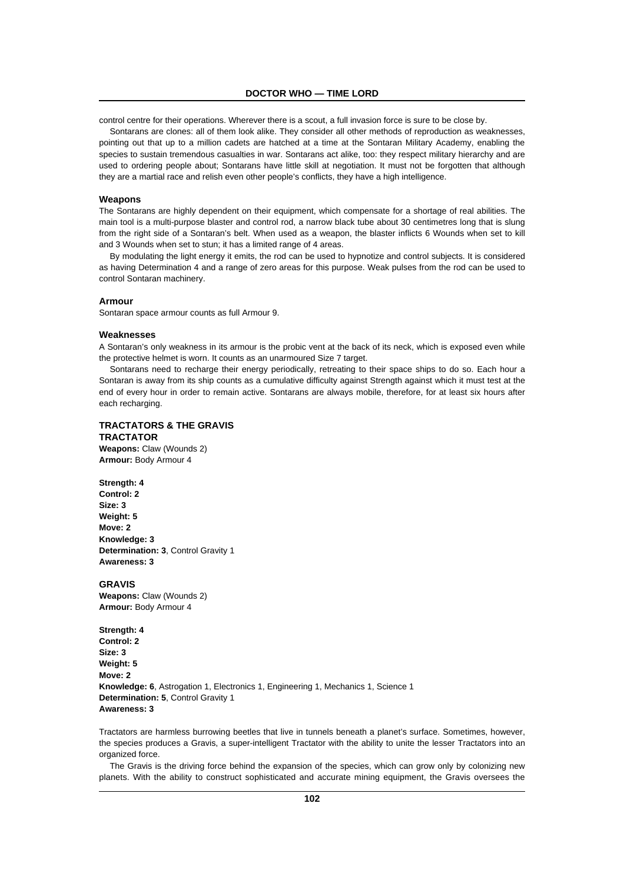control centre for their operations. Wherever there is a scout, a full invasion force is sure to be close by.

Sontarans are clones: all of them look alike. They consider all other methods of reproduction as weaknesses, pointing out that up to a million cadets are hatched at a time at the Sontaran Military Academy, enabling the species to sustain tremendous casualties in war. Sontarans act alike, too: they respect military hierarchy and are used to ordering people about; Sontarans have little skill at negotiation. It must not be forgotten that although they are a martial race and relish even other people's conflicts, they have a high intelligence.

# **Weapons**

The Sontarans are highly dependent on their equipment, which compensate for a shortage of real abilities. The main tool is a multi-purpose blaster and control rod, a narrow black tube about 30 centimetres long that is slung from the right side of a Sontaran's belt. When used as a weapon, the blaster inflicts 6 Wounds when set to kill and 3 Wounds when set to stun; it has a limited range of 4 areas.

By modulating the light energy it emits, the rod can be used to hypnotize and control subjects. It is considered as having Determination 4 and a range of zero areas for this purpose. Weak pulses from the rod can be used to control Sontaran machinery.

### **Armour**

Sontaran space armour counts as full Armour 9.

#### **Weaknesses**

A Sontaran's only weakness in its armour is the probic vent at the back of its neck, which is exposed even while the protective helmet is worn. It counts as an unarmoured Size 7 target.

Sontarans need to recharge their energy periodically, retreating to their space ships to do so. Each hour a Sontaran is away from its ship counts as a cumulative difficulty against Strength against which it must test at the end of every hour in order to remain active. Sontarans are always mobile, therefore, for at least six hours after each recharging.

# **TRACTATORS & THE GRAVIS**

**TRACTATOR Weapons:** Claw (Wounds 2) **Armour:** Body Armour 4

**Strength: 4 Control: 2 Size: 3 Weight: 5 Move: 2 Knowledge: 3 Determination: 3**, Control Gravity 1 **Awareness: 3**

### **GRAVIS**

**Weapons:** Claw (Wounds 2) **Armour:** Body Armour 4

**Strength: 4 Control: 2 Size: 3 Weight: 5 Move: 2 Knowledge: 6**, Astrogation 1, Electronics 1, Engineering 1, Mechanics 1, Science 1 **Determination: 5**, Control Gravity 1 **Awareness: 3**

Tractators are harmless burrowing beetles that live in tunnels beneath a planet's surface. Sometimes, however, the species produces a Gravis, a super-intelligent Tractator with the ability to unite the lesser Tractators into an organized force.

The Gravis is the driving force behind the expansion of the species, which can grow only by colonizing new planets. With the ability to construct sophisticated and accurate mining equipment, the Gravis oversees the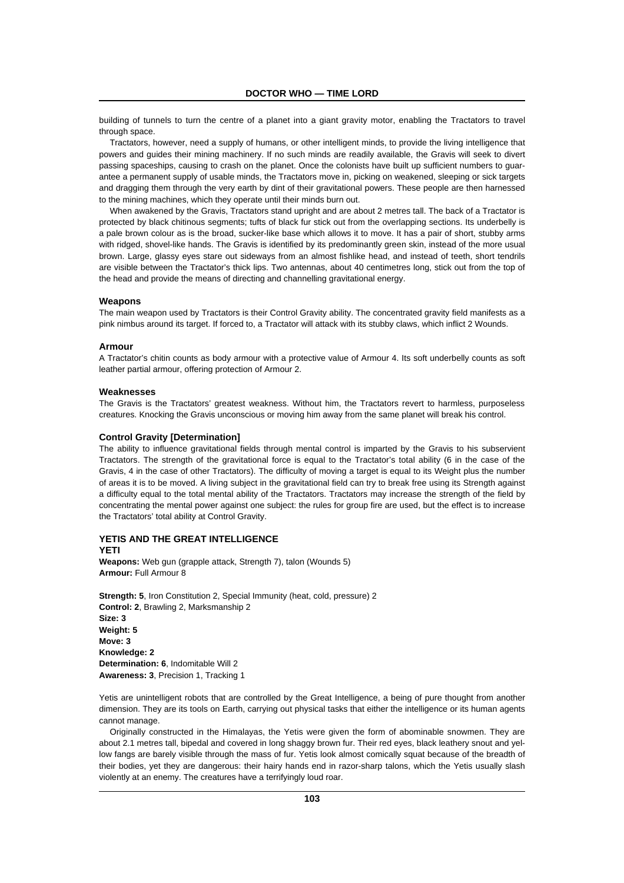building of tunnels to turn the centre of a planet into a giant gravity motor, enabling the Tractators to travel through space.

Tractators, however, need a supply of humans, or other intelligent minds, to provide the living intelligence that powers and guides their mining machinery. If no such minds are readily available, the Gravis will seek to divert passing spaceships, causing to crash on the planet. Once the colonists have built up sufficient numbers to guarantee a permanent supply of usable minds, the Tractators move in, picking on weakened, sleeping or sick targets and dragging them through the very earth by dint of their gravitational powers. These people are then harnessed to the mining machines, which they operate until their minds burn out.

When awakened by the Gravis, Tractators stand upright and are about 2 metres tall. The back of a Tractator is protected by black chitinous segments; tufts of black fur stick out from the overlapping sections. Its underbelly is a pale brown colour as is the broad, sucker-like base which allows it to move. It has a pair of short, stubby arms with ridged, shovel-like hands. The Gravis is identified by its predominantly green skin, instead of the more usual brown. Large, glassy eyes stare out sideways from an almost fishlike head, and instead of teeth, short tendrils are visible between the Tractator's thick lips. Two antennas, about 40 centimetres long, stick out from the top of the head and provide the means of directing and channelling gravitational energy.

#### **Weapons**

The main weapon used by Tractators is their Control Gravity ability. The concentrated gravity field manifests as a pink nimbus around its target. If forced to, a Tractator will attack with its stubby claws, which inflict 2 Wounds.

#### **Armour**

A Tractator's chitin counts as body armour with a protective value of Armour 4. Its soft underbelly counts as soft leather partial armour, offering protection of Armour 2.

#### **Weaknesses**

The Gravis is the Tractators' greatest weakness. Without him, the Tractators revert to harmless, purposeless creatures. Knocking the Gravis unconscious or moving him away from the same planet will break his control.

#### **Control Gravity [Determination]**

The ability to influence gravitational fields through mental control is imparted by the Gravis to his subservient Tractators. The strength of the gravitational force is equal to the Tractator's total ability (6 in the case of the Gravis, 4 in the case of other Tractators). The difficulty of moving a target is equal to its Weight plus the number of areas it is to be moved. A living subject in the gravitational field can try to break free using its Strength against a difficulty equal to the total mental ability of the Tractators. Tractators may increase the strength of the field by concentrating the mental power against one subject: the rules for group fire are used, but the effect is to increase the Tractators' total ability at Control Gravity.

# **YETIS AND THE GREAT INTELLIGENCE**

**YETI**

**Weapons:** Web gun (grapple attack, Strength 7), talon (Wounds 5) **Armour:** Full Armour 8

**Strength: 5**, Iron Constitution 2, Special Immunity (heat, cold, pressure) 2 **Control: 2**, Brawling 2, Marksmanship 2 **Size: 3 Weight: 5 Move: 3 Knowledge: 2 Determination: 6**, Indomitable Will 2 **Awareness: 3**, Precision 1, Tracking 1

Yetis are unintelligent robots that are controlled by the Great Intelligence, a being of pure thought from another dimension. They are its tools on Earth, carrying out physical tasks that either the intelligence or its human agents cannot manage.

Originally constructed in the Himalayas, the Yetis were given the form of abominable snowmen. They are about 2.1 metres tall, bipedal and covered in long shaggy brown fur. Their red eyes, black leathery snout and yellow fangs are barely visible through the mass of fur. Yetis look almost comically squat because of the breadth of their bodies, yet they are dangerous: their hairy hands end in razor-sharp talons, which the Yetis usually slash violently at an enemy. The creatures have a terrifyingly loud roar.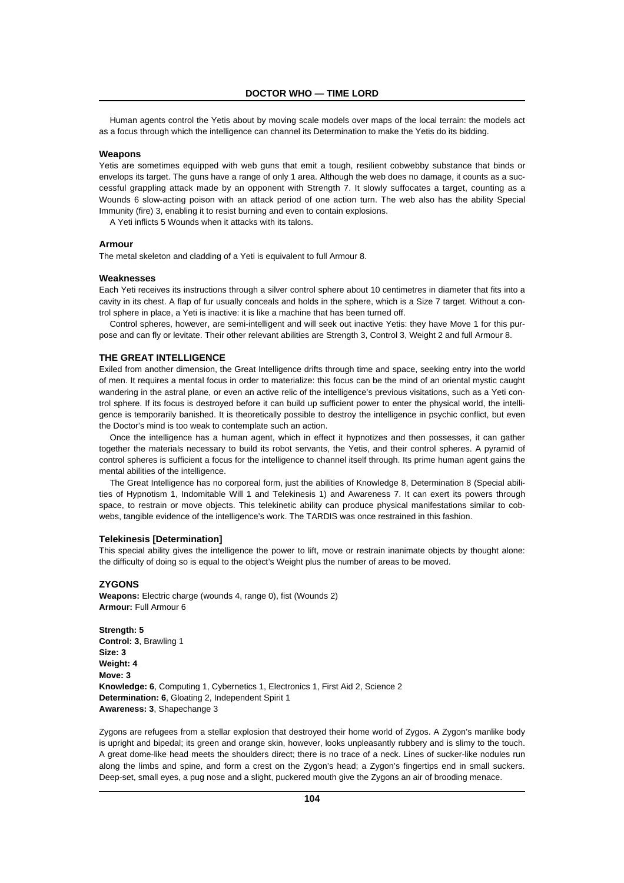Human agents control the Yetis about by moving scale models over maps of the local terrain: the models act as a focus through which the intelligence can channel its Determination to make the Yetis do its bidding.

### **Weapons**

Yetis are sometimes equipped with web guns that emit a tough, resilient cobwebby substance that binds or envelops its target. The guns have a range of only 1 area. Although the web does no damage, it counts as a successful grappling attack made by an opponent with Strength 7. It slowly suffocates a target, counting as a Wounds 6 slow-acting poison with an attack period of one action turn. The web also has the ability Special Immunity (fire) 3, enabling it to resist burning and even to contain explosions.

A Yeti inflicts 5 Wounds when it attacks with its talons.

### **Armour**

The metal skeleton and cladding of a Yeti is equivalent to full Armour 8.

#### **Weaknesses**

Each Yeti receives its instructions through a silver control sphere about 10 centimetres in diameter that fits into a cavity in its chest. A flap of fur usually conceals and holds in the sphere, which is a Size 7 target. Without a control sphere in place, a Yeti is inactive: it is like a machine that has been turned off.

Control spheres, however, are semi-intelligent and will seek out inactive Yetis: they have Move 1 for this purpose and can fly or levitate. Their other relevant abilities are Strength 3, Control 3, Weight 2 and full Armour 8.

#### **THE GREAT INTELLIGENCE**

Exiled from another dimension, the Great Intelligence drifts through time and space, seeking entry into the world of men. It requires a mental focus in order to materialize: this focus can be the mind of an oriental mystic caught wandering in the astral plane, or even an active relic of the intelligence's previous visitations, such as a Yeti control sphere. If its focus is destroyed before it can build up sufficient power to enter the physical world, the intelligence is temporarily banished. It is theoretically possible to destroy the intelligence in psychic conflict, but even the Doctor's mind is too weak to contemplate such an action.

Once the intelligence has a human agent, which in effect it hypnotizes and then possesses, it can gather together the materials necessary to build its robot servants, the Yetis, and their control spheres. A pyramid of control spheres is sufficient a focus for the intelligence to channel itself through. Its prime human agent gains the mental abilities of the intelligence.

The Great Intelligence has no corporeal form, just the abilities of Knowledge 8, Determination 8 (Special abilities of Hypnotism 1, Indomitable Will 1 and Telekinesis 1) and Awareness 7. It can exert its powers through space, to restrain or move objects. This telekinetic ability can produce physical manifestations similar to cobwebs, tangible evidence of the intelligence's work. The TARDIS was once restrained in this fashion.

# **Telekinesis [Determination]**

This special ability gives the intelligence the power to lift, move or restrain inanimate objects by thought alone: the difficulty of doing so is equal to the object's Weight plus the number of areas to be moved.

### **ZYGONS**

**Weapons:** Electric charge (wounds 4, range 0), fist (Wounds 2) **Armour:** Full Armour 6

**Strength: 5 Control: 3**, Brawling 1 **Size: 3 Weight: 4 Move: 3 Knowledge: 6**, Computing 1, Cybernetics 1, Electronics 1, First Aid 2, Science 2 **Determination: 6. Gloating 2. Independent Spirit 1 Awareness: 3**, Shapechange 3

Zygons are refugees from a stellar explosion that destroyed their home world of Zygos. A Zygon's manlike body is upright and bipedal; its green and orange skin, however, looks unpleasantly rubbery and is slimy to the touch. A great dome-like head meets the shoulders direct; there is no trace of a neck. Lines of sucker-like nodules run along the limbs and spine, and form a crest on the Zygon's head; a Zygon's fingertips end in small suckers. Deep-set, small eyes, a pug nose and a slight, puckered mouth give the Zygons an air of brooding menace.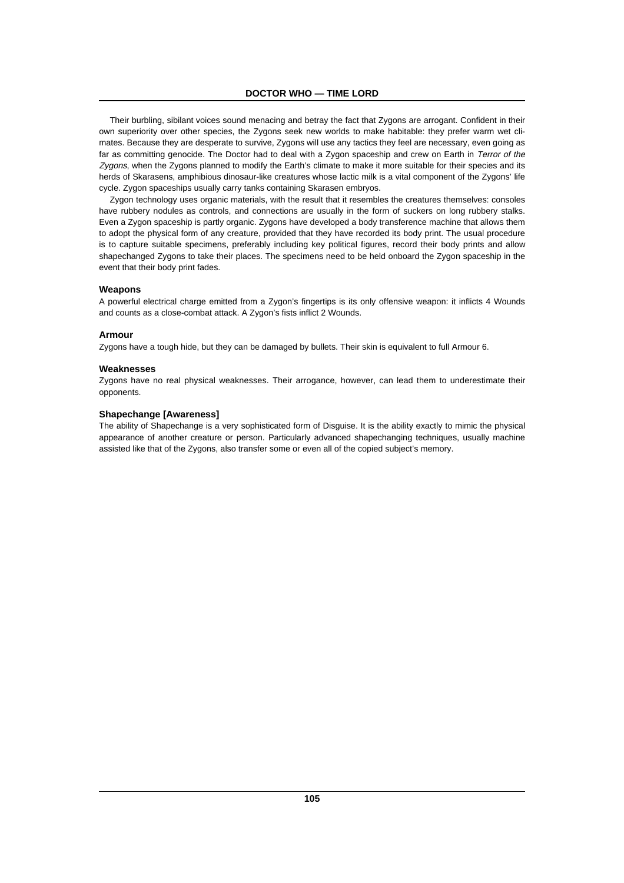Their burbling, sibilant voices sound menacing and betray the fact that Zygons are arrogant. Confident in their own superiority over other species, the Zygons seek new worlds to make habitable: they prefer warm wet climates. Because they are desperate to survive, Zygons will use any tactics they feel are necessary, even going as far as committing genocide. The Doctor had to deal with a Zygon spaceship and crew on Earth in Terror of the Zygons, when the Zygons planned to modify the Earth's climate to make it more suitable for their species and its herds of Skarasens, amphibious dinosaur-like creatures whose lactic milk is a vital component of the Zygons' life cycle. Zygon spaceships usually carry tanks containing Skarasen embryos.

Zygon technology uses organic materials, with the result that it resembles the creatures themselves: consoles have rubbery nodules as controls, and connections are usually in the form of suckers on long rubbery stalks. Even a Zygon spaceship is partly organic. Zygons have developed a body transference machine that allows them to adopt the physical form of any creature, provided that they have recorded its body print. The usual procedure is to capture suitable specimens, preferably including key political figures, record their body prints and allow shapechanged Zygons to take their places. The specimens need to be held onboard the Zygon spaceship in the event that their body print fades.

# **Weapons**

A powerful electrical charge emitted from a Zygon's fingertips is its only offensive weapon: it inflicts 4 Wounds and counts as a close-combat attack. A Zygon's fists inflict 2 Wounds.

### **Armour**

Zygons have a tough hide, but they can be damaged by bullets. Their skin is equivalent to full Armour 6.

### **Weaknesses**

Zygons have no real physical weaknesses. Their arrogance, however, can lead them to underestimate their opponents.

### **Shapechange [Awareness]**

The ability of Shapechange is a very sophisticated form of Disguise. It is the ability exactly to mimic the physical appearance of another creature or person. Particularly advanced shapechanging techniques, usually machine assisted like that of the Zygons, also transfer some or even all of the copied subject's memory.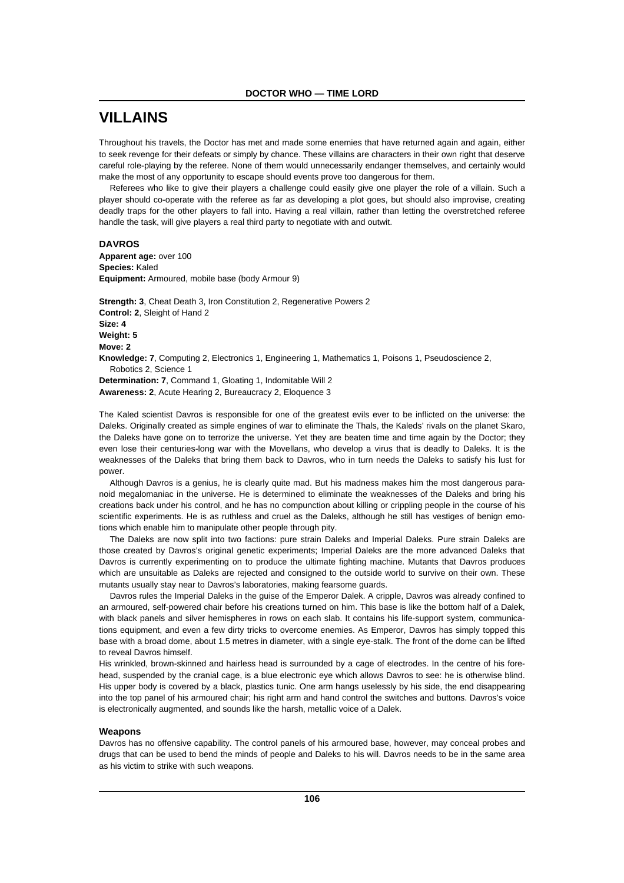# **VILLAINS**

Throughout his travels, the Doctor has met and made some enemies that have returned again and again, either to seek revenge for their defeats or simply by chance. These villains are characters in their own right that deserve careful role-playing by the referee. None of them would unnecessarily endanger themselves, and certainly would make the most of any opportunity to escape should events prove too dangerous for them.

Referees who like to give their players a challenge could easily give one player the role of a villain. Such a player should co-operate with the referee as far as developing a plot goes, but should also improvise, creating deadly traps for the other players to fall into. Having a real villain, rather than letting the overstretched referee handle the task, will give players a real third party to negotiate with and outwit.

# **DAVROS**

**Apparent age:** over 100 **Species:** Kaled **Equipment:** Armoured, mobile base (body Armour 9)

**Strength: 3**, Cheat Death 3, Iron Constitution 2, Regenerative Powers 2 **Control: 2**, Sleight of Hand 2 **Size: 4 Weight: 5 Move: 2 Knowledge: 7**, Computing 2, Electronics 1, Engineering 1, Mathematics 1, Poisons 1, Pseudoscience 2, Robotics 2, Science 1 **Determination: 7**, Command 1, Gloating 1, Indomitable Will 2 **Awareness: 2**, Acute Hearing 2, Bureaucracy 2, Eloquence 3

The Kaled scientist Davros is responsible for one of the greatest evils ever to be inflicted on the universe: the Daleks. Originally created as simple engines of war to eliminate the Thals, the Kaleds' rivals on the planet Skaro, the Daleks have gone on to terrorize the universe. Yet they are beaten time and time again by the Doctor; they even lose their centuries-long war with the Movellans, who develop a virus that is deadly to Daleks. It is the weaknesses of the Daleks that bring them back to Davros, who in turn needs the Daleks to satisfy his lust for power.

Although Davros is a genius, he is clearly quite mad. But his madness makes him the most dangerous paranoid megalomaniac in the universe. He is determined to eliminate the weaknesses of the Daleks and bring his creations back under his control, and he has no compunction about killing or crippling people in the course of his scientific experiments. He is as ruthless and cruel as the Daleks, although he still has vestiges of benign emotions which enable him to manipulate other people through pity.

The Daleks are now split into two factions: pure strain Daleks and Imperial Daleks. Pure strain Daleks are those created by Davros's original genetic experiments; Imperial Daleks are the more advanced Daleks that Davros is currently experimenting on to produce the ultimate fighting machine. Mutants that Davros produces which are unsuitable as Daleks are rejected and consigned to the outside world to survive on their own. These mutants usually stay near to Davros's laboratories, making fearsome guards.

Davros rules the Imperial Daleks in the guise of the Emperor Dalek. A cripple, Davros was already confined to an armoured, self-powered chair before his creations turned on him. This base is like the bottom half of a Dalek, with black panels and silver hemispheres in rows on each slab. It contains his life-support system, communications equipment, and even a few dirty tricks to overcome enemies. As Emperor, Davros has simply topped this base with a broad dome, about 1.5 metres in diameter, with a single eye-stalk. The front of the dome can be lifted to reveal Davros himself.

His wrinkled, brown-skinned and hairless head is surrounded by a cage of electrodes. In the centre of his forehead, suspended by the cranial cage, is a blue electronic eye which allows Davros to see: he is otherwise blind. His upper body is covered by a black, plastics tunic. One arm hangs uselessly by his side, the end disappearing into the top panel of his armoured chair; his right arm and hand control the switches and buttons. Davros's voice is electronically augmented, and sounds like the harsh, metallic voice of a Dalek.

### **Weapons**

Davros has no offensive capability. The control panels of his armoured base, however, may conceal probes and drugs that can be used to bend the minds of people and Daleks to his will. Davros needs to be in the same area as his victim to strike with such weapons.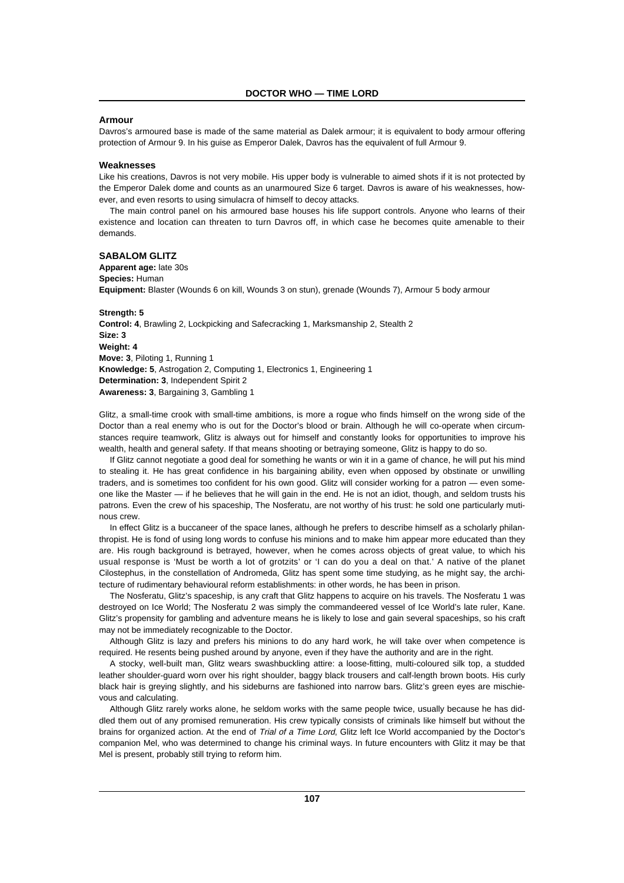# **Armour**

Davros's armoured base is made of the same material as Dalek armour; it is equivalent to body armour offering protection of Armour 9. In his guise as Emperor Dalek, Davros has the equivalent of full Armour 9.

#### **Weaknesses**

Like his creations, Davros is not very mobile. His upper body is vulnerable to aimed shots if it is not protected by the Emperor Dalek dome and counts as an unarmoured Size 6 target. Davros is aware of his weaknesses, however, and even resorts to using simulacra of himself to decoy attacks.

The main control panel on his armoured base houses his life support controls. Anyone who learns of their existence and location can threaten to turn Davros off, in which case he becomes quite amenable to their demands.

# **SABALOM GLITZ**

**Apparent age:** late 30s **Species:** Human **Equipment:** Blaster (Wounds 6 on kill, Wounds 3 on stun), grenade (Wounds 7), Armour 5 body armour

**Strength: 5 Control: 4**, Brawling 2, Lockpicking and Safecracking 1, Marksmanship 2, Stealth 2 **Size: 3 Weight: 4 Move: 3**, Piloting 1, Running 1 **Knowledge: 5**, Astrogation 2, Computing 1, Electronics 1, Engineering 1 **Determination: 3**, Independent Spirit 2 **Awareness: 3**, Bargaining 3, Gambling 1

Glitz, a small-time crook with small-time ambitions, is more a rogue who finds himself on the wrong side of the Doctor than a real enemy who is out for the Doctor's blood or brain. Although he will co-operate when circumstances require teamwork, Glitz is always out for himself and constantly looks for opportunities to improve his wealth, health and general safety. If that means shooting or betraying someone, Glitz is happy to do so.

If Glitz cannot negotiate a good deal for something he wants or win it in a game of chance, he will put his mind to stealing it. He has great confidence in his bargaining ability, even when opposed by obstinate or unwilling traders, and is sometimes too confident for his own good. Glitz will consider working for a patron — even someone like the Master — if he believes that he will gain in the end. He is not an idiot, though, and seldom trusts his patrons. Even the crew of his spaceship, The Nosferatu, are not worthy of his trust: he sold one particularly mutinous crew.

In effect Glitz is a buccaneer of the space lanes, although he prefers to describe himself as a scholarly philanthropist. He is fond of using long words to confuse his minions and to make him appear more educated than they are. His rough background is betrayed, however, when he comes across objects of great value, to which his usual response is 'Must be worth a lot of grotzits' or 'I can do you a deal on that.' A native of the planet Cilostephus, in the constellation of Andromeda, Glitz has spent some time studying, as he might say, the architecture of rudimentary behavioural reform establishments: in other words, he has been in prison.

The Nosferatu, Glitz's spaceship, is any craft that Glitz happens to acquire on his travels. The Nosferatu 1 was destroyed on Ice World; The Nosferatu 2 was simply the commandeered vessel of Ice World's late ruler, Kane. Glitz's propensity for gambling and adventure means he is likely to lose and gain several spaceships, so his craft may not be immediately recognizable to the Doctor.

Although Glitz is lazy and prefers his minions to do any hard work, he will take over when competence is required. He resents being pushed around by anyone, even if they have the authority and are in the right.

A stocky, well-built man, Glitz wears swashbuckling attire: a loose-fitting, multi-coloured silk top, a studded leather shoulder-guard worn over his right shoulder, baggy black trousers and calf-length brown boots. His curly black hair is greying slightly, and his sideburns are fashioned into narrow bars. Glitz's green eyes are mischievous and calculating.

Although Glitz rarely works alone, he seldom works with the same people twice, usually because he has diddled them out of any promised remuneration. His crew typically consists of criminals like himself but without the brains for organized action. At the end of Trial of a Time Lord, Glitz left Ice World accompanied by the Doctor's companion Mel, who was determined to change his criminal ways. In future encounters with Glitz it may be that Mel is present, probably still trying to reform him.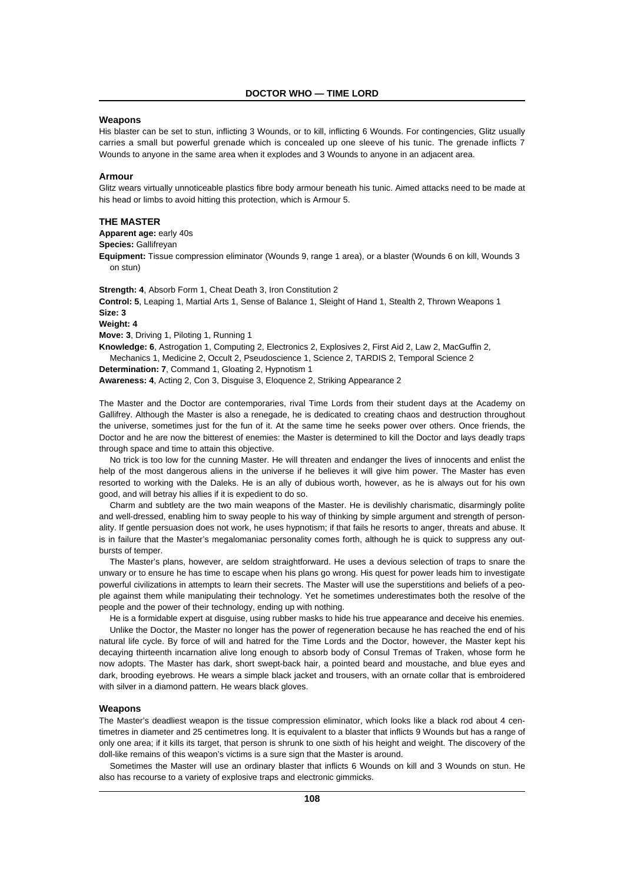#### **Weapons**

His blaster can be set to stun, inflicting 3 Wounds, or to kill, inflicting 6 Wounds. For contingencies, Glitz usually carries a small but powerful grenade which is concealed up one sleeve of his tunic. The grenade inflicts 7 Wounds to anyone in the same area when it explodes and 3 Wounds to anyone in an adjacent area.

# **Armour**

Glitz wears virtually unnoticeable plastics fibre body armour beneath his tunic. Aimed attacks need to be made at his head or limbs to avoid hitting this protection, which is Armour 5.

## **THE MASTER**

**Apparent age:** early 40s

**Species:** Gallifreyan

**Equipment:** Tissue compression eliminator (Wounds 9, range 1 area), or a blaster (Wounds 6 on kill, Wounds 3 on stun)

**Strength: 4**, Absorb Form 1, Cheat Death 3, Iron Constitution 2 **Control: 5**, Leaping 1, Martial Arts 1, Sense of Balance 1, Sleight of Hand 1, Stealth 2, Thrown Weapons 1 **Size: 3 Weight: 4 Move: 3**, Driving 1, Piloting 1, Running 1

**Knowledge: 6**, Astrogation 1, Computing 2, Electronics 2, Explosives 2, First Aid 2, Law 2, MacGuffin 2, Mechanics 1, Medicine 2, Occult 2, Pseudoscience 1, Science 2, TARDIS 2, Temporal Science 2 **Determination: 7**, Command 1, Gloating 2, Hypnotism 1

**Awareness: 4**, Acting 2, Con 3, Disguise 3, Eloquence 2, Striking Appearance 2

The Master and the Doctor are contemporaries, rival Time Lords from their student days at the Academy on Gallifrey. Although the Master is also a renegade, he is dedicated to creating chaos and destruction throughout the universe, sometimes just for the fun of it. At the same time he seeks power over others. Once friends, the Doctor and he are now the bitterest of enemies: the Master is determined to kill the Doctor and lays deadly traps through space and time to attain this objective.

No trick is too low for the cunning Master. He will threaten and endanger the lives of innocents and enlist the help of the most dangerous aliens in the universe if he believes it will give him power. The Master has even resorted to working with the Daleks. He is an ally of dubious worth, however, as he is always out for his own good, and will betray his allies if it is expedient to do so.

Charm and subtlety are the two main weapons of the Master. He is devilishly charismatic, disarmingly polite and well-dressed, enabling him to sway people to his way of thinking by simple argument and strength of personality. If gentle persuasion does not work, he uses hypnotism; if that fails he resorts to anger, threats and abuse. It is in failure that the Master's megalomaniac personality comes forth, although he is quick to suppress any outbursts of temper.

The Master's plans, however, are seldom straightforward. He uses a devious selection of traps to snare the unwary or to ensure he has time to escape when his plans go wrong. His quest for power leads him to investigate powerful civilizations in attempts to learn their secrets. The Master will use the superstitions and beliefs of a people against them while manipulating their technology. Yet he sometimes underestimates both the resolve of the people and the power of their technology, ending up with nothing.

He is a formidable expert at disguise, using rubber masks to hide his true appearance and deceive his enemies. Unlike the Doctor, the Master no longer has the power of regeneration because he has reached the end of his natural life cycle. By force of will and hatred for the Time Lords and the Doctor, however, the Master kept his decaying thirteenth incarnation alive long enough to absorb body of Consul Tremas of Traken, whose form he now adopts. The Master has dark, short swept-back hair, a pointed beard and moustache, and blue eyes and dark, brooding eyebrows. He wears a simple black jacket and trousers, with an ornate collar that is embroidered with silver in a diamond pattern. He wears black gloves.

#### **Weapons**

The Master's deadliest weapon is the tissue compression eliminator, which looks like a black rod about 4 centimetres in diameter and 25 centimetres long. It is equivalent to a blaster that inflicts 9 Wounds but has a range of only one area; if it kills its target, that person is shrunk to one sixth of his height and weight. The discovery of the doll-like remains of this weapon's victims is a sure sign that the Master is around.

Sometimes the Master will use an ordinary blaster that inflicts 6 Wounds on kill and 3 Wounds on stun. He also has recourse to a variety of explosive traps and electronic gimmicks.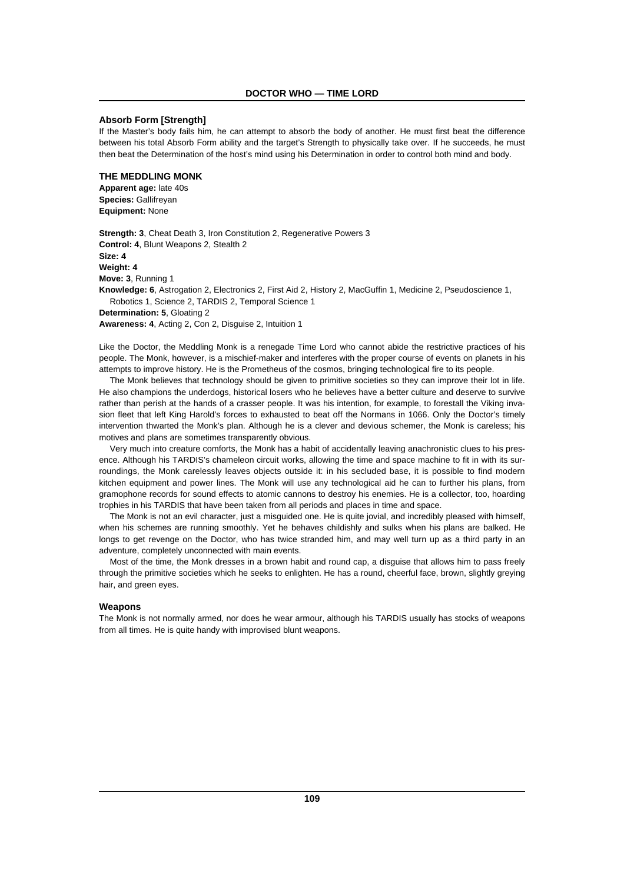# **Absorb Form [Strength]**

If the Master's body fails him, he can attempt to absorb the body of another. He must first beat the difference between his total Absorb Form ability and the target's Strength to physically take over. If he succeeds, he must then beat the Determination of the host's mind using his Determination in order to control both mind and body.

# **THE MEDDLING MONK**

**Apparent age:** late 40s **Species:** Gallifreyan **Equipment:** None

**Strength: 3**, Cheat Death 3, Iron Constitution 2, Regenerative Powers 3 **Control: 4**, Blunt Weapons 2, Stealth 2 **Size: 4 Weight: 4 Move: 3**, Running 1 **Knowledge: 6**, Astrogation 2, Electronics 2, First Aid 2, History 2, MacGuffin 1, Medicine 2, Pseudoscience 1, Robotics 1, Science 2, TARDIS 2, Temporal Science 1 **Determination: 5**, Gloating 2

**Awareness: 4**, Acting 2, Con 2, Disguise 2, Intuition 1

Like the Doctor, the Meddling Monk is a renegade Time Lord who cannot abide the restrictive practices of his people. The Monk, however, is a mischief-maker and interferes with the proper course of events on planets in his attempts to improve history. He is the Prometheus of the cosmos, bringing technological fire to its people.

The Monk believes that technology should be given to primitive societies so they can improve their lot in life. He also champions the underdogs, historical losers who he believes have a better culture and deserve to survive rather than perish at the hands of a crasser people. It was his intention, for example, to forestall the Viking invasion fleet that left King Harold's forces to exhausted to beat off the Normans in 1066. Only the Doctor's timely intervention thwarted the Monk's plan. Although he is a clever and devious schemer, the Monk is careless; his motives and plans are sometimes transparently obvious.

Very much into creature comforts, the Monk has a habit of accidentally leaving anachronistic clues to his presence. Although his TARDIS's chameleon circuit works, allowing the time and space machine to fit in with its surroundings, the Monk carelessly leaves objects outside it: in his secluded base, it is possible to find modern kitchen equipment and power lines. The Monk will use any technological aid he can to further his plans, from gramophone records for sound effects to atomic cannons to destroy his enemies. He is a collector, too, hoarding trophies in his TARDIS that have been taken from all periods and places in time and space.

The Monk is not an evil character, just a misguided one. He is quite jovial, and incredibly pleased with himself, when his schemes are running smoothly. Yet he behaves childishly and sulks when his plans are balked. He longs to get revenge on the Doctor, who has twice stranded him, and may well turn up as a third party in an adventure, completely unconnected with main events.

Most of the time, the Monk dresses in a brown habit and round cap, a disguise that allows him to pass freely through the primitive societies which he seeks to enlighten. He has a round, cheerful face, brown, slightly greying hair, and green eyes.

#### **Weapons**

The Monk is not normally armed, nor does he wear armour, although his TARDIS usually has stocks of weapons from all times. He is quite handy with improvised blunt weapons.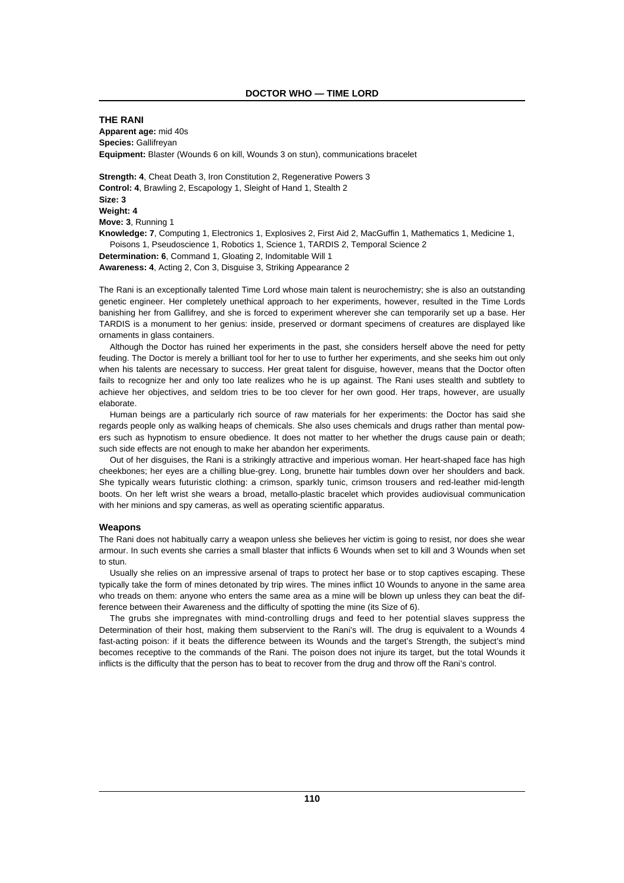**THE RANI Apparent age:** mid 40s **Species:** Gallifreyan **Equipment:** Blaster (Wounds 6 on kill, Wounds 3 on stun), communications bracelet

**Strength: 4**, Cheat Death 3, Iron Constitution 2, Regenerative Powers 3 **Control: 4**, Brawling 2, Escapology 1, Sleight of Hand 1, Stealth 2 **Size: 3 Weight: 4 Move: 3**, Running 1 **Knowledge: 7**, Computing 1, Electronics 1, Explosives 2, First Aid 2, MacGuffin 1, Mathematics 1, Medicine 1, Poisons 1, Pseudoscience 1, Robotics 1, Science 1, TARDIS 2, Temporal Science 2 **Determination: 6**, Command 1, Gloating 2, Indomitable Will 1

**Awareness: 4**, Acting 2, Con 3, Disguise 3, Striking Appearance 2

The Rani is an exceptionally talented Time Lord whose main talent is neurochemistry; she is also an outstanding genetic engineer. Her completely unethical approach to her experiments, however, resulted in the Time Lords banishing her from Gallifrey, and she is forced to experiment wherever she can temporarily set up a base. Her TARDIS is a monument to her genius: inside, preserved or dormant specimens of creatures are displayed like ornaments in glass containers.

Although the Doctor has ruined her experiments in the past, she considers herself above the need for petty feuding. The Doctor is merely a brilliant tool for her to use to further her experiments, and she seeks him out only when his talents are necessary to success. Her great talent for disguise, however, means that the Doctor often fails to recognize her and only too late realizes who he is up against. The Rani uses stealth and subtlety to achieve her objectives, and seldom tries to be too clever for her own good. Her traps, however, are usually elaborate.

Human beings are a particularly rich source of raw materials for her experiments: the Doctor has said she regards people only as walking heaps of chemicals. She also uses chemicals and drugs rather than mental powers such as hypnotism to ensure obedience. It does not matter to her whether the drugs cause pain or death; such side effects are not enough to make her abandon her experiments.

Out of her disguises, the Rani is a strikingly attractive and imperious woman. Her heart-shaped face has high cheekbones; her eyes are a chilling blue-grey. Long, brunette hair tumbles down over her shoulders and back. She typically wears futuristic clothing: a crimson, sparkly tunic, crimson trousers and red-leather mid-length boots. On her left wrist she wears a broad, metallo-plastic bracelet which provides audiovisual communication with her minions and spy cameras, as well as operating scientific apparatus.

#### **Weapons**

The Rani does not habitually carry a weapon unless she believes her victim is going to resist, nor does she wear armour. In such events she carries a small blaster that inflicts 6 Wounds when set to kill and 3 Wounds when set to stun.

Usually she relies on an impressive arsenal of traps to protect her base or to stop captives escaping. These typically take the form of mines detonated by trip wires. The mines inflict 10 Wounds to anyone in the same area who treads on them: anyone who enters the same area as a mine will be blown up unless they can beat the difference between their Awareness and the difficulty of spotting the mine (its Size of 6).

The grubs she impregnates with mind-controlling drugs and feed to her potential slaves suppress the Determination of their host, making them subservient to the Rani's will. The drug is equivalent to a Wounds 4 fast-acting poison: if it beats the difference between its Wounds and the target's Strength, the subject's mind becomes receptive to the commands of the Rani. The poison does not injure its target, but the total Wounds it inflicts is the difficulty that the person has to beat to recover from the drug and throw off the Rani's control.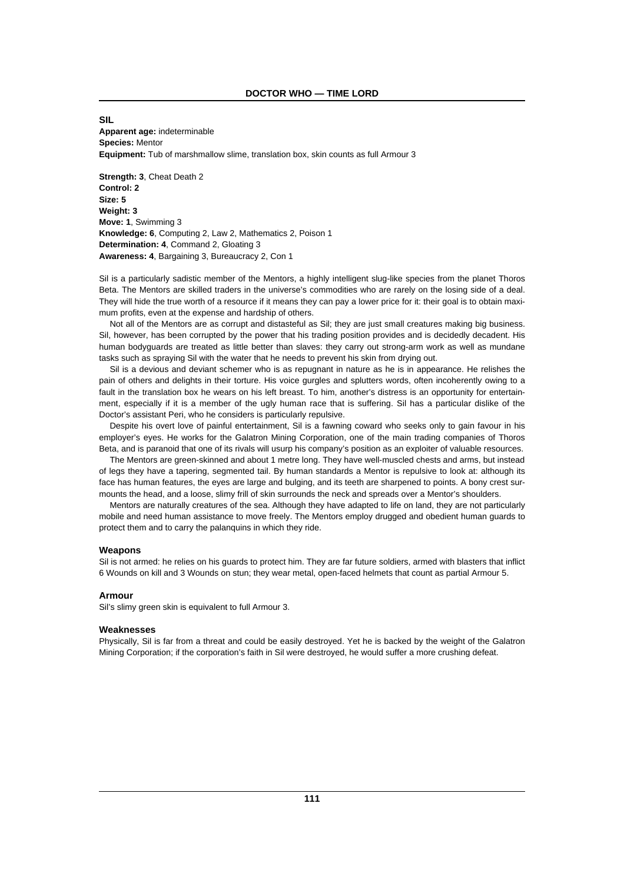# **SIL Apparent age:** indeterminable **Species:** Mentor **Equipment:** Tub of marshmallow slime, translation box, skin counts as full Armour 3

**Strength: 3**, Cheat Death 2 **Control: 2 Size: 5 Weight: 3 Move: 1**, Swimming 3 **Knowledge: 6**, Computing 2, Law 2, Mathematics 2, Poison 1 **Determination: 4**, Command 2, Gloating 3 **Awareness: 4**, Bargaining 3, Bureaucracy 2, Con 1

Sil is a particularly sadistic member of the Mentors, a highly intelligent slug-like species from the planet Thoros Beta. The Mentors are skilled traders in the universe's commodities who are rarely on the losing side of a deal. They will hide the true worth of a resource if it means they can pay a lower price for it: their goal is to obtain maximum profits, even at the expense and hardship of others.

Not all of the Mentors are as corrupt and distasteful as Sil; they are just small creatures making big business. Sil, however, has been corrupted by the power that his trading position provides and is decidedly decadent. His human bodyguards are treated as little better than slaves: they carry out strong-arm work as well as mundane tasks such as spraying Sil with the water that he needs to prevent his skin from drying out.

Sil is a devious and deviant schemer who is as repugnant in nature as he is in appearance. He relishes the pain of others and delights in their torture. His voice gurgles and splutters words, often incoherently owing to a fault in the translation box he wears on his left breast. To him, another's distress is an opportunity for entertainment, especially if it is a member of the ugly human race that is suffering. Sil has a particular dislike of the Doctor's assistant Peri, who he considers is particularly repulsive.

Despite his overt love of painful entertainment, Sil is a fawning coward who seeks only to gain favour in his employer's eyes. He works for the Galatron Mining Corporation, one of the main trading companies of Thoros Beta, and is paranoid that one of its rivals will usurp his company's position as an exploiter of valuable resources.

The Mentors are green-skinned and about 1 metre long. They have well-muscled chests and arms, but instead of legs they have a tapering, segmented tail. By human standards a Mentor is repulsive to look at: although its face has human features, the eyes are large and bulging, and its teeth are sharpened to points. A bony crest surmounts the head, and a loose, slimy frill of skin surrounds the neck and spreads over a Mentor's shoulders.

Mentors are naturally creatures of the sea. Although they have adapted to life on land, they are not particularly mobile and need human assistance to move freely. The Mentors employ drugged and obedient human guards to protect them and to carry the palanquins in which they ride.

#### **Weapons**

Sil is not armed: he relies on his guards to protect him. They are far future soldiers, armed with blasters that inflict 6 Wounds on kill and 3 Wounds on stun; they wear metal, open-faced helmets that count as partial Armour 5.

# **Armour**

Sil's slimy green skin is equivalent to full Armour 3.

#### **Weaknesses**

Physically, Sil is far from a threat and could be easily destroyed. Yet he is backed by the weight of the Galatron Mining Corporation; if the corporation's faith in Sil were destroyed, he would suffer a more crushing defeat.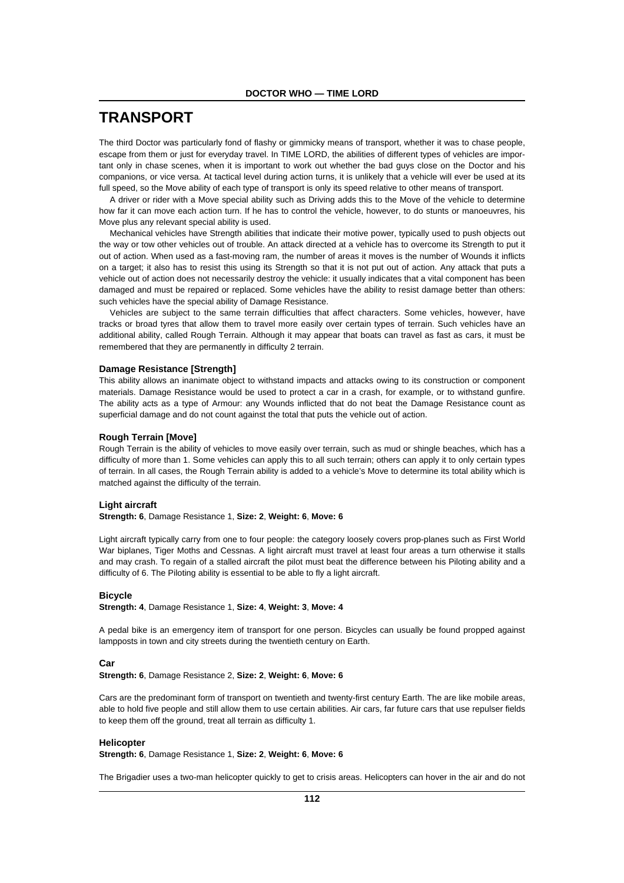# **TRANSPORT**

The third Doctor was particularly fond of flashy or gimmicky means of transport, whether it was to chase people, escape from them or just for everyday travel. In TIME LORD, the abilities of different types of vehicles are important only in chase scenes, when it is important to work out whether the bad guys close on the Doctor and his companions, or vice versa. At tactical level during action turns, it is unlikely that a vehicle will ever be used at its full speed, so the Move ability of each type of transport is only its speed relative to other means of transport.

A driver or rider with a Move special ability such as Driving adds this to the Move of the vehicle to determine how far it can move each action turn. If he has to control the vehicle, however, to do stunts or manoeuvres, his Move plus any relevant special ability is used.

Mechanical vehicles have Strength abilities that indicate their motive power, typically used to push objects out the way or tow other vehicles out of trouble. An attack directed at a vehicle has to overcome its Strength to put it out of action. When used as a fast-moving ram, the number of areas it moves is the number of Wounds it inflicts on a target; it also has to resist this using its Strength so that it is not put out of action. Any attack that puts a vehicle out of action does not necessarily destroy the vehicle: it usually indicates that a vital component has been damaged and must be repaired or replaced. Some vehicles have the ability to resist damage better than others: such vehicles have the special ability of Damage Resistance.

Vehicles are subject to the same terrain difficulties that affect characters. Some vehicles, however, have tracks or broad tyres that allow them to travel more easily over certain types of terrain. Such vehicles have an additional ability, called Rough Terrain. Although it may appear that boats can travel as fast as cars, it must be remembered that they are permanently in difficulty 2 terrain.

#### **Damage Resistance [Strength]**

This ability allows an inanimate object to withstand impacts and attacks owing to its construction or component materials. Damage Resistance would be used to protect a car in a crash, for example, or to withstand gunfire. The ability acts as a type of Armour: any Wounds inflicted that do not beat the Damage Resistance count as superficial damage and do not count against the total that puts the vehicle out of action.

#### **Rough Terrain [Move]**

Rough Terrain is the ability of vehicles to move easily over terrain, such as mud or shingle beaches, which has a difficulty of more than 1. Some vehicles can apply this to all such terrain; others can apply it to only certain types of terrain. In all cases, the Rough Terrain ability is added to a vehicle's Move to determine its total ability which is matched against the difficulty of the terrain.

#### **Light aircraft**

**Strength: 6**, Damage Resistance 1, **Size: 2**, **Weight: 6**, **Move: 6**

Light aircraft typically carry from one to four people: the category loosely covers prop-planes such as First World War biplanes, Tiger Moths and Cessnas. A light aircraft must travel at least four areas a turn otherwise it stalls and may crash. To regain of a stalled aircraft the pilot must beat the difference between his Piloting ability and a difficulty of 6. The Piloting ability is essential to be able to fly a light aircraft.

#### **Bicycle**

**Strength: 4**, Damage Resistance 1, **Size: 4**, **Weight: 3**, **Move: 4**

A pedal bike is an emergency item of transport for one person. Bicycles can usually be found propped against lampposts in town and city streets during the twentieth century on Earth.

#### **Car**

**Strength: 6**, Damage Resistance 2, **Size: 2**, **Weight: 6**, **Move: 6**

Cars are the predominant form of transport on twentieth and twenty-first century Earth. The are like mobile areas, able to hold five people and still allow them to use certain abilities. Air cars, far future cars that use repulser fields to keep them off the ground, treat all terrain as difficulty 1.

#### **Helicopter**

**Strength: 6**, Damage Resistance 1, **Size: 2**, **Weight: 6**, **Move: 6**

The Brigadier uses a two-man helicopter quickly to get to crisis areas. Helicopters can hover in the air and do not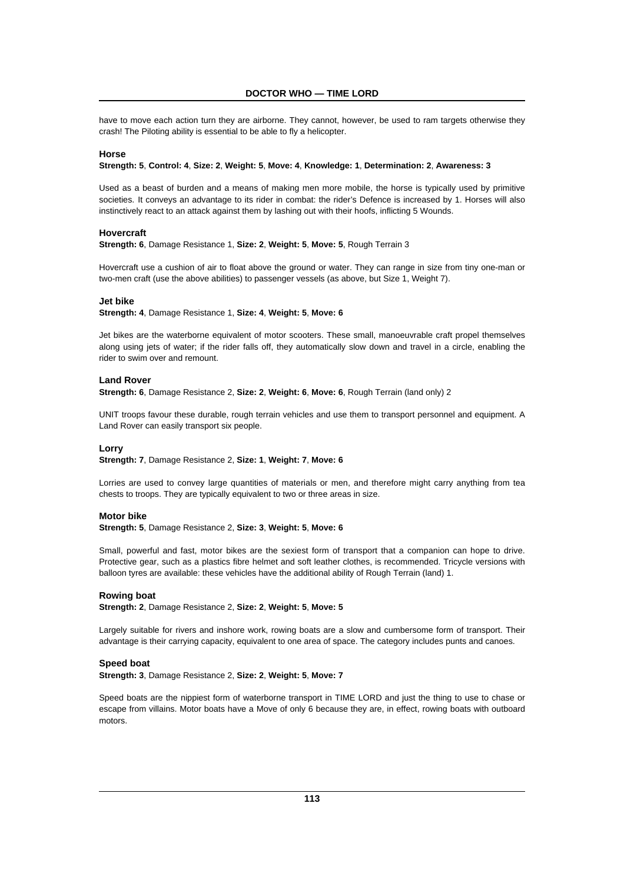have to move each action turn they are airborne. They cannot, however, be used to ram targets otherwise they crash! The Piloting ability is essential to be able to fly a helicopter.

#### **Horse**

#### **Strength: 5**, **Control: 4**, **Size: 2**, **Weight: 5**, **Move: 4**, **Knowledge: 1**, **Determination: 2**, **Awareness: 3**

Used as a beast of burden and a means of making men more mobile, the horse is typically used by primitive societies. It conveys an advantage to its rider in combat: the rider's Defence is increased by 1. Horses will also instinctively react to an attack against them by lashing out with their hoofs, inflicting 5 Wounds.

#### **Hovercraft**

**Strength: 6**, Damage Resistance 1, **Size: 2**, **Weight: 5**, **Move: 5**, Rough Terrain 3

Hovercraft use a cushion of air to float above the ground or water. They can range in size from tiny one-man or two-men craft (use the above abilities) to passenger vessels (as above, but Size 1, Weight 7).

#### **Jet bike**

**Strength: 4**, Damage Resistance 1, **Size: 4**, **Weight: 5**, **Move: 6**

Jet bikes are the waterborne equivalent of motor scooters. These small, manoeuvrable craft propel themselves along using jets of water; if the rider falls off, they automatically slow down and travel in a circle, enabling the rider to swim over and remount.

#### **Land Rover**

**Strength: 6**, Damage Resistance 2, **Size: 2**, **Weight: 6**, **Move: 6**, Rough Terrain (land only) 2

UNIT troops favour these durable, rough terrain vehicles and use them to transport personnel and equipment. A Land Rover can easily transport six people.

#### **Lorry**

**Strength: 7**, Damage Resistance 2, **Size: 1**, **Weight: 7**, **Move: 6**

Lorries are used to convey large quantities of materials or men, and therefore might carry anything from tea chests to troops. They are typically equivalent to two or three areas in size.

# **Motor bike**

**Strength: 5**, Damage Resistance 2, **Size: 3**, **Weight: 5**, **Move: 6**

Small, powerful and fast, motor bikes are the sexiest form of transport that a companion can hope to drive. Protective gear, such as a plastics fibre helmet and soft leather clothes, is recommended. Tricycle versions with balloon tyres are available: these vehicles have the additional ability of Rough Terrain (land) 1.

#### **Rowing boat**

**Strength: 2**, Damage Resistance 2, **Size: 2**, **Weight: 5**, **Move: 5**

Largely suitable for rivers and inshore work, rowing boats are a slow and cumbersome form of transport. Their advantage is their carrying capacity, equivalent to one area of space. The category includes punts and canoes.

# **Speed boat**

**Strength: 3**, Damage Resistance 2, **Size: 2**, **Weight: 5**, **Move: 7**

Speed boats are the nippiest form of waterborne transport in TIME LORD and just the thing to use to chase or escape from villains. Motor boats have a Move of only 6 because they are, in effect, rowing boats with outboard motors.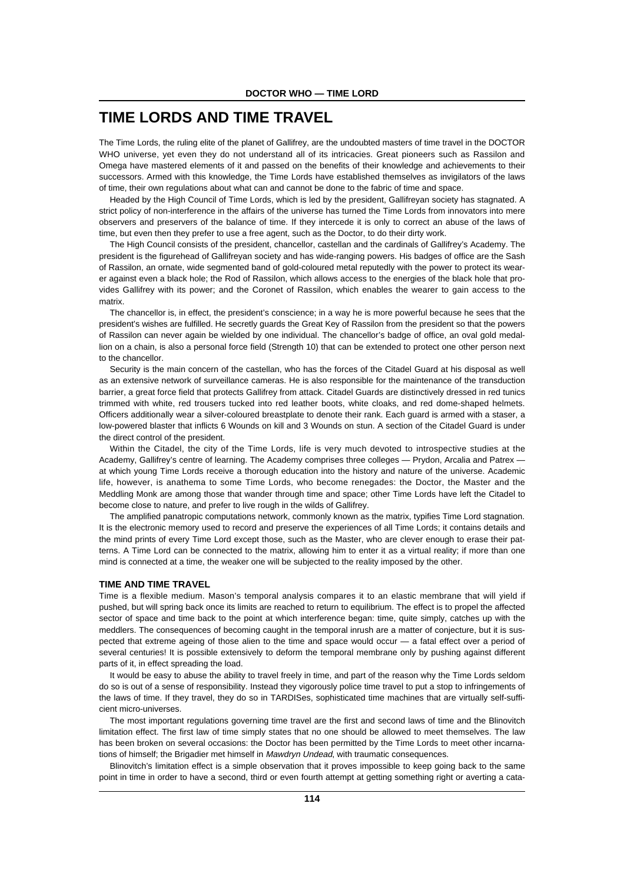# **TIME LORDS AND TIME TRAVEL**

The Time Lords, the ruling elite of the planet of Gallifrey, are the undoubted masters of time travel in the DOCTOR WHO universe, yet even they do not understand all of its intricacies. Great pioneers such as Rassilon and Omega have mastered elements of it and passed on the benefits of their knowledge and achievements to their successors. Armed with this knowledge, the Time Lords have established themselves as invigilators of the laws of time, their own regulations about what can and cannot be done to the fabric of time and space.

Headed by the High Council of Time Lords, which is led by the president, Gallifreyan society has stagnated. A strict policy of non-interference in the affairs of the universe has turned the Time Lords from innovators into mere observers and preservers of the balance of time. If they intercede it is only to correct an abuse of the laws of time, but even then they prefer to use a free agent, such as the Doctor, to do their dirty work.

The High Council consists of the president, chancellor, castellan and the cardinals of Gallifrey's Academy. The president is the figurehead of Gallifreyan society and has wide-ranging powers. His badges of office are the Sash of Rassilon, an ornate, wide segmented band of gold-coloured metal reputedly with the power to protect its wearer against even a black hole; the Rod of Rassilon, which allows access to the energies of the black hole that provides Gallifrey with its power; and the Coronet of Rassilon, which enables the wearer to gain access to the matrix.

The chancellor is, in effect, the president's conscience; in a way he is more powerful because he sees that the president's wishes are fulfilled. He secretly guards the Great Key of Rassilon from the president so that the powers of Rassilon can never again be wielded by one individual. The chancellor's badge of office, an oval gold medallion on a chain, is also a personal force field (Strength 10) that can be extended to protect one other person next to the chancellor.

Security is the main concern of the castellan, who has the forces of the Citadel Guard at his disposal as well as an extensive network of surveillance cameras. He is also responsible for the maintenance of the transduction barrier, a great force field that protects Gallifrey from attack. Citadel Guards are distinctively dressed in red tunics trimmed with white, red trousers tucked into red leather boots, white cloaks, and red dome-shaped helmets. Officers additionally wear a silver-coloured breastplate to denote their rank. Each guard is armed with a staser, a low-powered blaster that inflicts 6 Wounds on kill and 3 Wounds on stun. A section of the Citadel Guard is under the direct control of the president.

Within the Citadel, the city of the Time Lords, life is very much devoted to introspective studies at the Academy, Gallifrey's centre of learning. The Academy comprises three colleges — Prydon, Arcalia and Patrex at which young Time Lords receive a thorough education into the history and nature of the universe. Academic life, however, is anathema to some Time Lords, who become renegades: the Doctor, the Master and the Meddling Monk are among those that wander through time and space; other Time Lords have left the Citadel to become close to nature, and prefer to live rough in the wilds of Gallifrey.

The amplified panatropic computations network, commonly known as the matrix, typifies Time Lord stagnation. It is the electronic memory used to record and preserve the experiences of all Time Lords; it contains details and the mind prints of every Time Lord except those, such as the Master, who are clever enough to erase their patterns. A Time Lord can be connected to the matrix, allowing him to enter it as a virtual reality; if more than one mind is connected at a time, the weaker one will be subjected to the reality imposed by the other.

# **TIME AND TIME TRAVEL**

Time is a flexible medium. Mason's temporal analysis compares it to an elastic membrane that will yield if pushed, but will spring back once its limits are reached to return to equilibrium. The effect is to propel the affected sector of space and time back to the point at which interference began: time, quite simply, catches up with the meddlers. The consequences of becoming caught in the temporal inrush are a matter of conjecture, but it is suspected that extreme ageing of those alien to the time and space would occur — a fatal effect over a period of several centuries! It is possible extensively to deform the temporal membrane only by pushing against different parts of it, in effect spreading the load.

It would be easy to abuse the ability to travel freely in time, and part of the reason why the Time Lords seldom do so is out of a sense of responsibility. Instead they vigorously police time travel to put a stop to infringements of the laws of time. If they travel, they do so in TARDISes, sophisticated time machines that are virtually self-sufficient micro-universes.

The most important regulations governing time travel are the first and second laws of time and the Blinovitch limitation effect. The first law of time simply states that no one should be allowed to meet themselves. The law has been broken on several occasions: the Doctor has been permitted by the Time Lords to meet other incarnations of himself; the Brigadier met himself in *Mawdryn Undead*, with traumatic consequences.

Blinovitch's limitation effect is a simple observation that it proves impossible to keep going back to the same point in time in order to have a second, third or even fourth attempt at getting something right or averting a cata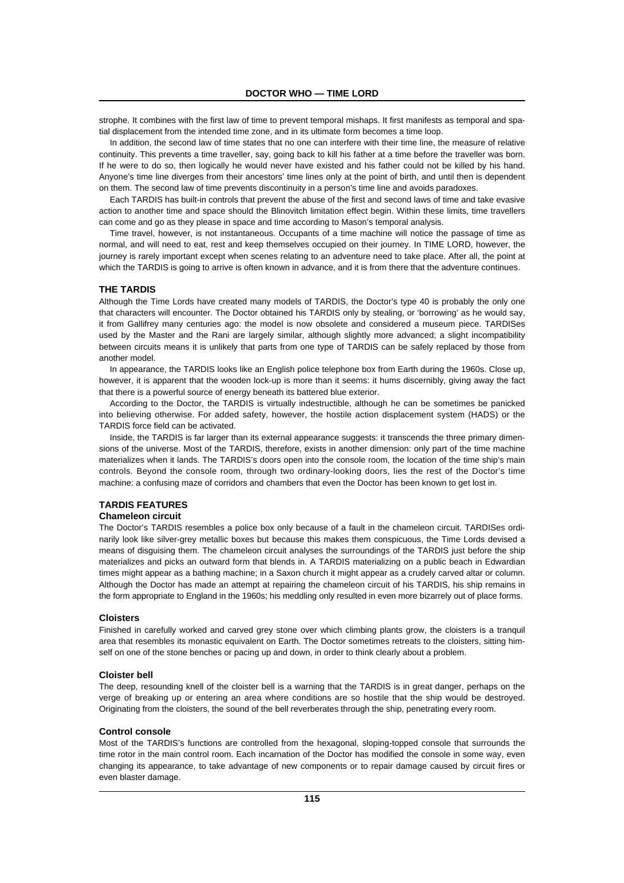strophe. It combines with the first law of time to prevent temporal mishaps. It first manifests as temporal and spatial displacement from the intended time zone, and in its ultimate form becomes a time loop.

In addition, the second law of time states that no one can interfere with their time line, the measure of relative continuity. This prevents a time traveller, say, going back to kill his father at a time before the traveller was born. If he were to do so, then logically he would never have existed and his father could not be killed by his hand. Anyone's time line diverges from their ancestors' time lines only at the point of birth, and until then is dependent on them. The second law of time prevents discontinuity in a person's time line and avoids paradoxes.

Each TARDIS has built-in controls that prevent the abuse of the first and second laws of time and take evasive action to another time and space should the Blinovitch limitation effect begin. Within these limits, time travellers can come and go as they please in space and time according to Mason's temporal analysis.

Time travel, however, is not instantaneous. Occupants of a time machine will notice the passage of time as normal, and will need to eat, rest and keep themselves occupied on their journey. In TIME LORD, however, the journey is rarely important except when scenes relating to an adventure need to take place. After all, the point at which the TARDIS is going to arrive is often known in advance, and it is from there that the adventure continues.

#### **THE TARDIS**

Although the Time Lords have created many models of TARDIS, the Doctor's type 40 is probably the only one that characters will encounter. The Doctor obtained his TARDIS only by stealing, or 'borrowing' as he would say, it from Gallifrey many centuries ago: the model is now obsolete and considered a museum piece. TARDISes used by the Master and the Rani are largely similar, although slightly more advanced; a slight incompatibility between circuits means it is unlikely that parts from one type of TARDIS can be safely replaced by those from another model.

In appearance, the TARDIS looks like an English police telephone box from Earth during the 1960s. Close up, however, it is apparent that the wooden lock-up is more than it seems: it hums discernibly, giving away the fact that there is a powerful source of energy beneath its battered blue exterior.

According to the Doctor, the TARDIS is virtually indestructible, although he can be sometimes be panicked into believing otherwise. For added safety, however, the hostile action displacement system (HADS) or the TARDIS force field can be activated.

Inside, the TARDIS is far larger than its external appearance suggests: it transcends the three primary dimensions of the universe. Most of the TARDIS, therefore, exists in another dimension: only part of the time machine materializes when it lands. The TARDIS's doors open into the console room, the location of the time ship's main controls. Beyond the console room, through two ordinary-looking doors, lies the rest of the Doctor's time machine: a confusing maze of corridors and chambers that even the Doctor has been known to get lost in.

# **TARDIS FEATURES**

# **Chameleon circuit**

The Doctor's TARDIS resembles a police box only because of a fault in the chameleon circuit. TARDISes ordinarily look like silver-grey metallic boxes but because this makes them conspicuous, the Time Lords devised a means of disguising them. The chameleon circuit analyses the surroundings of the TARDIS just before the ship materializes and picks an outward form that blends in. A TARDIS materializing on a public beach in Edwardian times might appear as a bathing machine; in a Saxon church it might appear as a crudely carved altar or column. Although the Doctor has made an attempt at repairing the chameleon circuit of his TARDIS, his ship remains in the form appropriate to England in the 1960s; his meddling only resulted in even more bizarrely out of place forms.

#### **Cloisters**

Finished in carefully worked and carved grey stone over which climbing plants grow, the cloisters is a tranquil area that resembles its monastic equivalent on Earth. The Doctor sometimes retreats to the cloisters, sitting himself on one of the stone benches or pacing up and down, in order to think clearly about a problem.

#### **Cloister bell**

The deep, resounding knell of the cloister bell is a warning that the TARDIS is in great danger, perhaps on the verge of breaking up or entering an area where conditions are so hostile that the ship would be destroyed. Originating from the cloisters, the sound of the bell reverberates through the ship, penetrating every room.

#### **Control console**

Most of the TARDIS's functions are controlled from the hexagonal, sloping-topped console that surrounds the time rotor in the main control room. Each incarnation of the Doctor has modified the console in some way, even changing its appearance, to take advantage of new components or to repair damage caused by circuit fires or even blaster damage.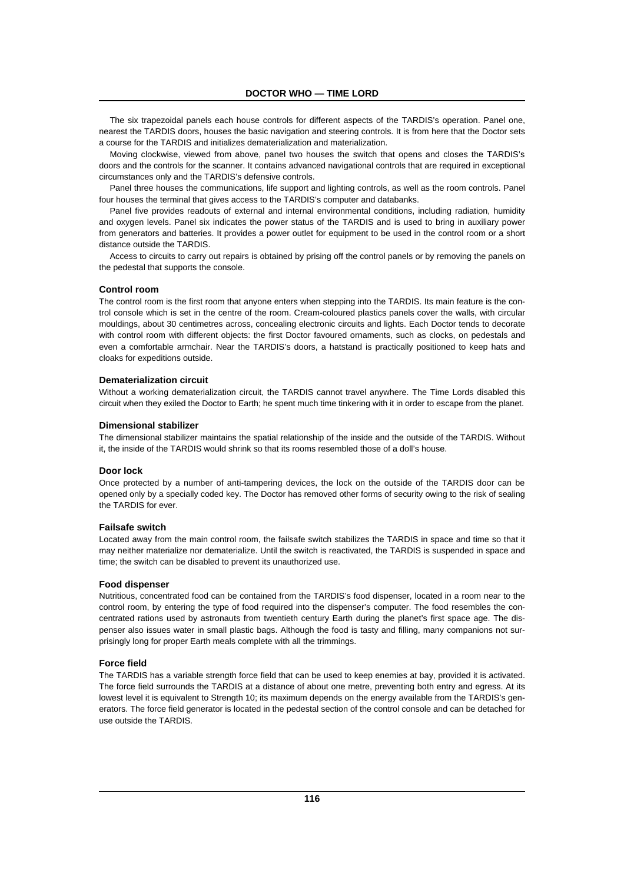The six trapezoidal panels each house controls for different aspects of the TARDIS's operation. Panel one, nearest the TARDIS doors, houses the basic navigation and steering controls. It is from here that the Doctor sets a course for the TARDIS and initializes dematerialization and materialization.

Moving clockwise, viewed from above, panel two houses the switch that opens and closes the TARDIS's doors and the controls for the scanner. It contains advanced navigational controls that are required in exceptional circumstances only and the TARDIS's defensive controls.

Panel three houses the communications, life support and lighting controls, as well as the room controls. Panel four houses the terminal that gives access to the TARDIS's computer and databanks.

Panel five provides readouts of external and internal environmental conditions, including radiation, humidity and oxygen levels. Panel six indicates the power status of the TARDIS and is used to bring in auxiliary power from generators and batteries. It provides a power outlet for equipment to be used in the control room or a short distance outside the TARDIS.

Access to circuits to carry out repairs is obtained by prising off the control panels or by removing the panels on the pedestal that supports the console.

#### **Control room**

The control room is the first room that anyone enters when stepping into the TARDIS. Its main feature is the control console which is set in the centre of the room. Cream-coloured plastics panels cover the walls, with circular mouldings, about 30 centimetres across, concealing electronic circuits and lights. Each Doctor tends to decorate with control room with different objects: the first Doctor favoured ornaments, such as clocks, on pedestals and even a comfortable armchair. Near the TARDIS's doors, a hatstand is practically positioned to keep hats and cloaks for expeditions outside.

#### **Dematerialization circuit**

Without a working dematerialization circuit, the TARDIS cannot travel anywhere. The Time Lords disabled this circuit when they exiled the Doctor to Earth; he spent much time tinkering with it in order to escape from the planet.

#### **Dimensional stabilizer**

The dimensional stabilizer maintains the spatial relationship of the inside and the outside of the TARDIS. Without it, the inside of the TARDIS would shrink so that its rooms resembled those of a doll's house.

#### **Door lock**

Once protected by a number of anti-tampering devices, the lock on the outside of the TARDIS door can be opened only by a specially coded key. The Doctor has removed other forms of security owing to the risk of sealing the TARDIS for ever.

#### **Failsafe switch**

Located away from the main control room, the failsafe switch stabilizes the TARDIS in space and time so that it may neither materialize nor dematerialize. Until the switch is reactivated, the TARDIS is suspended in space and time; the switch can be disabled to prevent its unauthorized use.

#### **Food dispenser**

Nutritious, concentrated food can be contained from the TARDIS's food dispenser, located in a room near to the control room, by entering the type of food required into the dispenser's computer. The food resembles the concentrated rations used by astronauts from twentieth century Earth during the planet's first space age. The dispenser also issues water in small plastic bags. Although the food is tasty and filling, many companions not surprisingly long for proper Earth meals complete with all the trimmings.

# **Force field**

The TARDIS has a variable strength force field that can be used to keep enemies at bay, provided it is activated. The force field surrounds the TARDIS at a distance of about one metre, preventing both entry and egress. At its lowest level it is equivalent to Strength 10; its maximum depends on the energy available from the TARDIS's generators. The force field generator is located in the pedestal section of the control console and can be detached for use outside the TARDIS.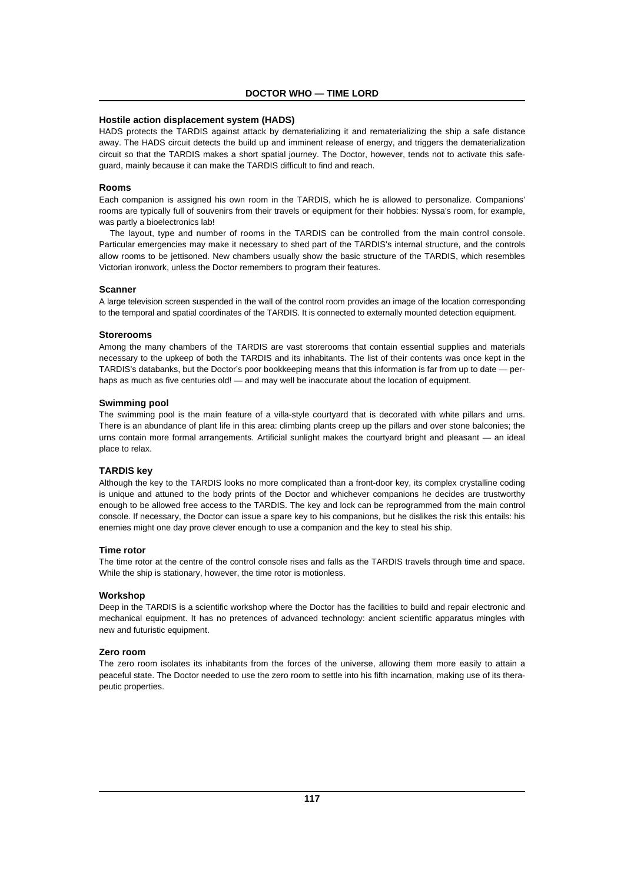# **Hostile action displacement system (HADS)**

HADS protects the TARDIS against attack by dematerializing it and rematerializing the ship a safe distance away. The HADS circuit detects the build up and imminent release of energy, and triggers the dematerialization circuit so that the TARDIS makes a short spatial journey. The Doctor, however, tends not to activate this safeguard, mainly because it can make the TARDIS difficult to find and reach.

#### **Rooms**

Each companion is assigned his own room in the TARDIS, which he is allowed to personalize. Companions' rooms are typically full of souvenirs from their travels or equipment for their hobbies: Nyssa's room, for example, was partly a bioelectronics lab!

The layout, type and number of rooms in the TARDIS can be controlled from the main control console. Particular emergencies may make it necessary to shed part of the TARDIS's internal structure, and the controls allow rooms to be jettisoned. New chambers usually show the basic structure of the TARDIS, which resembles Victorian ironwork, unless the Doctor remembers to program their features.

#### **Scanner**

A large television screen suspended in the wall of the control room provides an image of the location corresponding to the temporal and spatial coordinates of the TARDIS. It is connected to externally mounted detection equipment.

#### **Storerooms**

Among the many chambers of the TARDIS are vast storerooms that contain essential supplies and materials necessary to the upkeep of both the TARDIS and its inhabitants. The list of their contents was once kept in the TARDIS's databanks, but the Doctor's poor bookkeeping means that this information is far from up to date — perhaps as much as five centuries old! — and may well be inaccurate about the location of equipment.

#### **Swimming pool**

The swimming pool is the main feature of a villa-style courtyard that is decorated with white pillars and urns. There is an abundance of plant life in this area: climbing plants creep up the pillars and over stone balconies; the urns contain more formal arrangements. Artificial sunlight makes the courtyard bright and pleasant — an ideal place to relax.

## **TARDIS key**

Although the key to the TARDIS looks no more complicated than a front-door key, its complex crystalline coding is unique and attuned to the body prints of the Doctor and whichever companions he decides are trustworthy enough to be allowed free access to the TARDIS. The key and lock can be reprogrammed from the main control console. If necessary, the Doctor can issue a spare key to his companions, but he dislikes the risk this entails: his enemies might one day prove clever enough to use a companion and the key to steal his ship.

#### **Time rotor**

The time rotor at the centre of the control console rises and falls as the TARDIS travels through time and space. While the ship is stationary, however, the time rotor is motionless.

#### **Workshop**

Deep in the TARDIS is a scientific workshop where the Doctor has the facilities to build and repair electronic and mechanical equipment. It has no pretences of advanced technology: ancient scientific apparatus mingles with new and futuristic equipment.

#### **Zero room**

The zero room isolates its inhabitants from the forces of the universe, allowing them more easily to attain a peaceful state. The Doctor needed to use the zero room to settle into his fifth incarnation, making use of its therapeutic properties.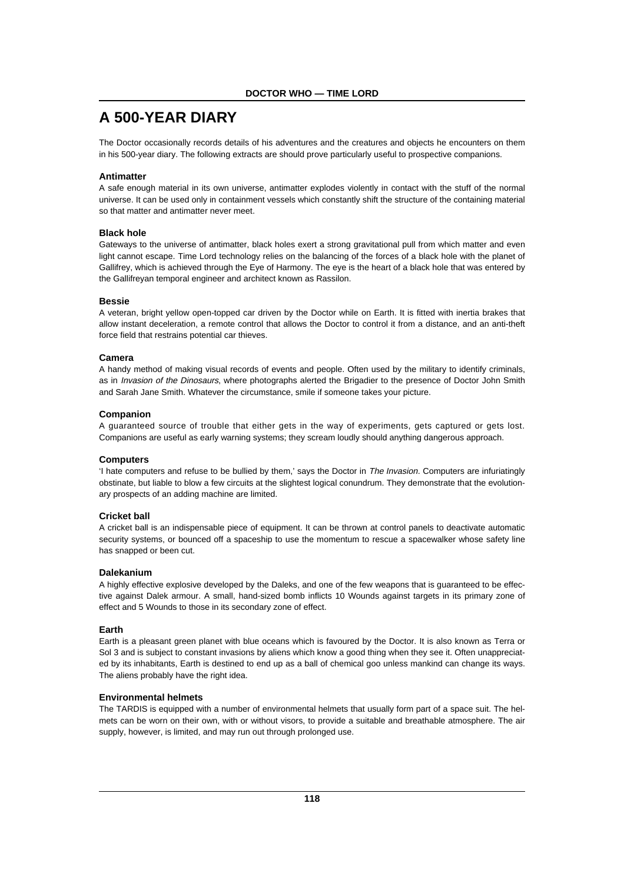# **A 500-YEAR DIARY**

The Doctor occasionally records details of his adventures and the creatures and objects he encounters on them in his 500-year diary. The following extracts are should prove particularly useful to prospective companions.

# **Antimatter**

A safe enough material in its own universe, antimatter explodes violently in contact with the stuff of the normal universe. It can be used only in containment vessels which constantly shift the structure of the containing material so that matter and antimatter never meet.

# **Black hole**

Gateways to the universe of antimatter, black holes exert a strong gravitational pull from which matter and even light cannot escape. Time Lord technology relies on the balancing of the forces of a black hole with the planet of Gallifrey, which is achieved through the Eye of Harmony. The eye is the heart of a black hole that was entered by the Gallifreyan temporal engineer and architect known as Rassilon.

# **Bessie**

A veteran, bright yellow open-topped car driven by the Doctor while on Earth. It is fitted with inertia brakes that allow instant deceleration, a remote control that allows the Doctor to control it from a distance, and an anti-theft force field that restrains potential car thieves.

# **Camera**

A handy method of making visual records of events and people. Often used by the military to identify criminals, as in Invasion of the Dinosaurs, where photographs alerted the Brigadier to the presence of Doctor John Smith and Sarah Jane Smith. Whatever the circumstance, smile if someone takes your picture.

# **Companion**

A guaranteed source of trouble that either gets in the way of experiments, gets captured or gets lost. Companions are useful as early warning systems; they scream loudly should anything dangerous approach.

# **Computers**

'I hate computers and refuse to be bullied by them,' says the Doctor in The Invasion. Computers are infuriatingly obstinate, but liable to blow a few circuits at the slightest logical conundrum. They demonstrate that the evolutionary prospects of an adding machine are limited.

# **Cricket ball**

A cricket ball is an indispensable piece of equipment. It can be thrown at control panels to deactivate automatic security systems, or bounced off a spaceship to use the momentum to rescue a spacewalker whose safety line has snapped or been cut.

# **Dalekanium**

A highly effective explosive developed by the Daleks, and one of the few weapons that is guaranteed to be effective against Dalek armour. A small, hand-sized bomb inflicts 10 Wounds against targets in its primary zone of effect and 5 Wounds to those in its secondary zone of effect.

# **Earth**

Earth is a pleasant green planet with blue oceans which is favoured by the Doctor. It is also known as Terra or Sol 3 and is subject to constant invasions by aliens which know a good thing when they see it. Often unappreciated by its inhabitants, Earth is destined to end up as a ball of chemical goo unless mankind can change its ways. The aliens probably have the right idea.

# **Environmental helmets**

The TARDIS is equipped with a number of environmental helmets that usually form part of a space suit. The helmets can be worn on their own, with or without visors, to provide a suitable and breathable atmosphere. The air supply, however, is limited, and may run out through prolonged use.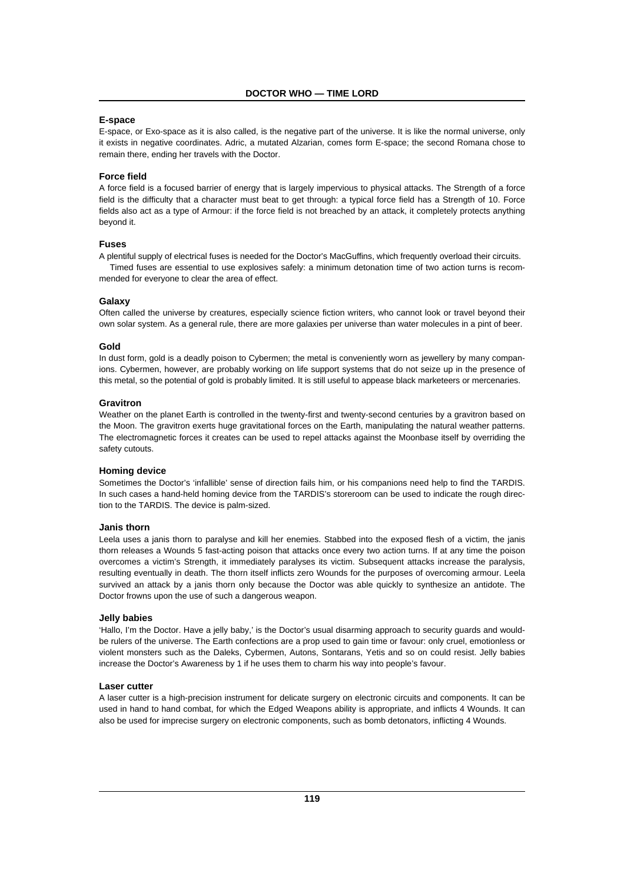# **E-space**

E-space, or Exo-space as it is also called, is the negative part of the universe. It is like the normal universe, only it exists in negative coordinates. Adric, a mutated Alzarian, comes form E-space; the second Romana chose to remain there, ending her travels with the Doctor.

# **Force field**

A force field is a focused barrier of energy that is largely impervious to physical attacks. The Strength of a force field is the difficulty that a character must beat to get through: a typical force field has a Strength of 10. Force fields also act as a type of Armour: if the force field is not breached by an attack, it completely protects anything beyond it.

# **Fuses**

A plentiful supply of electrical fuses is needed for the Doctor's MacGuffins, which frequently overload their circuits. Timed fuses are essential to use explosives safely: a minimum detonation time of two action turns is recommended for everyone to clear the area of effect.

#### **Galaxy**

Often called the universe by creatures, especially science fiction writers, who cannot look or travel beyond their own solar system. As a general rule, there are more galaxies per universe than water molecules in a pint of beer.

#### **Gold**

In dust form, gold is a deadly poison to Cybermen; the metal is conveniently worn as jewellery by many companions. Cybermen, however, are probably working on life support systems that do not seize up in the presence of this metal, so the potential of gold is probably limited. It is still useful to appease black marketeers or mercenaries.

#### **Gravitron**

Weather on the planet Earth is controlled in the twenty-first and twenty-second centuries by a gravitron based on the Moon. The gravitron exerts huge gravitational forces on the Earth, manipulating the natural weather patterns. The electromagnetic forces it creates can be used to repel attacks against the Moonbase itself by overriding the safety cutouts.

#### **Homing device**

Sometimes the Doctor's 'infallible' sense of direction fails him, or his companions need help to find the TARDIS. In such cases a hand-held homing device from the TARDIS's storeroom can be used to indicate the rough direction to the TARDIS. The device is palm-sized.

# **Janis thorn**

Leela uses a janis thorn to paralyse and kill her enemies. Stabbed into the exposed flesh of a victim, the janis thorn releases a Wounds 5 fast-acting poison that attacks once every two action turns. If at any time the poison overcomes a victim's Strength, it immediately paralyses its victim. Subsequent attacks increase the paralysis, resulting eventually in death. The thorn itself inflicts zero Wounds for the purposes of overcoming armour. Leela survived an attack by a janis thorn only because the Doctor was able quickly to synthesize an antidote. The Doctor frowns upon the use of such a dangerous weapon.

#### **Jelly babies**

'Hallo, I'm the Doctor. Have a jelly baby,' is the Doctor's usual disarming approach to security guards and wouldbe rulers of the universe. The Earth confections are a prop used to gain time or favour: only cruel, emotionless or violent monsters such as the Daleks, Cybermen, Autons, Sontarans, Yetis and so on could resist. Jelly babies increase the Doctor's Awareness by 1 if he uses them to charm his way into people's favour.

#### **Laser cutter**

A laser cutter is a high-precision instrument for delicate surgery on electronic circuits and components. It can be used in hand to hand combat, for which the Edged Weapons ability is appropriate, and inflicts 4 Wounds. It can also be used for imprecise surgery on electronic components, such as bomb detonators, inflicting 4 Wounds.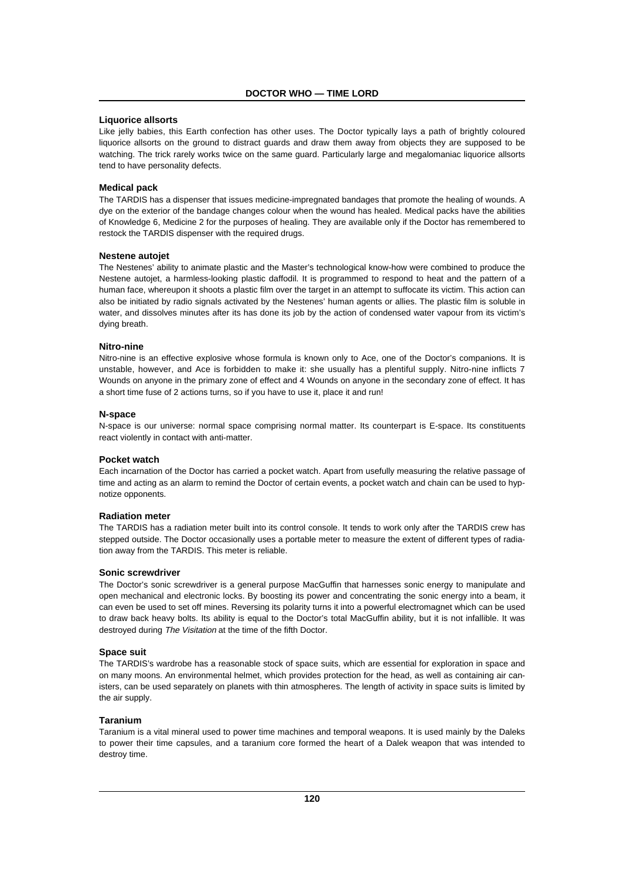# **Liquorice allsorts**

Like jelly babies, this Earth confection has other uses. The Doctor typically lays a path of brightly coloured liquorice allsorts on the ground to distract guards and draw them away from objects they are supposed to be watching. The trick rarely works twice on the same guard. Particularly large and megalomaniac liquorice allsorts tend to have personality defects.

# **Medical pack**

The TARDIS has a dispenser that issues medicine-impregnated bandages that promote the healing of wounds. A dye on the exterior of the bandage changes colour when the wound has healed. Medical packs have the abilities of Knowledge 6, Medicine 2 for the purposes of healing. They are available only if the Doctor has remembered to restock the TARDIS dispenser with the required drugs.

#### **Nestene autojet**

The Nestenes' ability to animate plastic and the Master's technological know-how were combined to produce the Nestene autojet, a harmless-looking plastic daffodil. It is programmed to respond to heat and the pattern of a human face, whereupon it shoots a plastic film over the target in an attempt to suffocate its victim. This action can also be initiated by radio signals activated by the Nestenes' human agents or allies. The plastic film is soluble in water, and dissolves minutes after its has done its job by the action of condensed water vapour from its victim's dying breath.

#### **Nitro-nine**

Nitro-nine is an effective explosive whose formula is known only to Ace, one of the Doctor's companions. It is unstable, however, and Ace is forbidden to make it: she usually has a plentiful supply. Nitro-nine inflicts 7 Wounds on anyone in the primary zone of effect and 4 Wounds on anyone in the secondary zone of effect. It has a short time fuse of 2 actions turns, so if you have to use it, place it and run!

#### **N-space**

N-space is our universe: normal space comprising normal matter. Its counterpart is E-space. Its constituents react violently in contact with anti-matter.

#### **Pocket watch**

Each incarnation of the Doctor has carried a pocket watch. Apart from usefully measuring the relative passage of time and acting as an alarm to remind the Doctor of certain events, a pocket watch and chain can be used to hypnotize opponents.

#### **Radiation meter**

The TARDIS has a radiation meter built into its control console. It tends to work only after the TARDIS crew has stepped outside. The Doctor occasionally uses a portable meter to measure the extent of different types of radiation away from the TARDIS. This meter is reliable.

#### **Sonic screwdriver**

The Doctor's sonic screwdriver is a general purpose MacGuffin that harnesses sonic energy to manipulate and open mechanical and electronic locks. By boosting its power and concentrating the sonic energy into a beam, it can even be used to set off mines. Reversing its polarity turns it into a powerful electromagnet which can be used to draw back heavy bolts. Its ability is equal to the Doctor's total MacGuffin ability, but it is not infallible. It was destroyed during The Visitation at the time of the fifth Doctor.

#### **Space suit**

The TARDIS's wardrobe has a reasonable stock of space suits, which are essential for exploration in space and on many moons. An environmental helmet, which provides protection for the head, as well as containing air canisters, can be used separately on planets with thin atmospheres. The length of activity in space suits is limited by the air supply.

#### **Taranium**

Taranium is a vital mineral used to power time machines and temporal weapons. It is used mainly by the Daleks to power their time capsules, and a taranium core formed the heart of a Dalek weapon that was intended to destroy time.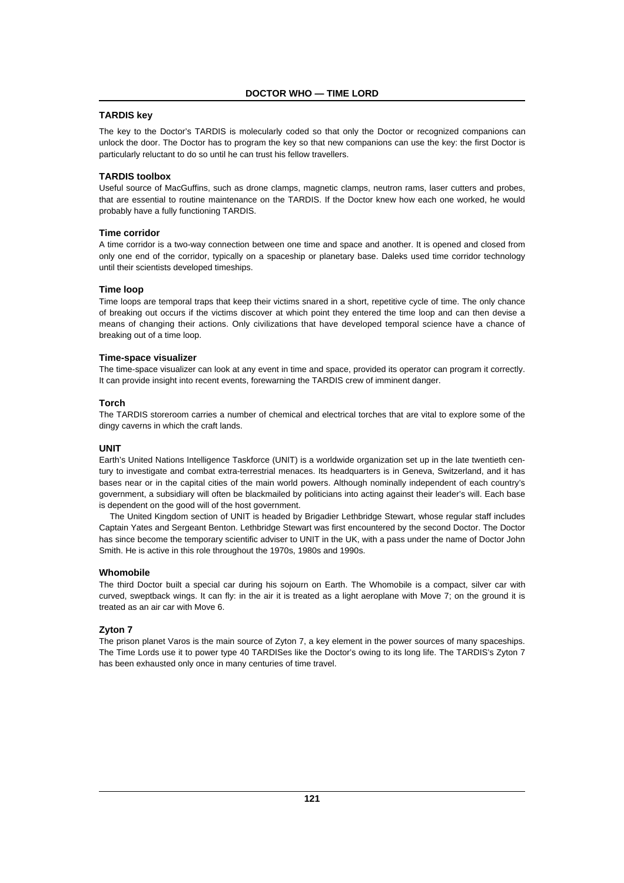# **TARDIS key**

The key to the Doctor's TARDIS is molecularly coded so that only the Doctor or recognized companions can unlock the door. The Doctor has to program the key so that new companions can use the key: the first Doctor is particularly reluctant to do so until he can trust his fellow travellers.

## **TARDIS toolbox**

Useful source of MacGuffins, such as drone clamps, magnetic clamps, neutron rams, laser cutters and probes, that are essential to routine maintenance on the TARDIS. If the Doctor knew how each one worked, he would probably have a fully functioning TARDIS.

# **Time corridor**

A time corridor is a two-way connection between one time and space and another. It is opened and closed from only one end of the corridor, typically on a spaceship or planetary base. Daleks used time corridor technology until their scientists developed timeships.

#### **Time loop**

Time loops are temporal traps that keep their victims snared in a short, repetitive cycle of time. The only chance of breaking out occurs if the victims discover at which point they entered the time loop and can then devise a means of changing their actions. Only civilizations that have developed temporal science have a chance of breaking out of a time loop.

#### **Time-space visualizer**

The time-space visualizer can look at any event in time and space, provided its operator can program it correctly. It can provide insight into recent events, forewarning the TARDIS crew of imminent danger.

# **Torch**

The TARDIS storeroom carries a number of chemical and electrical torches that are vital to explore some of the dingy caverns in which the craft lands.

#### **UNIT**

Earth's United Nations Intelligence Taskforce (UNIT) is a worldwide organization set up in the late twentieth century to investigate and combat extra-terrestrial menaces. Its headquarters is in Geneva, Switzerland, and it has bases near or in the capital cities of the main world powers. Although nominally independent of each country's government, a subsidiary will often be blackmailed by politicians into acting against their leader's will. Each base is dependent on the good will of the host government.

The United Kingdom section of UNIT is headed by Brigadier Lethbridge Stewart, whose regular staff includes Captain Yates and Sergeant Benton. Lethbridge Stewart was first encountered by the second Doctor. The Doctor has since become the temporary scientific adviser to UNIT in the UK, with a pass under the name of Doctor John Smith. He is active in this role throughout the 1970s, 1980s and 1990s.

#### **Whomobile**

The third Doctor built a special car during his sojourn on Earth. The Whomobile is a compact, silver car with curved, sweptback wings. It can fly: in the air it is treated as a light aeroplane with Move 7; on the ground it is treated as an air car with Move 6.

#### **Zyton 7**

The prison planet Varos is the main source of Zyton 7, a key element in the power sources of many spaceships. The Time Lords use it to power type 40 TARDISes like the Doctor's owing to its long life. The TARDIS's Zyton 7 has been exhausted only once in many centuries of time travel.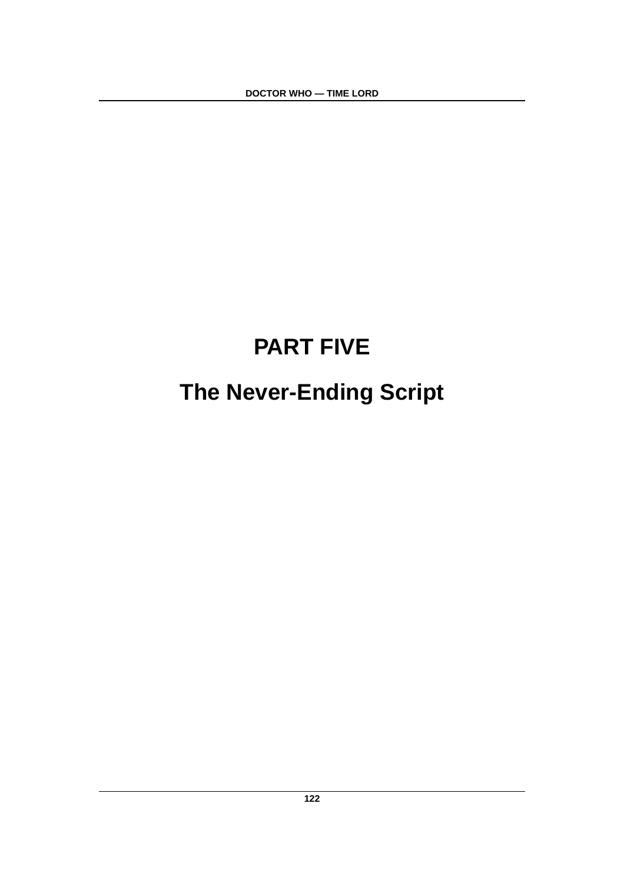**DOCTOR WHO — TIME LORD**

# **PART FIVE The Never-Ending Script**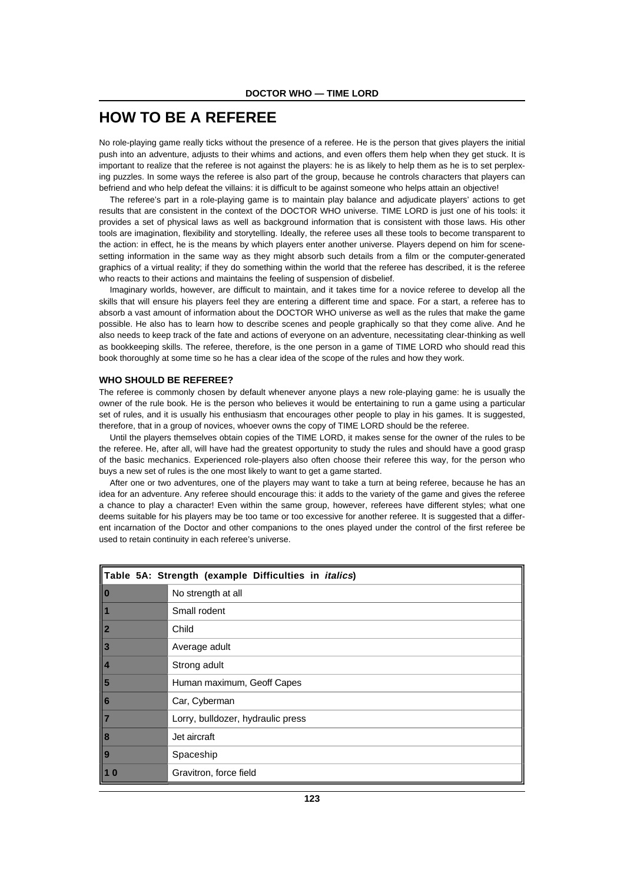# **HOW TO BE A REFEREE**

No role-playing game really ticks without the presence of a referee. He is the person that gives players the initial push into an adventure, adjusts to their whims and actions, and even offers them help when they get stuck. It is important to realize that the referee is not against the players: he is as likely to help them as he is to set perplexing puzzles. In some ways the referee is also part of the group, because he controls characters that players can befriend and who help defeat the villains: it is difficult to be against someone who helps attain an objective!

The referee's part in a role-playing game is to maintain play balance and adjudicate players' actions to get results that are consistent in the context of the DOCTOR WHO universe. TIME LORD is just one of his tools: it provides a set of physical laws as well as background information that is consistent with those laws. His other tools are imagination, flexibility and storytelling. Ideally, the referee uses all these tools to become transparent to the action: in effect, he is the means by which players enter another universe. Players depend on him for scenesetting information in the same way as they might absorb such details from a film or the computer-generated graphics of a virtual reality; if they do something within the world that the referee has described, it is the referee who reacts to their actions and maintains the feeling of suspension of disbelief.

Imaginary worlds, however, are difficult to maintain, and it takes time for a novice referee to develop all the skills that will ensure his players feel they are entering a different time and space. For a start, a referee has to absorb a vast amount of information about the DOCTOR WHO universe as well as the rules that make the game possible. He also has to learn how to describe scenes and people graphically so that they come alive. And he also needs to keep track of the fate and actions of everyone on an adventure, necessitating clear-thinking as well as bookkeeping skills. The referee, therefore, is the one person in a game of TIME LORD who should read this book thoroughly at some time so he has a clear idea of the scope of the rules and how they work.

# **WHO SHOULD BE REFEREE?**

The referee is commonly chosen by default whenever anyone plays a new role-playing game: he is usually the owner of the rule book. He is the person who believes it would be entertaining to run a game using a particular set of rules, and it is usually his enthusiasm that encourages other people to play in his games. It is suggested, therefore, that in a group of novices, whoever owns the copy of TIME LORD should be the referee.

Until the players themselves obtain copies of the TIME LORD, it makes sense for the owner of the rules to be the referee. He, after all, will have had the greatest opportunity to study the rules and should have a good grasp of the basic mechanics. Experienced role-players also often choose their referee this way, for the person who buys a new set of rules is the one most likely to want to get a game started.

After one or two adventures, one of the players may want to take a turn at being referee, because he has an idea for an adventure. Any referee should encourage this: it adds to the variety of the game and gives the referee a chance to play a character! Even within the same group, however, referees have different styles; what one deems suitable for his players may be too tame or too excessive for another referee. It is suggested that a different incarnation of the Doctor and other companions to the ones played under the control of the first referee be used to retain continuity in each referee's universe.

| Table 5A: Strength (example Difficulties in <i>italics</i> )          |                                   |  |
|-----------------------------------------------------------------------|-----------------------------------|--|
|                                                                       | No strength at all                |  |
| 1                                                                     | Small rodent                      |  |
| $\vert$ 2                                                             | Child                             |  |
| $\parallel$ 3                                                         | Average adult                     |  |
| $\sqrt{4}$                                                            | Strong adult                      |  |
| $\vert$ 5                                                             | Human maximum, Geoff Capes        |  |
|                                                                       | Car, Cyberman                     |  |
| $\begin{array}{ c c }\n\hline\n6 \\ \hline\n7 \\ \hline\n\end{array}$ | Lorry, bulldozer, hydraulic press |  |
| $\ $ 8                                                                | Jet aircraft                      |  |
| $\ $ 9                                                                | Spaceship                         |  |
| $\vert$ 1 0                                                           | Gravitron, force field            |  |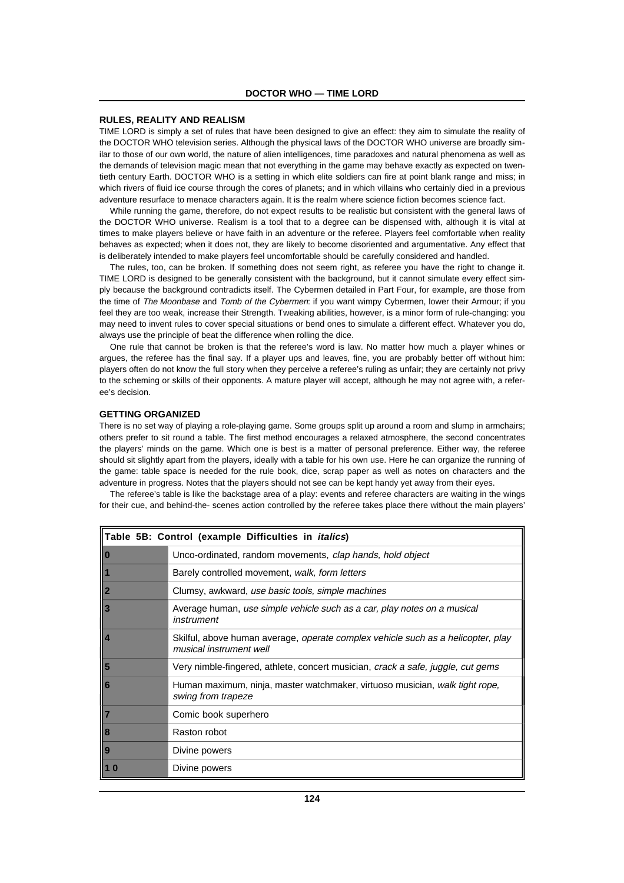## **RULES, REALITY AND REALISM**

TIME LORD is simply a set of rules that have been designed to give an effect: they aim to simulate the reality of the DOCTOR WHO television series. Although the physical laws of the DOCTOR WHO universe are broadly similar to those of our own world, the nature of alien intelligences, time paradoxes and natural phenomena as well as the demands of television magic mean that not everything in the game may behave exactly as expected on twentieth century Earth. DOCTOR WHO is a setting in which elite soldiers can fire at point blank range and miss; in which rivers of fluid ice course through the cores of planets; and in which villains who certainly died in a previous adventure resurface to menace characters again. It is the realm where science fiction becomes science fact.

While running the game, therefore, do not expect results to be realistic but consistent with the general laws of the DOCTOR WHO universe. Realism is a tool that to a degree can be dispensed with, although it is vital at times to make players believe or have faith in an adventure or the referee. Players feel comfortable when reality behaves as expected; when it does not, they are likely to become disoriented and argumentative. Any effect that is deliberately intended to make players feel uncomfortable should be carefully considered and handled.

The rules, too, can be broken. If something does not seem right, as referee you have the right to change it. TIME LORD is designed to be generally consistent with the background, but it cannot simulate every effect simply because the background contradicts itself. The Cybermen detailed in Part Four, for example, are those from the time of The Moonbase and Tomb of the Cybermen: if you want wimpy Cybermen, lower their Armour; if you feel they are too weak, increase their Strength. Tweaking abilities, however, is a minor form of rule-changing: you may need to invent rules to cover special situations or bend ones to simulate a different effect. Whatever you do, always use the principle of beat the difference when rolling the dice.

The rule that cannot be broken is that the referee's word is law. No matter how much a player whines or One rule that cannot be broken is that the referee's word is law. No matter how much a player whines or argues, the referee has the final say. If a player ups and leaves, fine, you are probably better off without him: **2** Child players often do not know the full story when they perceive a referee's ruling as unfair; they are certainly not privy to the scheming or skills of their opponents. A mature player will accept, although he may not agree with, a referee's decision.

# **GETTING ORGANIZED**

There is no set way of playing a role-playing game. Some groups split up around a room and slump in armchairs;<br>client and the situation of a table. The first arcthard and research a played atmosphere, the account armorator others prefer to sit round a table. The first method encourages a relaxed atmosphere, the second concentrates the players' minds on the game. Which one is best is a matter of personal preference. Either way, the referee should sit slightly apart from the players, ideally with a table for his own use. Here he can organize the running of the game: table space is needed for the rule book, dice, scrap paper as well as notes on characters and the adventure in progress. Notes that the players should not see can be kept handy yet away from their eyes.

The referee's table is like the backstage area of a play: events and referee characters are waiting in the wings for their cue, and behind-the- scenes action controlled by the referee takes place there without the main players'

| Table 5B: Control (example Difficulties in <i>italics</i> ) |                                                                                                                    |
|-------------------------------------------------------------|--------------------------------------------------------------------------------------------------------------------|
| $\ 0$                                                       | Unco-ordinated, random movements, clap hands, hold object                                                          |
|                                                             | Barely controlled movement, walk, form letters                                                                     |
|                                                             | Clumsy, awkward, use basic tools, simple machines                                                                  |
|                                                             | Average human, use simple vehicle such as a car, play notes on a musical<br>instrument                             |
|                                                             | Skilful, above human average, <i>operate complex vehicle such as a helicopter, play</i><br>musical instrument well |
|                                                             | Very nimble-fingered, athlete, concert musician, <i>crack a safe, juggle, cut gems</i>                             |
| 1<br>2<br>3<br>4<br>5<br>6<br>5<br>6<br>7<br>8<br>9         | Human maximum, ninja, master watchmaker, virtuoso musician, walk tight rope,<br>swing from trapeze                 |
|                                                             | Comic book superhero                                                                                               |
|                                                             | Raston robot                                                                                                       |
|                                                             | Divine powers                                                                                                      |
| 10                                                          | Divine powers                                                                                                      |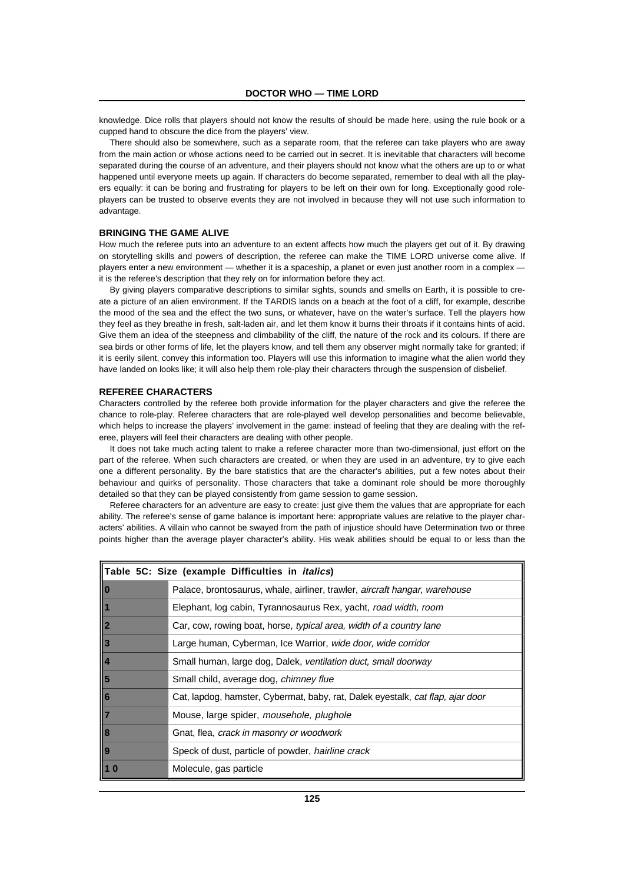knowledge. Dice rolls that players should not know the results of should be made here, using the rule book or a cupped hand to obscure the dice from the players' view.

There should also be somewhere, such as a separate room, that the referee can take players who are away from the main action or whose actions need to be carried out in secret. It is inevitable that characters will become separated during the course of an adventure, and their players should not know what the others are up to or what happened until everyone meets up again. If characters do become separated, remember to deal with all the players equally: it can be boring and frustrating for players to be left on their own for long. Exceptionally good roleplayers can be trusted to observe events they are not involved in because they will not use such information to advantage.

# **BRINGING THE GAME ALIVE**

How much the referee puts into an adventure to an extent affects how much the players get out of it. By drawing on storytelling skills and powers of description, the referee can make the TIME LORD universe come alive. If players enter a new environment — whether it is a spaceship, a planet or even just another room in a complex it is the referee's description that they rely on for information before they act.

By giving players comparative descriptions to similar sights, sounds and smells on Earth, it is possible to create a picture of an alien environment. If the TARDIS lands on a beach at the foot of a cliff, for example, describe the mood of the sea and the effect the two suns, or whatever, have on the water's surface. Tell the players how they feel as they breathe in fresh, salt-laden air, and let them know it burns their throats if it contains hints of acid. Give them an idea of the steepness and climbability of the cliff, the nature of the rock and its colours. If there are sea birds or other forms of life, let the players know, and tell them any observer might normally take for granted; if it is eerily silent, convey this information too. Players will use this information to imagine what the alien world they have landed on looks like; it will also help them role-play their characters through the suspension of disbelief.

#### **REFEREE CHARACTERS**

Characters controlled by the referee both provide information for the player characters and give the referee the chance to role-play. Referee characters that are role-played well develop personalities and become believable, which helps to increase the players' involvement in the game: instead of feeling that they are dealing with the referee, players will feel their characters are dealing with other people.

It does not take much acting talent to make a referee character more than two-dimensional, just effort on the part of the referee. When such characters are created, or when they are used in an adventure, try to give each one a different personality. By the bare statistics that are the character's abilities, put a few notes about their behaviour and quirks of personality. Those characters that take a dominant role should be more thoroughly detailed so that they can be played consistently from game session to game session.

Referee characters for an adventure are easy to create: just give them the values that are appropriate for each ability. The referee's sense of game balance is important here: appropriate values are relative to the player characters' abilities. A villain who cannot be swayed from the path of injustice should have Determination two or three points higher than the average player character's ability. His weak abilities should be equal to or less than the

| Table 5C: Size (example Difficulties in <i>italics</i> ) |                                                                                   |  |
|----------------------------------------------------------|-----------------------------------------------------------------------------------|--|
| II O                                                     | Palace, brontosaurus, whale, airliner, trawler, <i>aircraft hangar, warehouse</i> |  |
|                                                          | Elephant, log cabin, Tyrannosaurus Rex, yacht, road width, room                   |  |
| $\ 2$                                                    | Car, cow, rowing boat, horse, typical area, width of a country lane               |  |
| <b>3</b>                                                 | Large human, Cyberman, Ice Warrior, wide door, wide corridor                      |  |
| $\vert$ 4                                                | Small human, large dog, Dalek, ventilation duct, small doorway                    |  |
| $\vert$ 5                                                | Small child, average dog, chimney flue                                            |  |
| $\ 6$                                                    | Cat, lapdog, hamster, Cybermat, baby, rat, Dalek eyestalk, cat flap, ajar door    |  |
| $\parallel$ 7                                            | Mouse, large spider, mousehole, plughole                                          |  |
| $\ 8$                                                    | Gnat, flea, crack in masonry or woodwork                                          |  |
| <u>  9</u>                                               | Speck of dust, particle of powder, <i>hairline crack</i>                          |  |
| ll 1 0                                                   | Molecule, gas particle                                                            |  |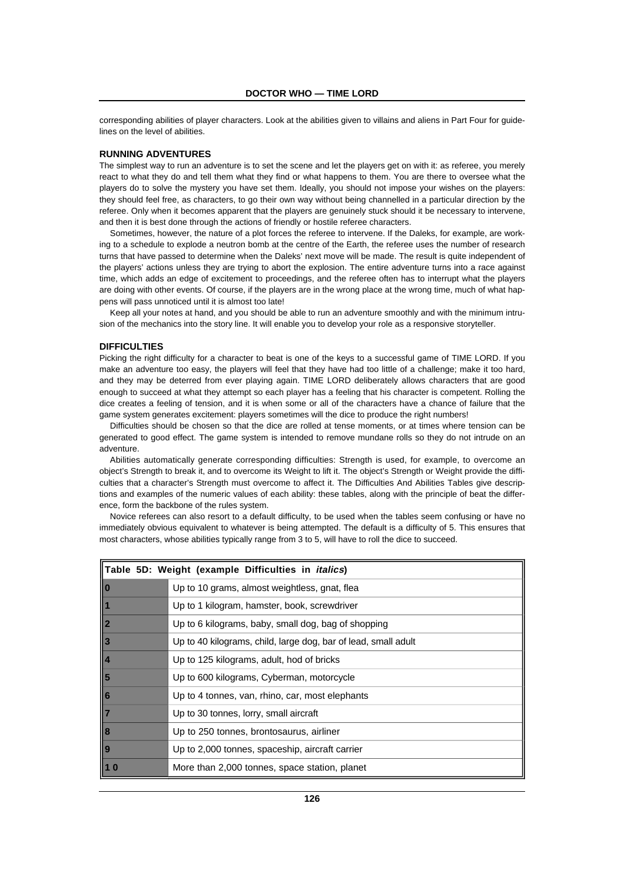corresponding abilities of player characters. Look at the abilities given to villains and aliens in Part Four for guidelines on the level of abilities.

# **RUNNING ADVENTURES**

The simplest way to run an adventure is to set the scene and let the players get on with it: as referee, you merely react to what they do and tell them what they find or what happens to them. You are there to oversee what the players do to solve the mystery you have set them. Ideally, you should not impose your wishes on the players: they should feel free, as characters, to go their own way without being channelled in a particular direction by the referee. Only when it becomes apparent that the players are genuinely stuck should it be necessary to intervene, and then it is best done through the actions of friendly or hostile referee characters.

Sometimes, however, the nature of a plot forces the referee to intervene. If the Daleks, for example, are working to a schedule to explode a neutron bomb at the centre of the Earth, the referee uses the number of research turns that have passed to determine when the Daleks' next move will be made. The result is quite independent of the players' actions unless they are trying to abort the explosion. The entire adventure turns into a race against time, which adds an edge of excitement to proceedings, and the referee often has to interrupt what the players are doing with other events. Of course, if the players are in the wrong place at the wrong time, much of what happens will pass unnoticed until it is almost too late!

Keep all your notes at hand, and you should be able to run an adventure smoothly and with the minimum intrusion of the mechanics into the story line. It will enable you to develop your role as a responsive storyteller.

#### **DIFFICULTIES Table 5C: Size (example Difficulties in italics)**

Picking the right difficulty for a character to beat is one of the keys to a successful game of TIME LORD. If you make an adventure too easy, the players will feel that they have had too little of a challenge; make it too hard,<br>and they was he alst weak face, your players will feel that  $\overline{1}$  LCDD, deliberately allows above that we and they may be deterred from ever playing again. TIME LORD deliberately allows characters that are good enough to succeed at what they attempt so each player has a feeling that his character is competent. Rolling the dice creates a feeling of tension, and it is when some or all of the characters have a chance of failure that the game system generates excitement: players sometimes will the dice to produce the right numbers!

Difficulties should be chosen so that the dice are rolled at tense moments, or at times where tension can be generated to good effect. The game system is intended to remove mundane rolls so they do not intrude on an adventure.

Abilities automatically generate corresponding difficulties: Strength is used, for example, to overcome an object's Strength to break it, and to overcome its Weight to lift it. The object's Strength or Weight provide the difficulties that a character's Strength must overcome to affect it. The Difficulties And Abilities Tables give descriptions and examples of the numeric values of each ability: these tables, along with the principle of beat the differand champios of the national calace of sach domy. these there is not a simple of the rules system.

Novice referees can also resort to a default difficulty, to be used when the tables seem confusing or have no immediately obvious equivalent to whatever is being attempted. The default is a difficulty of 5. This ensures that most characters, whose abilities typically range from 3 to 5, will have to roll the dice to succeed.

| Table 5D: Weight (example Difficulties in <i>italics</i> ) |                                                                |
|------------------------------------------------------------|----------------------------------------------------------------|
| $\vert$ o                                                  | Up to 10 grams, almost weightless, gnat, flea                  |
|                                                            | Up to 1 kilogram, hamster, book, screwdriver                   |
|                                                            | Up to 6 kilograms, baby, small dog, bag of shopping            |
|                                                            | Up to 40 kilograms, child, large dog, bar of lead, small adult |
| 1<br>2<br>3<br>4<br>5<br>6<br>7<br>8<br>9                  | Up to 125 kilograms, adult, hod of bricks                      |
|                                                            | Up to 600 kilograms, Cyberman, motorcycle                      |
|                                                            | Up to 4 tonnes, van, rhino, car, most elephants                |
|                                                            | Up to 30 tonnes, lorry, small aircraft                         |
|                                                            | Up to 250 tonnes, brontosaurus, airliner                       |
|                                                            | Up to 2,000 tonnes, spaceship, aircraft carrier                |
|                                                            | More than 2,000 tonnes, space station, planet                  |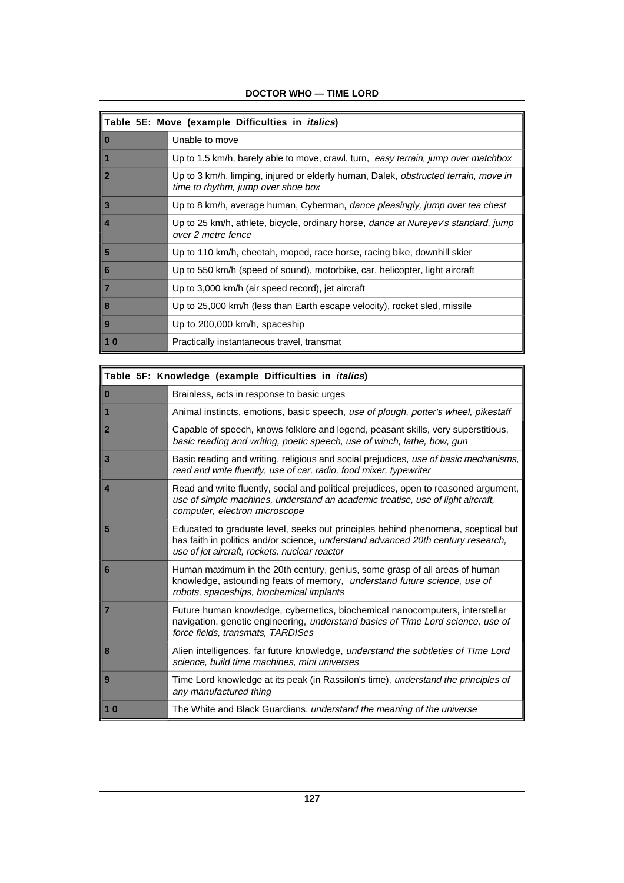| Table 5E: Move (example Difficulties in <i>italics</i> )            |                                                                                                                                  |  |
|---------------------------------------------------------------------|----------------------------------------------------------------------------------------------------------------------------------|--|
| $\  \mathbf{0}$                                                     | Unable to move                                                                                                                   |  |
| II                                                                  | Up to 1.5 km/h, barely able to move, crawl, turn, easy terrain, jump over matchbox                                               |  |
|                                                                     | Up to 3 km/h, limping, injured or elderly human, Dalek, <i>obstructed terrain, move in</i><br>time to rhythm, jump over shoe box |  |
| $\vert$ 3                                                           | Up to 8 km/h, average human, Cyberman, dance pleasingly, jump over tea chest                                                     |  |
| $\frac{1}{1}$                                                       | Up to 25 km/h, athlete, bicycle, ordinary horse, <i>dance at Nureyev's standard, jump</i><br>over 2 metre fence                  |  |
| $\vert$ 5                                                           | Up to 110 km/h, cheetah, moped, race horse, racing bike, downhill skier                                                          |  |
|                                                                     | Up to 550 km/h (speed of sound), motorbike, car, helicopter, light aircraft                                                      |  |
| $\begin{array}{ c c }\n\hline\n6 & 7 \\ \hline\n8 & 8\n\end{array}$ | Up to 3,000 km/h (air speed record), jet aircraft                                                                                |  |
|                                                                     | Up to 25,000 km/h (less than Earth escape velocity), rocket sled, missile                                                        |  |
| $\overline{9}$                                                      | Up to 200,000 km/h, spaceship                                                                                                    |  |
|                                                                     | Practically instantaneous travel, transmat                                                                                       |  |

 $\blacksquare$ 

# **DOCTOR WHO — TIME LORD**

| Table 5F: Knowledge (example Difficulties in <i>italics</i> ) |                                                                                                                                                                                                                       |  |
|---------------------------------------------------------------|-----------------------------------------------------------------------------------------------------------------------------------------------------------------------------------------------------------------------|--|
| 10                                                            | Brainless, acts in response to basic urges                                                                                                                                                                            |  |
| $\bullet$                                                     | Animal instincts, emotions, basic speech, use of plough, potter's wheel, pikestaff                                                                                                                                    |  |
| $\overline{2}$                                                | Capable of speech, knows folklore and legend, peasant skills, very superstitious,<br>basic reading and writing, poetic speech, use of winch, lathe, bow, gun                                                          |  |
| 3                                                             | Basic reading and writing, religious and social prejudices, use of basic mechanisms,<br>read and write fluently, use of car, radio, food mixer, typewriter                                                            |  |
| $\overline{4}$                                                | Read and write fluently, social and political prejudices, open to reasoned argument,<br>use of simple machines, understand an academic treatise, use of light aircraft,<br>computer, electron microscope              |  |
| 5                                                             | Educated to graduate level, seeks out principles behind phenomena, sceptical but<br>has faith in politics and/or science, understand advanced 20th century research,<br>use of jet aircraft, rockets, nuclear reactor |  |
| 6                                                             | Human maximum in the 20th century, genius, some grasp of all areas of human<br>knowledge, astounding feats of memory, understand future science, use of<br>robots, spaceships, biochemical implants                   |  |
|                                                               | Future human knowledge, cybernetics, biochemical nanocomputers, interstellar<br>navigation, genetic engineering, understand basics of Time Lord science, use of<br>force fields, transmats, TARDISes                  |  |
| 8                                                             | Alien intelligences, far future knowledge, understand the subtleties of Time Lord<br>science, build time machines, mini universes                                                                                     |  |
| 9                                                             | Time Lord knowledge at its peak (in Rassilon's time), understand the principles of<br>any manufactured thing                                                                                                          |  |
| <b>10</b>                                                     | The White and Black Guardians, understand the meaning of the universe                                                                                                                                                 |  |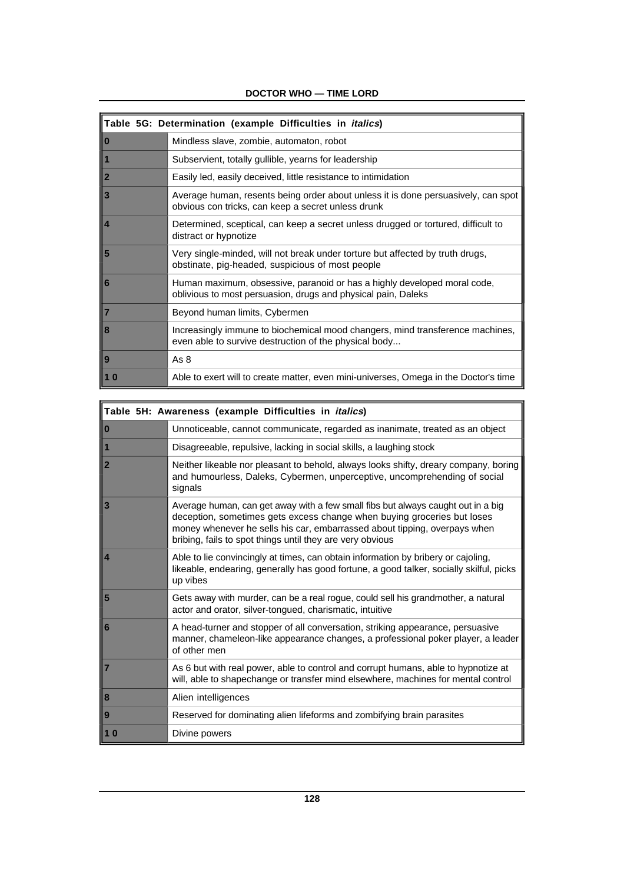|                         | Table 5G: Determination (example Difficulties in <i>italics</i> )                                                                         |
|-------------------------|-------------------------------------------------------------------------------------------------------------------------------------------|
| $\bf{0}$                | Mindless slave, zombie, automaton, robot                                                                                                  |
| ll 1                    | Subservient, totally gullible, yearns for leadership                                                                                      |
| $\overline{\mathbf{2}}$ | Easily led, easily deceived, little resistance to intimidation                                                                            |
| $\overline{3}$          | Average human, resents being order about unless it is done persuasively, can spot<br>obvious con tricks, can keep a secret unless drunk   |
| $\vert$ 4               | Determined, sceptical, can keep a secret unless drugged or tortured, difficult to<br>distract or hypnotize                                |
| 5                       | Very single-minded, will not break under torture but affected by truth drugs,<br>obstinate, pig-headed, suspicious of most people         |
| 6                       | Human maximum, obsessive, paranoid or has a highly developed moral code,<br>oblivious to most persuasion, drugs and physical pain, Daleks |
| $\overline{7}$          | Beyond human limits, Cybermen                                                                                                             |
| 8                       | Increasingly immune to biochemical mood changers, mind transference machines,<br>even able to survive destruction of the physical body    |
| $\overline{9}$          | As 8                                                                                                                                      |
| <b>10</b>               | Able to exert will to create matter, even mini-universes, Omega in the Doctor's time                                                      |

# **DOCTOR WHO — TIME LORD**

| Table 5H: Awareness (example Difficulties in <i>italics</i> ) |                                                                                                                                                                                                                                                                                                       |  |
|---------------------------------------------------------------|-------------------------------------------------------------------------------------------------------------------------------------------------------------------------------------------------------------------------------------------------------------------------------------------------------|--|
| l 0                                                           | Unnoticeable, cannot communicate, regarded as inanimate, treated as an object                                                                                                                                                                                                                         |  |
| 1                                                             | Disagreeable, repulsive, lacking in social skills, a laughing stock                                                                                                                                                                                                                                   |  |
| $\overline{\mathbf{2}}$                                       | Neither likeable nor pleasant to behold, always looks shifty, dreary company, boring<br>and humourless, Daleks, Cybermen, unperceptive, uncomprehending of social<br>signals                                                                                                                          |  |
| $\overline{3}$                                                | Average human, can get away with a few small fibs but always caught out in a big<br>deception, sometimes gets excess change when buying groceries but loses<br>money whenever he sells his car, embarrassed about tipping, overpays when<br>bribing, fails to spot things until they are very obvious |  |
| $\overline{4}$                                                | Able to lie convincingly at times, can obtain information by bribery or cajoling,<br>likeable, endearing, generally has good fortune, a good talker, socially skilful, picks<br>up vibes                                                                                                              |  |
| 15                                                            | Gets away with murder, can be a real rogue, could sell his grandmother, a natural<br>actor and orator, silver-tongued, charismatic, intuitive                                                                                                                                                         |  |
| 16                                                            | A head-turner and stopper of all conversation, striking appearance, persuasive<br>manner, chameleon-like appearance changes, a professional poker player, a leader<br>of other men                                                                                                                    |  |
| 17                                                            | As 6 but with real power, able to control and corrupt humans, able to hypnotize at<br>will, able to shapechange or transfer mind elsewhere, machines for mental control                                                                                                                               |  |
| 8                                                             | Alien intelligences                                                                                                                                                                                                                                                                                   |  |
| 9                                                             | Reserved for dominating alien lifeforms and zombifying brain parasites                                                                                                                                                                                                                                |  |
| l 10                                                          | Divine powers                                                                                                                                                                                                                                                                                         |  |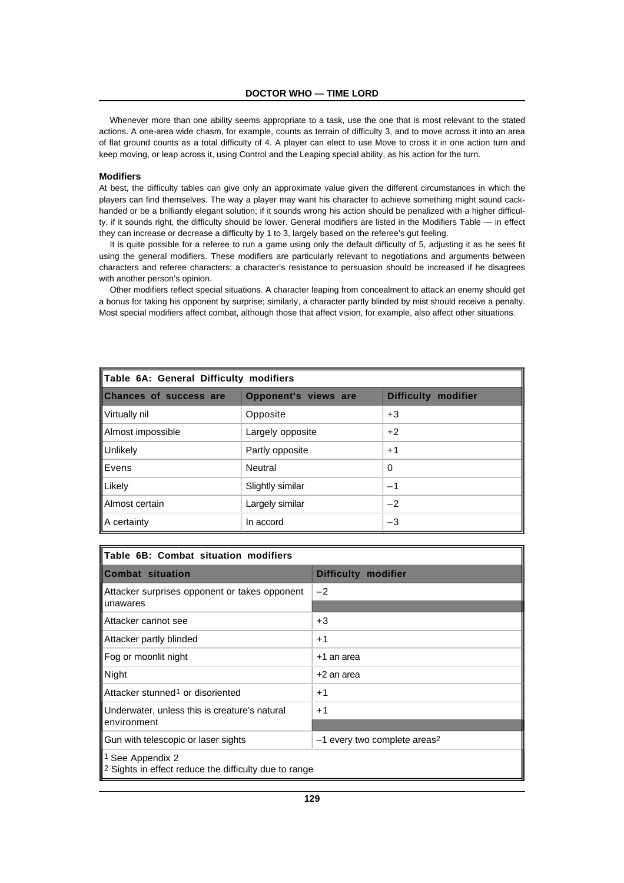Whenever more than one ability seems appropriate to a task, use the one that is most relevant to the stated actions. A one-area wide chasm, for example, counts as terrain of difficulty 3, and to move across it into an area of flat ground counts as a total difficulty of 4. A player can elect to use Move to cross it in one action turn and keep moving, or leap across it, using Control and the Leaping special ability, as his action for the turn.

# **Modifiers**

At best, the difficulty tables can give only an approximate value given the different circumstances in which the players can find themselves. The way a player may want his character to achieve something might sound cackhanded or be a brilliantly elegant solution; if it sounds wrong his action should be penalized with a higher difficulty, if it sounds right, the difficulty should be lower. General modifiers are listed in the Modifiers Table — in effect they can increase or decrease a difficulty by 1 to 3, largely based on the referee's gut feeling.

It is quite possible for a referee to run a game using only the default difficulty of 5, adjusting it as he sees fit using the general modifiers. These modifiers are particularly relevant to negotiations and arguments between characters and referee characters; a character's resistance to persuasion should be increased if he disagrees with another person's opinion.

Other modifiers reflect special situations. A character leaping from concealment to attack an enemy should get a bonus for taking his opponent by surprise; similarly, a character partly blinded by mist should receive a penalty. Most special modifiers affect combat, although those that affect vision, for example, also affect other situations.

| Table 6A: General Difficulty modifiers |                      |                            |
|----------------------------------------|----------------------|----------------------------|
| <b>Chances of success are</b>          | Opponent's views are | <b>Difficulty modifier</b> |
| Virtually nil                          | Opposite             | $+3$                       |
| Almost impossible                      | Largely opposite     | $+2$                       |
| Unlikely                               | Partly opposite      | $+1$                       |
| <b>IEvens</b>                          | <b>Neutral</b>       | 0                          |
| Likely                                 | Slightly similar     | $-1$                       |
| ll Almost certain                      | Largely similar      | $-2$                       |
| A certainty                            | In accord            | -3                         |

| Table 6B: Combat situation modifiers                                                            |                                          |  |
|-------------------------------------------------------------------------------------------------|------------------------------------------|--|
| <b>Combat situation</b>                                                                         | Difficulty modifier                      |  |
| Attacker surprises opponent or takes opponent<br>unawares                                       | $-2$                                     |  |
| l Attacker cannot see                                                                           | $+3$                                     |  |
| Attacker partly blinded                                                                         | $+1$                                     |  |
| Fog or moonlit night                                                                            | +1 an area                               |  |
| Night                                                                                           | +2 an area                               |  |
| Attacker stunned <sup>1</sup> or disoriented                                                    | $+1$                                     |  |
| Underwater, unless this is creature's natural                                                   | $+1$                                     |  |
| environment                                                                                     |                                          |  |
| Gun with telescopic or laser sights                                                             | -1 every two complete areas <sup>2</sup> |  |
| <sup>1</sup> See Appendix 2<br><sup>2</sup> Sights in effect reduce the difficulty due to range |                                          |  |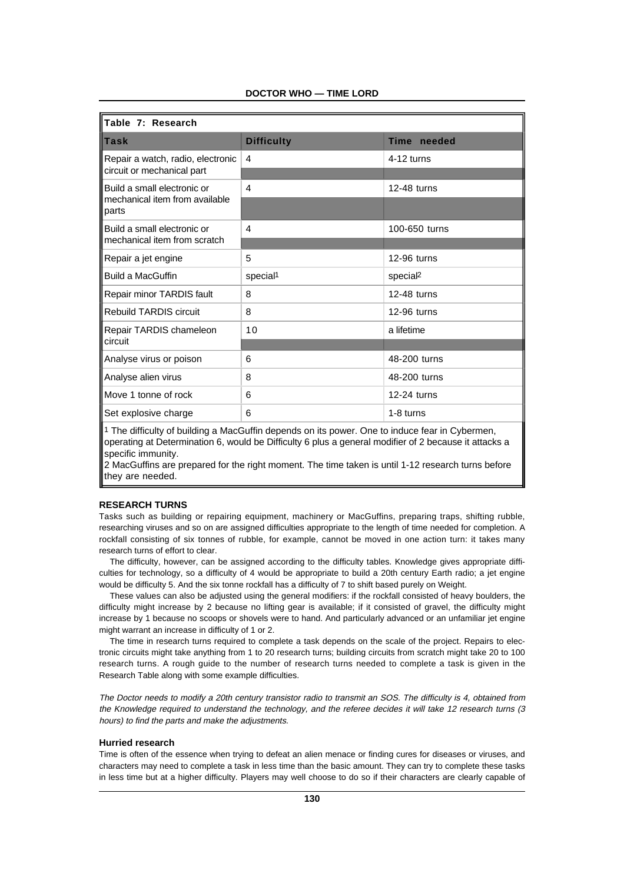| llTable 7: Research                     |                      |                      |
|-----------------------------------------|----------------------|----------------------|
| <b>ITask</b>                            | <b>Difficulty</b>    | Time needed          |
| Repair a watch, radio, electronic       | $\overline{4}$       | $4-12$ turns         |
| circuit or mechanical part              |                      |                      |
| Build a small electronic or             | $\overline{4}$       | 12-48 turns          |
| mechanical item from available<br>parts |                      |                      |
| Build a small electronic or             | 4                    | 100-650 turns        |
| mechanical item from scratch            |                      |                      |
| Repair a jet engine                     | 5                    | 12-96 turns          |
| <b>Build a MacGuffin</b>                | special <sup>1</sup> | special <sup>2</sup> |
| Repair minor TARDIS fault               | 8                    | 12-48 turns          |
| <b>Rebuild TARDIS circuit</b>           | 8                    | 12-96 turns          |
| Repair TARDIS chameleon                 | 10                   | a lifetime           |
| circuit                                 |                      |                      |
| Analyse virus or poison                 | 6                    | 48-200 turns         |
| Analyse alien virus                     | 8                    | 48-200 turns         |
| Move 1 tonne of rock                    | 6                    | 12-24 turns          |
| Set explosive charge                    | 6                    | 1-8 turns            |
|                                         |                      |                      |

# **DOCTOR WHO — TIME LORD**

1 The difficulty of building a MacGuffin depends on its power. One to induce fear in Cybermen, operating at Determination 6, would be Difficulty 6 plus a general modifier of 2 because it attacks a specific immunity.

2 MacGuffins are prepared for the right moment. The time taken is until 1-12 research turns before they are needed.

# **RESEARCH TURNS**

Tasks such as building or repairing equipment, machinery or MacGuffins, preparing traps, shifting rubble, researching viruses and so on are assigned difficulties appropriate to the length of time needed for completion. A rockfall consisting of six tonnes of rubble, for example, cannot be moved in one action turn: it takes many research turns of effort to clear.

The difficulty, however, can be assigned according to the difficulty tables. Knowledge gives appropriate difficulties for technology, so a difficulty of 4 would be appropriate to build a 20th century Earth radio; a jet engine would be difficulty 5. And the six tonne rockfall has a difficulty of 7 to shift based purely on Weight.

These values can also be adjusted using the general modifiers: if the rockfall consisted of heavy boulders, the difficulty might increase by 2 because no lifting gear is available; if it consisted of gravel, the difficulty might increase by 1 because no scoops or shovels were to hand. And particularly advanced or an unfamiliar jet engine might warrant an increase in difficulty of 1 or 2.

The time in research turns required to complete a task depends on the scale of the project. Repairs to electronic circuits might take anything from 1 to 20 research turns; building circuits from scratch might take 20 to 100 research turns. A rough guide to the number of research turns needed to complete a task is given in the Research Table along with some example difficulties.

The Doctor needs to modify a 20th century transistor radio to transmit an SOS. The difficulty is 4, obtained from the Knowledge required to understand the technology, and the referee decides it will take 12 research turns (3 hours) to find the parts and make the adjustments.

#### **Hurried research**

Time is often of the essence when trying to defeat an alien menace or finding cures for diseases or viruses, and characters may need to complete a task in less time than the basic amount. They can try to complete these tasks in less time but at a higher difficulty. Players may well choose to do so if their characters are clearly capable of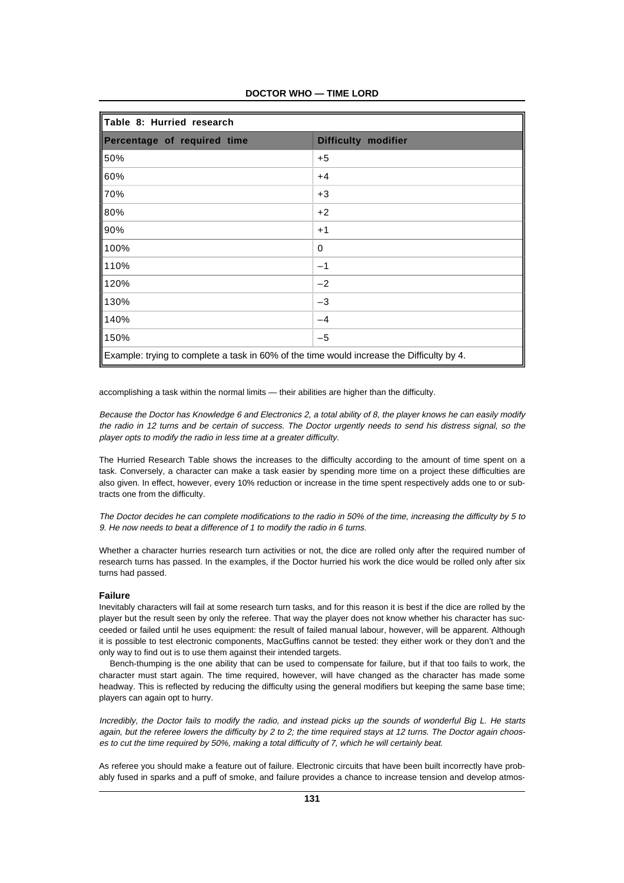| Table 8: Hurried research                                                                 |                     |  |
|-------------------------------------------------------------------------------------------|---------------------|--|
| Percentage of required time                                                               | Difficulty modifier |  |
| 50%                                                                                       | $+5$                |  |
| 60%                                                                                       | $+4$                |  |
| 170%                                                                                      | $+3$                |  |
| 80%                                                                                       | $+2$                |  |
| 90%                                                                                       | $+1$                |  |
| 100%                                                                                      | 0                   |  |
| 110%                                                                                      | $-1$                |  |
| 120%                                                                                      | $-2$                |  |
| 130%                                                                                      | $-3$                |  |
| 140%                                                                                      | $-4$                |  |
| 150%                                                                                      | $-5$                |  |
| Example: trying to complete a task in 60% of the time would increase the Difficulty by 4. |                     |  |

**DOCTOR WHO — TIME LORD**

accomplishing a task within the normal limits — their abilities are higher than the difficulty.

Because the Doctor has Knowledge 6 and Electronics 2, a total ability of 8, the player knows he can easily modify the radio in 12 turns and be certain of success. The Doctor urgently needs to send his distress signal, so the player opts to modify the radio in less time at a greater difficulty.

The Hurried Research Table shows the increases to the difficulty according to the amount of time spent on a task. Conversely, a character can make a task easier by spending more time on a project these difficulties are also given. In effect, however, every 10% reduction or increase in the time spent respectively adds one to or subtracts one from the difficulty.

The Doctor decides he can complete modifications to the radio in 50% of the time, increasing the difficulty by 5 to 9. He now needs to beat a difference of 1 to modify the radio in 6 turns.

Whether a character hurries research turn activities or not, the dice are rolled only after the required number of research turns has passed. In the examples, if the Doctor hurried his work the dice would be rolled only after six turns had passed.

# **Failure**

Inevitably characters will fail at some research turn tasks, and for this reason it is best if the dice are rolled by the player but the result seen by only the referee. That way the player does not know whether his character has succeeded or failed until he uses equipment: the result of failed manual labour, however, will be apparent. Although it is possible to test electronic components, MacGuffins cannot be tested: they either work or they don't and the only way to find out is to use them against their intended targets.

Bench-thumping is the one ability that can be used to compensate for failure, but if that too fails to work, the character must start again. The time required, however, will have changed as the character has made some headway. This is reflected by reducing the difficulty using the general modifiers but keeping the same base time; players can again opt to hurry.

Incredibly, the Doctor fails to modify the radio, and instead picks up the sounds of wonderful Big L. He starts again, but the referee lowers the difficulty by 2 to 2; the time required stays at 12 turns. The Doctor again chooses to cut the time required by 50%, making a total difficulty of 7, which he will certainly beat.

As referee you should make a feature out of failure. Electronic circuits that have been built incorrectly have probably fused in sparks and a puff of smoke, and failure provides a chance to increase tension and develop atmos-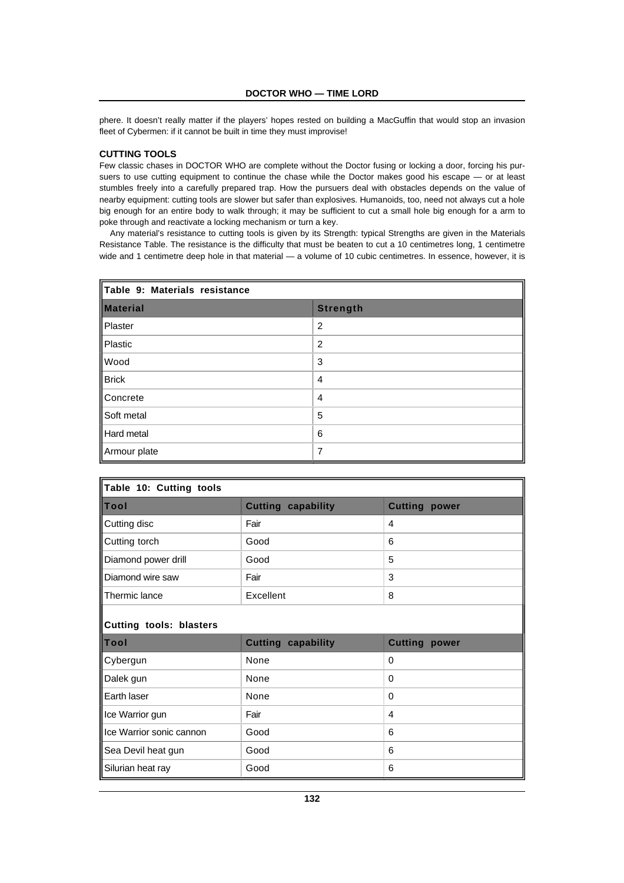phere. It doesn't really matter if the players' hopes rested on building a MacGuffin that would stop an invasion fleet of Cybermen: if it cannot be built in time they must improvise!

# **CUTTING TOOLS**

Few classic chases in DOCTOR WHO are complete without the Doctor fusing or locking a door, forcing his pursuers to use cutting equipment to continue the chase while the Doctor makes good his escape — or at least stumbles freely into a carefully prepared trap. How the pursuers deal with obstacles depends on the value of nearby equipment: cutting tools are slower but safer than explosives. Humanoids, too, need not always cut a hole big enough for an entire body to walk through; it may be sufficient to cut a small hole big enough for a arm to poke through and reactivate a locking mechanism or turn a key.

Any material's resistance to cutting tools is given by its Strength: typical Strengths are given in the Materials Resistance Table. The resistance is the difficulty that must be beaten to cut a 10 centimetres long, 1 centimetre wide and 1 centimetre deep hole in that material — a volume of 10 cubic centimetres. In essence, however, it is

| Table 9: Materials resistance |                 |  |
|-------------------------------|-----------------|--|
| <b>Material</b>               | <b>Strength</b> |  |
| Plaster                       | $\overline{2}$  |  |
| Plastic                       | 2               |  |
| <b>Wood</b>                   | 3               |  |
| $\frac{1}{1}$ Brick           | 4               |  |
| Concrete                      | 4               |  |
| Soft metal                    | 5               |  |
| Hard metal                    | 6               |  |
| Armour plate                  | 7               |  |

| Table 10: Cutting tools        |                           |                      |  |  |
|--------------------------------|---------------------------|----------------------|--|--|
| Tool                           | <b>Cutting capability</b> | <b>Cutting power</b> |  |  |
| Cutting disc                   | Fair                      | 4                    |  |  |
| Cutting torch                  | Good                      | 6                    |  |  |
| Diamond power drill            | Good                      | 5                    |  |  |
| Diamond wire saw               | Fair                      | 3                    |  |  |
| Thermic lance                  | Excellent                 | 8                    |  |  |
| <b>Cutting tools: blasters</b> |                           |                      |  |  |
| Tool                           | <b>Cutting capability</b> | <b>Cutting power</b> |  |  |
| Cybergun                       | None                      | 0                    |  |  |
| Dalek gun                      | None                      | 0                    |  |  |
| Earth laser                    | None                      | 0                    |  |  |
| Ice Warrior gun                | Fair                      | 4                    |  |  |
| Ice Warrior sonic cannon       | Good                      | 6                    |  |  |
| Sea Devil heat gun             | Good                      | 6                    |  |  |
| Silurian heat ray              | Good                      | 6                    |  |  |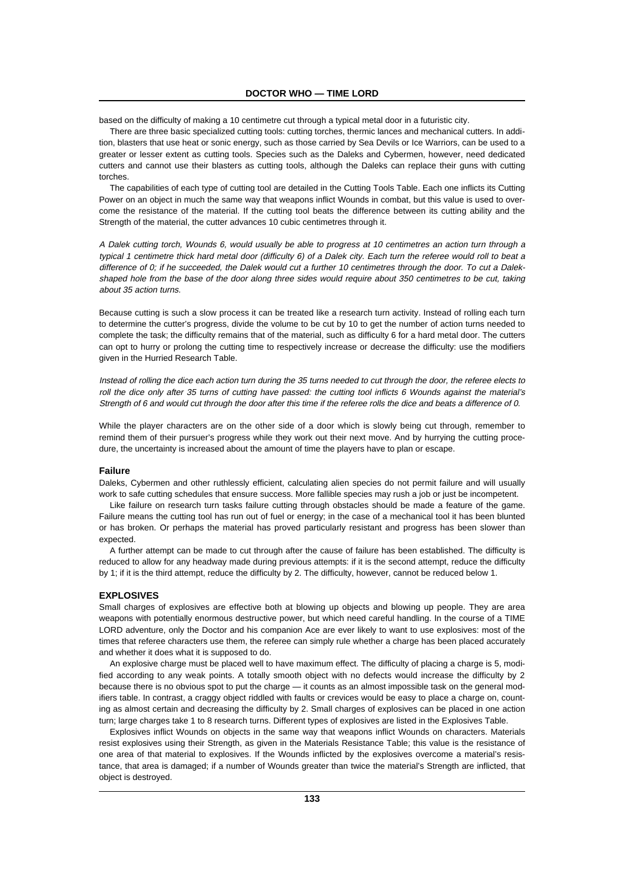based on the difficulty of making a 10 centimetre cut through a typical metal door in a futuristic city.

There are three basic specialized cutting tools: cutting torches, thermic lances and mechanical cutters. In addition, blasters that use heat or sonic energy, such as those carried by Sea Devils or Ice Warriors, can be used to a greater or lesser extent as cutting tools. Species such as the Daleks and Cybermen, however, need dedicated cutters and cannot use their blasters as cutting tools, although the Daleks can replace their guns with cutting torches.

The capabilities of each type of cutting tool are detailed in the Cutting Tools Table. Each one inflicts its Cutting Power on an object in much the same way that weapons inflict Wounds in combat, but this value is used to overcome the resistance of the material. If the cutting tool beats the difference between its cutting ability and the Strength of the material, the cutter advances 10 cubic centimetres through it.

A Dalek cutting torch, Wounds 6, would usually be able to progress at 10 centimetres an action turn through a typical 1 centimetre thick hard metal door (difficulty 6) of a Dalek city. Each turn the referee would roll to beat a difference of 0; if he succeeded, the Dalek would cut a further 10 centimetres through the door. To cut a Dalekshaped hole from the base of the door along three sides would require about 350 centimetres to be cut, taking about 35 action turns.

Because cutting is such a slow process it can be treated like a research turn activity. Instead of rolling each turn to determine the cutter's progress, divide the volume to be cut by 10 to get the number of action turns needed to complete the task; the difficulty remains that of the material, such as difficulty 6 for a hard metal door. The cutters can opt to hurry or prolong the cutting time to respectively increase or decrease the difficulty: use the modifiers given in the Hurried Research Table.

Instead of rolling the dice each action turn during the 35 turns needed to cut through the door, the referee elects to roll the dice only after 35 turns of cutting have passed: the cutting tool inflicts 6 Wounds against the material's Strength of 6 and would cut through the door after this time if the referee rolls the dice and beats a difference of 0.

While the player characters are on the other side of a door which is slowly being cut through, remember to remind them of their pursuer's progress while they work out their next move. And by hurrying the cutting procedure, the uncertainty is increased about the amount of time the players have to plan or escape.

#### **Failure**

Daleks, Cybermen and other ruthlessly efficient, calculating alien species do not permit failure and will usually work to safe cutting schedules that ensure success. More fallible species may rush a job or just be incompetent.

Like failure on research turn tasks failure cutting through obstacles should be made a feature of the game. Failure means the cutting tool has run out of fuel or energy; in the case of a mechanical tool it has been blunted or has broken. Or perhaps the material has proved particularly resistant and progress has been slower than expected.

A further attempt can be made to cut through after the cause of failure has been established. The difficulty is reduced to allow for any headway made during previous attempts: if it is the second attempt, reduce the difficulty by 1; if it is the third attempt, reduce the difficulty by 2. The difficulty, however, cannot be reduced below 1.

#### **EXPLOSIVES**

Small charges of explosives are effective both at blowing up objects and blowing up people. They are area weapons with potentially enormous destructive power, but which need careful handling. In the course of a TIME LORD adventure, only the Doctor and his companion Ace are ever likely to want to use explosives: most of the times that referee characters use them, the referee can simply rule whether a charge has been placed accurately and whether it does what it is supposed to do.

An explosive charge must be placed well to have maximum effect. The difficulty of placing a charge is 5, modified according to any weak points. A totally smooth object with no defects would increase the difficulty by 2 because there is no obvious spot to put the charge — it counts as an almost impossible task on the general modifiers table. In contrast, a craggy object riddled with faults or crevices would be easy to place a charge on, counting as almost certain and decreasing the difficulty by 2. Small charges of explosives can be placed in one action turn; large charges take 1 to 8 research turns. Different types of explosives are listed in the Explosives Table.

Explosives inflict Wounds on objects in the same way that weapons inflict Wounds on characters. Materials resist explosives using their Strength, as given in the Materials Resistance Table; this value is the resistance of one area of that material to explosives. If the Wounds inflicted by the explosives overcome a material's resistance, that area is damaged; if a number of Wounds greater than twice the material's Strength are inflicted, that object is destroyed.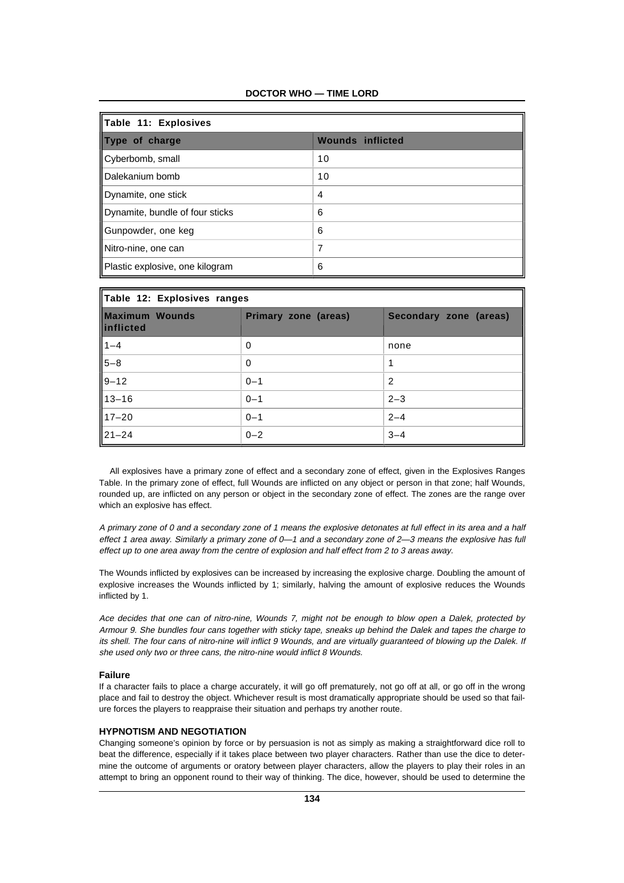| Table 11: Explosives            |                         |  |
|---------------------------------|-------------------------|--|
| Type of charge                  | <b>Wounds inflicted</b> |  |
| Cyberbomb, small                | 10                      |  |
| Dalekanium bomb                 | 10                      |  |
| Dynamite, one stick             | $\overline{4}$          |  |
| Dynamite, bundle of four sticks | 6                       |  |
| Gunpowder, one keg              | 6                       |  |
| Nitro-nine, one can             | 7                       |  |
| Plastic explosive, one kilogram | 6                       |  |

| Table 12: Explosives ranges        |                      |                        |  |
|------------------------------------|----------------------|------------------------|--|
| <b>Maximum Wounds</b><br>inflicted | Primary zone (areas) | Secondary zone (areas) |  |
| $\frac{1-4}{5-8}$<br>9-12          | 0                    | none                   |  |
|                                    | 0                    | 1                      |  |
|                                    | $0 - 1$              | $\overline{2}$         |  |
| $13 - 16$                          | $0 - 1$              | $2 - 3$                |  |
| $17 - 20$                          | $0 - 1$              | $2 - 4$                |  |
| $21 - 24$                          | $0 - 2$              | $3 - 4$                |  |

All explosives have a primary zone of effect and a secondary zone of effect, given in the Explosives Ranges Table. In the primary zone of effect, full Wounds are inflicted on any object or person in that zone; half Wounds, rounded up, are inflicted on any person or object in the secondary zone of effect. The zones are the range over which an explosive has effect.

A primary zone of 0 and a secondary zone of 1 means the explosive detonates at full effect in its area and a half effect 1 area away. Similarly a primary zone of 0—1 and a secondary zone of 2—3 means the explosive has full effect up to one area away from the centre of explosion and half effect from 2 to 3 areas away.

The Wounds inflicted by explosives can be increased by increasing the explosive charge. Doubling the amount of explosive increases the Wounds inflicted by 1; similarly, halving the amount of explosive reduces the Wounds inflicted by 1.

Ace decides that one can of nitro-nine, Wounds 7, might not be enough to blow open a Dalek, protected by Armour 9. She bundles four cans together with sticky tape, sneaks up behind the Dalek and tapes the charge to its shell. The four cans of nitro-nine will inflict 9 Wounds, and are virtually guaranteed of blowing up the Dalek. If she used only two or three cans, the nitro-nine would inflict 8 Wounds.

#### **Failure**

If a character fails to place a charge accurately, it will go off prematurely, not go off at all, or go off in the wrong place and fail to destroy the object. Whichever result is most dramatically appropriate should be used so that failure forces the players to reappraise their situation and perhaps try another route.

# **HYPNOTISM AND NEGOTIATION**

Changing someone's opinion by force or by persuasion is not as simply as making a straightforward dice roll to beat the difference, especially if it takes place between two player characters. Rather than use the dice to determine the outcome of arguments or oratory between player characters, allow the players to play their roles in an attempt to bring an opponent round to their way of thinking. The dice, however, should be used to determine the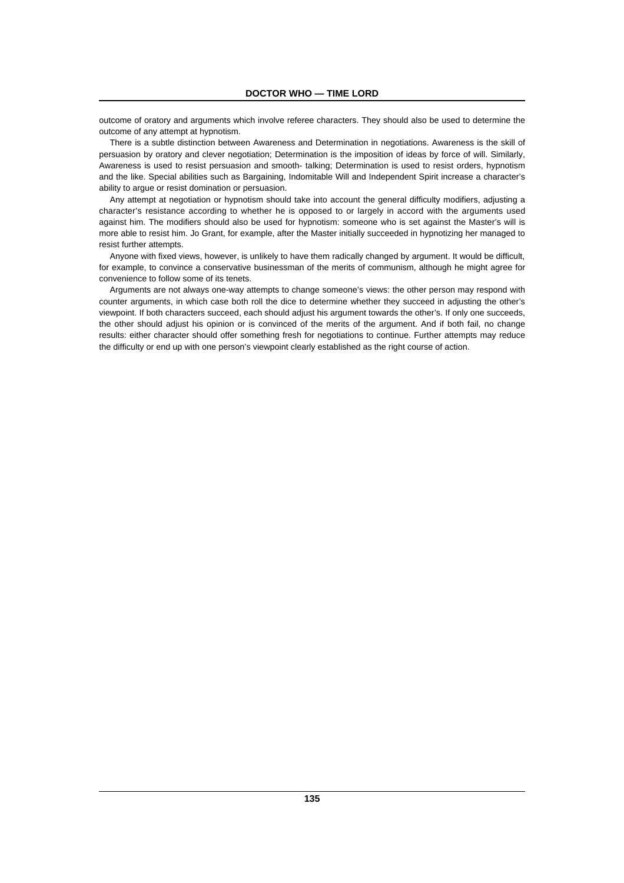outcome of oratory and arguments which involve referee characters. They should also be used to determine the outcome of any attempt at hypnotism.

There is a subtle distinction between Awareness and Determination in negotiations. Awareness is the skill of persuasion by oratory and clever negotiation; Determination is the imposition of ideas by force of will. Similarly, Awareness is used to resist persuasion and smooth- talking; Determination is used to resist orders, hypnotism and the like. Special abilities such as Bargaining, Indomitable Will and Independent Spirit increase a character's ability to argue or resist domination or persuasion.

Any attempt at negotiation or hypnotism should take into account the general difficulty modifiers, adjusting a character's resistance according to whether he is opposed to or largely in accord with the arguments used against him. The modifiers should also be used for hypnotism: someone who is set against the Master's will is more able to resist him. Jo Grant, for example, after the Master initially succeeded in hypnotizing her managed to resist further attempts.

Anyone with fixed views, however, is unlikely to have them radically changed by argument. It would be difficult, for example, to convince a conservative businessman of the merits of communism, although he might agree for convenience to follow some of its tenets.

Arguments are not always one-way attempts to change someone's views: the other person may respond with counter arguments, in which case both roll the dice to determine whether they succeed in adjusting the other's viewpoint. If both characters succeed, each should adjust his argument towards the other's. If only one succeeds, the other should adjust his opinion or is convinced of the merits of the argument. And if both fail, no change results: either character should offer something fresh for negotiations to continue. Further attempts may reduce the difficulty or end up with one person's viewpoint clearly established as the right course of action.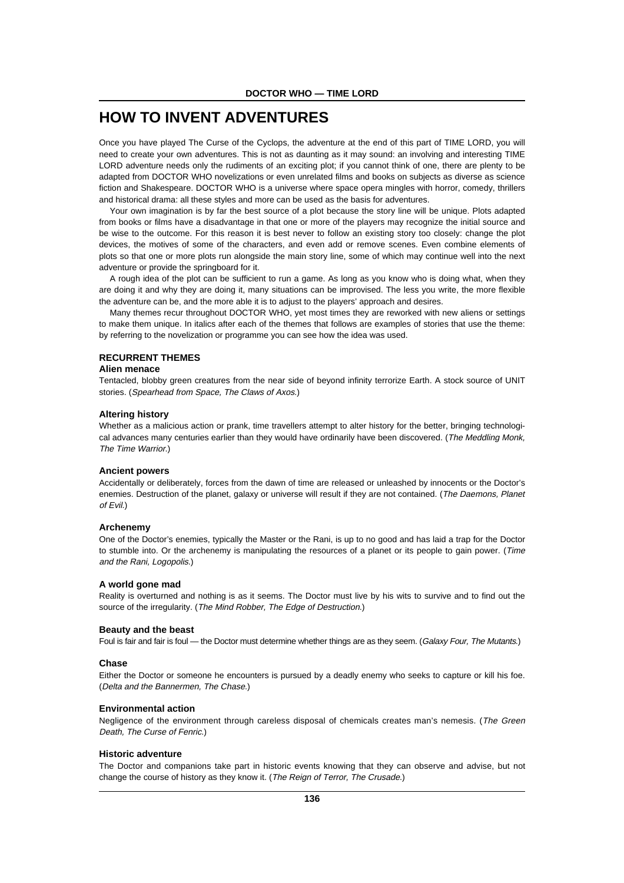# **HOW TO INVENT ADVENTURES**

Once you have played The Curse of the Cyclops, the adventure at the end of this part of TIME LORD, you will need to create your own adventures. This is not as daunting as it may sound: an involving and interesting TIME LORD adventure needs only the rudiments of an exciting plot; if you cannot think of one, there are plenty to be adapted from DOCTOR WHO novelizations or even unrelated films and books on subjects as diverse as science fiction and Shakespeare. DOCTOR WHO is a universe where space opera mingles with horror, comedy, thrillers and historical drama: all these styles and more can be used as the basis for adventures.

Your own imagination is by far the best source of a plot because the story line will be unique. Plots adapted from books or films have a disadvantage in that one or more of the players may recognize the initial source and be wise to the outcome. For this reason it is best never to follow an existing story too closely: change the plot devices, the motives of some of the characters, and even add or remove scenes. Even combine elements of plots so that one or more plots run alongside the main story line, some of which may continue well into the next adventure or provide the springboard for it.

A rough idea of the plot can be sufficient to run a game. As long as you know who is doing what, when they are doing it and why they are doing it, many situations can be improvised. The less you write, the more flexible the adventure can be, and the more able it is to adjust to the players' approach and desires.

Many themes recur throughout DOCTOR WHO, yet most times they are reworked with new aliens or settings to make them unique. In italics after each of the themes that follows are examples of stories that use the theme: by referring to the novelization or programme you can see how the idea was used.

# **RECURRENT THEMES**

## **Alien menace**

Tentacled, blobby green creatures from the near side of beyond infinity terrorize Earth. A stock source of UNIT stories. (Spearhead from Space, The Claws of Axos.)

#### **Altering history**

Whether as a malicious action or prank, time travellers attempt to alter history for the better, bringing technological advances many centuries earlier than they would have ordinarily have been discovered. (The Meddling Monk, The Time Warrior.)

#### **Ancient powers**

Accidentally or deliberately, forces from the dawn of time are released or unleashed by innocents or the Doctor's enemies. Destruction of the planet, galaxy or universe will result if they are not contained. (The Daemons, Planet of Evil.)

# **Archenemy**

One of the Doctor's enemies, typically the Master or the Rani, is up to no good and has laid a trap for the Doctor to stumble into. Or the archenemy is manipulating the resources of a planet or its people to gain power. (Time and the Rani, Logopolis.)

# **A world gone mad**

Reality is overturned and nothing is as it seems. The Doctor must live by his wits to survive and to find out the source of the irregularity. (The Mind Robber, The Edge of Destruction.)

#### **Beauty and the beast**

Foul is fair and fair is foul — the Doctor must determine whether things are as they seem. (Galaxy Four, The Mutants.)

# **Chase**

Either the Doctor or someone he encounters is pursued by a deadly enemy who seeks to capture or kill his foe. (Delta and the Bannermen, The Chase.)

# **Environmental action**

Negligence of the environment through careless disposal of chemicals creates man's nemesis. (The Green Death, The Curse of Fenric.)

# **Historic adventure**

The Doctor and companions take part in historic events knowing that they can observe and advise, but not change the course of history as they know it. (The Reign of Terror, The Crusade.)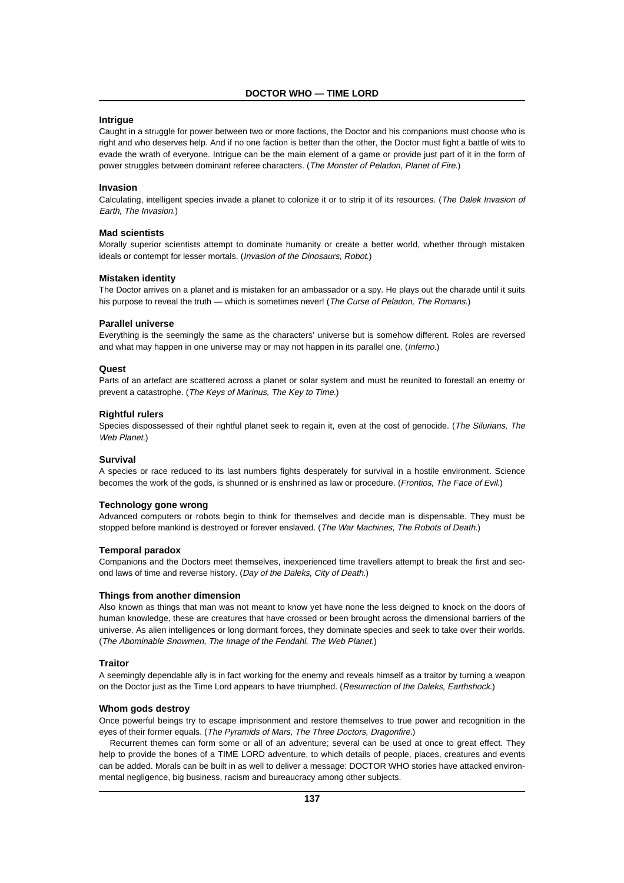# **Intrigue**

Caught in a struggle for power between two or more factions, the Doctor and his companions must choose who is right and who deserves help. And if no one faction is better than the other, the Doctor must fight a battle of wits to evade the wrath of everyone. Intrigue can be the main element of a game or provide just part of it in the form of power struggles between dominant referee characters. (The Monster of Peladon, Planet of Fire.)

#### **Invasion**

Calculating, intelligent species invade a planet to colonize it or to strip it of its resources. (The Dalek Invasion of Earth, The Invasion.)

# **Mad scientists**

Morally superior scientists attempt to dominate humanity or create a better world, whether through mistaken ideals or contempt for lesser mortals. (Invasion of the Dinosaurs, Robot.)

#### **Mistaken identity**

The Doctor arrives on a planet and is mistaken for an ambassador or a spy. He plays out the charade until it suits his purpose to reveal the truth — which is sometimes never! (The Curse of Peladon, The Romans.)

#### **Parallel universe**

Everything is the seemingly the same as the characters' universe but is somehow different. Roles are reversed and what may happen in one universe may or may not happen in its parallel one. (Inferno.)

#### **Quest**

Parts of an artefact are scattered across a planet or solar system and must be reunited to forestall an enemy or prevent a catastrophe. (The Keys of Marinus, The Key to Time.)

#### **Rightful rulers**

Species dispossessed of their rightful planet seek to regain it, even at the cost of genocide. (The Silurians, The Web Planet.)

#### **Survival**

A species or race reduced to its last numbers fights desperately for survival in a hostile environment. Science becomes the work of the gods, is shunned or is enshrined as law or procedure. (Frontios, The Face of Evil.)

#### **Technology gone wrong**

Advanced computers or robots begin to think for themselves and decide man is dispensable. They must be stopped before mankind is destroyed or forever enslaved. (The War Machines, The Robots of Death.)

#### **Temporal paradox**

Companions and the Doctors meet themselves, inexperienced time travellers attempt to break the first and second laws of time and reverse history. (Day of the Daleks, City of Death.)

#### **Things from another dimension**

Also known as things that man was not meant to know yet have none the less deigned to knock on the doors of human knowledge, these are creatures that have crossed or been brought across the dimensional barriers of the universe. As alien intelligences or long dormant forces, they dominate species and seek to take over their worlds. (The Abominable Snowmen, The Image of the Fendahl, The Web Planet.)

#### **Traitor**

A seemingly dependable ally is in fact working for the enemy and reveals himself as a traitor by turning a weapon on the Doctor just as the Time Lord appears to have triumphed. (Resurrection of the Daleks, Earthshock.)

#### **Whom gods destroy**

Once powerful beings try to escape imprisonment and restore themselves to true power and recognition in the eyes of their former equals. (The Pyramids of Mars, The Three Doctors, Dragonfire.)

Recurrent themes can form some or all of an adventure; several can be used at once to great effect. They help to provide the bones of a TIME LORD adventure, to which details of people, places, creatures and events can be added. Morals can be built in as well to deliver a message: DOCTOR WHO stories have attacked environmental negligence, big business, racism and bureaucracy among other subjects.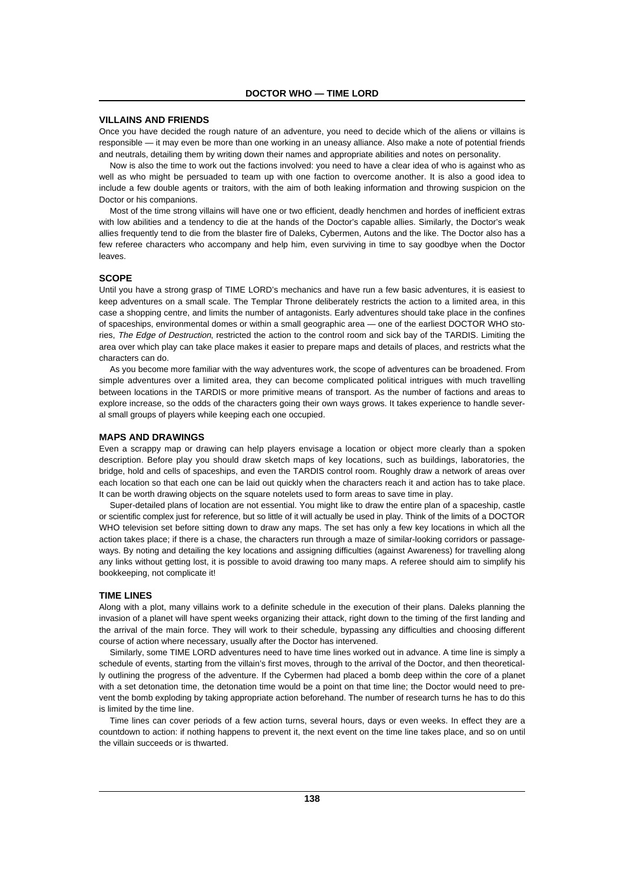## **VILLAINS AND FRIENDS**

Once you have decided the rough nature of an adventure, you need to decide which of the aliens or villains is responsible — it may even be more than one working in an uneasy alliance. Also make a note of potential friends and neutrals, detailing them by writing down their names and appropriate abilities and notes on personality.

Now is also the time to work out the factions involved: you need to have a clear idea of who is against who as well as who might be persuaded to team up with one faction to overcome another. It is also a good idea to include a few double agents or traitors, with the aim of both leaking information and throwing suspicion on the Doctor or his companions.

Most of the time strong villains will have one or two efficient, deadly henchmen and hordes of inefficient extras with low abilities and a tendency to die at the hands of the Doctor's capable allies. Similarly, the Doctor's weak allies frequently tend to die from the blaster fire of Daleks, Cybermen, Autons and the like. The Doctor also has a few referee characters who accompany and help him, even surviving in time to say goodbye when the Doctor leaves.

# **SCOPE**

Until you have a strong grasp of TIME LORD's mechanics and have run a few basic adventures, it is easiest to keep adventures on a small scale. The Templar Throne deliberately restricts the action to a limited area, in this case a shopping centre, and limits the number of antagonists. Early adventures should take place in the confines of spaceships, environmental domes or within a small geographic area — one of the earliest DOCTOR WHO stories, The Edge of Destruction, restricted the action to the control room and sick bay of the TARDIS. Limiting the area over which play can take place makes it easier to prepare maps and details of places, and restricts what the characters can do.

As you become more familiar with the way adventures work, the scope of adventures can be broadened. From simple adventures over a limited area, they can become complicated political intrigues with much travelling between locations in the TARDIS or more primitive means of transport. As the number of factions and areas to explore increase, so the odds of the characters going their own ways grows. It takes experience to handle several small groups of players while keeping each one occupied.

#### **MAPS AND DRAWINGS**

Even a scrappy map or drawing can help players envisage a location or object more clearly than a spoken description. Before play you should draw sketch maps of key locations, such as buildings, laboratories, the bridge, hold and cells of spaceships, and even the TARDIS control room. Roughly draw a network of areas over each location so that each one can be laid out quickly when the characters reach it and action has to take place. It can be worth drawing objects on the square notelets used to form areas to save time in play.

Super-detailed plans of location are not essential. You might like to draw the entire plan of a spaceship, castle or scientific complex just for reference, but so little of it will actually be used in play. Think of the limits of a DOCTOR WHO television set before sitting down to draw any maps. The set has only a few key locations in which all the action takes place; if there is a chase, the characters run through a maze of similar-looking corridors or passageways. By noting and detailing the key locations and assigning difficulties (against Awareness) for travelling along any links without getting lost, it is possible to avoid drawing too many maps. A referee should aim to simplify his bookkeeping, not complicate it!

#### **TIME LINES**

Along with a plot, many villains work to a definite schedule in the execution of their plans. Daleks planning the invasion of a planet will have spent weeks organizing their attack, right down to the timing of the first landing and the arrival of the main force. They will work to their schedule, bypassing any difficulties and choosing different course of action where necessary, usually after the Doctor has intervened.

Similarly, some TIME LORD adventures need to have time lines worked out in advance. A time line is simply a schedule of events, starting from the villain's first moves, through to the arrival of the Doctor, and then theoretically outlining the progress of the adventure. If the Cybermen had placed a bomb deep within the core of a planet with a set detonation time, the detonation time would be a point on that time line; the Doctor would need to prevent the bomb exploding by taking appropriate action beforehand. The number of research turns he has to do this is limited by the time line.

Time lines can cover periods of a few action turns, several hours, days or even weeks. In effect they are a countdown to action: if nothing happens to prevent it, the next event on the time line takes place, and so on until the villain succeeds or is thwarted.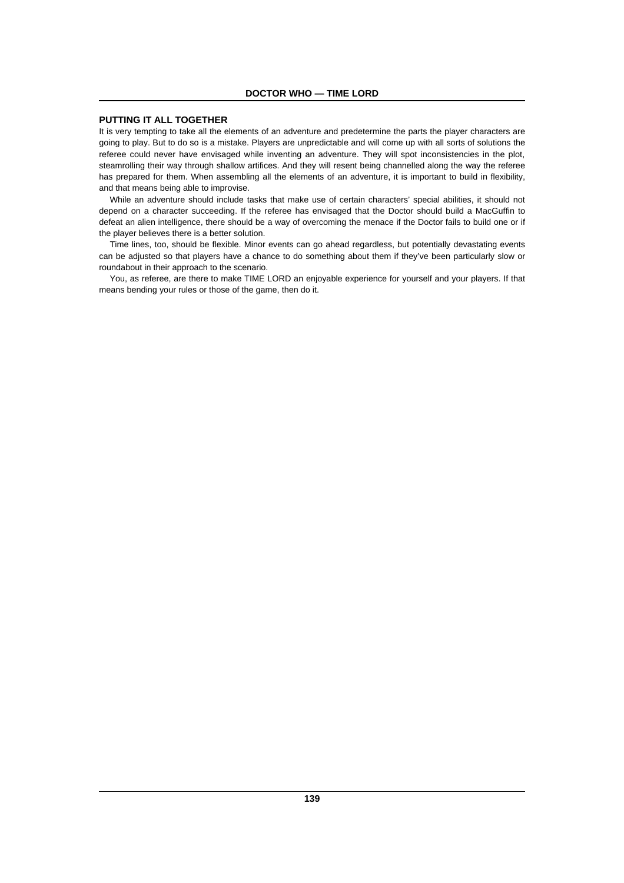# **PUTTING IT ALL TOGETHER**

It is very tempting to take all the elements of an adventure and predetermine the parts the player characters are going to play. But to do so is a mistake. Players are unpredictable and will come up with all sorts of solutions the referee could never have envisaged while inventing an adventure. They will spot inconsistencies in the plot, steamrolling their way through shallow artifices. And they will resent being channelled along the way the referee has prepared for them. When assembling all the elements of an adventure, it is important to build in flexibility, and that means being able to improvise.

While an adventure should include tasks that make use of certain characters' special abilities, it should not depend on a character succeeding. If the referee has envisaged that the Doctor should build a MacGuffin to defeat an alien intelligence, there should be a way of overcoming the menace if the Doctor fails to build one or if the player believes there is a better solution.

Time lines, too, should be flexible. Minor events can go ahead regardless, but potentially devastating events can be adjusted so that players have a chance to do something about them if they've been particularly slow or roundabout in their approach to the scenario.

You, as referee, are there to make TIME LORD an enjoyable experience for yourself and your players. If that means bending your rules or those of the game, then do it.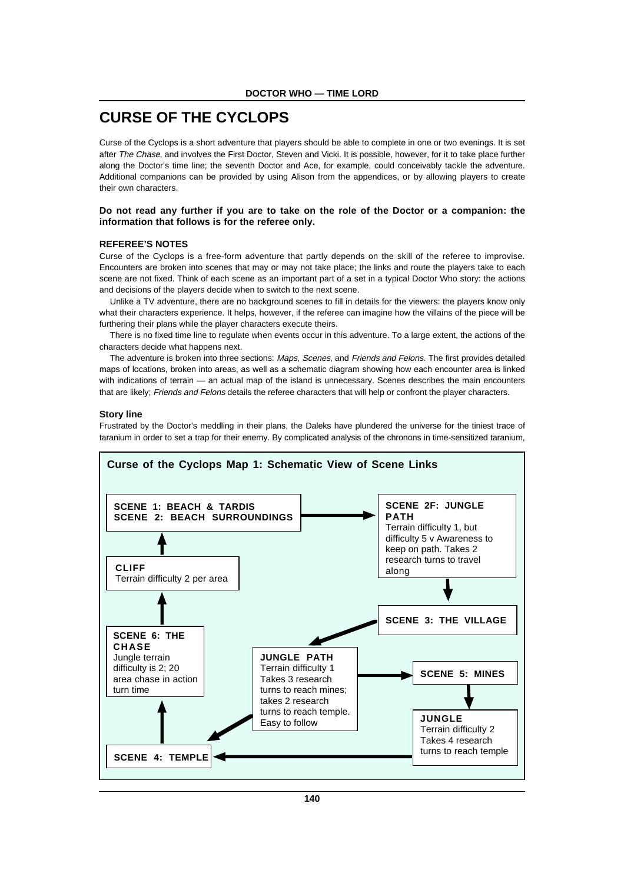# **CURSE OF THE CYCLOPS**

Curse of the Cyclops is a short adventure that players should be able to complete in one or two evenings. It is set after The Chase, and involves the First Doctor, Steven and Vicki. It is possible, however, for it to take place further along the Doctor's time line; the seventh Doctor and Ace, for example, could conceivably tackle the adventure. Additional companions can be provided by using Alison from the appendices, or by allowing players to create their own characters.

# **Do not read any further if you are to take on the role of the Doctor or a companion: the information that follows is for the referee only.**

#### **REFEREE'S NOTES**

Curse of the Cyclops is a free-form adventure that partly depends on the skill of the referee to improvise. Encounters are broken into scenes that may or may not take place; the links and route the players take to each scene are not fixed. Think of each scene as an important part of a set in a typical Doctor Who story: the actions and decisions of the players decide when to switch to the next scene.

Unlike a TV adventure, there are no background scenes to fill in details for the viewers: the players know only what their characters experience. It helps, however, if the referee can imagine how the villains of the piece will be furthering their plans while the player characters execute theirs.

There is no fixed time line to regulate when events occur in this adventure. To a large extent, the actions of the characters decide what happens next.

The adventure is broken into three sections: Maps, Scenes, and Friends and Felons. The first provides detailed maps of locations, broken into areas, as well as a schematic diagram showing how each encounter area is linked with indications of terrain — an actual map of the island is unnecessary. Scenes describes the main encounters that are likely; Friends and Felons details the referee characters that will help or confront the player characters.

#### **Story line**

Frustrated by the Doctor's meddling in their plans, the Daleks have plundered the universe for the tiniest trace of taranium in order to set a trap for their enemy. By complicated analysis of the chronons in time-sensitized taranium,

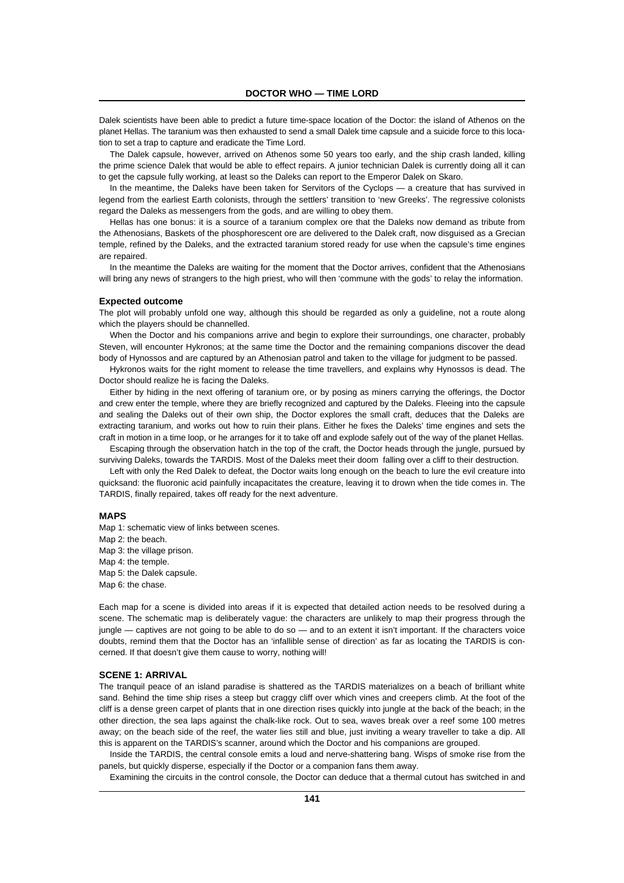Dalek scientists have been able to predict a future time-space location of the Doctor: the island of Athenos on the planet Hellas. The taranium was then exhausted to send a small Dalek time capsule and a suicide force to this location to set a trap to capture and eradicate the Time Lord.

The Dalek capsule, however, arrived on Athenos some 50 years too early, and the ship crash landed, killing the prime science Dalek that would be able to effect repairs. A junior technician Dalek is currently doing all it can to get the capsule fully working, at least so the Daleks can report to the Emperor Dalek on Skaro.

In the meantime, the Daleks have been taken for Servitors of the Cyclops — a creature that has survived in legend from the earliest Earth colonists, through the settlers' transition to 'new Greeks'. The regressive colonists regard the Daleks as messengers from the gods, and are willing to obey them.

Hellas has one bonus: it is a source of a taranium complex ore that the Daleks now demand as tribute from the Athenosians, Baskets of the phosphorescent ore are delivered to the Dalek craft, now disguised as a Grecian temple, refined by the Daleks, and the extracted taranium stored ready for use when the capsule's time engines are repaired.

In the meantime the Daleks are waiting for the moment that the Doctor arrives, confident that the Athenosians will bring any news of strangers to the high priest, who will then 'commune with the gods' to relay the information.

#### **Expected outcome**

The plot will probably unfold one way, although this should be regarded as only a guideline, not a route along which the players should be channelled.

When the Doctor and his companions arrive and begin to explore their surroundings, one character, probably Steven, will encounter Hykronos; at the same time the Doctor and the remaining companions discover the dead body of Hynossos and are captured by an Athenosian patrol and taken to the village for judgment to be passed.

Hykronos waits for the right moment to release the time travellers, and explains why Hynossos is dead. The Doctor should realize he is facing the Daleks.

Either by hiding in the next offering of taranium ore, or by posing as miners carrying the offerings, the Doctor and crew enter the temple, where they are briefly recognized and captured by the Daleks. Fleeing into the capsule and sealing the Daleks out of their own ship, the Doctor explores the small craft, deduces that the Daleks are extracting taranium, and works out how to ruin their plans. Either he fixes the Daleks' time engines and sets the craft in motion in a time loop, or he arranges for it to take off and explode safely out of the way of the planet Hellas.

Escaping through the observation hatch in the top of the craft, the Doctor heads through the jungle, pursued by surviving Daleks, towards the TARDIS. Most of the Daleks meet their doom falling over a cliff to their destruction.

Left with only the Red Dalek to defeat, the Doctor waits long enough on the beach to lure the evil creature into quicksand: the fluoronic acid painfully incapacitates the creature, leaving it to drown when the tide comes in. The TARDIS, finally repaired, takes off ready for the next adventure.

#### **MAPS**

Map 1: schematic view of links between scenes. Map 2: the beach. Map 3: the village prison. Map 4: the temple. Map 5: the Dalek capsule. Map 6: the chase.

Each map for a scene is divided into areas if it is expected that detailed action needs to be resolved during a scene. The schematic map is deliberately vague: the characters are unlikely to map their progress through the jungle — captives are not going to be able to do so — and to an extent it isn't important. If the characters voice doubts, remind them that the Doctor has an 'infallible sense of direction' as far as locating the TARDIS is concerned. If that doesn't give them cause to worry, nothing will!

#### **SCENE 1: ARRIVAL**

The tranquil peace of an island paradise is shattered as the TARDIS materializes on a beach of brilliant white sand. Behind the time ship rises a steep but craggy cliff over which vines and creepers climb. At the foot of the cliff is a dense green carpet of plants that in one direction rises quickly into jungle at the back of the beach; in the other direction, the sea laps against the chalk-like rock. Out to sea, waves break over a reef some 100 metres away; on the beach side of the reef, the water lies still and blue, just inviting a weary traveller to take a dip. All this is apparent on the TARDIS's scanner, around which the Doctor and his companions are grouped.

Inside the TARDIS, the central console emits a loud and nerve-shattering bang. Wisps of smoke rise from the panels, but quickly disperse, especially if the Doctor or a companion fans them away.

Examining the circuits in the control console, the Doctor can deduce that a thermal cutout has switched in and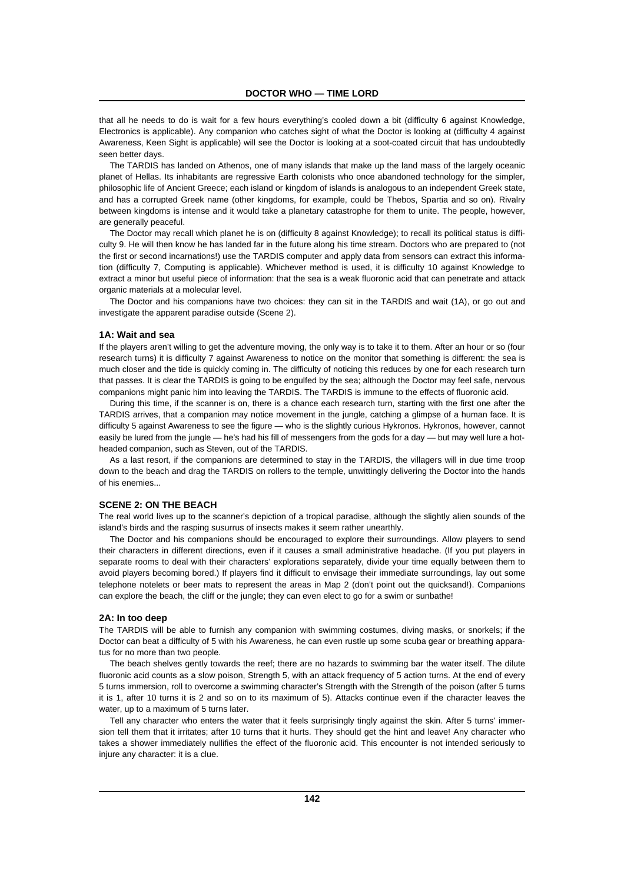that all he needs to do is wait for a few hours everything's cooled down a bit (difficulty 6 against Knowledge, Electronics is applicable). Any companion who catches sight of what the Doctor is looking at (difficulty 4 against Awareness, Keen Sight is applicable) will see the Doctor is looking at a soot-coated circuit that has undoubtedly seen better days.

The TARDIS has landed on Athenos, one of many islands that make up the land mass of the largely oceanic planet of Hellas. Its inhabitants are regressive Earth colonists who once abandoned technology for the simpler, philosophic life of Ancient Greece; each island or kingdom of islands is analogous to an independent Greek state, and has a corrupted Greek name (other kingdoms, for example, could be Thebos, Spartia and so on). Rivalry between kingdoms is intense and it would take a planetary catastrophe for them to unite. The people, however, are generally peaceful.

The Doctor may recall which planet he is on (difficulty 8 against Knowledge); to recall its political status is difficulty 9. He will then know he has landed far in the future along his time stream. Doctors who are prepared to (not the first or second incarnations!) use the TARDIS computer and apply data from sensors can extract this information (difficulty 7, Computing is applicable). Whichever method is used, it is difficulty 10 against Knowledge to extract a minor but useful piece of information: that the sea is a weak fluoronic acid that can penetrate and attack organic materials at a molecular level.

The Doctor and his companions have two choices: they can sit in the TARDIS and wait (1A), or go out and investigate the apparent paradise outside (Scene 2).

#### **1A: Wait and sea**

If the players aren't willing to get the adventure moving, the only way is to take it to them. After an hour or so (four research turns) it is difficulty 7 against Awareness to notice on the monitor that something is different: the sea is much closer and the tide is quickly coming in. The difficulty of noticing this reduces by one for each research turn that passes. It is clear the TARDIS is going to be engulfed by the sea; although the Doctor may feel safe, nervous companions might panic him into leaving the TARDIS. The TARDIS is immune to the effects of fluoronic acid.

During this time, if the scanner is on, there is a chance each research turn, starting with the first one after the TARDIS arrives, that a companion may notice movement in the jungle, catching a glimpse of a human face. It is difficulty 5 against Awareness to see the figure — who is the slightly curious Hykronos. Hykronos, however, cannot easily be lured from the jungle — he's had his fill of messengers from the gods for a day — but may well lure a hotheaded companion, such as Steven, out of the TARDIS.

As a last resort, if the companions are determined to stay in the TARDIS, the villagers will in due time troop down to the beach and drag the TARDIS on rollers to the temple, unwittingly delivering the Doctor into the hands of his enemies...

# **SCENE 2: ON THE BEACH**

The real world lives up to the scanner's depiction of a tropical paradise, although the slightly alien sounds of the island's birds and the rasping susurrus of insects makes it seem rather unearthly.

The Doctor and his companions should be encouraged to explore their surroundings. Allow players to send their characters in different directions, even if it causes a small administrative headache. (If you put players in separate rooms to deal with their characters' explorations separately, divide your time equally between them to avoid players becoming bored.) If players find it difficult to envisage their immediate surroundings, lay out some telephone notelets or beer mats to represent the areas in Map 2 (don't point out the quicksand!). Companions can explore the beach, the cliff or the jungle; they can even elect to go for a swim or sunbathe!

#### **2A: In too deep**

The TARDIS will be able to furnish any companion with swimming costumes, diving masks, or snorkels; if the Doctor can beat a difficulty of 5 with his Awareness, he can even rustle up some scuba gear or breathing apparatus for no more than two people.

The beach shelves gently towards the reef; there are no hazards to swimming bar the water itself. The dilute fluoronic acid counts as a slow poison, Strength 5, with an attack frequency of 5 action turns. At the end of every 5 turns immersion, roll to overcome a swimming character's Strength with the Strength of the poison (after 5 turns it is 1, after 10 turns it is 2 and so on to its maximum of 5). Attacks continue even if the character leaves the water, up to a maximum of 5 turns later.

Tell any character who enters the water that it feels surprisingly tingly against the skin. After 5 turns' immersion tell them that it irritates; after 10 turns that it hurts. They should get the hint and leave! Any character who takes a shower immediately nullifies the effect of the fluoronic acid. This encounter is not intended seriously to injure any character: it is a clue.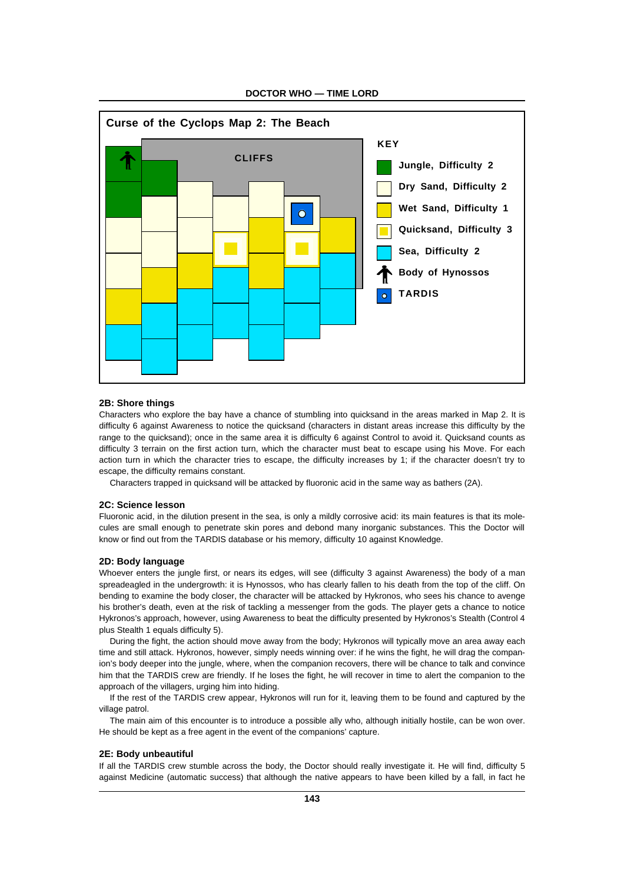

**DOCTOR WHO — TIME LORD**

### **2B: Shore things**

Characters who explore the bay have a chance of stumbling into quicksand in the areas marked in Map 2. It is difficulty 6 against Awareness to notice the quicksand (characters in distant areas increase this difficulty by the range to the quicksand); once in the same area it is difficulty 6 against Control to avoid it. Quicksand counts as difficulty 3 terrain on the first action turn, which the character must beat to escape using his Move. For each action turn in which the character tries to escape, the difficulty increases by 1; if the character doesn't try to escape, the difficulty remains constant.

Characters trapped in quicksand will be attacked by fluoronic acid in the same way as bathers (2A).

# **2C: Science lesson**

Fluoronic acid, in the dilution present in the sea, is only a mildly corrosive acid: its main features is that its molecules are small enough to penetrate skin pores and debond many inorganic substances. This the Doctor will know or find out from the TARDIS database or his memory, difficulty 10 against Knowledge.

#### **2D: Body language**

Whoever enters the jungle first, or nears its edges, will see (difficulty 3 against Awareness) the body of a man spreadeagled in the undergrowth: it is Hynossos, who has clearly fallen to his death from the top of the cliff. On bending to examine the body closer, the character will be attacked by Hykronos, who sees his chance to avenge his brother's death, even at the risk of tackling a messenger from the gods. The player gets a chance to notice Hykronos's approach, however, using Awareness to beat the difficulty presented by Hykronos's Stealth (Control 4 plus Stealth 1 equals difficulty 5).

During the fight, the action should move away from the body; Hykronos will typically move an area away each time and still attack. Hykronos, however, simply needs winning over: if he wins the fight, he will drag the companion's body deeper into the jungle, where, when the companion recovers, there will be chance to talk and convince him that the TARDIS crew are friendly. If he loses the fight, he will recover in time to alert the companion to the approach of the villagers, urging him into hiding.

If the rest of the TARDIS crew appear, Hykronos will run for it, leaving them to be found and captured by the village patrol.

The main aim of this encounter is to introduce a possible ally who, although initially hostile, can be won over. He should be kept as a free agent in the event of the companions' capture.

# **2E: Body unbeautiful**

If all the TARDIS crew stumble across the body, the Doctor should really investigate it. He will find, difficulty 5 against Medicine (automatic success) that although the native appears to have been killed by a fall, in fact he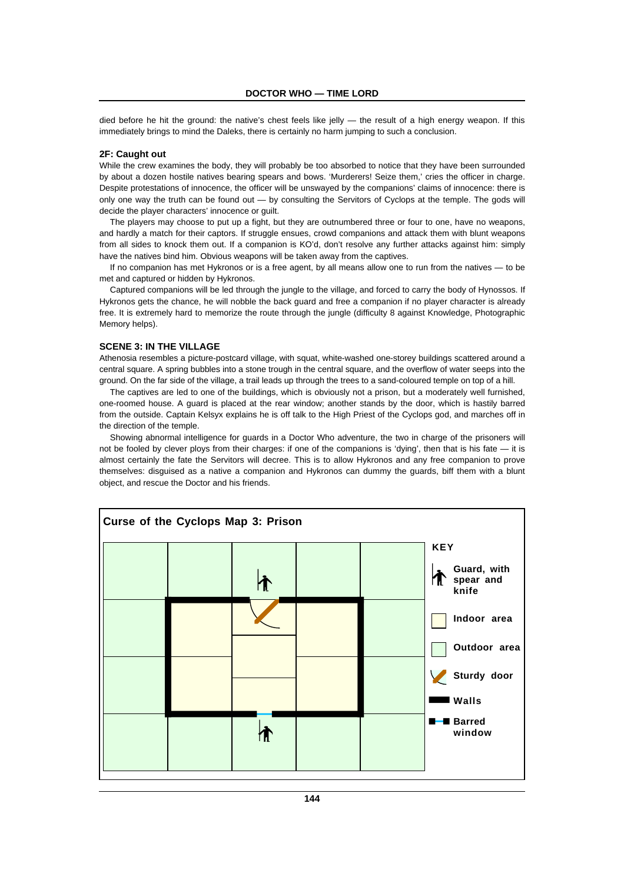died before he hit the ground: the native's chest feels like jelly — the result of a high energy weapon. If this immediately brings to mind the Daleks, there is certainly no harm jumping to such a conclusion.

# **2F: Caught out**

While the crew examines the body, they will probably be too absorbed to notice that they have been surrounded by about a dozen hostile natives bearing spears and bows. 'Murderers! Seize them,' cries the officer in charge. Despite protestations of innocence, the officer will be unswayed by the companions' claims of innocence: there is only one way the truth can be found out — by consulting the Servitors of Cyclops at the temple. The gods will decide the player characters' innocence or guilt.

The players may choose to put up a fight, but they are outnumbered three or four to one, have no weapons, and hardly a match for their captors. If struggle ensues, crowd companions and attack them with blunt weapons from all sides to knock them out. If a companion is KO'd, don't resolve any further attacks against him: simply have the natives bind him. Obvious weapons will be taken away from the captives.

If no companion has met Hykronos or is a free agent, by all means allow one to run from the natives — to be met and captured or hidden by Hykronos.

Captured companions will be led through the jungle to the village, and forced to carry the body of Hynossos. If Hykronos gets the chance, he will nobble the back guard and free a companion if no player character is already free. It is extremely hard to memorize the route through the jungle (difficulty 8 against Knowledge, Photographic Memory helps).

#### **SCENE 3: IN THE VILLAGE**

Athenosia resembles a picture-postcard village, with squat, white-washed one-storey buildings scattered around a central square. A spring bubbles into a stone trough in the central square, and the overflow of water seeps into the ground. On the far side of the village, a trail leads up through the trees to a sand-coloured temple on top of a hill.

The captives are led to one of the buildings, which is obviously not a prison, but a moderately well furnished, one-roomed house. A guard is placed at the rear window; another stands by the door, which is hastily barred from the outside. Captain Kelsyx explains he is off talk to the High Priest of the Cyclops god, and marches off in the direction of the temple.

Showing abnormal intelligence for guards in a Doctor Who adventure, the two in charge of the prisoners will not be fooled by clever ploys from their charges: if one of the companions is 'dying', then that is his fate — it is almost certainly the fate the Servitors will decree. This is to allow Hykronos and any free companion to prove themselves: disguised as a native a companion and Hykronos can dummy the guards, biff them with a blunt object, and rescue the Doctor and his friends.

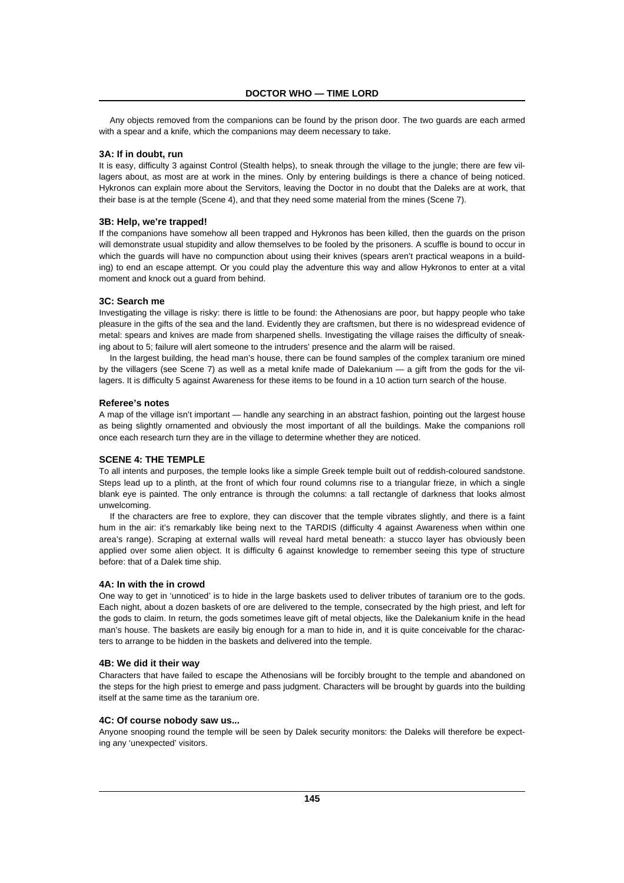Any objects removed from the companions can be found by the prison door. The two guards are each armed with a spear and a knife, which the companions may deem necessary to take.

## **3A: If in doubt, run**

It is easy, difficulty 3 against Control (Stealth helps), to sneak through the village to the jungle; there are few villagers about, as most are at work in the mines. Only by entering buildings is there a chance of being noticed. Hykronos can explain more about the Servitors, leaving the Doctor in no doubt that the Daleks are at work, that their base is at the temple (Scene 4), and that they need some material from the mines (Scene 7).

#### **3B: Help, we're trapped!**

If the companions have somehow all been trapped and Hykronos has been killed, then the guards on the prison will demonstrate usual stupidity and allow themselves to be fooled by the prisoners. A scuffle is bound to occur in which the guards will have no compunction about using their knives (spears aren't practical weapons in a building) to end an escape attempt. Or you could play the adventure this way and allow Hykronos to enter at a vital moment and knock out a guard from behind.

# **3C: Search me**

Investigating the village is risky: there is little to be found: the Athenosians are poor, but happy people who take pleasure in the gifts of the sea and the land. Evidently they are craftsmen, but there is no widespread evidence of metal: spears and knives are made from sharpened shells. Investigating the village raises the difficulty of sneaking about to 5; failure will alert someone to the intruders' presence and the alarm will be raised.

In the largest building, the head man's house, there can be found samples of the complex taranium ore mined by the villagers (see Scene 7) as well as a metal knife made of Dalekanium — a gift from the gods for the villagers. It is difficulty 5 against Awareness for these items to be found in a 10 action turn search of the house.

#### **Referee's notes**

A map of the village isn't important — handle any searching in an abstract fashion, pointing out the largest house as being slightly ornamented and obviously the most important of all the buildings. Make the companions roll once each research turn they are in the village to determine whether they are noticed.

#### **SCENE 4: THE TEMPLE**

To all intents and purposes, the temple looks like a simple Greek temple built out of reddish-coloured sandstone. Steps lead up to a plinth, at the front of which four round columns rise to a triangular frieze, in which a single blank eye is painted. The only entrance is through the columns: a tall rectangle of darkness that looks almost unwelcoming.

If the characters are free to explore, they can discover that the temple vibrates slightly, and there is a faint hum in the air: it's remarkably like being next to the TARDIS (difficulty 4 against Awareness when within one area's range). Scraping at external walls will reveal hard metal beneath: a stucco layer has obviously been applied over some alien object. It is difficulty 6 against knowledge to remember seeing this type of structure before: that of a Dalek time ship.

#### **4A: In with the in crowd**

One way to get in 'unnoticed' is to hide in the large baskets used to deliver tributes of taranium ore to the gods. Each night, about a dozen baskets of ore are delivered to the temple, consecrated by the high priest, and left for the gods to claim. In return, the gods sometimes leave gift of metal objects, like the Dalekanium knife in the head man's house. The baskets are easily big enough for a man to hide in, and it is quite conceivable for the characters to arrange to be hidden in the baskets and delivered into the temple.

#### **4B: We did it their way**

Characters that have failed to escape the Athenosians will be forcibly brought to the temple and abandoned on the steps for the high priest to emerge and pass judgment. Characters will be brought by guards into the building itself at the same time as the taranium ore.

#### **4C: Of course nobody saw us...**

Anyone snooping round the temple will be seen by Dalek security monitors: the Daleks will therefore be expecting any 'unexpected' visitors.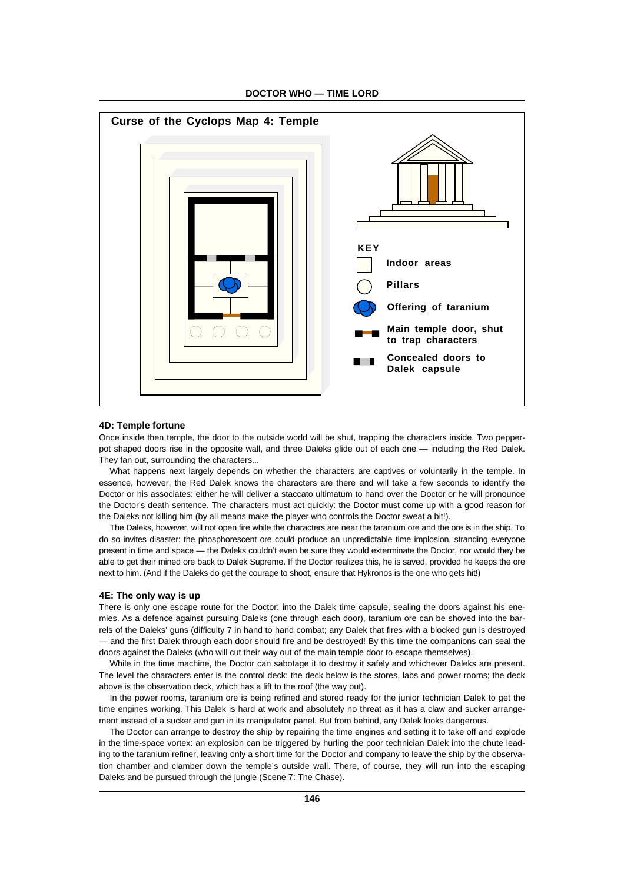

**DOCTOR WHO — TIME LORD**

#### **4D: Temple fortune**

Once inside then temple, the door to the outside world will be shut, trapping the characters inside. Two pepperpot shaped doors rise in the opposite wall, and three Daleks glide out of each one — including the Red Dalek. They fan out, surrounding the characters...

What happens next largely depends on whether the characters are captives or voluntarily in the temple. In essence, however, the Red Dalek knows the characters are there and will take a few seconds to identify the Doctor or his associates: either he will deliver a staccato ultimatum to hand over the Doctor or he will pronounce the Doctor's death sentence. The characters must act quickly: the Doctor must come up with a good reason for the Daleks not killing him (by all means make the player who controls the Doctor sweat a bit!).

The Daleks, however, will not open fire while the characters are near the taranium ore and the ore is in the ship. To do so invites disaster: the phosphorescent ore could produce an unpredictable time implosion, stranding everyone present in time and space — the Daleks couldn't even be sure they would exterminate the Doctor, nor would they be able to get their mined ore back to Dalek Supreme. If the Doctor realizes this, he is saved, provided he keeps the ore next to him. (And if the Daleks do get the courage to shoot, ensure that Hykronos is the one who gets hit!)

#### **4E: The only way is up**

There is only one escape route for the Doctor: into the Dalek time capsule, sealing the doors against his enemies. As a defence against pursuing Daleks (one through each door), taranium ore can be shoved into the barrels of the Daleks' guns (difficulty 7 in hand to hand combat; any Dalek that fires with a blocked gun is destroyed — and the first Dalek through each door should fire and be destroyed! By this time the companions can seal the doors against the Daleks (who will cut their way out of the main temple door to escape themselves).

While in the time machine, the Doctor can sabotage it to destroy it safely and whichever Daleks are present. The level the characters enter is the control deck: the deck below is the stores, labs and power rooms; the deck above is the observation deck, which has a lift to the roof (the way out).

In the power rooms, taranium ore is being refined and stored ready for the junior technician Dalek to get the time engines working. This Dalek is hard at work and absolutely no threat as it has a claw and sucker arrangement instead of a sucker and gun in its manipulator panel. But from behind, any Dalek looks dangerous.

The Doctor can arrange to destroy the ship by repairing the time engines and setting it to take off and explode in the time-space vortex: an explosion can be triggered by hurling the poor technician Dalek into the chute leading to the taranium refiner, leaving only a short time for the Doctor and company to leave the ship by the observation chamber and clamber down the temple's outside wall. There, of course, they will run into the escaping Daleks and be pursued through the jungle (Scene 7: The Chase).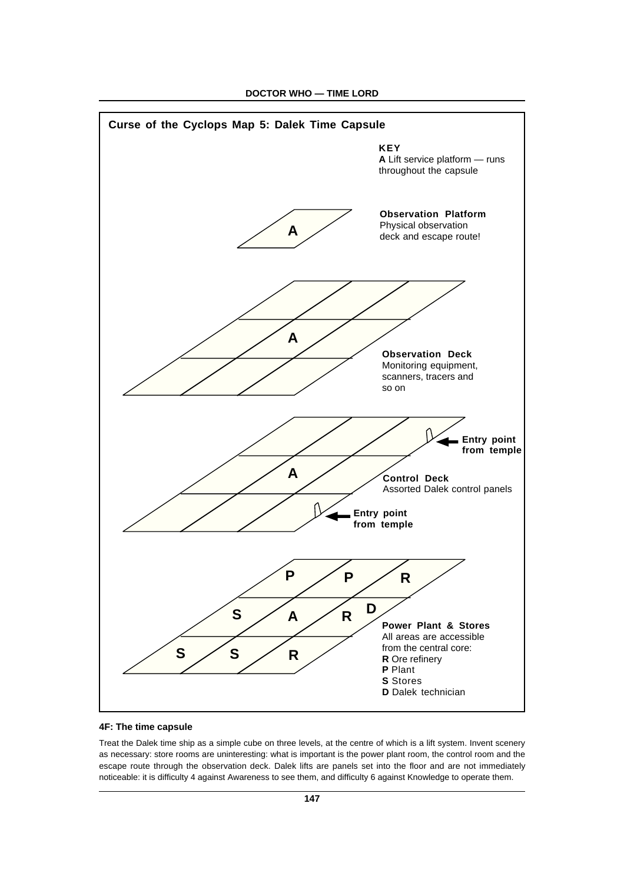

**DOCTOR WHO — TIME LORD**

# **4F: The time capsule**

Treat the Dalek time ship as a simple cube on three levels, at the centre of which is a lift system. Invent scenery as necessary: store rooms are uninteresting: what is important is the power plant room, the control room and the escape route through the observation deck. Dalek lifts are panels set into the floor and are not immediately noticeable: it is difficulty 4 against Awareness to see them, and difficulty 6 against Knowledge to operate them.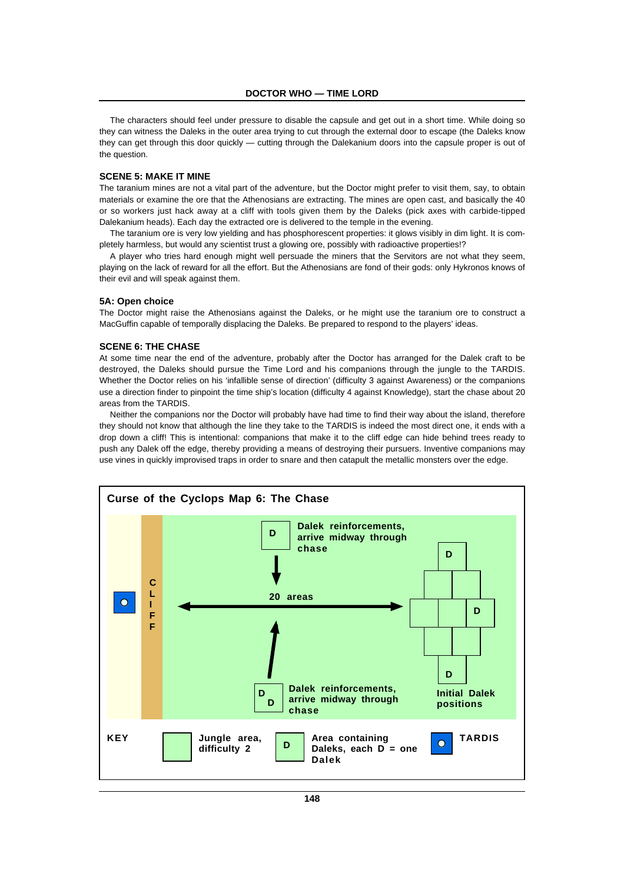The characters should feel under pressure to disable the capsule and get out in a short time. While doing so they can witness the Daleks in the outer area trying to cut through the external door to escape (the Daleks know they can get through this door quickly — cutting through the Dalekanium doors into the capsule proper is out of the question.

# **SCENE 5: MAKE IT MINE**

The taranium mines are not a vital part of the adventure, but the Doctor might prefer to visit them, say, to obtain materials or examine the ore that the Athenosians are extracting. The mines are open cast, and basically the 40 or so workers just hack away at a cliff with tools given them by the Daleks (pick axes with carbide-tipped Dalekanium heads). Each day the extracted ore is delivered to the temple in the evening.

The taranium ore is very low yielding and has phosphorescent properties: it glows visibly in dim light. It is completely harmless, but would any scientist trust a glowing ore, possibly with radioactive properties!?

A player who tries hard enough might well persuade the miners that the Servitors are not what they seem, playing on the lack of reward for all the effort. But the Athenosians are fond of their gods: only Hykronos knows of their evil and will speak against them.

#### **5A: Open choice**

The Doctor might raise the Athenosians against the Daleks, or he might use the taranium ore to construct a MacGuffin capable of temporally displacing the Daleks. Be prepared to respond to the players' ideas.

#### **SCENE 6: THE CHASE**

At some time near the end of the adventure, probably after the Doctor has arranged for the Dalek craft to be destroyed, the Daleks should pursue the Time Lord and his companions through the jungle to the TARDIS. Whether the Doctor relies on his 'infallible sense of direction' (difficulty 3 against Awareness) or the companions use a direction finder to pinpoint the time ship's location (difficulty 4 against Knowledge), start the chase about 20 areas from the TARDIS.

Neither the companions nor the Doctor will probably have had time to find their way about the island, therefore they should not know that although the line they take to the TARDIS is indeed the most direct one, it ends with a drop down a cliff! This is intentional: companions that make it to the cliff edge can hide behind trees ready to push any Dalek off the edge, thereby providing a means of destroying their pursuers. Inventive companions may use vines in quickly improvised traps in order to snare and then catapult the metallic monsters over the edge.

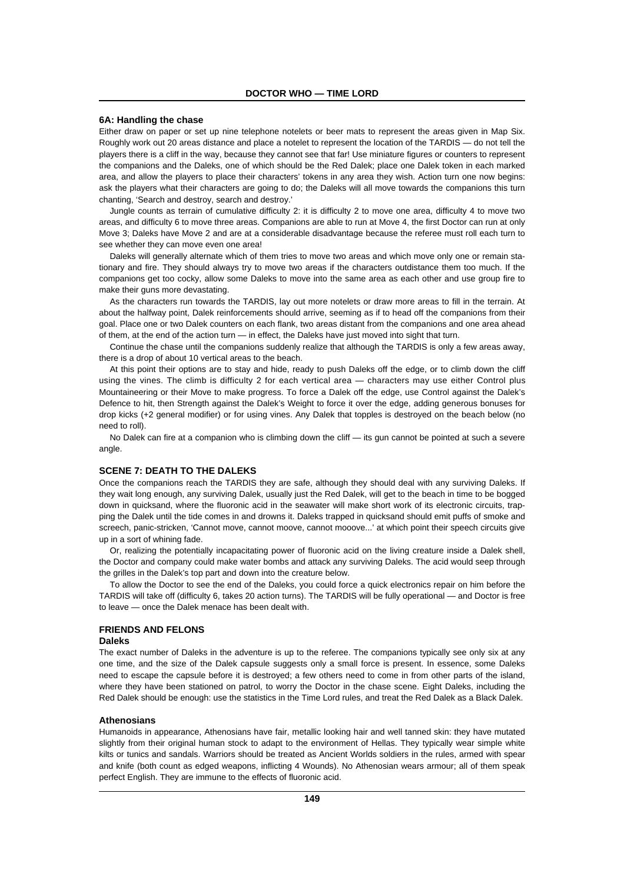# **6A: Handling the chase**

Either draw on paper or set up nine telephone notelets or beer mats to represent the areas given in Map Six. Roughly work out 20 areas distance and place a notelet to represent the location of the TARDIS — do not tell the players there is a cliff in the way, because they cannot see that far! Use miniature figures or counters to represent the companions and the Daleks, one of which should be the Red Dalek; place one Dalek token in each marked area, and allow the players to place their characters' tokens in any area they wish. Action turn one now begins: ask the players what their characters are going to do; the Daleks will all move towards the companions this turn chanting, 'Search and destroy, search and destroy.'

Jungle counts as terrain of cumulative difficulty 2: it is difficulty 2 to move one area, difficulty 4 to move two areas, and difficulty 6 to move three areas. Companions are able to run at Move 4, the first Doctor can run at only Move 3; Daleks have Move 2 and are at a considerable disadvantage because the referee must roll each turn to see whether they can move even one area!

Daleks will generally alternate which of them tries to move two areas and which move only one or remain stationary and fire. They should always try to move two areas if the characters outdistance them too much. If the companions get too cocky, allow some Daleks to move into the same area as each other and use group fire to make their guns more devastating.

As the characters run towards the TARDIS, lay out more notelets or draw more areas to fill in the terrain. At about the halfway point, Dalek reinforcements should arrive, seeming as if to head off the companions from their goal. Place one or two Dalek counters on each flank, two areas distant from the companions and one area ahead of them, at the end of the action turn — in effect, the Daleks have just moved into sight that turn.

Continue the chase until the companions suddenly realize that although the TARDIS is only a few areas away, there is a drop of about 10 vertical areas to the beach.

At this point their options are to stay and hide, ready to push Daleks off the edge, or to climb down the cliff using the vines. The climb is difficulty 2 for each vertical area — characters may use either Control plus Mountaineering or their Move to make progress. To force a Dalek off the edge, use Control against the Dalek's Defence to hit, then Strength against the Dalek's Weight to force it over the edge, adding generous bonuses for drop kicks (+2 general modifier) or for using vines. Any Dalek that topples is destroyed on the beach below (no need to roll).

No Dalek can fire at a companion who is climbing down the cliff — its gun cannot be pointed at such a severe angle.

# **SCENE 7: DEATH TO THE DALEKS**

Once the companions reach the TARDIS they are safe, although they should deal with any surviving Daleks. If they wait long enough, any surviving Dalek, usually just the Red Dalek, will get to the beach in time to be bogged down in quicksand, where the fluoronic acid in the seawater will make short work of its electronic circuits, trapping the Dalek until the tide comes in and drowns it. Daleks trapped in quicksand should emit puffs of smoke and screech, panic-stricken, 'Cannot move, cannot moove, cannot mooove...' at which point their speech circuits give up in a sort of whining fade.

Or, realizing the potentially incapacitating power of fluoronic acid on the living creature inside a Dalek shell, the Doctor and company could make water bombs and attack any surviving Daleks. The acid would seep through the grilles in the Dalek's top part and down into the creature below.

To allow the Doctor to see the end of the Daleks, you could force a quick electronics repair on him before the TARDIS will take off (difficulty 6, takes 20 action turns). The TARDIS will be fully operational — and Doctor is free to leave — once the Dalek menace has been dealt with.

# **FRIENDS AND FELONS**

#### **Daleks**

The exact number of Daleks in the adventure is up to the referee. The companions typically see only six at any one time, and the size of the Dalek capsule suggests only a small force is present. In essence, some Daleks need to escape the capsule before it is destroyed; a few others need to come in from other parts of the island, where they have been stationed on patrol, to worry the Doctor in the chase scene. Eight Daleks, including the Red Dalek should be enough: use the statistics in the Time Lord rules, and treat the Red Dalek as a Black Dalek.

#### **Athenosians**

Humanoids in appearance, Athenosians have fair, metallic looking hair and well tanned skin: they have mutated slightly from their original human stock to adapt to the environment of Hellas. They typically wear simple white kilts or tunics and sandals. Warriors should be treated as Ancient Worlds soldiers in the rules, armed with spear and knife (both count as edged weapons, inflicting 4 Wounds). No Athenosian wears armour; all of them speak perfect English. They are immune to the effects of fluoronic acid.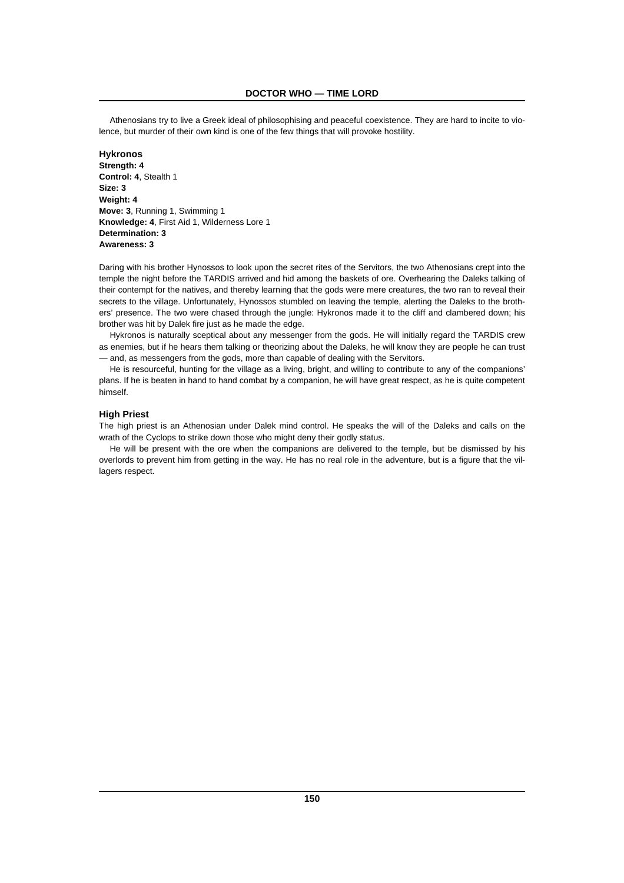Athenosians try to live a Greek ideal of philosophising and peaceful coexistence. They are hard to incite to violence, but murder of their own kind is one of the few things that will provoke hostility.

# **Hykronos Strength: 4 Control: 4**, Stealth 1 **Size: 3 Weight: 4 Move: 3**, Running 1, Swimming 1 **Knowledge: 4**, First Aid 1, Wilderness Lore 1 **Determination: 3 Awareness: 3**

Daring with his brother Hynossos to look upon the secret rites of the Servitors, the two Athenosians crept into the temple the night before the TARDIS arrived and hid among the baskets of ore. Overhearing the Daleks talking of their contempt for the natives, and thereby learning that the gods were mere creatures, the two ran to reveal their secrets to the village. Unfortunately, Hynossos stumbled on leaving the temple, alerting the Daleks to the brothers' presence. The two were chased through the jungle: Hykronos made it to the cliff and clambered down; his brother was hit by Dalek fire just as he made the edge.

Hykronos is naturally sceptical about any messenger from the gods. He will initially regard the TARDIS crew as enemies, but if he hears them talking or theorizing about the Daleks, he will know they are people he can trust — and, as messengers from the gods, more than capable of dealing with the Servitors.

He is resourceful, hunting for the village as a living, bright, and willing to contribute to any of the companions' plans. If he is beaten in hand to hand combat by a companion, he will have great respect, as he is quite competent himself.

# **High Priest**

The high priest is an Athenosian under Dalek mind control. He speaks the will of the Daleks and calls on the wrath of the Cyclops to strike down those who might deny their godly status.

He will be present with the ore when the companions are delivered to the temple, but be dismissed by his overlords to prevent him from getting in the way. He has no real role in the adventure, but is a figure that the villagers respect.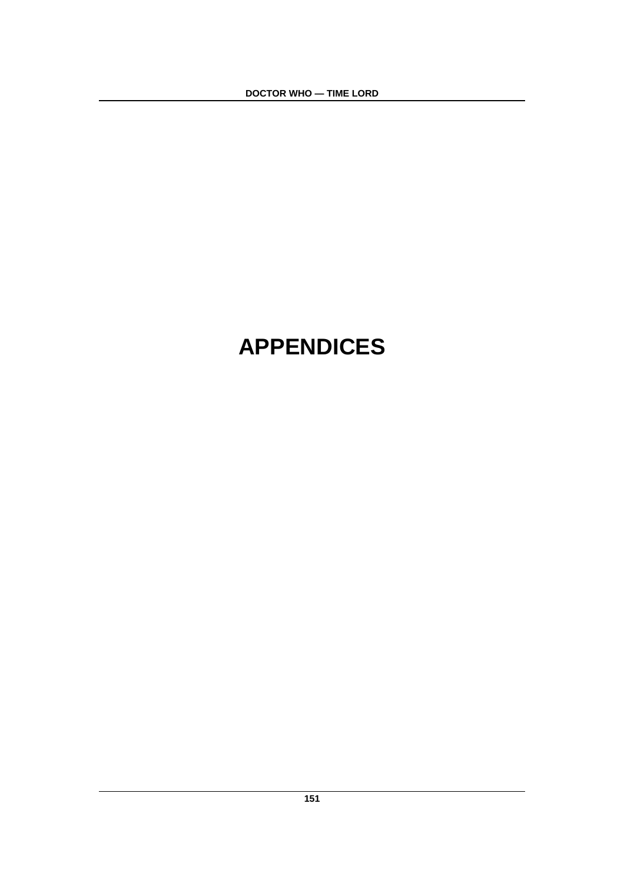**DOCTOR WHO — TIME LORD**

# **APPENDICES**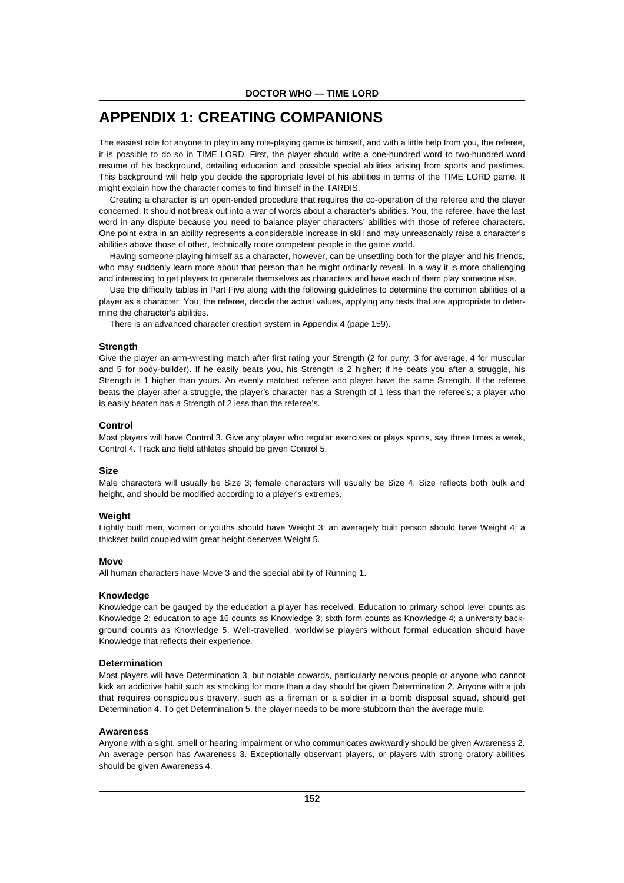# **APPENDIX 1: CREATING COMPANIONS**

The easiest role for anyone to play in any role-playing game is himself, and with a little help from you, the referee, it is possible to do so in TIME LORD. First, the player should write a one-hundred word to two-hundred word resume of his background, detailing education and possible special abilities arising from sports and pastimes. This background will help you decide the appropriate level of his abilities in terms of the TIME LORD game. It might explain how the character comes to find himself in the TARDIS.

Creating a character is an open-ended procedure that requires the co-operation of the referee and the player concerned. It should not break out into a war of words about a character's abilities. You, the referee, have the last word in any dispute because you need to balance player characters' abilities with those of referee characters. One point extra in an ability represents a considerable increase in skill and may unreasonably raise a character's abilities above those of other, technically more competent people in the game world.

Having someone playing himself as a character, however, can be unsettling both for the player and his friends, who may suddenly learn more about that person than he might ordinarily reveal. In a way it is more challenging and interesting to get players to generate themselves as characters and have each of them play someone else.

Use the difficulty tables in Part Five along with the following guidelines to determine the common abilities of a player as a character. You, the referee, decide the actual values, applying any tests that are appropriate to determine the character's abilities.

There is an advanced character creation system in Appendix 4 (page 159).

#### **Strength**

Give the player an arm-wrestling match after first rating your Strength (2 for puny, 3 for average, 4 for muscular and 5 for body-builder). If he easily beats you, his Strength is 2 higher; if he beats you after a struggle, his Strength is 1 higher than yours. An evenly matched referee and player have the same Strength. If the referee beats the player after a struggle, the player's character has a Strength of 1 less than the referee's; a player who is easily beaten has a Strength of 2 less than the referee's.

#### **Control**

Most players will have Control 3. Give any player who regular exercises or plays sports, say three times a week, Control 4. Track and field athletes should be given Control 5.

#### **Size**

Male characters will usually be Size 3; female characters will usually be Size 4. Size reflects both bulk and height, and should be modified according to a player's extremes.

#### **Weight**

Lightly built men, women or youths should have Weight 3; an averagely built person should have Weight 4; a thickset build coupled with great height deserves Weight 5.

#### **Move**

All human characters have Move 3 and the special ability of Running 1.

#### **Knowledge**

Knowledge can be gauged by the education a player has received. Education to primary school level counts as Knowledge 2; education to age 16 counts as Knowledge 3; sixth form counts as Knowledge 4; a university background counts as Knowledge 5. Well-travelled, worldwise players without formal education should have Knowledge that reflects their experience.

## **Determination**

Most players will have Determination 3, but notable cowards, particularly nervous people or anyone who cannot kick an addictive habit such as smoking for more than a day should be given Determination 2. Anyone with a job that requires conspicuous bravery, such as a fireman or a soldier in a bomb disposal squad, should get Determination 4. To get Determination 5, the player needs to be more stubborn than the average mule.

#### **Awareness**

Anyone with a sight, smell or hearing impairment or who communicates awkwardly should be given Awareness 2. An average person has Awareness 3. Exceptionally observant players, or players with strong oratory abilities should be given Awareness 4.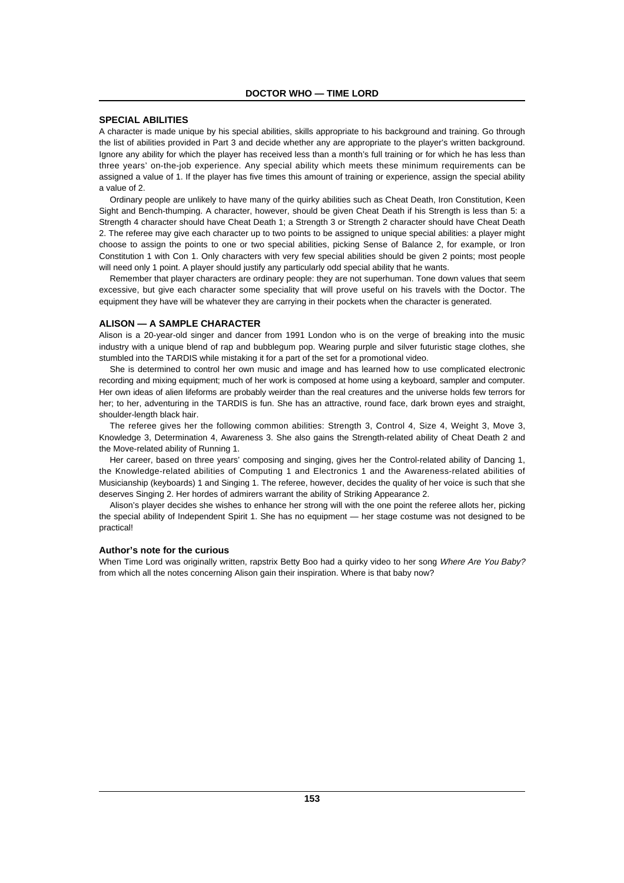#### **SPECIAL ABILITIES**

A character is made unique by his special abilities, skills appropriate to his background and training. Go through the list of abilities provided in Part 3 and decide whether any are appropriate to the player's written background. Ignore any ability for which the player has received less than a month's full training or for which he has less than three years' on-the-job experience. Any special ability which meets these minimum requirements can be assigned a value of 1. If the player has five times this amount of training or experience, assign the special ability a value of 2.

Ordinary people are unlikely to have many of the quirky abilities such as Cheat Death, Iron Constitution, Keen Sight and Bench-thumping. A character, however, should be given Cheat Death if his Strength is less than 5: a Strength 4 character should have Cheat Death 1; a Strength 3 or Strength 2 character should have Cheat Death 2. The referee may give each character up to two points to be assigned to unique special abilities: a player might choose to assign the points to one or two special abilities, picking Sense of Balance 2, for example, or Iron Constitution 1 with Con 1. Only characters with very few special abilities should be given 2 points; most people will need only 1 point. A player should justify any particularly odd special ability that he wants.

Remember that player characters are ordinary people: they are not superhuman. Tone down values that seem excessive, but give each character some speciality that will prove useful on his travels with the Doctor. The equipment they have will be whatever they are carrying in their pockets when the character is generated.

#### **ALISON — A SAMPLE CHARACTER**

Alison is a 20-year-old singer and dancer from 1991 London who is on the verge of breaking into the music industry with a unique blend of rap and bubblegum pop. Wearing purple and silver futuristic stage clothes, she stumbled into the TARDIS while mistaking it for a part of the set for a promotional video.

She is determined to control her own music and image and has learned how to use complicated electronic recording and mixing equipment; much of her work is composed at home using a keyboard, sampler and computer. Her own ideas of alien lifeforms are probably weirder than the real creatures and the universe holds few terrors for her; to her, adventuring in the TARDIS is fun. She has an attractive, round face, dark brown eyes and straight, shoulder-length black hair.

The referee gives her the following common abilities: Strength 3, Control 4, Size 4, Weight 3, Move 3, Knowledge 3, Determination 4, Awareness 3. She also gains the Strength-related ability of Cheat Death 2 and the Move-related ability of Running 1.

Her career, based on three years' composing and singing, gives her the Control-related ability of Dancing 1, the Knowledge-related abilities of Computing 1 and Electronics 1 and the Awareness-related abilities of Musicianship (keyboards) 1 and Singing 1. The referee, however, decides the quality of her voice is such that she deserves Singing 2. Her hordes of admirers warrant the ability of Striking Appearance 2.

Alison's player decides she wishes to enhance her strong will with the one point the referee allots her, picking the special ability of Independent Spirit 1. She has no equipment — her stage costume was not designed to be practical!

#### **Author's note for the curious**

When Time Lord was originally written, rapstrix Betty Boo had a quirky video to her song Where Are You Baby? from which all the notes concerning Alison gain their inspiration. Where is that baby now?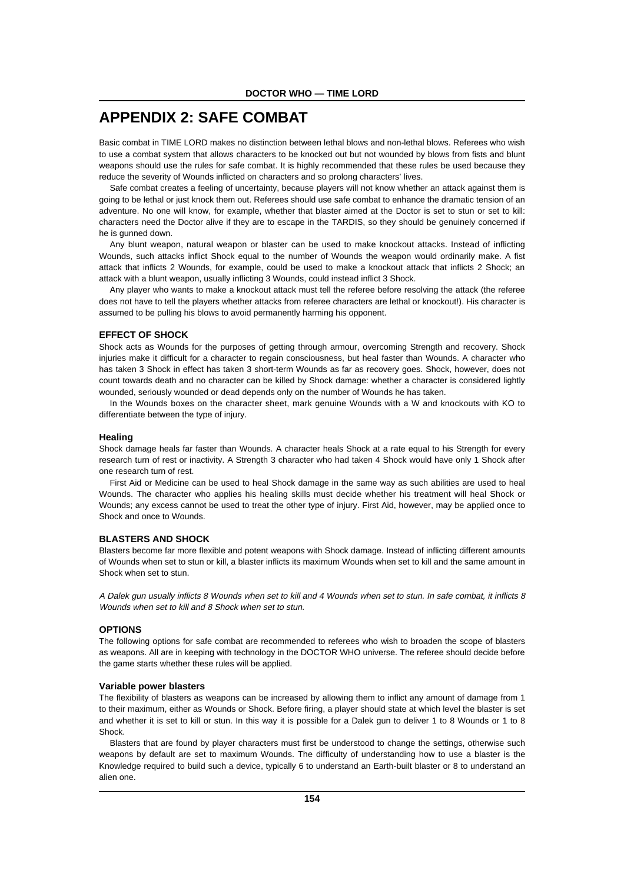# **APPENDIX 2: SAFE COMBAT**

Basic combat in TIME LORD makes no distinction between lethal blows and non-lethal blows. Referees who wish to use a combat system that allows characters to be knocked out but not wounded by blows from fists and blunt weapons should use the rules for safe combat. It is highly recommended that these rules be used because they reduce the severity of Wounds inflicted on characters and so prolong characters' lives.

Safe combat creates a feeling of uncertainty, because players will not know whether an attack against them is going to be lethal or just knock them out. Referees should use safe combat to enhance the dramatic tension of an adventure. No one will know, for example, whether that blaster aimed at the Doctor is set to stun or set to kill: characters need the Doctor alive if they are to escape in the TARDIS, so they should be genuinely concerned if he is gunned down.

Any blunt weapon, natural weapon or blaster can be used to make knockout attacks. Instead of inflicting Wounds, such attacks inflict Shock equal to the number of Wounds the weapon would ordinarily make. A fist attack that inflicts 2 Wounds, for example, could be used to make a knockout attack that inflicts 2 Shock; an attack with a blunt weapon, usually inflicting 3 Wounds, could instead inflict 3 Shock.

Any player who wants to make a knockout attack must tell the referee before resolving the attack (the referee does not have to tell the players whether attacks from referee characters are lethal or knockout!). His character is assumed to be pulling his blows to avoid permanently harming his opponent.

#### **EFFECT OF SHOCK**

Shock acts as Wounds for the purposes of getting through armour, overcoming Strength and recovery. Shock injuries make it difficult for a character to regain consciousness, but heal faster than Wounds. A character who has taken 3 Shock in effect has taken 3 short-term Wounds as far as recovery goes. Shock, however, does not count towards death and no character can be killed by Shock damage: whether a character is considered lightly wounded, seriously wounded or dead depends only on the number of Wounds he has taken.

In the Wounds boxes on the character sheet, mark genuine Wounds with a W and knockouts with KO to differentiate between the type of injury.

#### **Healing**

Shock damage heals far faster than Wounds. A character heals Shock at a rate equal to his Strength for every research turn of rest or inactivity. A Strength 3 character who had taken 4 Shock would have only 1 Shock after one research turn of rest.

First Aid or Medicine can be used to heal Shock damage in the same way as such abilities are used to heal Wounds. The character who applies his healing skills must decide whether his treatment will heal Shock or Wounds; any excess cannot be used to treat the other type of injury. First Aid, however, may be applied once to Shock and once to Wounds.

## **BLASTERS AND SHOCK**

Blasters become far more flexible and potent weapons with Shock damage. Instead of inflicting different amounts of Wounds when set to stun or kill, a blaster inflicts its maximum Wounds when set to kill and the same amount in Shock when set to stun.

A Dalek gun usually inflicts 8 Wounds when set to kill and 4 Wounds when set to stun. In safe combat, it inflicts 8 Wounds when set to kill and 8 Shock when set to stun.

# **OPTIONS**

The following options for safe combat are recommended to referees who wish to broaden the scope of blasters as weapons. All are in keeping with technology in the DOCTOR WHO universe. The referee should decide before the game starts whether these rules will be applied.

#### **Variable power blasters**

The flexibility of blasters as weapons can be increased by allowing them to inflict any amount of damage from 1 to their maximum, either as Wounds or Shock. Before firing, a player should state at which level the blaster is set and whether it is set to kill or stun. In this way it is possible for a Dalek gun to deliver 1 to 8 Wounds or 1 to 8 Shock.

Blasters that are found by player characters must first be understood to change the settings, otherwise such weapons by default are set to maximum Wounds. The difficulty of understanding how to use a blaster is the Knowledge required to build such a device, typically 6 to understand an Earth-built blaster or 8 to understand an alien one.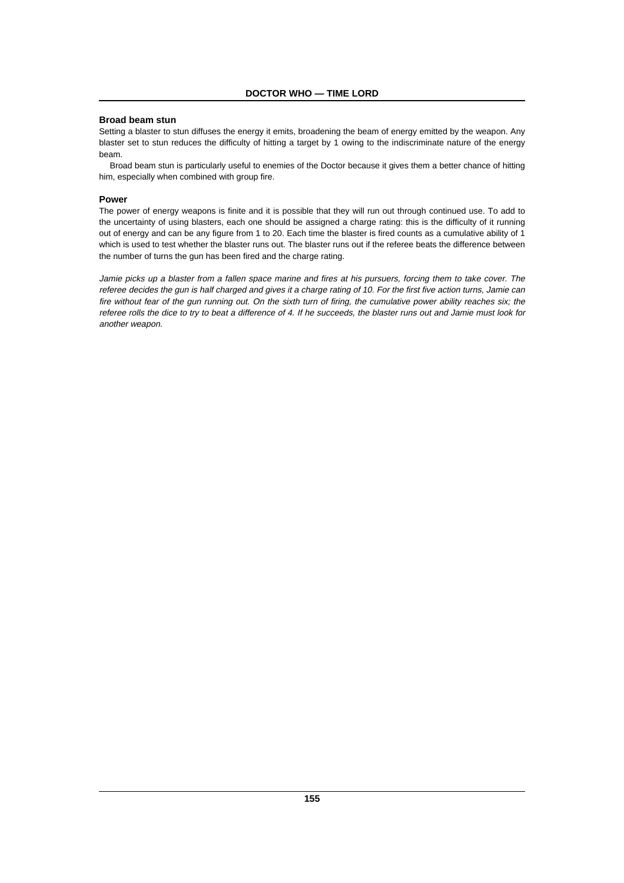# **Broad beam stun**

Setting a blaster to stun diffuses the energy it emits, broadening the beam of energy emitted by the weapon. Any blaster set to stun reduces the difficulty of hitting a target by 1 owing to the indiscriminate nature of the energy beam.

Broad beam stun is particularly useful to enemies of the Doctor because it gives them a better chance of hitting him, especially when combined with group fire.

#### **Power**

The power of energy weapons is finite and it is possible that they will run out through continued use. To add to the uncertainty of using blasters, each one should be assigned a charge rating: this is the difficulty of it running out of energy and can be any figure from 1 to 20. Each time the blaster is fired counts as a cumulative ability of 1 which is used to test whether the blaster runs out. The blaster runs out if the referee beats the difference between the number of turns the gun has been fired and the charge rating.

Jamie picks up a blaster from a fallen space marine and fires at his pursuers, forcing them to take cover. The referee decides the gun is half charged and gives it a charge rating of 10. For the first five action turns, Jamie can fire without fear of the gun running out. On the sixth turn of firing, the cumulative power ability reaches six; the referee rolls the dice to try to beat a difference of 4. If he succeeds, the blaster runs out and Jamie must look for another weapon.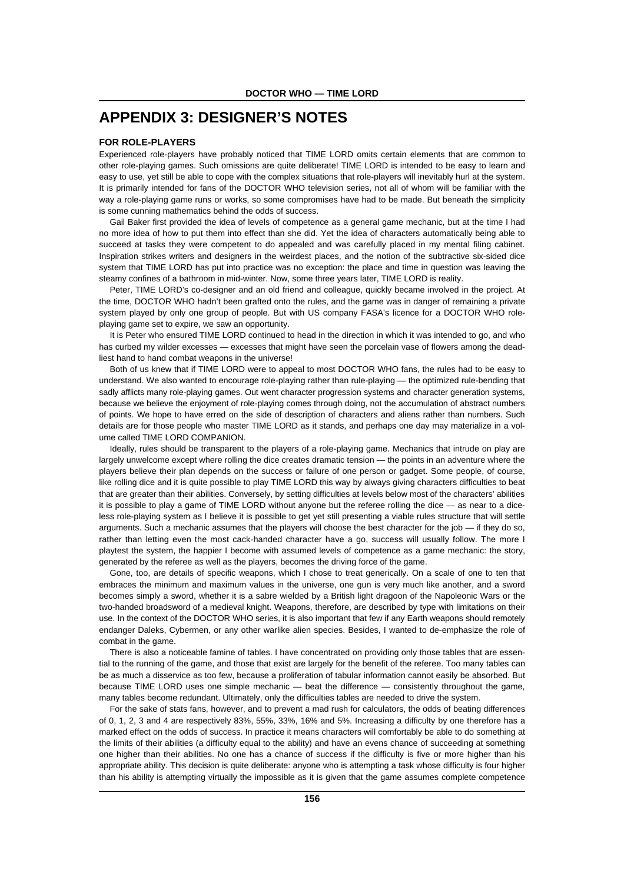# **APPENDIX 3: DESIGNER'S NOTES**

# **FOR ROLE-PLAYERS**

Experienced role-players have probably noticed that TIME LORD omits certain elements that are common to other role-playing games. Such omissions are quite deliberate! TIME LORD is intended to be easy to learn and easy to use, yet still be able to cope with the complex situations that role-players will inevitably hurl at the system. It is primarily intended for fans of the DOCTOR WHO television series, not all of whom will be familiar with the way a role-playing game runs or works, so some compromises have had to be made. But beneath the simplicity is some cunning mathematics behind the odds of success.

Gail Baker first provided the idea of levels of competence as a general game mechanic, but at the time I had no more idea of how to put them into effect than she did. Yet the idea of characters automatically being able to succeed at tasks they were competent to do appealed and was carefully placed in my mental filing cabinet. Inspiration strikes writers and designers in the weirdest places, and the notion of the subtractive six-sided dice system that TIME LORD has put into practice was no exception: the place and time in question was leaving the steamy confines of a bathroom in mid-winter. Now, some three years later, TIME LORD is reality.

Peter, TIME LORD's co-designer and an old friend and colleague, quickly became involved in the project. At the time, DOCTOR WHO hadn't been grafted onto the rules, and the game was in danger of remaining a private system played by only one group of people. But with US company FASA's licence for a DOCTOR WHO roleplaying game set to expire, we saw an opportunity.

It is Peter who ensured TIME LORD continued to head in the direction in which it was intended to go, and who has curbed my wilder excesses — excesses that might have seen the porcelain vase of flowers among the deadliest hand to hand combat weapons in the universe!

Both of us knew that if TIME LORD were to appeal to most DOCTOR WHO fans, the rules had to be easy to understand. We also wanted to encourage role-playing rather than rule-playing — the optimized rule-bending that sadly afflicts many role-playing games. Out went character progression systems and character generation systems, because we believe the enjoyment of role-playing comes through doing, not the accumulation of abstract numbers of points. We hope to have erred on the side of description of characters and aliens rather than numbers. Such details are for those people who master TIME LORD as it stands, and perhaps one day may materialize in a volume called TIME LORD COMPANION.

Ideally, rules should be transparent to the players of a role-playing game. Mechanics that intrude on play are largely unwelcome except where rolling the dice creates dramatic tension — the points in an adventure where the players believe their plan depends on the success or failure of one person or gadget. Some people, of course, like rolling dice and it is quite possible to play TIME LORD this way by always giving characters difficulties to beat that are greater than their abilities. Conversely, by setting difficulties at levels below most of the characters' abilities it is possible to play a game of TIME LORD without anyone but the referee rolling the dice — as near to a diceless role-playing system as I believe it is possible to get yet still presenting a viable rules structure that will settle arguments. Such a mechanic assumes that the players will choose the best character for the job — if they do so, rather than letting even the most cack-handed character have a go, success will usually follow. The more I playtest the system, the happier I become with assumed levels of competence as a game mechanic: the story, generated by the referee as well as the players, becomes the driving force of the game.

Gone, too, are details of specific weapons, which I chose to treat generically. On a scale of one to ten that embraces the minimum and maximum values in the universe, one gun is very much like another, and a sword becomes simply a sword, whether it is a sabre wielded by a British light dragoon of the Napoleonic Wars or the two-handed broadsword of a medieval knight. Weapons, therefore, are described by type with limitations on their use. In the context of the DOCTOR WHO series, it is also important that few if any Earth weapons should remotely endanger Daleks, Cybermen, or any other warlike alien species. Besides, I wanted to de-emphasize the role of combat in the game.

There is also a noticeable famine of tables. I have concentrated on providing only those tables that are essential to the running of the game, and those that exist are largely for the benefit of the referee. Too many tables can be as much a disservice as too few, because a proliferation of tabular information cannot easily be absorbed. But because TIME LORD uses one simple mechanic — beat the difference — consistently throughout the game, many tables become redundant. Ultimately, only the difficulties tables are needed to drive the system.

For the sake of stats fans, however, and to prevent a mad rush for calculators, the odds of beating differences of 0, 1, 2, 3 and 4 are respectively 83%, 55%, 33%, 16% and 5%. Increasing a difficulty by one therefore has a marked effect on the odds of success. In practice it means characters will comfortably be able to do something at the limits of their abilities (a difficulty equal to the ability) and have an evens chance of succeeding at something one higher than their abilities. No one has a chance of success if the difficulty is five or more higher than his appropriate ability. This decision is quite deliberate: anyone who is attempting a task whose difficulty is four higher than his ability is attempting virtually the impossible as it is given that the game assumes complete competence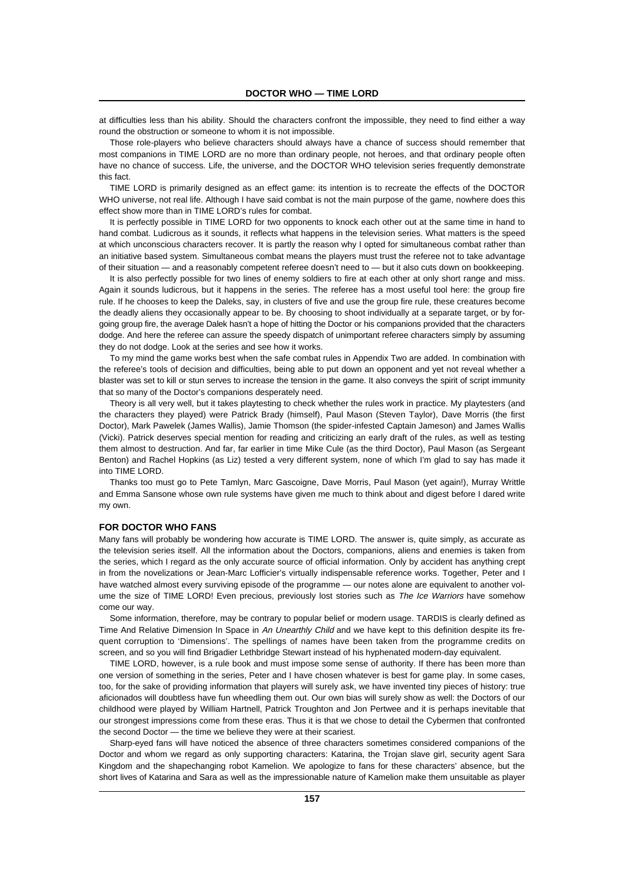at difficulties less than his ability. Should the characters confront the impossible, they need to find either a way round the obstruction or someone to whom it is not impossible.

Those role-players who believe characters should always have a chance of success should remember that most companions in TIME LORD are no more than ordinary people, not heroes, and that ordinary people often have no chance of success. Life, the universe, and the DOCTOR WHO television series frequently demonstrate this fact.

TIME LORD is primarily designed as an effect game: its intention is to recreate the effects of the DOCTOR WHO universe, not real life. Although I have said combat is not the main purpose of the game, nowhere does this effect show more than in TIME LORD's rules for combat.

It is perfectly possible in TIME LORD for two opponents to knock each other out at the same time in hand to hand combat. Ludicrous as it sounds, it reflects what happens in the television series. What matters is the speed at which unconscious characters recover. It is partly the reason why I opted for simultaneous combat rather than an initiative based system. Simultaneous combat means the players must trust the referee not to take advantage of their situation — and a reasonably competent referee doesn't need to — but it also cuts down on bookkeeping.

It is also perfectly possible for two lines of enemy soldiers to fire at each other at only short range and miss. Again it sounds ludicrous, but it happens in the series. The referee has a most useful tool here: the group fire rule. If he chooses to keep the Daleks, say, in clusters of five and use the group fire rule, these creatures become the deadly aliens they occasionally appear to be. By choosing to shoot individually at a separate target, or by forgoing group fire, the average Dalek hasn't a hope of hitting the Doctor or his companions provided that the characters dodge. And here the referee can assure the speedy dispatch of unimportant referee characters simply by assuming they do not dodge. Look at the series and see how it works.

To my mind the game works best when the safe combat rules in Appendix Two are added. In combination with the referee's tools of decision and difficulties, being able to put down an opponent and yet not reveal whether a blaster was set to kill or stun serves to increase the tension in the game. It also conveys the spirit of script immunity that so many of the Doctor's companions desperately need.

Theory is all very well, but it takes playtesting to check whether the rules work in practice. My playtesters (and the characters they played) were Patrick Brady (himself), Paul Mason (Steven Taylor), Dave Morris (the first Doctor), Mark Pawelek (James Wallis), Jamie Thomson (the spider-infested Captain Jameson) and James Wallis (Vicki). Patrick deserves special mention for reading and criticizing an early draft of the rules, as well as testing them almost to destruction. And far, far earlier in time Mike Cule (as the third Doctor), Paul Mason (as Sergeant Benton) and Rachel Hopkins (as Liz) tested a very different system, none of which I'm glad to say has made it into TIME LORD.

Thanks too must go to Pete Tamlyn, Marc Gascoigne, Dave Morris, Paul Mason (yet again!), Murray Writtle and Emma Sansone whose own rule systems have given me much to think about and digest before I dared write my own.

#### **FOR DOCTOR WHO FANS**

Many fans will probably be wondering how accurate is TIME LORD. The answer is, quite simply, as accurate as the television series itself. All the information about the Doctors, companions, aliens and enemies is taken from the series, which I regard as the only accurate source of official information. Only by accident has anything crept in from the novelizations or Jean-Marc Lofficier's virtually indispensable reference works. Together, Peter and I have watched almost every surviving episode of the programme — our notes alone are equivalent to another volume the size of TIME LORD! Even precious, previously lost stories such as The Ice Warriors have somehow come our way.

Some information, therefore, may be contrary to popular belief or modern usage. TARDIS is clearly defined as Time And Relative Dimension In Space in An Unearthly Child and we have kept to this definition despite its frequent corruption to 'Dimensions'. The spellings of names have been taken from the programme credits on screen, and so you will find Brigadier Lethbridge Stewart instead of his hyphenated modern-day equivalent.

TIME LORD, however, is a rule book and must impose some sense of authority. If there has been more than one version of something in the series, Peter and I have chosen whatever is best for game play. In some cases, too, for the sake of providing information that players will surely ask, we have invented tiny pieces of history: true aficionados will doubtless have fun wheedling them out. Our own bias will surely show as well: the Doctors of our childhood were played by William Hartnell, Patrick Troughton and Jon Pertwee and it is perhaps inevitable that our strongest impressions come from these eras. Thus it is that we chose to detail the Cybermen that confronted the second Doctor — the time we believe they were at their scariest.

Sharp-eyed fans will have noticed the absence of three characters sometimes considered companions of the Doctor and whom we regard as only supporting characters: Katarina, the Trojan slave girl, security agent Sara Kingdom and the shapechanging robot Kamelion. We apologize to fans for these characters' absence, but the short lives of Katarina and Sara as well as the impressionable nature of Kamelion make them unsuitable as player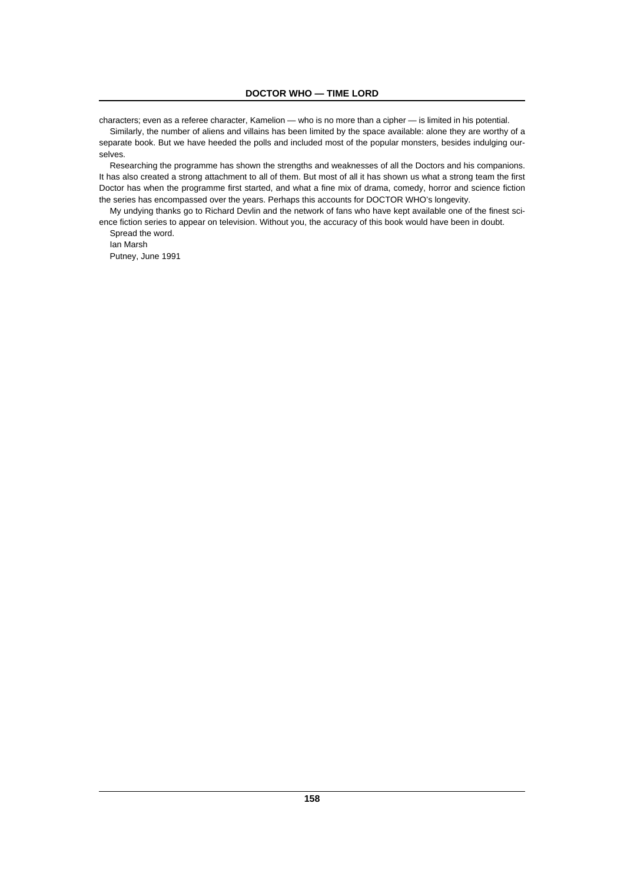characters; even as a referee character, Kamelion — who is no more than a cipher — is limited in his potential.

Similarly, the number of aliens and villains has been limited by the space available: alone they are worthy of a separate book. But we have heeded the polls and included most of the popular monsters, besides indulging ourselves.

Researching the programme has shown the strengths and weaknesses of all the Doctors and his companions. It has also created a strong attachment to all of them. But most of all it has shown us what a strong team the first Doctor has when the programme first started, and what a fine mix of drama, comedy, horror and science fiction the series has encompassed over the years. Perhaps this accounts for DOCTOR WHO's longevity.

My undying thanks go to Richard Devlin and the network of fans who have kept available one of the finest science fiction series to appear on television. Without you, the accuracy of this book would have been in doubt. Spread the word.

Ian Marsh

Putney, June 1991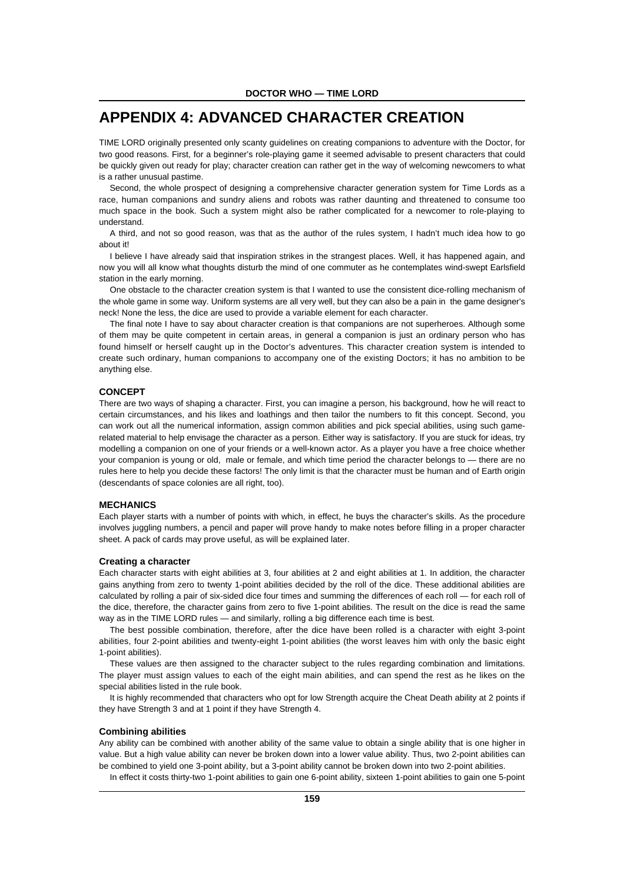# **APPENDIX 4: ADVANCED CHARACTER CREATION**

TIME LORD originally presented only scanty guidelines on creating companions to adventure with the Doctor, for two good reasons. First, for a beginner's role-playing game it seemed advisable to present characters that could be quickly given out ready for play; character creation can rather get in the way of welcoming newcomers to what is a rather unusual pastime.

Second, the whole prospect of designing a comprehensive character generation system for Time Lords as a race, human companions and sundry aliens and robots was rather daunting and threatened to consume too much space in the book. Such a system might also be rather complicated for a newcomer to role-playing to understand.

A third, and not so good reason, was that as the author of the rules system, I hadn't much idea how to go about it!

I believe I have already said that inspiration strikes in the strangest places. Well, it has happened again, and now you will all know what thoughts disturb the mind of one commuter as he contemplates wind-swept Earlsfield station in the early morning.

One obstacle to the character creation system is that I wanted to use the consistent dice-rolling mechanism of the whole game in some way. Uniform systems are all very well, but they can also be a pain in the game designer's neck! None the less, the dice are used to provide a variable element for each character.

The final note I have to say about character creation is that companions are not superheroes. Although some of them may be quite competent in certain areas, in general a companion is just an ordinary person who has found himself or herself caught up in the Doctor's adventures. This character creation system is intended to create such ordinary, human companions to accompany one of the existing Doctors; it has no ambition to be anything else.

# **CONCEPT**

There are two ways of shaping a character. First, you can imagine a person, his background, how he will react to certain circumstances, and his likes and loathings and then tailor the numbers to fit this concept. Second, you can work out all the numerical information, assign common abilities and pick special abilities, using such gamerelated material to help envisage the character as a person. Either way is satisfactory. If you are stuck for ideas, try modelling a companion on one of your friends or a well-known actor. As a player you have a free choice whether your companion is young or old, male or female, and which time period the character belongs to — there are no rules here to help you decide these factors! The only limit is that the character must be human and of Earth origin (descendants of space colonies are all right, too).

# **MECHANICS**

Each player starts with a number of points with which, in effect, he buys the character's skills. As the procedure involves juggling numbers, a pencil and paper will prove handy to make notes before filling in a proper character sheet. A pack of cards may prove useful, as will be explained later.

#### **Creating a character**

Each character starts with eight abilities at 3, four abilities at 2 and eight abilities at 1. In addition, the character gains anything from zero to twenty 1-point abilities decided by the roll of the dice. These additional abilities are calculated by rolling a pair of six-sided dice four times and summing the differences of each roll — for each roll of the dice, therefore, the character gains from zero to five 1-point abilities. The result on the dice is read the same way as in the TIME LORD rules — and similarly, rolling a big difference each time is best.

The best possible combination, therefore, after the dice have been rolled is a character with eight 3-point abilities, four 2-point abilities and twenty-eight 1-point abilities (the worst leaves him with only the basic eight 1-point abilities).

These values are then assigned to the character subject to the rules regarding combination and limitations. The player must assign values to each of the eight main abilities, and can spend the rest as he likes on the special abilities listed in the rule book.

It is highly recommended that characters who opt for low Strength acquire the Cheat Death ability at 2 points if they have Strength 3 and at 1 point if they have Strength 4.

#### **Combining abilities**

Any ability can be combined with another ability of the same value to obtain a single ability that is one higher in value. But a high value ability can never be broken down into a lower value ability. Thus, two 2-point abilities can be combined to yield one 3-point ability, but a 3-point ability cannot be broken down into two 2-point abilities.

In effect it costs thirty-two 1-point abilities to gain one 6-point ability, sixteen 1-point abilities to gain one 5-point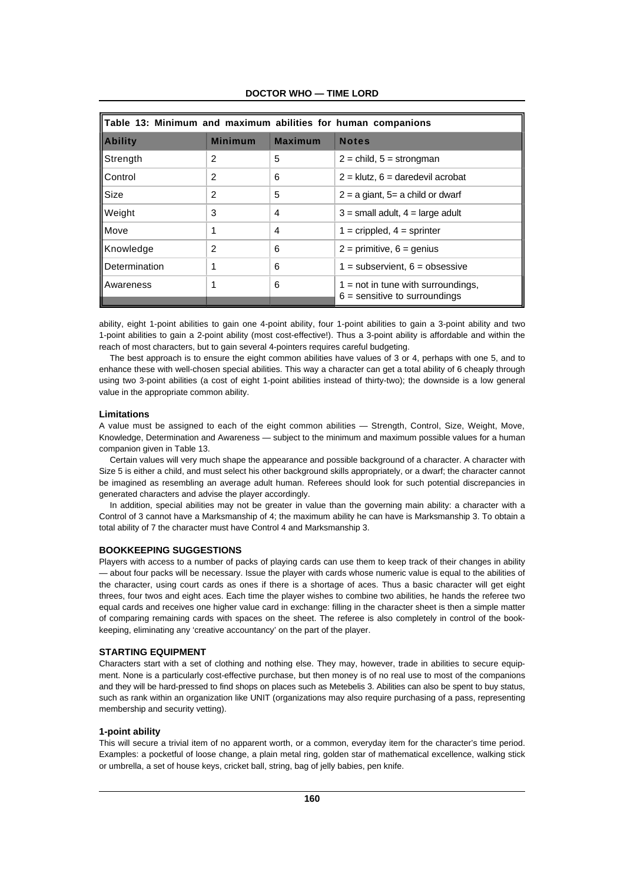| Table 13: Minimum and maximum abilities for human companions |                |                |                                                                         |
|--------------------------------------------------------------|----------------|----------------|-------------------------------------------------------------------------|
| <b>Ability</b>                                               | <b>Minimum</b> | <b>Maximum</b> | <b>Notes</b>                                                            |
| Strength                                                     | 2              | 5              | $2 =$ child, $5 =$ strongman                                            |
| Control                                                      | 2              | 6              | $2 =$ klutz, 6 = daredevil acrobat                                      |
| Size                                                         | 2              | 5              | $2 = a$ giant, $5 = a$ child or dwarf                                   |
| Weight                                                       | 3              | 4              | $3 =$ small adult, $4 =$ large adult                                    |
| Move                                                         | 1              | 4              | $1$ = crippled, $4$ = sprinter                                          |
| Knowledge                                                    | $\mathfrak{p}$ | 6              | $2 =$ primitive, $6 =$ genius                                           |
| Determination                                                | 1              | 6              | $1 =$ subservient, $6 =$ obsessive                                      |
| Awareness                                                    |                | 6              | $1 = not$ in tune with surroundings,<br>$6$ = sensitive to surroundings |

**DOCTOR WHO — TIME LORD**

ability, eight 1-point abilities to gain one 4-point ability, four 1-point abilities to gain a 3-point ability and two 1-point abilities to gain a 2-point ability (most cost-effective!). Thus a 3-point ability is affordable and within the reach of most characters, but to gain several 4-pointers requires careful budgeting.

The best approach is to ensure the eight common abilities have values of 3 or 4, perhaps with one 5, and to enhance these with well-chosen special abilities. This way a character can get a total ability of 6 cheaply through using two 3-point abilities (a cost of eight 1-point abilities instead of thirty-two); the downside is a low general value in the appropriate common ability.

# **Limitations**

A value must be assigned to each of the eight common abilities — Strength, Control, Size, Weight, Move, Knowledge, Determination and Awareness — subject to the minimum and maximum possible values for a human companion given in Table 13.

Certain values will very much shape the appearance and possible background of a character. A character with Size 5 is either a child, and must select his other background skills appropriately, or a dwarf; the character cannot be imagined as resembling an average adult human. Referees should look for such potential discrepancies in generated characters and advise the player accordingly.

In addition, special abilities may not be greater in value than the governing main ability: a character with a Control of 3 cannot have a Marksmanship of 4; the maximum ability he can have is Marksmanship 3. To obtain a total ability of 7 the character must have Control 4 and Marksmanship 3.

# **BOOKKEEPING SUGGESTIONS**

Players with access to a number of packs of playing cards can use them to keep track of their changes in ability — about four packs will be necessary. Issue the player with cards whose numeric value is equal to the abilities of the character, using court cards as ones if there is a shortage of aces. Thus a basic character will get eight threes, four twos and eight aces. Each time the player wishes to combine two abilities, he hands the referee two equal cards and receives one higher value card in exchange: filling in the character sheet is then a simple matter of comparing remaining cards with spaces on the sheet. The referee is also completely in control of the bookkeeping, eliminating any 'creative accountancy' on the part of the player.

# **STARTING EQUIPMENT**

Characters start with a set of clothing and nothing else. They may, however, trade in abilities to secure equipment. None is a particularly cost-effective purchase, but then money is of no real use to most of the companions and they will be hard-pressed to find shops on places such as Metebelis 3. Abilities can also be spent to buy status, such as rank within an organization like UNIT (organizations may also require purchasing of a pass, representing membership and security vetting).

#### **1-point ability**

This will secure a trivial item of no apparent worth, or a common, everyday item for the character's time period. Examples: a pocketful of loose change, a plain metal ring, golden star of mathematical excellence, walking stick or umbrella, a set of house keys, cricket ball, string, bag of jelly babies, pen knife.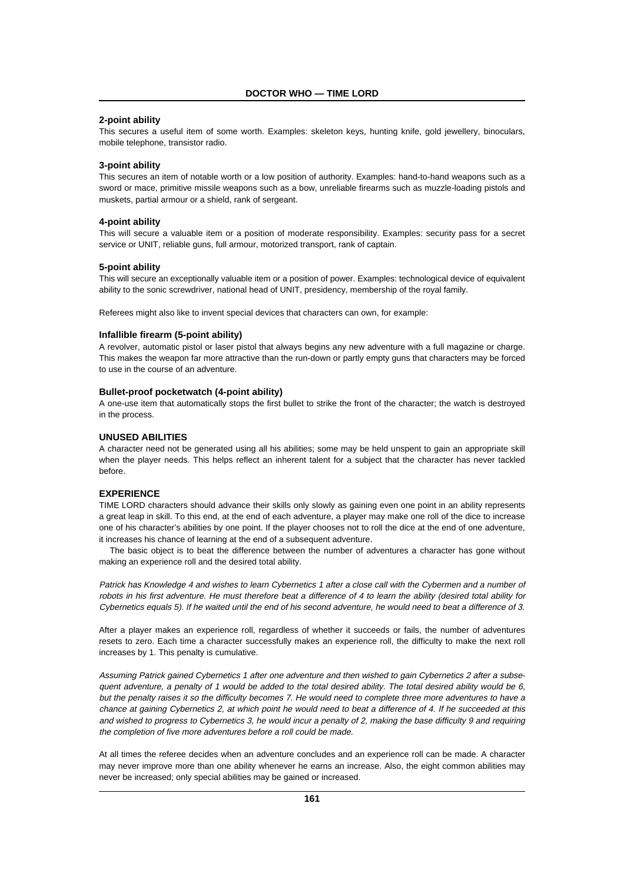# **2-point ability**

This secures a useful item of some worth. Examples: skeleton keys, hunting knife, gold jewellery, binoculars, mobile telephone, transistor radio.

#### **3-point ability**

This secures an item of notable worth or a low position of authority. Examples: hand-to-hand weapons such as a sword or mace, primitive missile weapons such as a bow, unreliable firearms such as muzzle-loading pistols and muskets, partial armour or a shield, rank of sergeant.

#### **4-point ability**

This will secure a valuable item or a position of moderate responsibility. Examples: security pass for a secret service or UNIT, reliable guns, full armour, motorized transport, rank of captain.

#### **5-point ability**

This will secure an exceptionally valuable item or a position of power. Examples: technological device of equivalent ability to the sonic screwdriver, national head of UNIT, presidency, membership of the royal family.

Referees might also like to invent special devices that characters can own, for example:

#### **Infallible firearm (5-point ability)**

A revolver, automatic pistol or laser pistol that always begins any new adventure with a full magazine or charge. This makes the weapon far more attractive than the run-down or partly empty guns that characters may be forced to use in the course of an adventure.

#### **Bullet-proof pocketwatch (4-point ability)**

A one-use item that automatically stops the first bullet to strike the front of the character; the watch is destroyed in the process.

# **UNUSED ABILITIES**

A character need not be generated using all his abilities; some may be held unspent to gain an appropriate skill when the player needs. This helps reflect an inherent talent for a subject that the character has never tackled before.

#### **EXPERIENCE**

TIME LORD characters should advance their skills only slowly as gaining even one point in an ability represents a great leap in skill. To this end, at the end of each adventure, a player may make one roll of the dice to increase one of his character's abilities by one point. If the player chooses not to roll the dice at the end of one adventure, it increases his chance of learning at the end of a subsequent adventure.

The basic object is to beat the difference between the number of adventures a character has gone without making an experience roll and the desired total ability.

Patrick has Knowledge 4 and wishes to learn Cybernetics 1 after a close call with the Cybermen and a number of robots in his first adventure. He must therefore beat a difference of 4 to learn the ability (desired total ability for Cybernetics equals 5). If he waited until the end of his second adventure, he would need to beat a difference of 3.

After a player makes an experience roll, regardless of whether it succeeds or fails, the number of adventures resets to zero. Each time a character successfully makes an experience roll, the difficulty to make the next roll increases by 1. This penalty is cumulative.

Assuming Patrick gained Cybernetics 1 after one adventure and then wished to gain Cybernetics 2 after a subsequent adventure, a penalty of 1 would be added to the total desired ability. The total desired ability would be 6, but the penalty raises it so the difficulty becomes 7. He would need to complete three more adventures to have a chance at gaining Cybernetics 2, at which point he would need to beat a difference of 4. If he succeeded at this and wished to progress to Cybernetics 3, he would incur a penalty of 2, making the base difficulty 9 and requiring the completion of five more adventures before a roll could be made.

At all times the referee decides when an adventure concludes and an experience roll can be made. A character may never improve more than one ability whenever he earns an increase. Also, the eight common abilities may never be increased; only special abilities may be gained or increased.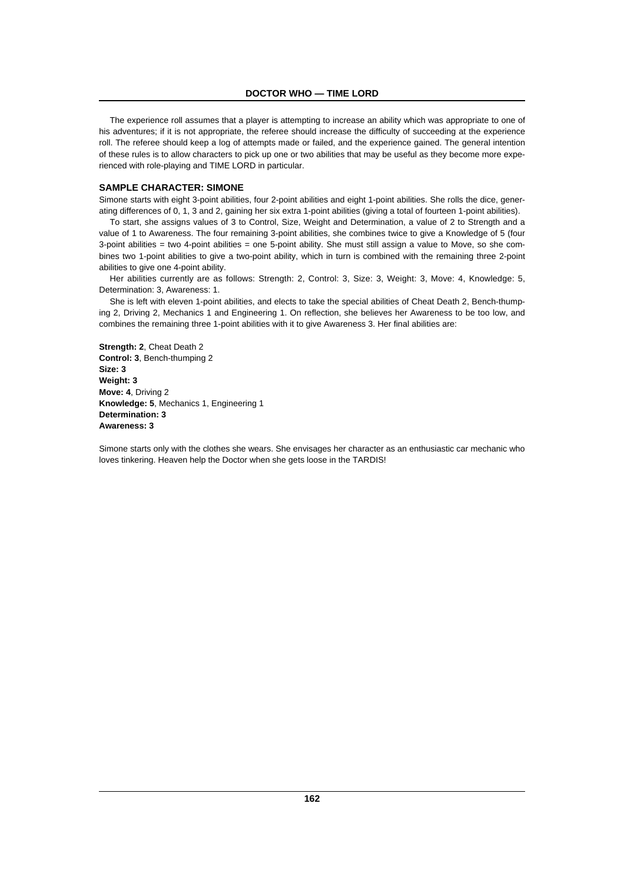The experience roll assumes that a player is attempting to increase an ability which was appropriate to one of his adventures; if it is not appropriate, the referee should increase the difficulty of succeeding at the experience roll. The referee should keep a log of attempts made or failed, and the experience gained. The general intention of these rules is to allow characters to pick up one or two abilities that may be useful as they become more experienced with role-playing and TIME LORD in particular.

# **SAMPLE CHARACTER: SIMONE**

Simone starts with eight 3-point abilities, four 2-point abilities and eight 1-point abilities. She rolls the dice, generating differences of 0, 1, 3 and 2, gaining her six extra 1-point abilities (giving a total of fourteen 1-point abilities).

To start, she assigns values of 3 to Control, Size, Weight and Determination, a value of 2 to Strength and a value of 1 to Awareness. The four remaining 3-point abilities, she combines twice to give a Knowledge of 5 (four 3-point abilities = two 4-point abilities = one 5-point ability. She must still assign a value to Move, so she combines two 1-point abilities to give a two-point ability, which in turn is combined with the remaining three 2-point abilities to give one 4-point ability.

Her abilities currently are as follows: Strength: 2, Control: 3, Size: 3, Weight: 3, Move: 4, Knowledge: 5, Determination: 3, Awareness: 1.

She is left with eleven 1-point abilities, and elects to take the special abilities of Cheat Death 2, Bench-thumping 2, Driving 2, Mechanics 1 and Engineering 1. On reflection, she believes her Awareness to be too low, and combines the remaining three 1-point abilities with it to give Awareness 3. Her final abilities are:

**Strength: 2**, Cheat Death 2 **Control: 3**, Bench-thumping 2 **Size: 3 Weight: 3 Move: 4**, Driving 2 **Knowledge: 5**, Mechanics 1, Engineering 1 **Determination: 3 Awareness: 3**

Simone starts only with the clothes she wears. She envisages her character as an enthusiastic car mechanic who loves tinkering. Heaven help the Doctor when she gets loose in the TARDIS!